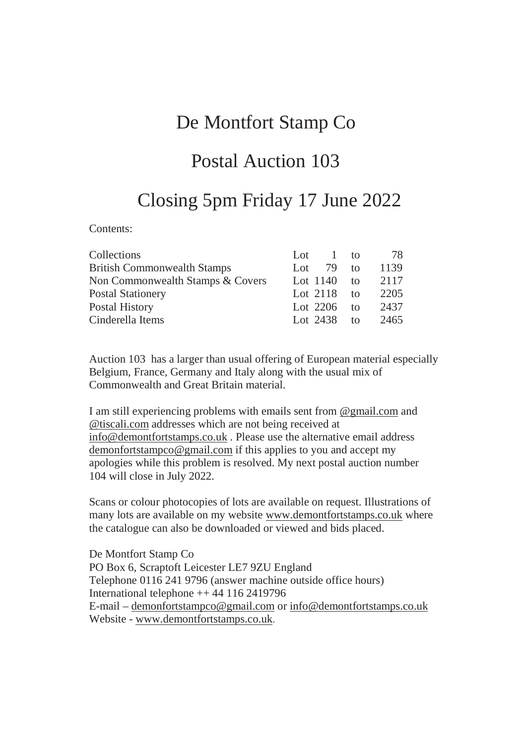# De Montfort Stamp Co

# Postal Auction 103

# Closing 5pm Friday 17 June 2022

Contents:

| Collections                        | $\text{Lot} \quad 1 \quad \text{to}$ |                | - 78 |
|------------------------------------|--------------------------------------|----------------|------|
| <b>British Commonwealth Stamps</b> | Lot $79$ to                          |                | 1139 |
| Non Commonwealth Stamps & Covers   | Lot $1140$                           | $f_{\Omega}$   | 2117 |
| <b>Postal Stationery</b>           | Lot 2118                             | $f_{\Omega}$   | 2205 |
| Postal History                     | Lot $2206$                           | f <sub>O</sub> | 2437 |
| Cinderella Items                   | Lot 2438                             | f <sub>O</sub> | 2465 |

Auction 103 has a larger than usual offering of European material especially Belgium, France, Germany and Italy along with the usual mix of Commonwealth and Great Britain material.

I am still experiencing problems with emails sent from [@gmail.com](mailto:@gmail.com) and [@tiscali.com](mailto:@tiscali.com) addresses which are not being received at [info@demontfortstamps.co.uk](mailto:info@demontfortstamps.co.uk) . Please use the alternative email address [demonfortstampco@gmail.com](mailto:demonfortstampco@gmail.com) if this applies to you and accept my apologies while this problem is resolved. My next postal auction number 104 will close in July 2022.

Scans or colour photocopies of lots are available on request. Illustrations of many lots are available on my website [www.demontfortstamps.co.uk](http://www.demontfortstamps.co.uk) where the catalogue can also be downloaded or viewed and bids placed.

De Montfort Stamp Co PO Box 6, Scraptoft Leicester LE7 9ZU England Telephone 0116 241 9796 (answer machine outside office hours) International telephone  $++ 44 116 2419796$ E-mail – [demonfortstampco@gmail.com](mailto:demonfortstampco@gmail.com) or [info@demontfortstamps.co.uk](mailto:info@demontfortstamps.co.uk) Website - [www.demontfortstamps.co.uk](http://www.demontfortstamps.co.uk).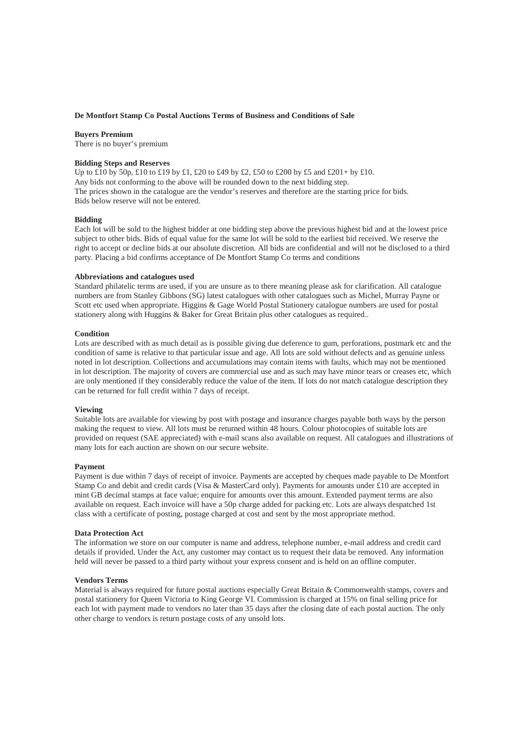## **De Montfort Stamp Co Postal Auctions Terms of Business and Conditions of Sale**

## **Buyers Premium**

There is no buyer's premium

## **Bidding Steps and Reserves**

Up to £10 by 50p, £10 to £19 by £1, £20 to £49 by £2, £50 to £200 by £5 and £201+ by £10. Any bids not conforming to the above will be rounded down to the next bidding step. The prices shown in the catalogue are the vendor's reserves and therefore are the starting price for bids. Bids below reserve will not be entered.

### **Bidding**

Each lot will be sold to the highest bidder at one bidding step above the previous highest bid and at the lowest price subject to other bids. Bids of equal value for the same lot will be sold to the earliest bid received. We reserve the right to accept or decline bids at our absolute discretion. All bids are confidential and will not be disclosed to a third party. Placing a bid confirms acceptance of De Montfort Stamp Co terms and conditions

## **Abbreviations and catalogues used**

Standard philatelic terms are used, if you are unsure as to there meaning please ask for clarification. All catalogue numbers are from Stanley Gibbons (SG) latest catalogues with other catalogues such as Michel, Murray Payne or Scott etc used when appropriate. Higgins & Gage World Postal Stationery catalogue numbers are used for postal stationery along with Huggins & Baker for Great Britain plus other catalogues as required..

### **Condition**

Lots are described with as much detail as is possible giving due deference to gum, perforations, postmark etc and the condition of same is relative to that particular issue and age. All lots are sold without defects and as genuine unless noted in lot description. Collections and accumulations may contain items with faults, which may not be mentioned in lot description. The majority of covers are commercial use and as such may have minor tears or creases etc, which are only mentioned if they considerably reduce the value of the item. If lots do not match catalogue description they can be returned for full credit within 7 days of receipt.

## **Viewing**

Suitable lots are available for viewing by post with postage and insurance charges payable both ways by the person making the request to view. All lots must be returned within 48 hours. Colour photocopies of suitable lots are provided on request (SAE appreciated) with e-mail scans also available on request. All catalogues and illustrations of many lots for each auction are shown on our secure website.

## **Payment**

Payment is due within 7 days of receipt of invoice. Payments are accepted by cheques made payable to De Montfort Stamp Co and debit and credit cards (Visa & MasterCard only). Payments for amounts under £10 are accepted in mint GB decimal stamps at face value; enquire for amounts over this amount. Extended payment terms are also available on request. Each invoice will have a 50p charge added for packing etc. Lots are always despatched 1st class with a certificate of posting, postage charged at cost and sent by the most appropriate method.

### **Data Protection Act**

The information we store on our computer is name and address, telephone number, e-mail address and credit card details if provided. Under the Act, any customer may contact us to request their data be removed. Any information held will never be passed to a third party without your express consent and is held on an offline computer.

## **Vendors Terms**

Material is always required for future postal auctions especially Great Britain & Commonwealth stamps, covers and postal stationery for Queen Victoria to King George VI. Commission is charged at 15% on final selling price for each lot with payment made to vendors no later than 35 days after the closing date of each postal auction. The only other charge to vendors is return postage costs of any unsold lots.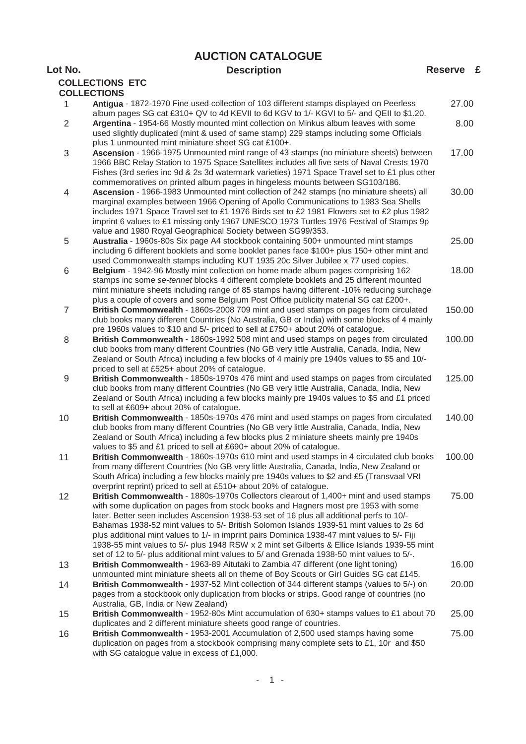## **AUCTION CATALOGUE**

# **COLLECTIONS ETC**

| Lot No. | <b>Description</b> | Reserve £ |  |
|---------|--------------------|-----------|--|
|         |                    |           |  |

|                | <b>COLLECTIONS</b>                                                                                                                                                                                                                                                                                                                                                                                                                                                                                                                                                                                                                                                 |        |
|----------------|--------------------------------------------------------------------------------------------------------------------------------------------------------------------------------------------------------------------------------------------------------------------------------------------------------------------------------------------------------------------------------------------------------------------------------------------------------------------------------------------------------------------------------------------------------------------------------------------------------------------------------------------------------------------|--------|
| 1              | Antigua - 1872-1970 Fine used collection of 103 different stamps displayed on Peerless<br>album pages SG cat £310+ QV to 4d KEVII to 6d KGV to 1/- KGVI to 5/- and QEII to \$1.20.                                                                                                                                                                                                                                                                                                                                                                                                                                                                                 | 27.00  |
| $\overline{2}$ | Argentina - 1954-66 Mostly mounted mint collection on Minkus album leaves with some<br>used slightly duplicated (mint & used of same stamp) 229 stamps including some Officials<br>plus 1 unmounted mint miniature sheet SG cat £100+.                                                                                                                                                                                                                                                                                                                                                                                                                             | 8.00   |
| $\sqrt{3}$     | Ascension - 1966-1975 Unmounted mint range of 43 stamps (no miniature sheets) between<br>1966 BBC Relay Station to 1975 Space Satellites includes all five sets of Naval Crests 1970<br>Fishes (3rd series inc 9d & 2s 3d watermark varieties) 1971 Space Travel set to £1 plus other<br>commemoratives on printed album pages in hingeless mounts between SG103/186.                                                                                                                                                                                                                                                                                              | 17.00  |
| 4              | Ascension - 1966-1983 Unmounted mint collection of 242 stamps (no miniature sheets) all<br>marginal examples between 1966 Opening of Apollo Communications to 1983 Sea Shells<br>includes 1971 Space Travel set to £1 1976 Birds set to £2 1981 Flowers set to £2 plus 1982<br>imprint 6 values to £1 missing only 1967 UNESCO 1973 Turtles 1976 Festival of Stamps 9p<br>value and 1980 Royal Geographical Society between SG99/353.                                                                                                                                                                                                                              | 30.00  |
| 5              | Australia - 1960s-80s Six page A4 stockbook containing 500+ unmounted mint stamps<br>including 6 different booklets and some booklet panes face \$100+ plus 150+ other mint and<br>used Commonwealth stamps including KUT 1935 20c Silver Jubilee x 77 used copies.                                                                                                                                                                                                                                                                                                                                                                                                | 25.00  |
| 6              | Belgium - 1942-96 Mostly mint collection on home made album pages comprising 162<br>stamps inc some se-tennet blocks 4 different complete booklets and 25 different mounted<br>mint miniature sheets including range of 85 stamps having different -10% reducing surchage<br>plus a couple of covers and some Belgium Post Office publicity material SG cat £200+.                                                                                                                                                                                                                                                                                                 | 18.00  |
| $\overline{7}$ | British Commonwealth - 1860s-2008 709 mint and used stamps on pages from circulated<br>club books many different Countries (No Australia, GB or India) with some blocks of 4 mainly<br>pre 1960s values to \$10 and 5/- priced to sell at £750+ about 20% of catalogue.                                                                                                                                                                                                                                                                                                                                                                                            | 150.00 |
| 8              | British Commonwealth - 1860s-1992 508 mint and used stamps on pages from circulated<br>club books from many different Countries (No GB very little Australia, Canada, India, New<br>Zealand or South Africa) including a few blocks of 4 mainly pre 1940s values to \$5 and 10/-<br>priced to sell at £525+ about 20% of catalogue.                                                                                                                                                                                                                                                                                                                                | 100.00 |
| 9              | British Commonwealth - 1850s-1970s 476 mint and used stamps on pages from circulated<br>club books from many different Countries (No GB very little Australia, Canada, India, New<br>Zealand or South Africa) including a few blocks mainly pre 1940s values to \$5 and £1 priced<br>to sell at £609+ about 20% of catalogue.                                                                                                                                                                                                                                                                                                                                      | 125.00 |
| 10             | British Commonwealth - 1850s-1970s 476 mint and used stamps on pages from circulated<br>club books from many different Countries (No GB very little Australia, Canada, India, New<br>Zealand or South Africa) including a few blocks plus 2 miniature sheets mainly pre 1940s<br>values to \$5 and £1 priced to sell at £690+ about 20% of catalogue.                                                                                                                                                                                                                                                                                                              | 140.00 |
| 11             | British Commonwealth - 1860s-1970s 610 mint and used stamps in 4 circulated club books<br>from many different Countries (No GB very little Australia, Canada, India, New Zealand or<br>South Africa) including a few blocks mainly pre 1940s values to \$2 and £5 (Transvaal VRI<br>overprint reprint) priced to sell at £510+ about 20% of catalogue.                                                                                                                                                                                                                                                                                                             | 100.00 |
| 12             | British Commonwealth - 1880s-1970s Collectors clearout of 1,400+ mint and used stamps<br>with some duplication on pages from stock books and Hagners most pre 1953 with some<br>later. Better seen includes Ascension 1938-53 set of 16 plus all additional perfs to 10/-<br>Bahamas 1938-52 mint values to 5/- British Solomon Islands 1939-51 mint values to 2s 6d<br>plus additional mint values to 1/- in imprint pairs Dominica 1938-47 mint values to 5/- Fiji<br>1938-55 mint values to 5/- plus 1948 RSW x 2 mint set Gilberts & Ellice Islands 1939-55 mint<br>set of 12 to 5/- plus additional mint values to 5/ and Grenada 1938-50 mint values to 5/-. | 75.00  |
| 13             | British Commonwealth - 1963-89 Aitutaki to Zambia 47 different (one light toning)<br>unmounted mint miniature sheets all on theme of Boy Scouts or Girl Guides SG cat £145.                                                                                                                                                                                                                                                                                                                                                                                                                                                                                        | 16.00  |
| 14             | British Commonwealth - 1937-52 Mint collection of 344 different stamps (values to 5/-) on<br>pages from a stockbook only duplication from blocks or strips. Good range of countries (no<br>Australia, GB, India or New Zealand)                                                                                                                                                                                                                                                                                                                                                                                                                                    | 20.00  |
| 15             | British Commonwealth - 1952-80s Mint accumulation of 630+ stamps values to £1 about 70<br>duplicates and 2 different miniature sheets good range of countries.                                                                                                                                                                                                                                                                                                                                                                                                                                                                                                     | 25.00  |
| 16             | British Commonwealth - 1953-2001 Accumulation of 2,500 used stamps having some<br>duplication on pages from a stockbook comprising many complete sets to £1, 10r and \$50<br>with SG catalogue value in excess of £1,000.                                                                                                                                                                                                                                                                                                                                                                                                                                          | 75.00  |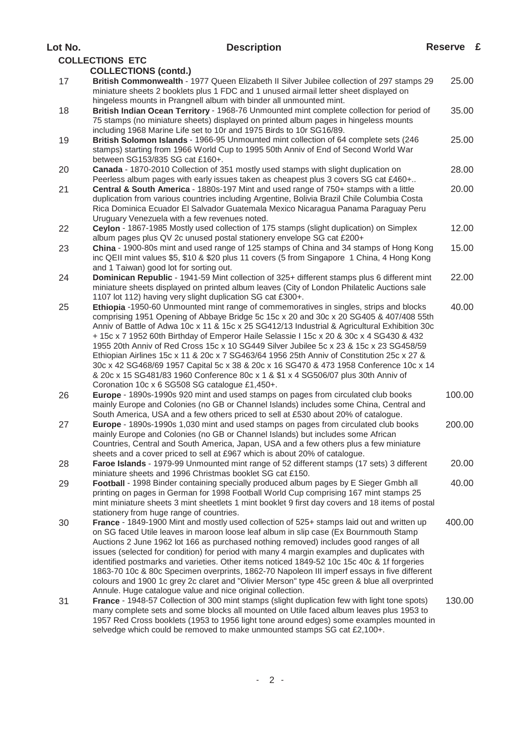|    | <b>COLLECTIONS ETC</b>                                                                                                                                                                                                                                                                                                                                                                                                                                                                                                                                                                                                                                                                                                                                                                               |        |
|----|------------------------------------------------------------------------------------------------------------------------------------------------------------------------------------------------------------------------------------------------------------------------------------------------------------------------------------------------------------------------------------------------------------------------------------------------------------------------------------------------------------------------------------------------------------------------------------------------------------------------------------------------------------------------------------------------------------------------------------------------------------------------------------------------------|--------|
|    | <b>COLLECTIONS (contd.)</b>                                                                                                                                                                                                                                                                                                                                                                                                                                                                                                                                                                                                                                                                                                                                                                          |        |
| 17 | British Commonwealth - 1977 Queen Elizabeth II Silver Jubilee collection of 297 stamps 29<br>miniature sheets 2 booklets plus 1 FDC and 1 unused airmail letter sheet displayed on<br>hingeless mounts in Prangnell album with binder all unmounted mint.                                                                                                                                                                                                                                                                                                                                                                                                                                                                                                                                            | 25.00  |
| 18 | British Indian Ocean Territory - 1968-76 Unmounted mint complete collection for period of<br>75 stamps (no miniature sheets) displayed on printed album pages in hingeless mounts<br>including 1968 Marine Life set to 10r and 1975 Birds to 10r SG16/89.                                                                                                                                                                                                                                                                                                                                                                                                                                                                                                                                            | 35.00  |
| 19 | British Solomon Islands - 1966-95 Unmounted mint collection of 64 complete sets (246<br>stamps) starting from 1966 World Cup to 1995 50th Anniv of End of Second World War<br>between SG153/835 SG cat £160+.                                                                                                                                                                                                                                                                                                                                                                                                                                                                                                                                                                                        | 25.00  |
| 20 | Canada - 1870-2010 Collection of 351 mostly used stamps with slight duplication on<br>Peerless album pages with early issues taken as cheapest plus 3 covers SG cat £460+                                                                                                                                                                                                                                                                                                                                                                                                                                                                                                                                                                                                                            | 28.00  |
| 21 | Central & South America - 1880s-197 Mint and used range of 750+ stamps with a little<br>duplication from various countries including Argentine, Bolivia Brazil Chile Columbia Costa<br>Rica Dominica Ecuador El Salvador Guatemala Mexico Nicaragua Panama Paraguay Peru<br>Uruguary Venezuela with a few revenues noted.                                                                                                                                                                                                                                                                                                                                                                                                                                                                            | 20.00  |
| 22 | Ceylon - 1867-1985 Mostly used collection of 175 stamps (slight duplication) on Simplex<br>album pages plus QV 2c unused postal stationery envelope SG cat £200+                                                                                                                                                                                                                                                                                                                                                                                                                                                                                                                                                                                                                                     | 12.00  |
| 23 | China - 1900-80s mint and used range of 125 stamps of China and 34 stamps of Hong Kong<br>inc QEII mint values \$5, \$10 & \$20 plus 11 covers (5 from Singapore 1 China, 4 Hong Kong<br>and 1 Taiwan) good lot for sorting out.                                                                                                                                                                                                                                                                                                                                                                                                                                                                                                                                                                     | 15.00  |
| 24 | Dominican Republic - 1941-59 Mint collection of 325+ different stamps plus 6 different mint<br>miniature sheets displayed on printed album leaves (City of London Philatelic Auctions sale<br>1107 lot 112) having very slight duplication SG cat £300+.                                                                                                                                                                                                                                                                                                                                                                                                                                                                                                                                             | 22.00  |
| 25 | Ethiopia -1950-60 Unmounted mint range of commemoratives in singles, strips and blocks<br>comprising 1951 Opening of Abbaye Bridge 5c 15c x 20 and 30c x 20 SG405 & 407/408 55th<br>Anniv of Battle of Adwa 10c x 11 & 15c x 25 SG412/13 Industrial & Agricultural Exhibition 30c<br>+ 15c x 7 1952 60th Birthday of Emperor Haile Selassie I 15c x 20 & 30c x 4 SG430 & 432<br>1955 20th Anniv of Red Cross 15c x 10 SG449 Silver Jubilee 5c x 23 & 15c x 23 SG458/59<br>Ethiopian Airlines 15c x 11 & 20c x 7 SG463/64 1956 25th Anniv of Constitution 25c x 27 &<br>30c x 42 SG468/69 1957 Capital 5c x 38 & 20c x 16 SG470 & 473 1958 Conference 10c x 14<br>& 20c x 15 SG481/83 1960 Conference 80c x 1 & \$1 x 4 SG506/07 plus 30th Anniv of<br>Coronation 10c x 6 SG508 SG catalogue £1,450+. | 40.00  |
| 26 | Europe - 1890s-1990s 920 mint and used stamps on pages from circulated club books<br>mainly Europe and Colonies (no GB or Channel Islands) includes some China, Central and<br>South America, USA and a few others priced to sell at £530 about 20% of catalogue.                                                                                                                                                                                                                                                                                                                                                                                                                                                                                                                                    | 100.00 |
| 27 | Europe - 1890s-1990s 1,030 mint and used stamps on pages from circulated club books<br>mainly Europe and Colonies (no GB or Channel Islands) but includes some African<br>Countries, Central and South America, Japan, USA and a few others plus a few miniature<br>sheets and a cover priced to sell at £967 which is about 20% of catalogue.                                                                                                                                                                                                                                                                                                                                                                                                                                                       | 200.00 |
| 28 | Faroe Islands - 1979-99 Unmounted mint range of 52 different stamps (17 sets) 3 different<br>miniature sheets and 1996 Christmas booklet SG cat £150.                                                                                                                                                                                                                                                                                                                                                                                                                                                                                                                                                                                                                                                | 20.00  |
| 29 | Football - 1998 Binder containing specially produced album pages by E Sieger Gmbh all<br>printing on pages in German for 1998 Football World Cup comprising 167 mint stamps 25<br>mint miniature sheets 3 mint sheetlets 1 mint booklet 9 first day covers and 18 items of postal<br>stationery from huge range of countries.                                                                                                                                                                                                                                                                                                                                                                                                                                                                        | 40.00  |
| 30 | France - 1849-1900 Mint and mostly used collection of 525+ stamps laid out and written up<br>on SG faced Utile leaves in maroon loose leaf album in slip case (Ex Bournmouth Stamp<br>Auctions 2 June 1962 lot 166 as purchased nothing removed) includes good ranges of all<br>issues (selected for condition) for period with many 4 margin examples and duplicates with<br>identified postmarks and varieties. Other items noticed 1849-52 10c 15c 40c & 1f forgeries<br>1863-70 10c & 80c Specimen overprints, 1862-70 Napoleon III imperf essays in five different<br>colours and 1900 1c grey 2c claret and "Olivier Merson" type 45c green & blue all overprinted<br>Annule. Huge catalogue value and nice original collection.                                                               | 400.00 |
| 31 | France - 1948-57 Collection of 300 mint stamps (slight duplication few with light tone spots)<br>many complete sets and some blocks all mounted on Utile faced album leaves plus 1953 to<br>1957 Red Cross booklets (1953 to 1956 light tone around edges) some examples mounted in<br>selvedge which could be removed to make unmounted stamps SG cat £2,100+.                                                                                                                                                                                                                                                                                                                                                                                                                                      | 130.00 |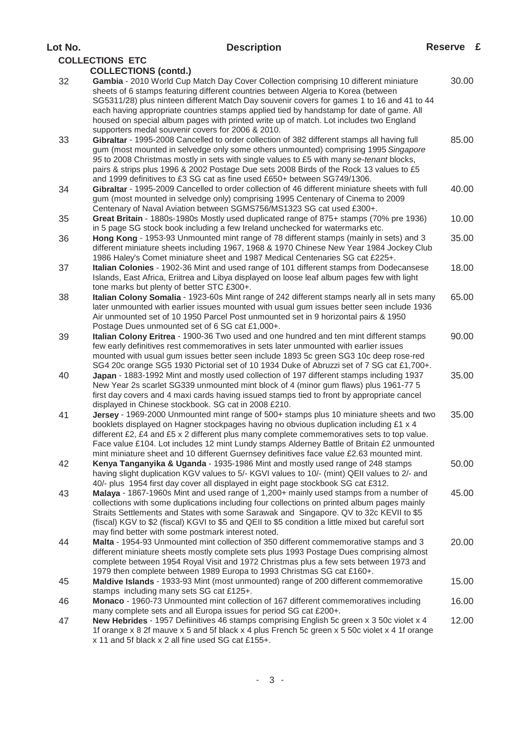| Lot No. | <b>Description</b>                                                                                                                                                                                                                                                                                                                                                                                                                                                                                         | Reserve £ |  |
|---------|------------------------------------------------------------------------------------------------------------------------------------------------------------------------------------------------------------------------------------------------------------------------------------------------------------------------------------------------------------------------------------------------------------------------------------------------------------------------------------------------------------|-----------|--|
|         | <b>COLLECTIONS ETC</b>                                                                                                                                                                                                                                                                                                                                                                                                                                                                                     |           |  |
|         | <b>COLLECTIONS (contd.)</b>                                                                                                                                                                                                                                                                                                                                                                                                                                                                                |           |  |
| 32      | Gambia - 2010 World Cup Match Day Cover Collection comprising 10 different miniature<br>sheets of 6 stamps featuring different countries between Algeria to Korea (between<br>SG5311/28) plus ninteen different Match Day souvenir covers for games 1 to 16 and 41 to 44<br>each having appropriate countries stamps applied tied by handstamp for date of game. All<br>housed on special album pages with printed write up of match. Lot includes two England                                             | 30.00     |  |
| 33      | supporters medal souvenir covers for 2006 & 2010.<br>Gibraltar - 1995-2008 Cancelled to order collection of 382 different stamps all having full<br>gum (most mounted in selvedge only some others unmounted) comprising 1995 Singapore<br>95 to 2008 Christmas mostly in sets with single values to £5 with many se-tenant blocks,<br>pairs & strips plus 1996 & 2002 Postage Due sets 2008 Birds of the Rock 13 values to £5<br>and 1999 definitives to £3 SG cat as fine used £650+ between SG749/1306. | 85.00     |  |
| 34      | Gibraltar - 1995-2009 Cancelled to order collection of 46 different miniature sheets with full<br>gum (most mounted in selvedge only) comprising 1995 Centenary of Cinema to 2009<br>Centenary of Naval Aviation between SGMS756/MS1323 SG cat used £300+.                                                                                                                                                                                                                                                 | 40.00     |  |
| 35      | Great Britain - 1880s-1980s Mostly used duplicated range of 875+ stamps (70% pre 1936)<br>in 5 page SG stock book including a few Ireland unchecked for watermarks etc.                                                                                                                                                                                                                                                                                                                                    | 10.00     |  |
| 36      | Hong Kong - 1953-93 Unmounted mint range of 78 different stamps (mainly in sets) and 3<br>different miniature sheets including 1967, 1968 & 1970 Chinese New Year 1984 Jockey Club<br>1986 Haley's Comet miniature sheet and 1987 Medical Centenaries SG cat £225+.                                                                                                                                                                                                                                        | 35.00     |  |
| 37      | Italian Colonies - 1902-36 Mint and used range of 101 different stamps from Dodecansese<br>Islands, East Africa, Eriitrea and Libya displayed on loose leaf album pages few with light<br>tone marks but plenty of better STC £300+.                                                                                                                                                                                                                                                                       | 18.00     |  |
| 38      | Italian Colony Somalia - 1923-60s Mint range of 242 different stamps nearly all in sets many<br>later unmounted with earlier issues mounted with usual gum issues better seen include 1936<br>Air unmounted set of 10 1950 Parcel Post unmounted set in 9 horizontal pairs & 1950<br>Postage Dues unmounted set of 6 SG cat £1,000+.                                                                                                                                                                       | 65.00     |  |
| 39      | Italian Colony Eritrea - 1900-36 Two used and one hundred and ten mint different stamps<br>few early definitives rest commemoratives in sets later unmounted with earlier issues<br>mounted with usual gum issues better seen include 1893 5c green SG3 10c deep rose-red<br>SG4 20c orange SG5 1930 Pictorial set of 10 1934 Duke of Abruzzi set of 7 SG cat £1,700+.                                                                                                                                     | 90.00     |  |
| 40      | Japan - 1883-1992 Mint and mostly used collection of 197 different stamps including 1937<br>New Year 2s scarlet SG339 unmounted mint block of 4 (minor gum flaws) plus 1961-77 5<br>first day covers and 4 maxi cards having issued stamps tied to front by appropriate cancel<br>displayed in Chinese stockbook. SG cat in 2008 £210.                                                                                                                                                                     | 35.00     |  |
| 41      | Jersey - 1969-2000 Unmounted mint range of 500+ stamps plus 10 miniature sheets and two<br>booklets displayed on Hagner stockpages having no obvious duplication including £1 x 4<br>different £2, £4 and £5 x 2 different plus many complete commemoratives sets to top value.<br>Face value £104. Lot includes 12 mint Lundy stamps Alderney Battle of Britain £2 unmounted<br>mint miniature sheet and 10 different Guernsey definitives face value £2.63 mounted mint.                                 | 35.00     |  |
| 42      | Kenya Tanganyika & Uganda - 1935-1986 Mint and mostly used range of 248 stamps<br>having slight duplication KGV values to 5/- KGVI values to 10/- (mint) QEII values to 2/- and<br>40/- plus 1954 first day cover all displayed in eight page stockbook SG cat £312.                                                                                                                                                                                                                                       | 50.00     |  |
| 43      | Malaya - 1867-1960s Mint and used range of 1,200+ mainly used stamps from a number of<br>collections with some duplications including four collections on printed album pages mainly<br>Straits Settlements and States with some Sarawak and Singapore. QV to 32c KEVII to \$5<br>(fiscal) KGV to \$2 (fiscal) KGVI to \$5 and QEII to \$5 condition a little mixed but careful sort<br>may find better with some postmark interest noted.                                                                 | 45.00     |  |
| 44      | Malta - 1954-93 Unmounted mint collection of 350 different commemorative stamps and 3<br>different miniature sheets mostly complete sets plus 1993 Postage Dues comprising almost<br>complete between 1954 Royal Visit and 1972 Christmas plus a few sets between 1973 and<br>1979 then complete between 1989 Europa to 1993 Christmas SG cat £160+.                                                                                                                                                       | 20.00     |  |
| 45      | Maldive Islands - 1933-93 Mint (most unmounted) range of 200 different commemorative<br>stamps including many sets SG cat £125+.                                                                                                                                                                                                                                                                                                                                                                           | 15.00     |  |
| 46      | Monaco - 1960-73 Unmounted mint collection of 167 different commemoratives including<br>many complete sets and all Europa issues for period SG cat £200+.                                                                                                                                                                                                                                                                                                                                                  | 16.00     |  |
| 47      | New Hebrides - 1957 Defiinitives 46 stamps comprising English 5c green x 3 50c violet x 4<br>1f orange x 8 2f mauve x 5 and 5f black x 4 plus French 5c green x 5 50c violet x 4 1f orange<br>x 11 and 5f black x 2 all fine used SG cat £155+.                                                                                                                                                                                                                                                            | 12.00     |  |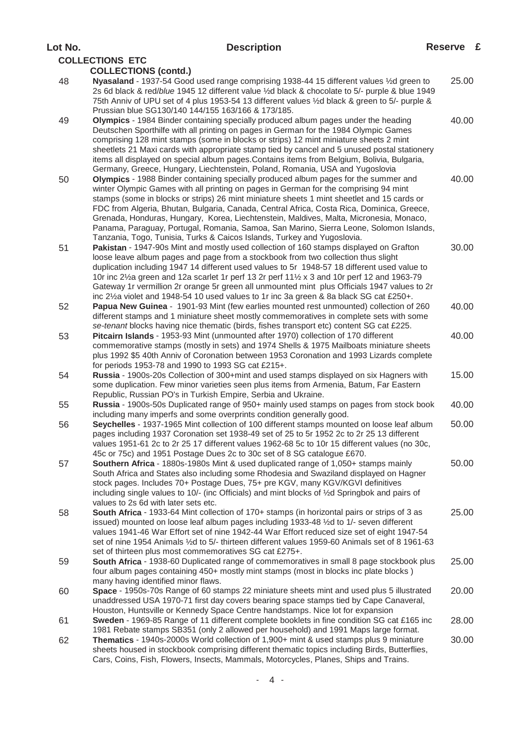|    | <b>COLLECTIONS ETC</b><br><b>COLLECTIONS (contd.)</b>                                                                                                                                                |       |
|----|------------------------------------------------------------------------------------------------------------------------------------------------------------------------------------------------------|-------|
| 48 | Nyasaland - 1937-54 Good used range comprising 1938-44 15 different values 1/2d green to<br>2s 6d black & red/blue 1945 12 different value 1/2d black & chocolate to 5/- purple & blue 1949          | 25.00 |
|    | 75th Anniv of UPU set of 4 plus 1953-54 13 different values 1/2d black & green to 5/- purple &<br>Prussian blue SG130/140 144/155 163/166 & 173/185.                                                 |       |
| 49 | Olympics - 1984 Binder containing specially produced album pages under the heading                                                                                                                   | 40.00 |
|    | Deutschen Sporthilfe with all printing on pages in German for the 1984 Olympic Games<br>comprising 128 mint stamps (some in blocks or strips) 12 mint miniature sheets 2 mint                        |       |
|    | sheetlets 21 Maxi cards with appropriate stamp tied by cancel and 5 unused postal stationery<br>items all displayed on special album pages. Contains items from Belgium, Bolivia, Bulgaria,          |       |
| 50 | Germany, Greece, Hungary, Liechtenstein, Poland, Romania, USA and Yugoslovia<br>Olympics - 1988 Binder containing specially produced album pages for the summer and                                  | 40.00 |
|    | winter Olympic Games with all printing on pages in German for the comprising 94 mint                                                                                                                 |       |
|    | stamps (some in blocks or strips) 26 mint miniature sheets 1 mint sheetlet and 15 cards or<br>FDC from Algeria, Bhutan, Bulgaria, Canada, Central Africa, Costa Rica, Dominica, Greece,              |       |
|    | Grenada, Honduras, Hungary, Korea, Liechtenstein, Maldives, Malta, Micronesia, Monaco,<br>Panama, Paraguay, Portugal, Romania, Samoa, San Marino, Sierra Leone, Solomon Islands,                     |       |
|    | Tanzania, Togo, Tunisia, Turks & Caicos Islands, Turkey and Yugoslovia.                                                                                                                              |       |
| 51 | Pakistan - 1947-90s Mint and mostly used collection of 160 stamps displayed on Grafton<br>loose leave album pages and page from a stockbook from two collection thus slight                          | 30.00 |
|    | duplication including 1947 14 different used values to 5r 1948-57 18 different used value to<br>10r inc 2½a green and 12a scarlet 1r perf 13 2r perf 11½ x 3 and 10r perf 12 and 1963-79             |       |
|    | Gateway 1r vermillion 2r orange 5r green all unmounted mint plus Officials 1947 values to 2r<br>inc 21/ <sub>2</sub> a violet and 1948-54 10 used values to 1r inc 3a green & 8a black SG cat £250+. |       |
| 52 | Papua New Guinea - 1901-93 Mint (few earlies mounted rest unmounted) collection of 260                                                                                                               | 40.00 |
|    | different stamps and 1 miniature sheet mostly commemoratives in complete sets with some<br>se-tenant blocks having nice thematic (birds, fishes transport etc) content SG cat £225.                  |       |
| 53 | Pitcairn Islands - 1953-93 Mint (unmounted after 1970) collection of 170 different<br>commemorative stamps (mostly in sets) and 1974 Shells & 1975 Mailboats miniature sheets                        | 40.00 |
|    | plus 1992 \$5 40th Anniv of Coronation between 1953 Coronation and 1993 Lizards complete<br>for periods 1953-78 and 1990 to 1993 SG cat £215+.                                                       |       |
| 54 | Russia - 1900s-20s Collection of 300+mint and used stamps displayed on six Hagners with                                                                                                              | 15.00 |
|    | some duplication. Few minor varieties seen plus items from Armenia, Batum, Far Eastern<br>Republic, Russian PO's in Turkish Empire, Serbia and Ukraine.                                              |       |
| 55 | Russia - 1900s-50s Duplicated range of 950+ mainly used stamps on pages from stock book<br>including many imperfs and some overprints condition generally good.                                      | 40.00 |
| 56 | Seychelles - 1937-1965 Mint collection of 100 different stamps mounted on loose leaf album<br>pages including 1937 Coronation set 1938-49 set of 25 to 5r 1952 2c to 2r 25 13 different              | 50.00 |
|    | values 1951-61 2c to 2r 25 17 different values 1962-68 5c to 10r 15 different values (no 30c,                                                                                                        |       |
| 57 | 45c or 75c) and 1951 Postage Dues 2c to 30c set of 8 SG catalogue £670.<br>Southern Africa - 1880s-1980s Mint & used duplicated range of 1,050+ stamps mainly                                        | 50.00 |
|    | South Africa and States also including some Rhodesia and Swaziland displayed on Hagner<br>stock pages. Includes 70+ Postage Dues, 75+ pre KGV, many KGV/KGVI definitives                             |       |
|    | including single values to 10/- (inc Officials) and mint blocks of 1/2d Springbok and pairs of<br>values to 2s 6d with later sets etc.                                                               |       |
| 58 | South Africa - 1933-64 Mint collection of 170+ stamps (in horizontal pairs or strips of 3 as                                                                                                         | 25.00 |
|    | issued) mounted on loose leaf album pages including 1933-48 1/2d to 1/- seven different<br>values 1941-46 War Effort set of nine 1942-44 War Effort reduced size set of eight 1947-54                |       |
|    | set of nine 1954 Animals 1/2d to 5/- thirteen different values 1959-60 Animals set of 8 1961-63<br>set of thirteen plus most commemoratives SG cat £275+.                                            |       |
| 59 | South Africa - 1938-60 Duplicated range of commemoratives in small 8 page stockbook plus<br>four album pages containing 450+ mostly mint stamps (most in blocks inc plate blocks)                    | 25.00 |
|    | many having identified minor flaws.                                                                                                                                                                  |       |
| 60 | Space - 1950s-70s Range of 60 stamps 22 miniature sheets mint and used plus 5 illustrated<br>unaddressed USA 1970-71 first day covers bearing space stamps tied by Cape Canaveral,                   | 20.00 |
| 61 | Houston, Huntsville or Kennedy Space Centre handstamps. Nice lot for expansion<br>Sweden - 1969-85 Range of 11 different complete booklets in fine condition SG cat £165 inc                         | 28.00 |
|    | 1981 Rebate stamps SB351 (only 2 allowed per household) and 1991 Maps large format.                                                                                                                  |       |
| 62 | Thematics - 1940s-2000s World collection of 1,900+ mint & used stamps plus 9 miniature<br>sheets housed in stockbook comprising different thematic topics including Birds, Butterflies,              | 30.00 |
|    | Cars, Coins, Fish, Flowers, Insects, Mammals, Motorcycles, Planes, Ships and Trains.                                                                                                                 |       |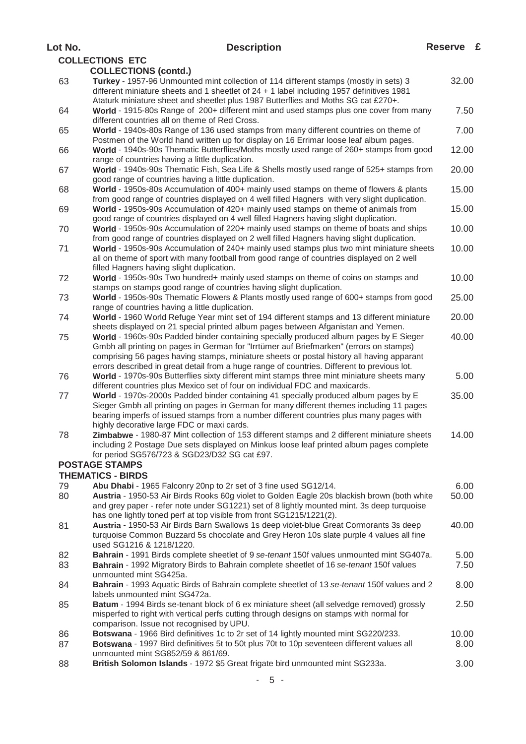| Lot No. | <b>Description</b>                                                                                                                                                                                                                                                                                                                                                          | <b>Reserve</b> | E |
|---------|-----------------------------------------------------------------------------------------------------------------------------------------------------------------------------------------------------------------------------------------------------------------------------------------------------------------------------------------------------------------------------|----------------|---|
|         | <b>COLLECTIONS ETC</b>                                                                                                                                                                                                                                                                                                                                                      |                |   |
|         | <b>COLLECTIONS (contd.)</b>                                                                                                                                                                                                                                                                                                                                                 |                |   |
| 63      | Turkey - 1957-96 Unmounted mint collection of 114 different stamps (mostly in sets) 3<br>different miniature sheets and 1 sheetlet of 24 + 1 label including 1957 definitives 1981                                                                                                                                                                                          | 32.00          |   |
| 64      | Ataturk miniature sheet and sheetlet plus 1987 Butterflies and Moths SG cat £270+.<br>World - 1915-80s Range of 200+ different mint and used stamps plus one cover from many<br>different countries all on theme of Red Cross.                                                                                                                                              | 7.50           |   |
| 65      | World - 1940s-80s Range of 136 used stamps from many different countries on theme of<br>Postmen of the World hand written up for display on 16 Errimar loose leaf album pages.                                                                                                                                                                                              | 7.00           |   |
| 66      | World - 1940s-90s Thematic Butterflies/Moths mostly used range of 260+ stamps from good<br>range of countries having a little duplication.                                                                                                                                                                                                                                  | 12.00          |   |
| 67      | World - 1940s-90s Thematic Fish, Sea Life & Shells mostly used range of 525+ stamps from<br>good range of countries having a little duplication.                                                                                                                                                                                                                            | 20.00          |   |
| 68      | World - 1950s-80s Accumulation of 400+ mainly used stamps on theme of flowers & plants<br>from good range of countries displayed on 4 well filled Hagners with very slight duplication.                                                                                                                                                                                     | 15.00          |   |
| 69      | World - 1950s-90s Accumulation of 420+ mainly used stamps on theme of animals from<br>good range of countries displayed on 4 well filled Hagners having slight duplication.                                                                                                                                                                                                 | 15.00          |   |
| 70      | World - 1950s-90s Accumulation of 220+ mainly used stamps on theme of boats and ships<br>from good range of countries displayed on 2 well filled Hagners having slight duplication.                                                                                                                                                                                         | 10.00          |   |
| 71      | World - 1950s-90s Accumulation of 240+ mainly used stamps plus two mint miniature sheets<br>all on theme of sport with many football from good range of countries displayed on 2 well<br>filled Hagners having slight duplication.                                                                                                                                          | 10.00          |   |
| 72      | World - 1950s-90s Two hundred+ mainly used stamps on theme of coins on stamps and<br>stamps on stamps good range of countries having slight duplication.                                                                                                                                                                                                                    | 10.00          |   |
| 73      | World - 1950s-90s Thematic Flowers & Plants mostly used range of 600+ stamps from good<br>range of countries having a little duplication.                                                                                                                                                                                                                                   | 25.00          |   |
| 74      | World - 1960 World Refuge Year mint set of 194 different stamps and 13 different miniature<br>sheets displayed on 21 special printed album pages between Afganistan and Yemen.                                                                                                                                                                                              | 20.00          |   |
| 75      | World - 1960s-90s Padded binder containing specially produced album pages by E Sieger<br>Gmbh all printing on pages in German for "Irrtümer auf Briefmarken" (errors on stamps)<br>comprising 56 pages having stamps, miniature sheets or postal history all having apparant<br>errors described in great detail from a huge range of countries. Different to previous lot. | 40.00          |   |
| 76      | World - 1970s-90s Butterflies sixty different mint stamps three mint miniature sheets many<br>different countries plus Mexico set of four on individual FDC and maxicards.                                                                                                                                                                                                  | 5.00           |   |
| 77      | World - 1970s-2000s Padded binder containing 41 specially produced album pages by E<br>Sieger Gmbh all printing on pages in German for many different themes including 11 pages<br>bearing imperfs of issued stamps from a number different countries plus many pages with<br>highly decorative large FDC or maxi cards.                                                    | 35.00          |   |
| 78      | Zimbabwe - 1980-87 Mint collection of 153 different stamps and 2 different miniature sheets<br>including 2 Postage Due sets displayed on Minkus loose leaf printed album pages complete<br>for period SG576/723 & SGD23/D32 SG cat £97.                                                                                                                                     | 14.00          |   |
|         | <b>POSTAGE STAMPS</b><br><b>THEMATICS - BIRDS</b>                                                                                                                                                                                                                                                                                                                           |                |   |
| 79      | Abu Dhabi - 1965 Falconry 20np to 2r set of 3 fine used SG12/14.                                                                                                                                                                                                                                                                                                            | 6.00           |   |
| 80      | Austria - 1950-53 Air Birds Rooks 60g violet to Golden Eagle 20s blackish brown (both white<br>and grey paper - refer note under SG1221) set of 8 lightly mounted mint. 3s deep turquoise                                                                                                                                                                                   | 50.00          |   |
| 81      | has one lightly toned perf at top visible from front SG1215/1221(2).<br>Austria - 1950-53 Air Birds Barn Swallows 1s deep violet-blue Great Cormorants 3s deep<br>turquoise Common Buzzard 5s chocolate and Grey Heron 10s slate purple 4 values all fine<br>used SG1216 & 1218/1220.                                                                                       | 40.00          |   |
| 82      | Bahrain - 1991 Birds complete sheetlet of 9 se-tenant 150f values unmounted mint SG407a.                                                                                                                                                                                                                                                                                    | 5.00           |   |
| 83      | Bahrain - 1992 Migratory Birds to Bahrain complete sheetlet of 16 se-tenant 150f values<br>unmounted mint SG425a.                                                                                                                                                                                                                                                           | 7.50           |   |
| 84      | Bahrain - 1993 Aquatic Birds of Bahrain complete sheetlet of 13 se-tenant 150f values and 2<br>labels unmounted mint SG472a.                                                                                                                                                                                                                                                | 8.00           |   |
| 85      | Batum - 1994 Birds se-tenant block of 6 ex miniature sheet (all selvedge removed) grossly<br>misperfed to right with vertical perfs cutting through designs on stamps with normal for<br>comparison. Issue not recognised by UPU.                                                                                                                                           | 2.50           |   |
| 86      | Botswana - 1966 Bird definitives 1c to 2r set of 14 lightly mounted mint SG220/233.                                                                                                                                                                                                                                                                                         | 10.00          |   |
| 87      | Botswana - 1997 Bird definitives 5t to 50t plus 70t to 10p seventeen different values all<br>unmounted mint SG852/59 & 861/69.                                                                                                                                                                                                                                              | 8.00           |   |
| 88      | British Solomon Islands - 1972 \$5 Great frigate bird unmounted mint SG233a.                                                                                                                                                                                                                                                                                                | 3.00           |   |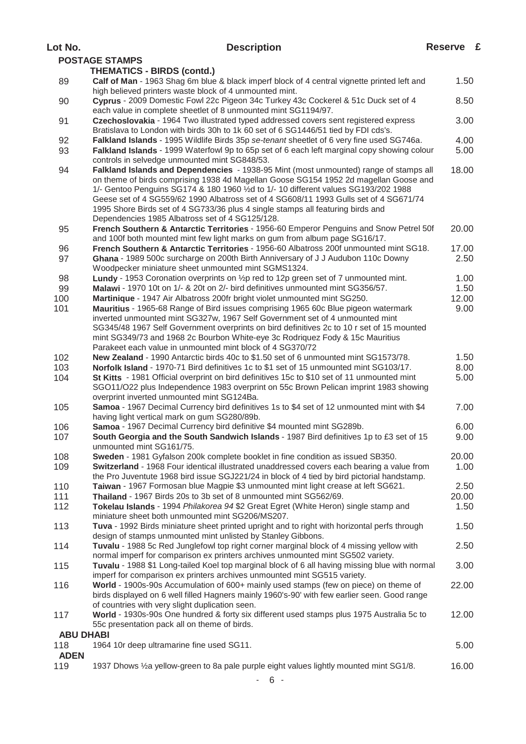| Lot No.          | <b>Description</b>                                                                                                                                                  | Reserve £ |  |
|------------------|---------------------------------------------------------------------------------------------------------------------------------------------------------------------|-----------|--|
|                  | <b>POSTAGE STAMPS</b>                                                                                                                                               |           |  |
|                  | <b>THEMATICS - BIRDS (contd.)</b>                                                                                                                                   |           |  |
| 89               | Calf of Man - 1963 Shag 6m blue & black imperf block of 4 central vignette printed left and                                                                         | 1.50      |  |
|                  | high believed printers waste block of 4 unmounted mint.                                                                                                             |           |  |
| 90               | Cyprus - 2009 Domestic Fowl 22c Pigeon 34c Turkey 43c Cockerel & 51c Duck set of 4                                                                                  | 8.50      |  |
|                  | each value in complete sheetlet of 8 unmounted mint SG1194/97.                                                                                                      |           |  |
| 91               | Czechoslovakia - 1964 Two illustrated typed addressed covers sent registered express                                                                                | 3.00      |  |
|                  | Bratislava to London with birds 30h to 1k 60 set of 6 SG1446/51 tied by FDI cds's.                                                                                  |           |  |
| 92               | Falkland Islands - 1995 Wildlife Birds 35p se-tenant sheetlet of 6 very fine used SG746a.                                                                           | 4.00      |  |
| 93               | Falkland Islands - 1999 Waterfowl 9p to 65p set of 6 each left marginal copy showing colour                                                                         | 5.00      |  |
|                  | controls in selvedge unmounted mint SG848/53.                                                                                                                       |           |  |
| 94               | Falkland Islands and Dependencies - 1938-95 Mint (most unmounted) range of stamps all                                                                               | 18.00     |  |
|                  | on theme of birds comprising 1938 4d Magellan Goose SG154 1952 2d magellan Goose and                                                                                |           |  |
|                  | 1/- Gentoo Penguins SG174 & 180 1960 1/2 d to 1/- 10 different values SG193/202 1988                                                                                |           |  |
|                  | Geese set of 4 SG559/62 1990 Albatross set of 4 SG608/11 1993 Gulls set of 4 SG671/74                                                                               |           |  |
|                  | 1995 Shore Birds set of 4 SG733/36 plus 4 single stamps all featuring birds and                                                                                     |           |  |
|                  | Dependencies 1985 Albatross set of 4 SG125/128.                                                                                                                     |           |  |
| 95               | French Southern & Antarctic Territories - 1956-60 Emperor Penguins and Snow Petrel 50f                                                                              | 20.00     |  |
| 96               | and 100f both mounted mint few light marks on gum from album page SG16/17.<br>French Southern & Antarctic Territories - 1956-60 Albatross 200f unmounted mint SG18. | 17.00     |  |
| 97               | Ghana - 1989 500c surcharge on 200th Birth Anniversary of J J Audubon 110c Downy                                                                                    | 2.50      |  |
|                  | Woodpecker miniature sheet unmounted mint SGMS1324.                                                                                                                 |           |  |
| 98               | <b>Lundy</b> - 1953 Coronation overprints on $\frac{1}{2}$ red to 12p green set of 7 unmounted mint.                                                                | 1.00      |  |
| 99               | Malawi - 1970 10t on 1/- & 20t on 2/- bird definitives unmounted mint SG356/57.                                                                                     | 1.50      |  |
| 100              | Martinique - 1947 Air Albatross 200fr bright violet unmounted mint SG250.                                                                                           | 12.00     |  |
| 101              | Mauritius - 1965-68 Range of Bird issues comprising 1965 60c Blue pigeon watermark                                                                                  | 9.00      |  |
|                  | inverted unmounted mint SG327w, 1967 Self Government set of 4 unmounted mint                                                                                        |           |  |
|                  | SG345/48 1967 Self Government overprints on bird definitives 2c to 10 r set of 15 mounted                                                                           |           |  |
|                  | mint SG349/73 and 1968 2c Bourbon White-eye 3c Rodriquez Fody & 15c Mauritius                                                                                       |           |  |
|                  | Parakeet each value in unmounted mint block of 4 SG370/72                                                                                                           |           |  |
| 102              | New Zealand - 1990 Antarctic birds 40c to \$1.50 set of 6 unmounted mint SG1573/78.                                                                                 | 1.50      |  |
| 103              | Norfolk Island - 1970-71 Bird definitives 1c to \$1 set of 15 unmounted mint SG103/17.                                                                              | 8.00      |  |
| 104              | St Kitts - 1981 Official overprint on bird definitives 15c to \$10 set of 11 unmounted mint                                                                         | 5.00      |  |
|                  | SGO11/O22 plus Independence 1983 overprint on 55c Brown Pelican imprint 1983 showing                                                                                |           |  |
|                  | overprint inverted unmounted mint SG124Ba.                                                                                                                          |           |  |
| 105              | Samoa - 1967 Decimal Currency bird definitives 1s to \$4 set of 12 unmounted mint with \$4                                                                          | 7.00      |  |
|                  | having light vertical mark on gum SG280/89b.                                                                                                                        |           |  |
| 106              | Samoa - 1967 Decimal Currency bird definitive \$4 mounted mint SG289b.                                                                                              | 6.00      |  |
| 107              | South Georgia and the South Sandwich Islands - 1987 Bird definitives 1p to £3 set of 15                                                                             | 9.00      |  |
|                  | unmounted mint SG161/75.                                                                                                                                            |           |  |
| 108              | Sweden - 1981 Gyfalson 200k complete booklet in fine condition as issued SB350.                                                                                     | 20.00     |  |
| 109              | Switzerland - 1968 Four identical illustrated unaddressed covers each bearing a value from                                                                          | 1.00      |  |
|                  | the Pro Juventute 1968 bird issue SGJ221/24 in block of 4 tied by bird pictorial handstamp.                                                                         |           |  |
| 110              | Taiwan - 1967 Formosan blue Magpie \$3 unmounted mint light crease at left SG621.                                                                                   | 2.50      |  |
| 111              | Thailand - 1967 Birds 20s to 3b set of 8 unmounted mint SG562/69.                                                                                                   | 20.00     |  |
| 112              | Tokelau Islands - 1994 Philakorea 94 \$2 Great Egret (White Heron) single stamp and                                                                                 | 1.50      |  |
|                  | miniature sheet both unmounted mint SG206/MS207.                                                                                                                    |           |  |
| 113              | Tuva - 1992 Birds miniature sheet printed upright and to right with horizontal perfs through                                                                        | 1.50      |  |
|                  | design of stamps unmounted mint unlisted by Stanley Gibbons.                                                                                                        |           |  |
| 114              | Tuvalu - 1988 5c Red Junglefowl top right corner marginal block of 4 missing yellow with                                                                            | 2.50      |  |
|                  | normal imperf for comparison ex printers archives unmounted mint SG502 variety.                                                                                     |           |  |
| 115              | Tuvalu - 1988 \$1 Long-tailed Koel top marginal block of 6 all having missing blue with normal                                                                      | 3.00      |  |
|                  | imperf for comparison ex printers archives unmounted mint SG515 variety.                                                                                            |           |  |
| 116              | World - 1900s-90s Accumulation of 600+ mainly used stamps (few on piece) on theme of                                                                                | 22.00     |  |
|                  | birds displayed on 6 well filled Hagners mainly 1960's-90' with few earlier seen. Good range                                                                        |           |  |
|                  | of countries with very slight duplication seen.<br>World - 1930s-90s One hundred & forty six different used stamps plus 1975 Australia 5c to                        | 12.00     |  |
| 117              | 55c presentation pack all on theme of birds.                                                                                                                        |           |  |
| <b>ABU DHABI</b> |                                                                                                                                                                     |           |  |
| 118              | 1964 10r deep ultramarine fine used SG11.                                                                                                                           | 5.00      |  |
| <b>ADEN</b>      |                                                                                                                                                                     |           |  |
| 119              | 1937 Dhows 1/2a yellow-green to 8a pale purple eight values lightly mounted mint SG1/8.                                                                             | 16.00     |  |
|                  |                                                                                                                                                                     |           |  |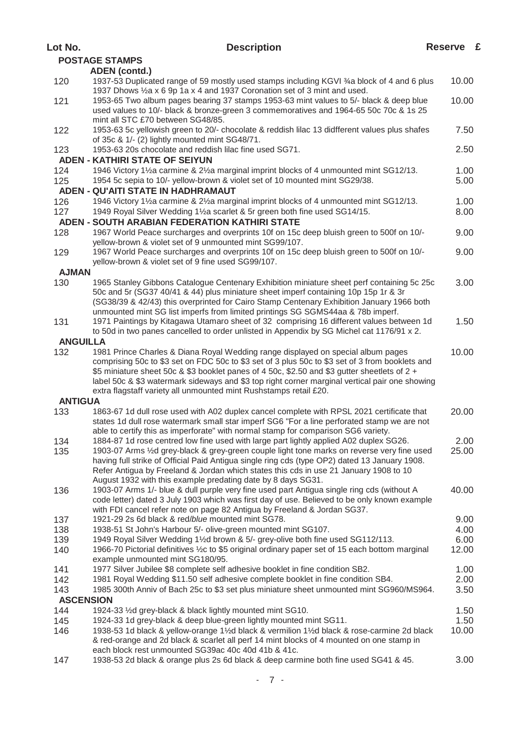| Lot No.          | <b>Description</b>                                                                                                                                                          | Reserve £ |  |
|------------------|-----------------------------------------------------------------------------------------------------------------------------------------------------------------------------|-----------|--|
|                  | <b>POSTAGE STAMPS</b>                                                                                                                                                       |           |  |
|                  | <b>ADEN</b> (contd.)                                                                                                                                                        |           |  |
| 120              | 1937-53 Duplicated range of 59 mostly used stamps including KGVI 3/4 block of 4 and 6 plus                                                                                  | 10.00     |  |
|                  | 1937 Dhows 1/2 x 6 9p 1a x 4 and 1937 Coronation set of 3 mint and used.                                                                                                    |           |  |
| 121              | 1953-65 Two album pages bearing 37 stamps 1953-63 mint values to 5/- black & deep blue                                                                                      | 10.00     |  |
|                  | used values to 10/- black & bronze-green 3 commemoratives and 1964-65 50c 70c & 1s 25<br>mint all STC £70 between SG48/85.                                                  |           |  |
| 122              | 1953-63 5c yellowish green to 20/- chocolate & reddish lilac 13 didfferent values plus shafes                                                                               | 7.50      |  |
|                  | of 35c & 1/- (2) lightly mounted mint SG48/71.                                                                                                                              |           |  |
| 123              | 1953-63 20s chocolate and reddish lilac fine used SG71.                                                                                                                     | 2.50      |  |
|                  | <b>ADEN - KATHIRI STATE OF SEIYUN</b>                                                                                                                                       |           |  |
| 124              | 1946 Victory 11/2 carmine & 21/2 a marginal imprint blocks of 4 unmounted mint SG12/13.                                                                                     | 1.00      |  |
| 125              | 1954 5c sepia to 10/- yellow-brown & violet set of 10 mounted mint SG29/38.                                                                                                 | 5.00      |  |
|                  | ADEN - QU'AITI STATE IN HADHRAMAUT                                                                                                                                          |           |  |
| 126              | 1946 Victory 1½a carmine & 2½a marginal imprint blocks of 4 unmounted mint SG12/13.                                                                                         | 1.00      |  |
| 127              | 1949 Royal Silver Wedding 11/2 scarlet & 5r green both fine used SG14/15.                                                                                                   | 8.00      |  |
|                  | <b>ADEN - SOUTH ARABIAN FEDERATION KATHIRI STATE</b>                                                                                                                        |           |  |
| 128              | 1967 World Peace surcharges and overprints 10f on 15c deep bluish green to 500f on 10/-                                                                                     | 9.00      |  |
|                  | yellow-brown & violet set of 9 unmounted mint SG99/107.                                                                                                                     |           |  |
| 129              | 1967 World Peace surcharges and overprints 10f on 15c deep bluish green to 500f on 10/-                                                                                     | 9.00      |  |
|                  | yellow-brown & violet set of 9 fine used SG99/107.                                                                                                                          |           |  |
| <b>AJMAN</b>     |                                                                                                                                                                             |           |  |
| 130              | 1965 Stanley Gibbons Catalogue Centenary Exhibition miniature sheet perf containing 5c 25c                                                                                  | 3.00      |  |
|                  | 50c and 5r (SG37 40/41 & 44) plus miniature sheet imperf containing 10p 15p 1r & 3r                                                                                         |           |  |
|                  | (SG38/39 & 42/43) this overprinted for Cairo Stamp Centenary Exhibition January 1966 both                                                                                   |           |  |
| 131              | unmounted mint SG list imperfs from limited printings SG SGMS44aa & 78b imperf.<br>1971 Paintings by Kitagawa Utamaro sheet of 32 comprising 16 different values between 1d | 1.50      |  |
|                  | to 50d in two panes cancelled to order unlisted in Appendix by SG Michel cat 1176/91 x 2.                                                                                   |           |  |
| <b>ANGUILLA</b>  |                                                                                                                                                                             |           |  |
| 132              | 1981 Prince Charles & Diana Royal Wedding range displayed on special album pages                                                                                            | 10.00     |  |
|                  | comprising 50c to \$3 set on FDC 50c to \$3 set of 3 plus 50c to \$3 set of 3 from booklets and                                                                             |           |  |
|                  | \$5 miniature sheet 50c & \$3 booklet panes of 4 50c, \$2.50 and \$3 gutter sheetlets of 2 +                                                                                |           |  |
|                  | label 50c & \$3 watermark sideways and \$3 top right corner marginal vertical pair one showing                                                                              |           |  |
|                  | extra flagstaff variety all unmounted mint Rushstamps retail £20.                                                                                                           |           |  |
| <b>ANTIGUA</b>   |                                                                                                                                                                             |           |  |
| 133              | 1863-67 1d dull rose used with A02 duplex cancel complete with RPSL 2021 certificate that                                                                                   | 20.00     |  |
|                  | states 1d dull rose watermark small star imperf SG6 "For a line perforated stamp we are not                                                                                 |           |  |
|                  | able to certify this as imperforate" with normal stamp for comparison SG6 variety.                                                                                          |           |  |
| 134              | 1884-87 1d rose centred low fine used with large part lightly applied A02 duplex SG26.                                                                                      | 2.00      |  |
| 135              | 1903-07 Arms 1/2d grey-black & grey-green couple light tone marks on reverse very fine used                                                                                 | 25.00     |  |
|                  | having full strike of Official Paid Antigua single ring cds (type OP2) dated 13 January 1908.                                                                               |           |  |
|                  | Refer Antigua by Freeland & Jordan which states this cds in use 21 January 1908 to 10<br>August 1932 with this example predating date by 8 days SG31.                       |           |  |
| 136              | 1903-07 Arms 1/- blue & dull purple very fine used part Antigua single ring cds (without A                                                                                  | 40.00     |  |
|                  | code letter) dated 3 July 1903 which was first day of use. Believed to be only known example                                                                                |           |  |
|                  | with FDI cancel refer note on page 82 Antigua by Freeland & Jordan SG37.                                                                                                    |           |  |
| 137              | 1921-29 2s 6d black & red/blue mounted mint SG78.                                                                                                                           | 9.00      |  |
| 138              | 1938-51 St John's Harbour 5/- olive-green mounted mint SG107.                                                                                                               | 4.00      |  |
| 139              | 1949 Royal Silver Wedding 11/2d brown & 5/- grey-olive both fine used SG112/113.                                                                                            | 6.00      |  |
| 140              | 1966-70 Pictorial definitives 1/2c to \$5 original ordinary paper set of 15 each bottom marginal                                                                            | 12.00     |  |
|                  | example unmounted mint SG180/95.                                                                                                                                            |           |  |
| 141              | 1977 Silver Jubilee \$8 complete self adhesive booklet in fine condition SB2.                                                                                               | 1.00      |  |
| 142              | 1981 Royal Wedding \$11.50 self adhesive complete booklet in fine condition SB4.                                                                                            | 2.00      |  |
| 143              | 1985 300th Anniv of Bach 25c to \$3 set plus miniature sheet unmounted mint SG960/MS964.                                                                                    | 3.50      |  |
| <b>ASCENSION</b> |                                                                                                                                                                             |           |  |
| 144              | 1924-33 1/2d grey-black & black lightly mounted mint SG10.                                                                                                                  | 1.50      |  |
| 145              | 1924-33 1d grey-black & deep blue-green lightly mounted mint SG11.                                                                                                          | 1.50      |  |
| 146              | 1938-53 1d black & yellow-orange 1½d black & vermilion 1½d black & rose-carmine 2d black                                                                                    | 10.00     |  |
|                  | & red-orange and 2d black & scarlet all perf 14 mint blocks of 4 mounted on one stamp in                                                                                    |           |  |
|                  | each block rest unmounted SG39ac 40c 40d 41b & 41c.                                                                                                                         |           |  |
| 147              | 1938-53 2d black & orange plus 2s 6d black & deep carmine both fine used SG41 & 45.                                                                                         | 3.00      |  |
|                  |                                                                                                                                                                             |           |  |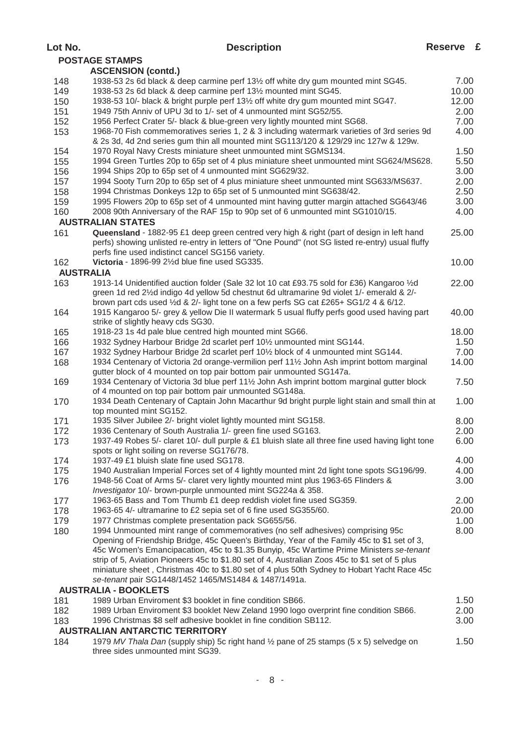|                  | <b>POSTAGE STAMPS</b><br><b>ASCENSION (contd.)</b>                                                |       |
|------------------|---------------------------------------------------------------------------------------------------|-------|
| 148              | 1938-53 2s 6d black & deep carmine perf 131/2 off white dry gum mounted mint SG45.                | 7.00  |
| 149              | 1938-53 2s 6d black & deep carmine perf 131/2 mounted mint SG45.                                  | 10.00 |
| 150              | 1938-53 10/- black & bright purple perf 13½ off white dry gum mounted mint SG47.                  | 12.00 |
| 151              | 1949 75th Anniv of UPU 3d to 1/- set of 4 unmounted mint SG52/55.                                 | 2.00  |
| 152              | 1956 Perfect Crater 5/- black & blue-green very lightly mounted mint SG68.                        | 7.00  |
| 153              | 1968-70 Fish commemoratives series 1, 2 & 3 including watermark varieties of 3rd series 9d        | 4.00  |
|                  | & 2s 3d, 4d 2nd series gum thin all mounted mint SG113/120 & 129/29 inc 127w & 129w.              |       |
| 154              | 1970 Royal Navy Crests miniature sheet unmounted mint SGMS134.                                    | 1.50  |
| 155              | 1994 Green Turtles 20p to 65p set of 4 plus miniature sheet unmounted mint SG624/MS628.           | 5.50  |
| 156              | 1994 Ships 20p to 65p set of 4 unmounted mint SG629/32.                                           | 3.00  |
| 157              | 1994 Sooty Turn 20p to 65p set of 4 plus miniature sheet unmounted mint SG633/MS637.              | 2.00  |
| 158              | 1994 Christmas Donkeys 12p to 65p set of 5 unmounted mint SG638/42.                               | 2.50  |
| 159              | 1995 Flowers 20p to 65p set of 4 unmounted mint having gutter margin attached SG643/46            | 3.00  |
| 160              | 2008 90th Anniversary of the RAF 15p to 90p set of 6 unmounted mint SG1010/15.                    | 4.00  |
|                  | <b>AUSTRALIAN STATES</b>                                                                          |       |
| 161              | Queensland - 1882-95 £1 deep green centred very high & right (part of design in left hand         | 25.00 |
|                  | perfs) showing unlisted re-entry in letters of "One Pound" (not SG listed re-entry) usual fluffy  |       |
|                  | perfs fine used indistinct cancel SG156 variety.                                                  |       |
| 162              | Victoria - 1896-99 $2\frac{1}{2}$ d blue fine used SG335.                                         | 10.00 |
| <b>AUSTRALIA</b> |                                                                                                   |       |
| 163              | 1913-14 Unidentified auction folder (Sale 32 lot 10 cat £93.75 sold for £36) Kangaroo 1/2d        | 22.00 |
|                  | green 1d red 21/2d indigo 4d yellow 5d chestnut 6d ultramarine 9d violet 1/- emerald & 2/-        |       |
|                  | brown part cds used 1/2d & 2/- light tone on a few perfs SG cat £265+ SG1/2 4 & 6/12.             |       |
| 164              | 1915 Kangaroo 5/- grey & yellow Die II watermark 5 usual fluffy perfs good used having part       | 40.00 |
|                  | strike of slightly heavy cds SG30.                                                                |       |
| 165              | 1918-23 1s 4d pale blue centred high mounted mint SG66.                                           | 18.00 |
| 166              | 1932 Sydney Harbour Bridge 2d scarlet perf 101/2 unmounted mint SG144.                            | 1.50  |
| 167              | 1932 Sydney Harbour Bridge 2d scarlet perf 101/2 block of 4 unmounted mint SG144.                 | 7.00  |
| 168              | 1934 Centenary of Victoria 2d orange-vermilion perf 11½ John Ash imprint bottom marginal          | 14.00 |
|                  | gutter block of 4 mounted on top pair bottom pair unmounted SG147a.                               |       |
| 169              | 1934 Centenary of Victoria 3d blue perf 111⁄2 John Ash imprint bottom marginal gutter block       | 7.50  |
|                  | of 4 mounted on top pair bottom pair unmounted SG148a.                                            |       |
| 170              | 1934 Death Centenary of Captain John Macarthur 9d bright purple light stain and small thin at     | 1.00  |
| 171              | top mounted mint SG152.<br>1935 Silver Jubilee 2/- bright violet lightly mounted mint SG158.      | 8.00  |
| 172              | 1936 Centenary of South Australia 1/- green fine used SG163.                                      | 2.00  |
| 173              | 1937-49 Robes 5/- claret 10/- dull purple & £1 bluish slate all three fine used having light tone | 6.00  |
|                  | spots or light soiling on reverse SG176/78.                                                       |       |
| 174              | 1937-49 £1 bluish slate fine used SG178.                                                          | 4.00  |
| 175              | 1940 Australian Imperial Forces set of 4 lightly mounted mint 2d light tone spots SG196/99.       | 4.00  |
| 176              | 1948-56 Coat of Arms 5/- claret very lightly mounted mint plus 1963-65 Flinders &                 | 3.00  |
|                  | Investigator 10/- brown-purple unmounted mint SG224a & 358.                                       |       |
| 177              | 1963-65 Bass and Tom Thumb £1 deep reddish violet fine used SG359.                                | 2.00  |
| 178              | 1963-65 4/- ultramarine to £2 sepia set of 6 fine used SG355/60.                                  | 20.00 |
| 179              | 1977 Christmas complete presentation pack SG655/56.                                               | 1.00  |
| 180              | 1994 Unmounted mint range of commemoratives (no self adhesives) comprising 95c                    | 8.00  |
|                  | Opening of Friendship Bridge, 45c Queen's Birthday, Year of the Family 45c to \$1 set of 3,       |       |
|                  | 45c Women's Emancipacation, 45c to \$1.35 Bunyip, 45c Wartime Prime Ministers se-tenant           |       |
|                  | strip of 5, Aviation Pioneers 45c to \$1.80 set of 4, Australian Zoos 45c to \$1 set of 5 plus    |       |
|                  | miniature sheet, Christmas 40c to \$1.80 set of 4 plus 50th Sydney to Hobart Yacht Race 45c       |       |
|                  | se-tenant pair SG1448/1452 1465/MS1484 & 1487/1491a.                                              |       |
|                  | <b>AUSTRALIA - BOOKLETS</b>                                                                       |       |
| 181              | 1989 Urban Enviroment \$3 booklet in fine condition SB66.                                         | 1.50  |
| 182              | 1989 Urban Enviroment \$3 booklet New Zeland 1990 logo overprint fine condition SB66.             | 2.00  |
| 183              | 1996 Christmas \$8 self adhesive booklet in fine condition SB112.                                 | 3.00  |
|                  | <b>AUSTRALIAN ANTARCTIC TERRITORY</b>                                                             |       |
| 184              | 1979 MV Thala Dan (supply ship) 5c right hand 1/2 pane of 25 stamps (5 x 5) selvedge on           | 1.50  |
|                  | three sides unmounted mint SG39.                                                                  |       |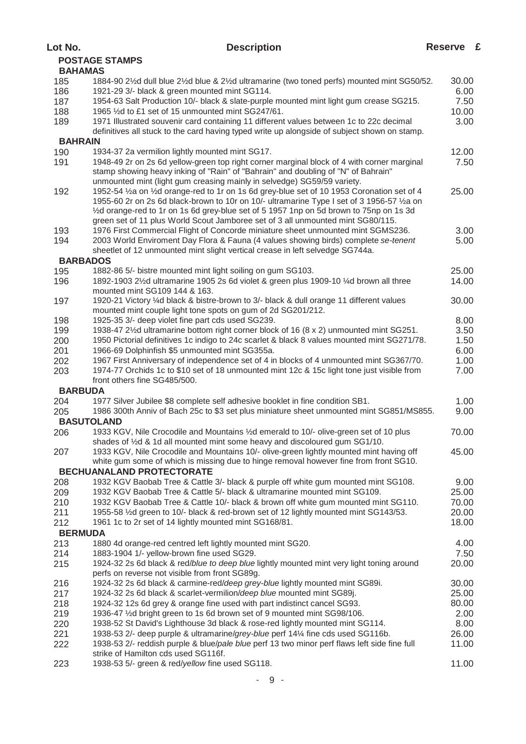## **POSTAGE STAMPS BAHAMAS**

| <b>BAHAMAS</b>  |                                                                                                |       |
|-----------------|------------------------------------------------------------------------------------------------|-------|
| 185             | 1884-90 21/2d dull blue 21/2d blue & 21/2d ultramarine (two toned perfs) mounted mint SG50/52. | 30.00 |
| 186             | 1921-29 3/- black & green mounted mint SG114.                                                  | 6.00  |
| 187             | 1954-63 Salt Production 10/- black & slate-purple mounted mint light gum crease SG215.         | 7.50  |
| 188             | 1965 1/2d to £1 set of 15 unmounted mint SG247/61.                                             | 10.00 |
| 189             | 1971 Illustrated souvenir card containing 11 different values between 1c to 22c decimal        | 3.00  |
|                 | definitives all stuck to the card having typed write up alongside of subject shown on stamp.   |       |
| <b>BAHRAIN</b>  |                                                                                                |       |
| 190             | 1934-37 2a vermilion lightly mounted mint SG17.                                                | 12.00 |
| 191             | 1948-49 2r on 2s 6d yellow-green top right corner marginal block of 4 with corner marginal     | 7.50  |
|                 | stamp showing heavy inking of "Rain" of "Bahrain" and doubling of "N" of Bahrain"              |       |
|                 | unmounted mint (light gum creasing mainly in selvedge) SG59/59 variety.                        |       |
|                 | 1952-54 1/2a on 1/2d orange-red to 1r on 1s 6d grey-blue set of 10 1953 Coronation set of 4    | 25.00 |
| 192             | 1955-60 2r on 2s 6d black-brown to 10r on 10/- ultramarine Type I set of 3 1956-57 1/2 a on    |       |
|                 | 1/2d orange-red to 1r on 1s 6d grey-blue set of 5 1957 1np on 5d brown to 75np on 1s 3d        |       |
|                 |                                                                                                |       |
|                 | green set of 11 plus World Scout Jamboree set of 3 all unmounted mint SG80/115.                | 3.00  |
| 193             | 1976 First Commercial Flight of Concorde miniature sheet unmounted mint SGMS236.               |       |
| 194             | 2003 World Enviroment Day Flora & Fauna (4 values showing birds) complete se-tenent            | 5.00  |
|                 | sheetlet of 12 unmounted mint slight vertical crease in left selvedge SG744a.                  |       |
| <b>BARBADOS</b> |                                                                                                |       |
| 195             | 1882-86 5/- bistre mounted mint light soiling on gum SG103.                                    | 25.00 |
| 196             | 1892-1903 2½d ultramarine 1905 2s 6d violet & green plus 1909-10 ¼d brown all three            | 14.00 |
|                 | mounted mint SG109 144 & 163.                                                                  |       |
| 197             | 1920-21 Victory ¼d black & bistre-brown to 3/- black & dull orange 11 different values         | 30.00 |
|                 | mounted mint couple light tone spots on gum of 2d SG201/212.                                   |       |
| 198             | 1925-35 3/- deep violet fine part cds used SG239.                                              | 8.00  |
| 199             | 1938-47 21% ultramarine bottom right corner block of 16 (8 x 2) unmounted mint SG251.          | 3.50  |
| 200             | 1950 Pictorial definitives 1c indigo to 24c scarlet & black 8 values mounted mint SG271/78.    | 1.50  |
| 201             | 1966-69 Dolphinfish \$5 unmounted mint SG355a.                                                 | 6.00  |
| 202             | 1967 First Anniversary of independence set of 4 in blocks of 4 unmounted mint SG367/70.        | 1.00  |
| 203             | 1974-77 Orchids 1c to \$10 set of 18 unmounted mint 12c & 15c light tone just visible from     | 7.00  |
|                 | front others fine SG485/500.                                                                   |       |
| <b>BARBUDA</b>  |                                                                                                |       |
| 204             | 1977 Silver Jubilee \$8 complete self adhesive booklet in fine condition SB1.                  | 1.00  |
| 205             | 1986 300th Anniv of Bach 25c to \$3 set plus miniature sheet unmounted mint SG851/MS855.       | 9.00  |
|                 | <b>BASUTOLAND</b>                                                                              |       |
| 206             | 1933 KGV, Nile Crocodile and Mountains 1/2d emerald to 10/- olive-green set of 10 plus         | 70.00 |
|                 | shades of 1/2d & 1d all mounted mint some heavy and discoloured gum SG1/10.                    |       |
| 207             | 1933 KGV, Nile Crocodile and Mountains 10/- olive-green lightly mounted mint having off        | 45.00 |
|                 | white gum some of which is missing due to hinge removal however fine from front SG10.          |       |
|                 |                                                                                                |       |
|                 | <b>BECHUANALAND PROTECTORATE</b>                                                               |       |
| 208             | 1932 KGV Baobab Tree & Cattle 3/- black & purple off white gum mounted mint SG108.             | 9.00  |
| 209             | 1932 KGV Baobab Tree & Cattle 5/- black & ultramarine mounted mint SG109.                      | 25.00 |
| 210             | 1932 KGV Baobab Tree & Cattle 10/- black & brown off white gum mounted mint SG110.             | 70.00 |
| 211             | 1955-58 1/2d green to 10/- black & red-brown set of 12 lightly mounted mint SG143/53.          | 20.00 |
| 212             | 1961 1c to 2r set of 14 lightly mounted mint SG168/81.                                         | 18.00 |
| <b>BERMUDA</b>  |                                                                                                |       |
| 213             | 1880 4d orange-red centred left lightly mounted mint SG20.                                     | 4.00  |
| 214             | 1883-1904 1/- yellow-brown fine used SG29.                                                     | 7.50  |
| 215             | 1924-32 2s 6d black & red/blue to deep blue lightly mounted mint very light toning around      | 20.00 |
|                 | perfs on reverse not visible from front SG89g.                                                 |       |
| 216             | 1924-32 2s 6d black & carmine-red/deep grey-blue lightly mounted mint SG89i.                   | 30.00 |
| 217             | 1924-32 2s 6d black & scarlet-vermilion/deep blue mounted mint SG89j.                          | 25.00 |
| 218             | 1924-32 12s 6d grey & orange fine used with part indistinct cancel SG93.                       | 80.00 |
| 219             | 1936-47 1/2d bright green to 1s 6d brown set of 9 mounted mint SG98/106.                       | 2.00  |
| 220             | 1938-52 St David's Lighthouse 3d black & rose-red lightly mounted mint SG114.                  | 8.00  |
| 221             | 1938-53 2/- deep purple & ultramarine/grey-blue perf 141/4 fine cds used SG116b.               | 26.00 |
| 222             | 1938-53 2/- reddish purple & blue/pale blue perf 13 two minor perf flaws left side fine full   | 11.00 |
|                 | strike of Hamilton cds used SG116f.                                                            |       |
| 223             | 1938-53 5/- green & red/yellow fine used SG118.                                                | 11.00 |
|                 |                                                                                                |       |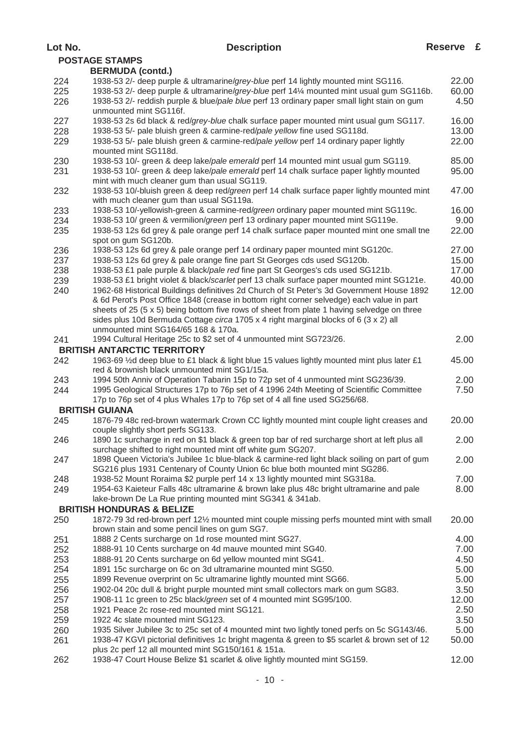## **Lot No. Description Reserve £**

|     | <b>POSTAGE STAMPS</b>                                                                         |       |
|-----|-----------------------------------------------------------------------------------------------|-------|
|     | <b>BERMUDA (contd.)</b>                                                                       |       |
| 224 | 1938-53 2/- deep purple & ultramarine/grey-blue perf 14 lightly mounted mint SG116.           | 22.00 |
| 225 | 1938-53 2/- deep purple & ultramarine/grey-blue perf 141/4 mounted mint usual gum SG116b.     | 60.00 |
| 226 | 1938-53 2/- reddish purple & blue/pale blue perf 13 ordinary paper small light stain on gum   | 4.50  |
|     | unmounted mint SG116f.                                                                        |       |
| 227 | 1938-53 2s 6d black & red/grey-blue chalk surface paper mounted mint usual gum SG117.         | 16.00 |
| 228 | 1938-53 5/- pale bluish green & carmine-red/pale yellow fine used SG118d.                     | 13.00 |
| 229 | 1938-53 5/- pale bluish green & carmine-red/pale yellow perf 14 ordinary paper lightly        | 22.00 |
|     | mounted mint SG118d.                                                                          |       |
| 230 | 1938-53 10/- green & deep lake/pale emerald perf 14 mounted mint usual gum SG119.             | 85.00 |
| 231 | 1938-53 10/- green & deep lake/pale emerald perf 14 chalk surface paper lightly mounted       | 95.00 |
|     | mint with much cleaner gum than usual SG119.                                                  |       |
| 232 | 1938-53 10/-bluish green & deep red/green perf 14 chalk surface paper lightly mounted mint    | 47.00 |
|     | with much cleaner gum than usual SG119a.                                                      |       |
| 233 | 1938-53 10/-yellowish-green & carmine-red/green ordinary paper mounted mint SG119c.           | 16.00 |
|     |                                                                                               |       |
| 234 | 1938-53 10/ green & vermilion/green perf 13 ordinary paper mounted mint SG119e.               | 9.00  |
| 235 | 1938-53 12s 6d grey & pale orange perf 14 chalk surface paper mounted mint one small tne      | 22.00 |
|     | spot on gum SG120b.                                                                           |       |
| 236 | 1938-53 12s 6d grey & pale orange perf 14 ordinary paper mounted mint SG120c.                 | 27.00 |
| 237 | 1938-53 12s 6d grey & pale orange fine part St Georges cds used SG120b.                       | 15.00 |
| 238 | 1938-53 £1 pale purple & black/pale red fine part St Georges's cds used SG121b.               | 17.00 |
| 239 | 1938-53 £1 bright violet & black/scarlet perf 13 chalk surface paper mounted mint SG121e.     | 40.00 |
| 240 | 1962-68 Historical Buildings definitives 2d Church of St Peter's 3d Government House 1892     | 12.00 |
|     | & 6d Perot's Post Office 1848 (crease in bottom right corner selvedge) each value in part     |       |
|     | sheets of 25 (5 x 5) being bottom five rows of sheet from plate 1 having selvedge on three    |       |
|     | sides plus 10d Bermuda Cottage circa 1705 x 4 right marginal blocks of 6 (3 x 2) all          |       |
|     | unmounted mint SG164/65 168 & 170a.                                                           |       |
| 241 | 1994 Cultural Heritage 25c to \$2 set of 4 unmounted mint SG723/26.                           | 2.00  |
|     | <b>BRITISH ANTARCTIC TERRITORY</b>                                                            |       |
| 242 | 1963-69 1/2d deep blue to £1 black & light blue 15 values lightly mounted mint plus later £1  | 45.00 |
|     | red & brownish black unmounted mint SG1/15a.                                                  |       |
| 243 | 1994 50th Anniv of Operation Tabarin 15p to 72p set of 4 unmounted mint SG236/39.             | 2.00  |
| 244 | 1995 Geological Structures 17p to 76p set of 4 1996 24th Meeting of Scientific Committee      | 7.50  |
|     | 17p to 76p set of 4 plus Whales 17p to 76p set of 4 all fine used SG256/68.                   |       |
|     | <b>BRITISH GUIANA</b>                                                                         |       |
| 245 | 1876-79 48c red-brown watermark Crown CC lightly mounted mint couple light creases and        | 20.00 |
|     | couple slightly short perfs SG133.                                                            |       |
| 246 | 1890 1c surcharge in red on \$1 black & green top bar of red surcharge short at left plus all | 2.00  |
|     | surchage shifted to right mounted mint off white gum SG207.                                   |       |
| 247 | 1898 Queen Victoria's Jubilee 1c blue-black & carmine-red light black soiling on part of gum  | 2.00  |
|     | SG216 plus 1931 Centenary of County Union 6c blue both mounted mint SG286.                    |       |
| 248 | 1938-52 Mount Roraima \$2 purple perf 14 x 13 lightly mounted mint SG318a.                    | 7.00  |
| 249 | 1954-63 Kaieteur Falls 48c ultramarine & brown lake plus 48c bright ultramarine and pale      | 8.00  |
|     | lake-brown De La Rue printing mounted mint SG341 & 341ab.                                     |       |
|     | <b>BRITISH HONDURAS &amp; BELIZE</b>                                                          |       |
| 250 | 1872-79 3d red-brown perf 121/2 mounted mint couple missing perfs mounted mint with small     | 20.00 |
|     | brown stain and some pencil lines on gum SG7.                                                 |       |
| 251 | 1888 2 Cents surcharge on 1d rose mounted mint SG27.                                          | 4.00  |
|     | 1888-91 10 Cents surcharge on 4d mauve mounted mint SG40.                                     |       |
| 252 |                                                                                               | 7.00  |
| 253 | 1888-91 20 Cents surcharge on 6d yellow mounted mint SG41.                                    | 4.50  |
| 254 | 1891 15c surcharge on 6c on 3d ultramarine mounted mint SG50.                                 | 5.00  |
| 255 | 1899 Revenue overprint on 5c ultramarine lightly mounted mint SG66.                           | 5.00  |
| 256 | 1902-04 20c dull & bright purple mounted mint small collectors mark on gum SG83.              | 3.50  |
| 257 | 1908-11 1c green to 25c black/green set of 4 mounted mint SG95/100.                           | 12.00 |
| 258 | 1921 Peace 2c rose-red mounted mint SG121.                                                    | 2.50  |
| 259 | 1922 4c slate mounted mint SG123.                                                             | 3.50  |
| 260 | 1935 Silver Jubilee 3c to 25c set of 4 mounted mint two lightly toned perfs on 5c SG143/46.   | 5.00  |
| 261 | 1938-47 KGVI pictorial definitives 1c bright magenta & green to \$5 scarlet & brown set of 12 | 50.00 |
|     | plus 2c perf 12 all mounted mint SG150/161 & 151a.                                            |       |
| 262 | 1938-47 Court House Belize \$1 scarlet & olive lightly mounted mint SG159.                    | 12.00 |
|     |                                                                                               |       |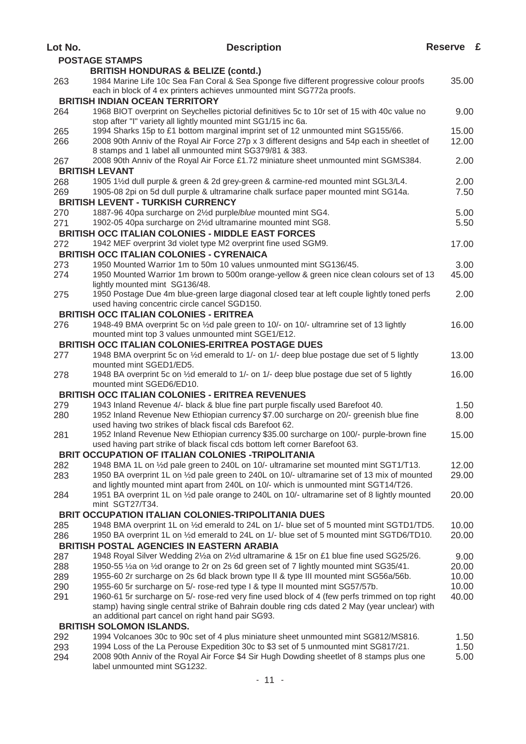| Lot No.    | <b>Description</b>                                                                                                                                                                     | Reserve £      |  |
|------------|----------------------------------------------------------------------------------------------------------------------------------------------------------------------------------------|----------------|--|
|            | <b>POSTAGE STAMPS</b>                                                                                                                                                                  |                |  |
|            | <b>BRITISH HONDURAS &amp; BELIZE (contd.)</b>                                                                                                                                          |                |  |
| 263        | 1984 Marine Life 10c Sea Fan Coral & Sea Sponge five different progressive colour proofs<br>each in block of 4 ex printers achieves unmounted mint SG772a proofs.                      | 35.00          |  |
|            | <b>BRITISH INDIAN OCEAN TERRITORY</b>                                                                                                                                                  |                |  |
| 264        | 1968 BIOT overprint on Seychelles pictorial definitives 5c to 10r set of 15 with 40c value no                                                                                          | 9.00           |  |
|            | stop after "I" variety all lightly mounted mint SG1/15 inc 6a.<br>1994 Sharks 15p to £1 bottom marginal imprint set of 12 unmounted mint SG155/66.                                     | 15.00          |  |
| 265<br>266 | 2008 90th Anniv of the Royal Air Force 27p x 3 different designs and 54p each in sheetlet of                                                                                           | 12.00          |  |
|            | 8 stamps and 1 label all unmounted mint SG379/81 & 383.                                                                                                                                |                |  |
| 267        | 2008 90th Anniv of the Royal Air Force £1.72 miniature sheet unmounted mint SGMS384.                                                                                                   | 2.00           |  |
|            | <b>BRITISH LEVANT</b>                                                                                                                                                                  |                |  |
| 268        | 1905 11/2d dull purple & green & 2d grey-green & carmine-red mounted mint SGL3/L4.                                                                                                     | 2.00           |  |
| 269        | 1905-08 2pi on 5d dull purple & ultramarine chalk surface paper mounted mint SG14a.                                                                                                    | 7.50           |  |
|            | <b>BRITISH LEVENT - TURKISH CURRENCY</b>                                                                                                                                               |                |  |
| 270        | 1887-96 40pa surcharge on 21/2d purple/blue mounted mint SG4.                                                                                                                          | 5.00           |  |
| 271        | 1902-05 40pa surcharge on 21/2d ultramarine mounted mint SG8.                                                                                                                          | 5.50           |  |
|            | <b>BRITISH OCC ITALIAN COLONIES - MIDDLE EAST FORCES</b>                                                                                                                               |                |  |
| 272        | 1942 MEF overprint 3d violet type M2 overprint fine used SGM9.                                                                                                                         | 17.00          |  |
|            | <b>BRITISH OCC ITALIAN COLONIES - CYRENAICA</b>                                                                                                                                        |                |  |
| 273        | 1950 Mounted Warrior 1m to 50m 10 values unmounted mint SG136/45.                                                                                                                      | 3.00           |  |
| 274        | 1950 Mounted Warrior 1m brown to 500m orange-yellow & green nice clean colours set of 13                                                                                               | 45.00          |  |
|            | lightly mounted mint SG136/48.                                                                                                                                                         | 2.00           |  |
| 275        | 1950 Postage Due 4m blue-green large diagonal closed tear at left couple lightly toned perfs<br>used having concentric circle cancel SGD150.                                           |                |  |
|            | <b>BRITISH OCC ITALIAN COLONIES - ERITREA</b>                                                                                                                                          |                |  |
| 276        | 1948-49 BMA overprint 5c on 1/2d pale green to 10/- on 10/- ultramrine set of 13 lightly                                                                                               | 16.00          |  |
|            | mounted mint top 3 values unmounted mint SGE1/E12.                                                                                                                                     |                |  |
|            | <b>BRITISH OCC ITALIAN COLONIES-ERITREA POSTAGE DUES</b>                                                                                                                               |                |  |
| 277        | 1948 BMA overprint 5c on 1/2d emerald to 1/- on 1/- deep blue postage due set of 5 lightly                                                                                             | 13.00          |  |
|            | mounted mint SGED1/ED5.                                                                                                                                                                |                |  |
| 278        | 1948 BA overprint 5c on 1/2d emerald to 1/- on 1/- deep blue postage due set of 5 lightly                                                                                              | 16.00          |  |
|            | mounted mint SGED6/ED10.                                                                                                                                                               |                |  |
|            | <b>BRITISH OCC ITALIAN COLONIES - ERITREA REVENUES</b>                                                                                                                                 |                |  |
| 279        | 1943 Inland Revenue 4/- black & blue fine part purple fiscally used Barefoot 40.                                                                                                       | 1.50           |  |
| 280        | 1952 Inland Revenue New Ethiopian currency \$7.00 surcharge on 20/- greenish blue fine<br>used having two strikes of black fiscal cds Barefoot 62.                                     | 8.00           |  |
| 281        | 1952 Inland Revenue New Ethiopian currency \$35.00 surcharge on 100/- purple-brown fine                                                                                                | 15.00          |  |
|            | used having part strike of black fiscal cds bottom left corner Barefoot 63.                                                                                                            |                |  |
|            | <b>BRIT OCCUPATION OF ITALIAN COLONIES -TRIPOLITANIA</b>                                                                                                                               |                |  |
| 282        | 1948 BMA 1L on 1/2d pale green to 240L on 10/- ultramarine set mounted mint SGT1/T13.                                                                                                  | 12.00          |  |
| 283        | 1950 BA overprint 1L on 1/2d pale green to 240L on 10/- ultramarine set of 13 mix of mounted                                                                                           | 29.00          |  |
|            | and lightly mounted mint apart from 240L on 10/- which is unmounted mint SGT14/T26.                                                                                                    |                |  |
| 284        | 1951 BA overprint 1L on 1/2d pale orange to 240L on 10/- ultramarine set of 8 lightly mounted                                                                                          | 20.00          |  |
|            | mint SGT27/T34.                                                                                                                                                                        |                |  |
|            | <b>BRIT OCCUPATION ITALIAN COLONIES-TRIPOLITANIA DUES</b>                                                                                                                              |                |  |
| 285<br>286 | 1948 BMA overprint 1L on 1/2d emerald to 24L on 1/- blue set of 5 mounted mint SGTD1/TD5.<br>1950 BA overprint 1L on 1/2d emerald to 24L on 1/- blue set of 5 mounted mint SGTD6/TD10. | 10.00<br>20.00 |  |
|            | <b>BRITISH POSTAL AGENCIES IN EASTERN ARABIA</b>                                                                                                                                       |                |  |
| 287        | 1948 Royal Silver Wedding 21/2 on 21/2d ultramarine & 15r on £1 blue fine used SG25/26.                                                                                                | 9.00           |  |
| 288        | 1950-55 1/2a on 1/2d orange to 2r on 2s 6d green set of 7 lightly mounted mint SG35/41.                                                                                                | 20.00          |  |
| 289        | 1955-60 2r surcharge on 2s 6d black brown type II & type III mounted mint SG56a/56b.                                                                                                   | 10.00          |  |
| 290        | 1955-60 5r surcharge on 5/- rose-red type I & type II mounted mint SG57/57b.                                                                                                           | 10.00          |  |
| 291        | 1960-61 5r surcharge on 5/- rose-red very fine used block of 4 (few perfs trimmed on top right                                                                                         | 40.00          |  |
|            | stamp) having single central strike of Bahrain double ring cds dated 2 May (year unclear) with                                                                                         |                |  |
|            | an additional part cancel on right hand pair SG93.                                                                                                                                     |                |  |
|            | <b>BRITISH SOLOMON ISLANDS.</b>                                                                                                                                                        |                |  |
| 292        | 1994 Volcanoes 30c to 90c set of 4 plus miniature sheet unmounted mint SG812/MS816.                                                                                                    | 1.50           |  |
| 293        | 1994 Loss of the La Perouse Expedition 30c to \$3 set of 5 unmounted mint SG817/21.                                                                                                    | 1.50           |  |
| 294        | 2008 90th Anniv of the Royal Air Force \$4 Sir Hugh Dowding sheetlet of 8 stamps plus one<br>label unmounted mint SG1232.                                                              | 5.00           |  |
|            |                                                                                                                                                                                        |                |  |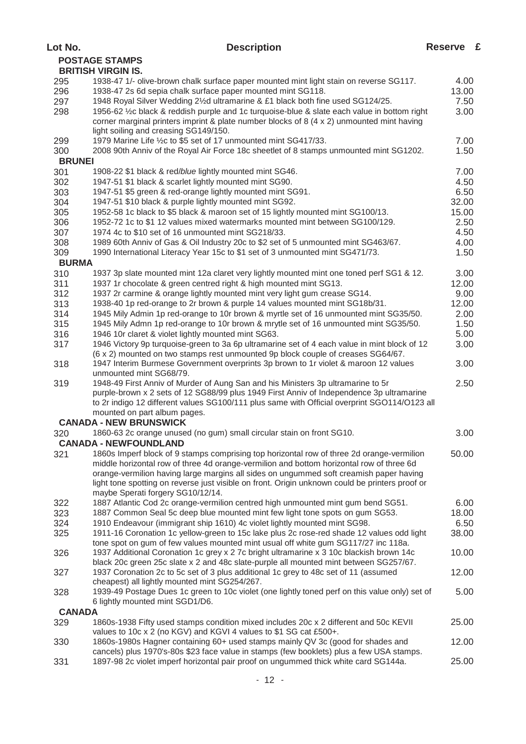|               | <b>POSTAGE STAMPS</b><br><b>BRITISH VIRGIN IS.</b>                                                                                                                              |       |
|---------------|---------------------------------------------------------------------------------------------------------------------------------------------------------------------------------|-------|
| 295           | 1938-47 1/- olive-brown chalk surface paper mounted mint light stain on reverse SG117.                                                                                          | 4.00  |
| 296           | 1938-47 2s 6d sepia chalk surface paper mounted mint SG118.                                                                                                                     | 13.00 |
|               |                                                                                                                                                                                 |       |
| 297           | 1948 Royal Silver Wedding 21/2d ultramarine & £1 black both fine used SG124/25.<br>1956-62 1/2c black & reddish purple and 1c turquoise-blue & slate each value in bottom right | 7.50  |
| 298           | corner marginal printers imprint & plate number blocks of 8 (4 x 2) unmounted mint having                                                                                       | 3.00  |
|               | light soiling and creasing SG149/150.                                                                                                                                           |       |
| 299           | 1979 Marine Life 1/2c to \$5 set of 17 unmounted mint SG417/33.                                                                                                                 | 7.00  |
| 300           | 2008 90th Anniv of the Royal Air Force 18c sheetlet of 8 stamps unmounted mint SG1202.                                                                                          | 1.50  |
| <b>BRUNEI</b> |                                                                                                                                                                                 |       |
| 301           | 1908-22 \$1 black & red/blue lightly mounted mint SG46.                                                                                                                         | 7.00  |
| 302           | 1947-51 \$1 black & scarlet lightly mounted mint SG90.                                                                                                                          | 4.50  |
| 303           | 1947-51 \$5 green & red-orange lightly mounted mint SG91.                                                                                                                       | 6.50  |
| 304           | 1947-51 \$10 black & purple lightly mounted mint SG92.                                                                                                                          | 32.00 |
| 305           | 1952-58 1c black to \$5 black & maroon set of 15 lightly mounted mint SG100/13.                                                                                                 | 15.00 |
| 306           | 1952-72 1c to \$1 12 values mixed watermarks mounted mint between SG100/129.                                                                                                    | 2.50  |
| 307           | 1974 4c to \$10 set of 16 unmounted mint SG218/33.                                                                                                                              | 4.50  |
| 308           | 1989 60th Anniv of Gas & Oil Industry 20c to \$2 set of 5 unmounted mint SG463/67.                                                                                              | 4.00  |
| 309           | 1990 International Literacy Year 15c to \$1 set of 3 unmounted mint SG471/73.                                                                                                   | 1.50  |
| <b>BURMA</b>  |                                                                                                                                                                                 |       |
| 310           | 1937 3p slate mounted mint 12a claret very lightly mounted mint one toned perf SG1 & 12.                                                                                        | 3.00  |
| 311           | 1937 1r chocolate & green centred right & high mounted mint SG13.                                                                                                               | 12.00 |
| 312           | 1937 2r carmine & orange lightly mounted mint very light gum crease SG14.                                                                                                       | 9.00  |
| 313           | 1938-40 1p red-orange to 2r brown & purple 14 values mounted mint SG18b/31.                                                                                                     | 12.00 |
| 314           | 1945 Mily Admin 1p red-orange to 10r brown & myrtle set of 16 unmounted mint SG35/50.                                                                                           | 2.00  |
| 315           | 1945 Mily Admn 1p red-orange to 10r brown & mrytle set of 16 unmounted mint SG35/50.                                                                                            | 1.50  |
| 316           | 1946 10r claret & violet lightly mounted mint SG63.<br>1946 Victory 9p turquoise-green to 3a 6p ultramarine set of 4 each value in mint block of 12                             | 5.00  |
| 317           | (6 x 2) mounted on two stamps rest unmounted 9p block couple of creases SG64/67.                                                                                                | 3.00  |
| 318           | 1947 Interim Burmese Government overprints 3p brown to 1r violet & maroon 12 values                                                                                             | 3.00  |
|               | unmounted mint SG68/79.                                                                                                                                                         |       |
| 319           | 1948-49 First Anniv of Murder of Aung San and his Ministers 3p ultramarine to 5r<br>purple-brown x 2 sets of 12 SG88/99 plus 1949 First Anniv of Independence 3p ultramarine    | 2.50  |
|               | to 2r indigo 12 different values SG100/111 plus same with Official overprint SGO114/O123 all                                                                                    |       |
|               | mounted on part album pages.                                                                                                                                                    |       |
|               | <b>CANADA - NEW BRUNSWICK</b>                                                                                                                                                   |       |
| 320           | 1860-63 2c orange unused (no gum) small circular stain on front SG10.                                                                                                           | 3.00  |
|               | <b>CANADA - NEWFOUNDLAND</b>                                                                                                                                                    |       |
| 321           | 1860s Imperf block of 9 stamps comprising top horizontal row of three 2d orange-vermilion                                                                                       | 50.00 |
|               | middle horizontal row of three 4d orange-vermilion and bottom horizontal row of three 6d                                                                                        |       |
|               | orange-vermilion having large margins all sides on ungummed soft creamish paper having                                                                                          |       |
|               | light tone spotting on reverse just visible on front. Origin unknown could be printers proof or                                                                                 |       |
|               | maybe Sperati forgery SG10/12/14.                                                                                                                                               |       |
| 322           | 1887 Atlantic Cod 2c orange-vermilion centred high unmounted mint gum bend SG51.                                                                                                | 6.00  |
| 323           | 1887 Common Seal 5c deep blue mounted mint few light tone spots on gum SG53.                                                                                                    | 18.00 |
| 324           | 1910 Endeavour (immigrant ship 1610) 4c violet lightly mounted mint SG98.                                                                                                       | 6.50  |
| 325           | 1911-16 Coronation 1c yellow-green to 15c lake plus 2c rose-red shade 12 values odd light                                                                                       | 38.00 |
|               | tone spot on gum of few values mounted mint usual off white gum SG117/27 inc 118a.                                                                                              |       |
| 326           | 1937 Additional Coronation 1c grey x 2 7c bright ultramarine x 3 10c blackish brown 14c                                                                                         | 10.00 |
|               | black 20c green 25c slate x 2 and 48c slate-purple all mounted mint between SG257/67.                                                                                           |       |
| 327           | 1937 Coronation 2c to 5c set of 3 plus additional 1c grey to 48c set of 11 (assumed                                                                                             | 12.00 |
|               | cheapest) all lightly mounted mint SG254/267.                                                                                                                                   |       |
| 328           | 1939-49 Postage Dues 1c green to 10c violet (one lightly toned perf on this value only) set of                                                                                  | 5.00  |
|               | 6 lightly mounted mint SGD1/D6.                                                                                                                                                 |       |
| <b>CANADA</b> |                                                                                                                                                                                 |       |
| 329           | 1860s-1938 Fifty used stamps condition mixed includes 20c x 2 different and 50c KEVII                                                                                           | 25.00 |
|               | values to 10c x 2 (no KGV) and KGVI 4 values to \$1 SG cat £500+.                                                                                                               |       |
| 330           | 1860s-1980s Hagner containing 60+ used stamps mainly QV 3c (good for shades and<br>cancels) plus 1970's-80s \$23 face value in stamps (few booklets) plus a few USA stamps.     | 12.00 |
|               |                                                                                                                                                                                 |       |

331 1897-98 2c violet imperf horizontal pair proof on ungummed thick white card SG144a. 25.00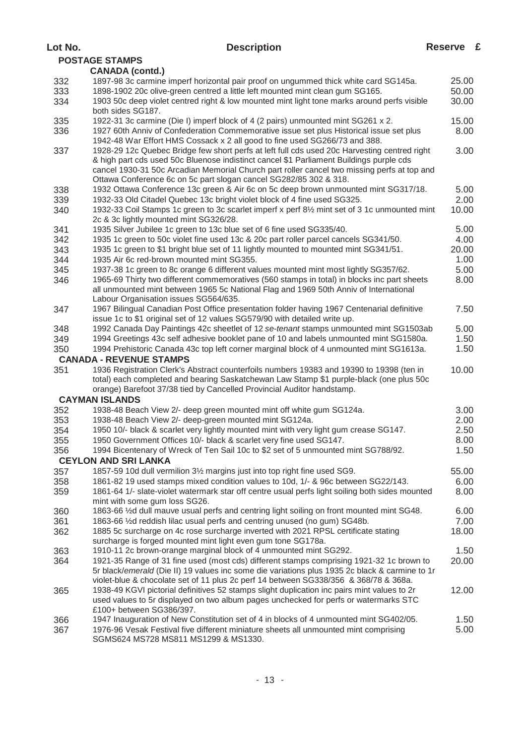| ×<br>٠ | ı.<br>۹ |
|--------|---------|
|--------|---------|

|            | <b>POSTAGE STAMPS</b>                                                                                                                                                                                                                                       |       |
|------------|-------------------------------------------------------------------------------------------------------------------------------------------------------------------------------------------------------------------------------------------------------------|-------|
|            | <b>CANADA (contd.)</b>                                                                                                                                                                                                                                      |       |
| 332        | 1897-98 3c carmine imperf horizontal pair proof on ungummed thick white card SG145a.                                                                                                                                                                        | 25.00 |
| 333        | 1898-1902 20c olive-green centred a little left mounted mint clean gum SG165.                                                                                                                                                                               | 50.00 |
| 334        | 1903 50c deep violet centred right & low mounted mint light tone marks around perfs visible                                                                                                                                                                 | 30.00 |
|            | both sides SG187.                                                                                                                                                                                                                                           |       |
| 335        | 1922-31 3c carmine (Die I) imperf block of 4 (2 pairs) unmounted mint SG261 x 2.                                                                                                                                                                            | 15.00 |
| 336        | 1927 60th Anniv of Confederation Commemorative issue set plus Historical issue set plus<br>1942-48 War Effort HMS Cossack x 2 all good to fine used SG266/73 and 388.                                                                                       | 8.00  |
| 337        | 1928-29 12c Quebec Bridge few short perfs at left full cds used 20c Harvesting centred right                                                                                                                                                                | 3.00  |
|            | & high part cds used 50c Bluenose indistinct cancel \$1 Parliament Buildings purple cds<br>cancel 1930-31 50c Arcadian Memorial Church part roller cancel two missing perfs at top and<br>Ottawa Conference 6c on 5c part slogan cancel SG282/85 302 & 318. |       |
| 338        | 1932 Ottawa Conference 13c green & Air 6c on 5c deep brown unmounted mint SG317/18.                                                                                                                                                                         | 5.00  |
| 339        | 1932-33 Old Citadel Quebec 13c bright violet block of 4 fine used SG325.                                                                                                                                                                                    | 2.00  |
| 340        | 1932-33 Coil Stamps 1c green to 3c scarlet imperf x perf 81/2 mint set of 3 1c unmounted mint<br>2c & 3c lightly mounted mint SG326/28.                                                                                                                     | 10.00 |
| 341        | 1935 Silver Jubilee 1c green to 13c blue set of 6 fine used SG335/40.                                                                                                                                                                                       | 5.00  |
| 342        | 1935 1c green to 50c violet fine used 13c & 20c part roller parcel cancels SG341/50.                                                                                                                                                                        | 4.00  |
| 343        | 1935 1c green to \$1 bright blue set of 11 lightly mounted to mounted mint SG341/51.                                                                                                                                                                        | 20.00 |
| 344        | 1935 Air 6c red-brown mounted mint SG355.                                                                                                                                                                                                                   | 1.00  |
|            | 1937-38 1c green to 8c orange 6 different values mounted mint most lightly SG357/62.                                                                                                                                                                        | 5.00  |
| 345        | 1965-69 Thirty two different commemoratives (560 stamps in total) in blocks inc part sheets                                                                                                                                                                 | 8.00  |
| 346        | all unmounted mint between 1965 5c National Flag and 1969 50th Anniv of International<br>Labour Organisation issues SG564/635.                                                                                                                              |       |
| 347        | 1967 Bilingual Canadian Post Office presentation folder having 1967 Centenarial definitive                                                                                                                                                                  | 7.50  |
|            | issue 1c to \$1 original set of 12 values SG579/90 with detailed write up.                                                                                                                                                                                  |       |
| 348        | 1992 Canada Day Paintings 42c sheetlet of 12 se-tenant stamps unmounted mint SG1503ab                                                                                                                                                                       | 5.00  |
| 349        | 1994 Greetings 43c self adhesive booklet pane of 10 and labels unmounted mint SG1580a.                                                                                                                                                                      | 1.50  |
| 350        | 1994 Prehistoric Canada 43c top left corner marginal block of 4 unmounted mint SG1613a.                                                                                                                                                                     | 1.50  |
|            | <b>CANADA - REVENUE STAMPS</b>                                                                                                                                                                                                                              |       |
| 351        | 1936 Registration Clerk's Abstract counterfoils numbers 19383 and 19390 to 19398 (ten in                                                                                                                                                                    | 10.00 |
|            | total) each completed and bearing Saskatchewan Law Stamp \$1 purple-black (one plus 50c<br>orange) Barefoot 37/38 tied by Cancelled Provincial Auditor handstamp.                                                                                           |       |
|            | <b>CAYMAN ISLANDS</b>                                                                                                                                                                                                                                       |       |
|            | 1938-48 Beach View 2/- deep green mounted mint off white gum SG124a.                                                                                                                                                                                        | 3.00  |
| 352        |                                                                                                                                                                                                                                                             |       |
| 353        | 1938-48 Beach View 2/- deep-green mounted mint SG124a.                                                                                                                                                                                                      | 2.00  |
| 354        | 1950 10/- black & scarlet very lightly mounted mint with very light gum crease SG147.                                                                                                                                                                       | 2.50  |
| 355        | 1950 Government Offices 10/- black & scarlet very fine used SG147.                                                                                                                                                                                          | 8.00  |
| 356        | 1994 Bicentenary of Wreck of Ten Sail 10c to \$2 set of 5 unmounted mint SG788/92.                                                                                                                                                                          | 1.50  |
|            | <b>CEYLON AND SRI LANKA</b>                                                                                                                                                                                                                                 |       |
| 357        | 1857-59 10d dull vermilion 31/2 margins just into top right fine used SG9.                                                                                                                                                                                  | 55.00 |
| 358        | 1861-82 19 used stamps mixed condition values to 10d, 1/- & 96c between SG22/143.                                                                                                                                                                           | 6.00  |
| 359        | 1861-64 1/- slate-violet watermark star off centre usual perfs light soiling both sides mounted<br>mint with some gum loss SG26.                                                                                                                            | 8.00  |
| 360        | 1863-66 1/2d dull mauve usual perfs and centring light soiling on front mounted mint SG48.                                                                                                                                                                  | 6.00  |
| 361        | 1863-66 1/2d reddish lilac usual perfs and centring unused (no gum) SG48b.                                                                                                                                                                                  | 7.00  |
| 362        | 1885 5c surcharge on 4c rose surcharge inverted with 2021 RPSL certificate stating<br>surcharge is forged mounted mint light even gum tone SG178a.                                                                                                          | 18.00 |
| 363        | 1910-11 2c brown-orange marginal block of 4 unmounted mint SG292.                                                                                                                                                                                           | 1.50  |
| 364        | 1921-35 Range of 31 fine used (most cds) different stamps comprising 1921-32 1c brown to<br>5r black/emerald (Die II) 19 values inc some die variations plus 1935 2c black & carmine to 1r                                                                  | 20.00 |
|            | violet-blue & chocolate set of 11 plus 2c perf 14 between SG338/356 & 368/78 & 368a.                                                                                                                                                                        |       |
| 365        | 1938-49 KGVI pictorial definitives 52 stamps slight duplication inc pairs mint values to 2r<br>used values to 5r displayed on two album pages unchecked for perfs or watermarks STC                                                                         | 12.00 |
|            | £100+ between SG386/397.<br>1947 Inauguration of New Constitution set of 4 in blocks of 4 unmounted mint SG402/05.                                                                                                                                          | 1.50  |
| 366<br>367 | 1976-96 Vesak Festival five different miniature sheets all unmounted mint comprising                                                                                                                                                                        | 5.00  |
|            | SGMS624 MS728 MS811 MS1299 & MS1330.                                                                                                                                                                                                                        |       |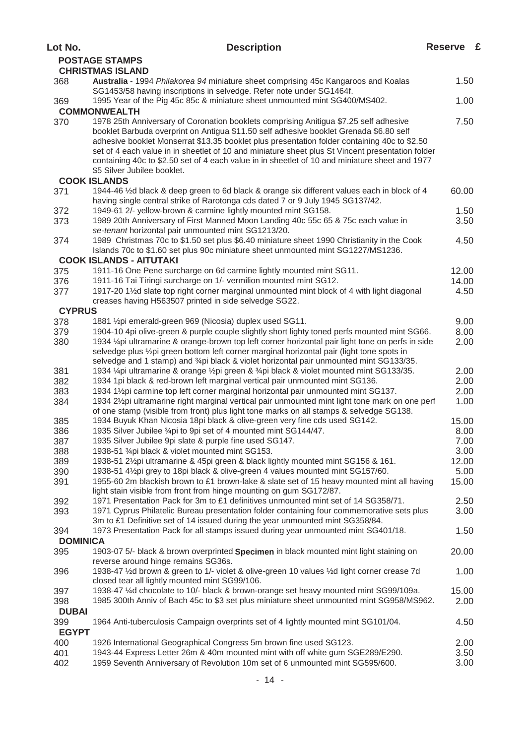| Lot No.                | <b>Description</b>                                                                                                                                                                                                                                                                                                                                                                                                          | Reserve £ |  |
|------------------------|-----------------------------------------------------------------------------------------------------------------------------------------------------------------------------------------------------------------------------------------------------------------------------------------------------------------------------------------------------------------------------------------------------------------------------|-----------|--|
|                        | <b>POSTAGE STAMPS</b>                                                                                                                                                                                                                                                                                                                                                                                                       |           |  |
|                        | <b>CHRISTMAS ISLAND</b>                                                                                                                                                                                                                                                                                                                                                                                                     |           |  |
| 368                    | Australia - 1994 Philakorea 94 miniature sheet comprising 45c Kangaroos and Koalas<br>SG1453/58 having inscriptions in selvedge. Refer note under SG1464f.                                                                                                                                                                                                                                                                  | 1.50      |  |
| 369                    | 1995 Year of the Pig 45c 85c & miniature sheet unmounted mint SG400/MS402.<br><b>COMMONWEALTH</b>                                                                                                                                                                                                                                                                                                                           | 1.00      |  |
| 370                    | 1978 25th Anniversary of Coronation booklets comprising Anitigua \$7.25 self adhesive                                                                                                                                                                                                                                                                                                                                       | 7.50      |  |
|                        | booklet Barbuda overprint on Antigua \$11.50 self adhesive booklet Grenada \$6.80 self<br>adhesive booklet Monserrat \$13.35 booklet plus presentation folder containing 40c to \$2.50<br>set of 4 each value in in sheetlet of 10 and miniature sheet plus St Vincent presentation folder<br>containing 40c to \$2.50 set of 4 each value in in sheetlet of 10 and miniature sheet and 1977<br>\$5 Silver Jubilee booklet. |           |  |
|                        | <b>COOK ISLANDS</b>                                                                                                                                                                                                                                                                                                                                                                                                         |           |  |
| 371                    | 1944-46 1/2d black & deep green to 6d black & orange six different values each in block of 4<br>having single central strike of Rarotonga cds dated 7 or 9 July 1945 SG137/42.                                                                                                                                                                                                                                              | 60.00     |  |
| 372                    | 1949-61 2/- yellow-brown & carmine lightly mounted mint SG158.                                                                                                                                                                                                                                                                                                                                                              | 1.50      |  |
| 373                    | 1989 20th Anniversary of First Manned Moon Landing 40c 55c 65 & 75c each value in<br>se-tenant horizontal pair unmounted mint SG1213/20.                                                                                                                                                                                                                                                                                    | 3.50      |  |
| 374                    | 1989 Christmas 70c to \$1.50 set plus \$6.40 miniature sheet 1990 Christianity in the Cook<br>Islands 70c to \$1.60 set plus 90c miniature sheet unmounted mint SG1227/MS1236.                                                                                                                                                                                                                                              | 4.50      |  |
|                        | <b>COOK ISLANDS - AITUTAKI</b>                                                                                                                                                                                                                                                                                                                                                                                              |           |  |
| 375                    | 1911-16 One Pene surcharge on 6d carmine lightly mounted mint SG11.                                                                                                                                                                                                                                                                                                                                                         | 12.00     |  |
| 376                    | 1911-16 Tai Tiringi surcharge on 1/- vermilion mounted mint SG12.                                                                                                                                                                                                                                                                                                                                                           | 14.00     |  |
| 377                    | 1917-20 1½d slate top right corner marginal unmounted mint block of 4 with light diagonal<br>creases having H563507 printed in side selvedge SG22.                                                                                                                                                                                                                                                                          | 4.50      |  |
| <b>CYPRUS</b>          |                                                                                                                                                                                                                                                                                                                                                                                                                             |           |  |
| 378                    | 1881 1/2pi emerald-green 969 (Nicosia) duplex used SG11.                                                                                                                                                                                                                                                                                                                                                                    | 9.00      |  |
| 379                    | 1904-10 4pi olive-green & purple couple slightly short lighty toned perfs mounted mint SG66.                                                                                                                                                                                                                                                                                                                                | 8.00      |  |
| 380                    | 1934 ¼pi ultramarine & orange-brown top left corner horizontal pair light tone on perfs in side<br>selvedge plus 1/2pi green bottom left corner marginal horizontal pair (light tone spots in<br>selvedge and 1 stamp) and 3/4pi black & violet horizontal pair unmounted mint SG133/35.                                                                                                                                    | 2.00      |  |
| 381                    | 1934 ¼ pi ultramarine & orange ½ pi green & ¾ pi black & violet mounted mint SG133/35.                                                                                                                                                                                                                                                                                                                                      | 2.00      |  |
| 382                    | 1934 1pi black & red-brown left marginal vertical pair unmounted mint SG136.                                                                                                                                                                                                                                                                                                                                                | 2.00      |  |
| 383                    | 1934 1½pi carmine top left corner marginal horizontal pair unmounted mint SG137.                                                                                                                                                                                                                                                                                                                                            | 2.00      |  |
| 384                    | 1934 2½ pi ultramarine right marginal vertical pair unmounted mint light tone mark on one perf<br>of one stamp (visible from front) plus light tone marks on all stamps & selvedge SG138.                                                                                                                                                                                                                                   | 1.00      |  |
| 385                    | 1934 Buyuk Khan Nicosia 18pi black & olive-green very fine cds used SG142.                                                                                                                                                                                                                                                                                                                                                  | 15.00     |  |
| 386                    | 1935 Silver Jubilee 3/pi to 9pi set of 4 mounted mint SG144/47.                                                                                                                                                                                                                                                                                                                                                             | 8.00      |  |
| 387                    | 1935 Silver Jubilee 9pi slate & purple fine used SG147.                                                                                                                                                                                                                                                                                                                                                                     | 7.00      |  |
| 388                    | 1938-51 3/pi black & violet mounted mint SG153.                                                                                                                                                                                                                                                                                                                                                                             | 3.00      |  |
| 389                    | 1938-51 21/ <sub>2</sub> pi ultramarine & 45pi green & black lightly mounted mint SG156 & 161.                                                                                                                                                                                                                                                                                                                              | 12.00     |  |
| 390                    | 1938-51 4½ pi grey to 18 pi black & olive-green 4 values mounted mint SG157/60.                                                                                                                                                                                                                                                                                                                                             | 5.00      |  |
| 391                    | 1955-60 2m blackish brown to £1 brown-lake & slate set of 15 heavy mounted mint all having<br>light stain visible from front from hinge mounting on gum SG172/87.                                                                                                                                                                                                                                                           | 15.00     |  |
| 392                    | 1971 Presentation Pack for 3m to £1 definitives unmounted mint set of 14 SG358/71.                                                                                                                                                                                                                                                                                                                                          | 2.50      |  |
| 393                    | 1971 Cyprus Philatelic Bureau presentation folder containing four commemorative sets plus<br>3m to £1 Definitive set of 14 issued during the year unmounted mint SG358/84.                                                                                                                                                                                                                                                  | 3.00      |  |
| 394<br><b>DOMINICA</b> | 1973 Presentation Pack for all stamps issued during year unmounted mint SG401/18.                                                                                                                                                                                                                                                                                                                                           | 1.50      |  |
| 395                    | 1903-07 5/- black & brown overprinted Specimen in black mounted mint light staining on<br>reverse around hinge remains SG36s.                                                                                                                                                                                                                                                                                               | 20.00     |  |
| 396                    | 1938-47 1/2d brown & green to 1/- violet & olive-green 10 values 1/2d light corner crease 7d<br>closed tear all lightly mounted mint SG99/106.                                                                                                                                                                                                                                                                              | 1.00      |  |
| 397                    | 1938-47 ¼d chocolate to 10/- black & brown-orange set heavy mounted mint SG99/109a.                                                                                                                                                                                                                                                                                                                                         | 15.00     |  |
| 398<br><b>DUBAI</b>    | 1985 300th Anniv of Bach 45c to \$3 set plus miniature sheet unmounted mint SG958/MS962.                                                                                                                                                                                                                                                                                                                                    | 2.00      |  |
| 399<br><b>EGYPT</b>    | 1964 Anti-tuberculosis Campaign overprints set of 4 lightly mounted mint SG101/04.                                                                                                                                                                                                                                                                                                                                          | 4.50      |  |
| 400                    | 1926 International Geographical Congress 5m brown fine used SG123.                                                                                                                                                                                                                                                                                                                                                          | 2.00      |  |
| 401                    | 1943-44 Express Letter 26m & 40m mounted mint with off white gum SGE289/E290.                                                                                                                                                                                                                                                                                                                                               | 3.50      |  |
| 402                    | 1959 Seventh Anniversary of Revolution 10m set of 6 unmounted mint SG595/600.                                                                                                                                                                                                                                                                                                                                               | 3.00      |  |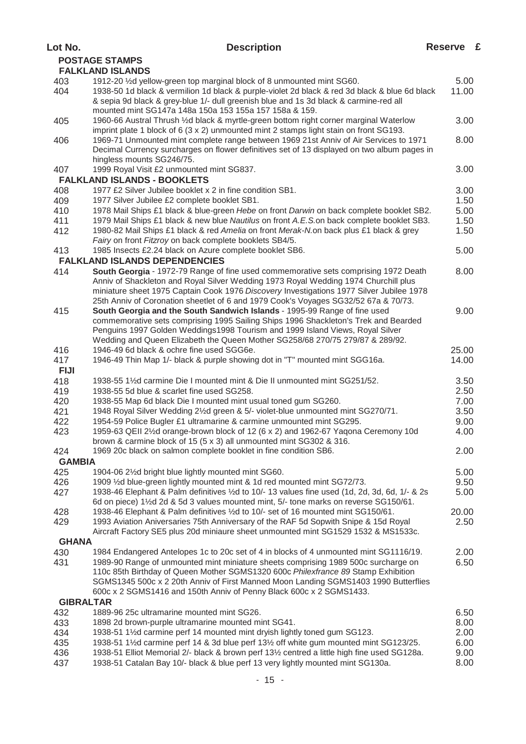| Lot No.             | <b>Description</b>                                                                                                                                                                                                                                                                                                                                            | Reserve £ |
|---------------------|---------------------------------------------------------------------------------------------------------------------------------------------------------------------------------------------------------------------------------------------------------------------------------------------------------------------------------------------------------------|-----------|
|                     | <b>POSTAGE STAMPS</b>                                                                                                                                                                                                                                                                                                                                         |           |
|                     | <b>FALKLAND ISLANDS</b>                                                                                                                                                                                                                                                                                                                                       |           |
| 403                 | 1912-20 1/2d yellow-green top marginal block of 8 unmounted mint SG60.                                                                                                                                                                                                                                                                                        | 5.00      |
| 404                 | 1938-50 1d black & vermilion 1d black & purple-violet 2d black & red 3d black & blue 6d black<br>& sepia 9d black & grey-blue 1/- dull greenish blue and 1s 3d black & carmine-red all<br>mounted mint SG147a 148a 150a 153 155a 157 158a & 159.                                                                                                              | 11.00     |
| 405                 | 1960-66 Austral Thrush 1/2d black & myrtle-green bottom right corner marginal Waterlow<br>imprint plate 1 block of 6 $(3 \times 2)$ unmounted mint 2 stamps light stain on front SG193.                                                                                                                                                                       | 3.00      |
| 406                 | 1969-71 Unmounted mint complete range between 1969 21st Anniv of Air Services to 1971<br>Decimal Currency surcharges on flower definitives set of 13 displayed on two album pages in<br>hingless mounts SG246/75.                                                                                                                                             | 8.00      |
| 407                 | 1999 Royal Visit £2 unmounted mint SG837.                                                                                                                                                                                                                                                                                                                     | 3.00      |
|                     | <b>FALKLAND ISLANDS - BOOKLETS</b>                                                                                                                                                                                                                                                                                                                            |           |
| 408                 | 1977 £2 Silver Jubilee booklet x 2 in fine condition SB1.                                                                                                                                                                                                                                                                                                     | 3.00      |
| 409                 | 1977 Silver Jubilee £2 complete booklet SB1.                                                                                                                                                                                                                                                                                                                  | 1.50      |
| 410                 | 1978 Mail Ships £1 black & blue-green Hebe on front Darwin on back complete booklet SB2.                                                                                                                                                                                                                                                                      | 5.00      |
| 411                 | 1979 Mail Ships £1 black & new blue Nautilus on front A.E.S.on back complete booklet SB3.                                                                                                                                                                                                                                                                     | 1.50      |
| 412                 | 1980-82 Mail Ships £1 black & red Amelia on front Merak-N.on back plus £1 black & grey<br>Fairy on front Fitzroy on back complete booklets SB4/5.                                                                                                                                                                                                             | 1.50      |
| 413                 | 1985 Insects £2.24 black on Azure complete booklet SB6.                                                                                                                                                                                                                                                                                                       | 5.00      |
|                     | <b>FALKLAND ISLANDS DEPENDENCIES</b>                                                                                                                                                                                                                                                                                                                          |           |
| 414                 | South Georgia - 1972-79 Range of fine used commemorative sets comprising 1972 Death<br>Anniv of Shackleton and Royal Silver Wedding 1973 Royal Wedding 1974 Churchill plus<br>miniature sheet 1975 Captain Cook 1976 Discovery Investigations 1977 Silver Jubilee 1978<br>25th Anniv of Coronation sheetlet of 6 and 1979 Cook's Voyages SG32/52 67a & 70/73. | 8.00      |
| 415                 | South Georgia and the South Sandwich Islands - 1995-99 Range of fine used<br>commemorative sets comprising 1995 Sailing Ships 1996 Shackleton's Trek and Bearded<br>Penguins 1997 Golden Weddings1998 Tourism and 1999 Island Views, Royal Silver                                                                                                             | 9.00      |
|                     | Wedding and Queen Elizabeth the Queen Mother SG258/68 270/75 279/87 & 289/92.                                                                                                                                                                                                                                                                                 |           |
| 416                 | 1946-49 6d black & ochre fine used SGG6e.                                                                                                                                                                                                                                                                                                                     | 25.00     |
| 417                 | 1946-49 Thin Map 1/- black & purple showing dot in "T" mounted mint SGG16a.                                                                                                                                                                                                                                                                                   | 14.00     |
| <b>FIJI</b>         |                                                                                                                                                                                                                                                                                                                                                               |           |
| 418                 | 1938-55 11/2d carmine Die I mounted mint & Die II unmounted mint SG251/52.                                                                                                                                                                                                                                                                                    | 3.50      |
| 419                 | 1938-55 5d blue & scarlet fine used SG258.                                                                                                                                                                                                                                                                                                                    | 2.50      |
| 420                 | 1938-55 Map 6d black Die I mounted mint usual toned gum SG260.                                                                                                                                                                                                                                                                                                | 7.00      |
| 421                 | 1948 Royal Silver Wedding 21/2d green & 5/- violet-blue unmounted mint SG270/71.                                                                                                                                                                                                                                                                              | 3.50      |
| 422                 | 1954-59 Police Bugler £1 ultramarine & carmine unmounted mint SG295.                                                                                                                                                                                                                                                                                          | 9.00      |
| 423                 | 1959-63 QEII 21/2d orange-brown block of 12 (6 x 2) and 1962-67 Yaqona Ceremony 10d<br>brown & carmine block of 15 (5 x 3) all unmounted mint SG302 & 316.                                                                                                                                                                                                    | 4.00      |
| 424                 | 1969 20c black on salmon complete booklet in fine condition SB6.                                                                                                                                                                                                                                                                                              | 2.00      |
| <b>GAMBIA</b>       |                                                                                                                                                                                                                                                                                                                                                               |           |
| 425                 | 1904-06 21/2d bright blue lightly mounted mint SG60.                                                                                                                                                                                                                                                                                                          | 5.00      |
| 426                 | 1909 1/2d blue-green lightly mounted mint & 1d red mounted mint SG72/73.                                                                                                                                                                                                                                                                                      | 9.50      |
| 427                 | 1938-46 Elephant & Palm definitives 1/2d to 10/-13 values fine used (1d, 2d, 3d, 6d, 1/- & 2s<br>6d on piece) 1½d 2d & 5d 3 values mounted mint, 5/- tone marks on reverse SG150/61.                                                                                                                                                                          | 5.00      |
| 428                 | 1938-46 Elephant & Palm definitives 1/2d to 10/- set of 16 mounted mint SG150/61.                                                                                                                                                                                                                                                                             | 20.00     |
| 429<br><b>GHANA</b> | 1993 Aviation Aniversaries 75th Anniversary of the RAF 5d Sopwith Snipe & 15d Royal<br>Aircraft Factory SE5 plus 20d miniaure sheet unmounted mint SG1529 1532 & MS1533c.                                                                                                                                                                                     | 2.50      |
|                     | 1984 Endangered Antelopes 1c to 20c set of 4 in blocks of 4 unmounted mint SG1116/19.                                                                                                                                                                                                                                                                         | 2.00      |
| 430<br>431          | 1989-90 Range of unmounted mint miniature sheets comprising 1989 500c surcharge on                                                                                                                                                                                                                                                                            | 6.50      |
| <b>GIBRALTAR</b>    | 110c 85th Birthday of Queen Mother SGMS1320 600c Philexfrance 89 Stamp Exhibition<br>SGMS1345 500c x 2 20th Anniv of First Manned Moon Landing SGMS1403 1990 Butterflies<br>600c x 2 SGMS1416 and 150th Anniv of Penny Black 600c x 2 SGMS1433.                                                                                                               |           |
| 432                 | 1889-96 25c ultramarine mounted mint SG26.                                                                                                                                                                                                                                                                                                                    | 6.50      |
| 433                 | 1898 2d brown-purple ultramarine mounted mint SG41.                                                                                                                                                                                                                                                                                                           | 8.00      |
| 434                 | 1938-51 1½d carmine perf 14 mounted mint dryish lightly toned gum SG123.                                                                                                                                                                                                                                                                                      | 2.00      |
| 435                 | 1938-51 1½d carmine perf 14 & 3d blue perf 13½ off white gum mounted mint SG123/25.                                                                                                                                                                                                                                                                           | 6.00      |
| 436                 | 1938-51 Elliot Memorial 2/- black & brown perf 13½ centred a little high fine used SG128a.                                                                                                                                                                                                                                                                    | 9.00      |
| 437                 | 1938-51 Catalan Bay 10/- black & blue perf 13 very lightly mounted mint SG130a.                                                                                                                                                                                                                                                                               | 8.00      |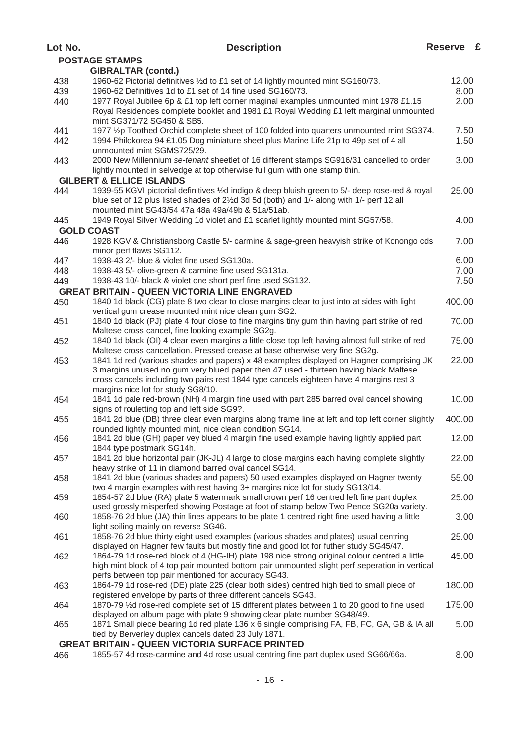| Lot No. | <b>Description</b>                                                                                                                                                      | Reserve £ |  |
|---------|-------------------------------------------------------------------------------------------------------------------------------------------------------------------------|-----------|--|
|         | <b>POSTAGE STAMPS</b>                                                                                                                                                   |           |  |
|         | <b>GIBRALTAR (contd.)</b>                                                                                                                                               |           |  |
| 438     | 1960-62 Pictorial definitives 1/2d to £1 set of 14 lightly mounted mint SG160/73.                                                                                       | 12.00     |  |
| 439     | 1960-62 Definitives 1d to £1 set of 14 fine used SG160/73.                                                                                                              | 8.00      |  |
| 440     | 1977 Royal Jubilee 6p & £1 top left corner maginal examples unmounted mint 1978 £1.15                                                                                   | 2.00      |  |
|         | Royal Residences complete booklet and 1981 £1 Royal Wedding £1 left marginal unmounted                                                                                  |           |  |
|         | mint SG371/72 SG450 & SB5.                                                                                                                                              |           |  |
| 441     | 1977 1/ <sub>2</sub> p Toothed Orchid complete sheet of 100 folded into quarters unmounted mint SG374.                                                                  | 7.50      |  |
| 442     | 1994 Philokorea 94 £1.05 Dog miniature sheet plus Marine Life 21p to 49p set of 4 all                                                                                   | 1.50      |  |
|         | unmounted mint SGMS725/29.                                                                                                                                              |           |  |
| 443     | 2000 New Millennium se-tenant sheetlet of 16 different stamps SG916/31 cancelled to order                                                                               | 3.00      |  |
|         | lightly mounted in selvedge at top otherwise full gum with one stamp thin.                                                                                              |           |  |
|         | <b>GILBERT &amp; ELLICE ISLANDS</b>                                                                                                                                     |           |  |
| 444     | 1939-55 KGVI pictorial definitives 1/2d indigo & deep bluish green to 5/- deep rose-red & royal                                                                         | 25.00     |  |
|         | blue set of 12 plus listed shades of 21/2d 3d 5d (both) and 1/- along with 1/- perf 12 all                                                                              |           |  |
|         | mounted mint SG43/54 47a 48a 49a/49b & 51a/51ab.                                                                                                                        |           |  |
| 445     | 1949 Royal Silver Wedding 1d violet and £1 scarlet lightly mounted mint SG57/58.                                                                                        | 4.00      |  |
|         | <b>GOLD COAST</b>                                                                                                                                                       |           |  |
| 446     | 1928 KGV & Christiansborg Castle 5/- carmine & sage-green heavyish strike of Konongo cds                                                                                | 7.00      |  |
|         | minor perf flaws SG112.                                                                                                                                                 |           |  |
| 447     | 1938-43 2/- blue & violet fine used SG130a.                                                                                                                             | 6.00      |  |
| 448     | 1938-43 5/- olive-green & carmine fine used SG131a.                                                                                                                     | 7.00      |  |
| 449     | 1938-43 10/- black & violet one short perf fine used SG132.                                                                                                             | 7.50      |  |
|         | <b>GREAT BRITAIN - QUEEN VICTORIA LINE ENGRAVED</b>                                                                                                                     |           |  |
| 450     | 1840 1d black (CG) plate 8 two clear to close margins clear to just into at sides with light                                                                            | 400.00    |  |
|         | vertical gum crease mounted mint nice clean gum SG2.                                                                                                                    |           |  |
| 451     | 1840 1d black (PJ) plate 4 four close to fine margins tiny gum thin having part strike of red                                                                           | 70.00     |  |
|         | Maltese cross cancel, fine looking example SG2g.                                                                                                                        |           |  |
| 452     | 1840 1d black (OI) 4 clear even margins a little close top left having almost full strike of red                                                                        | 75.00     |  |
|         | Maltese cross cancellation. Pressed crease at base otherwise very fine SG2g.                                                                                            |           |  |
| 453     | 1841 1d red (various shades and papers) x 48 examples displayed on Hagner comprising JK                                                                                 | 22.00     |  |
|         | 3 margins unused no gum very blued paper then 47 used - thirteen having black Maltese                                                                                   |           |  |
|         | cross cancels including two pairs rest 1844 type cancels eighteen have 4 margins rest 3                                                                                 |           |  |
|         | margins nice lot for study SG8/10.                                                                                                                                      |           |  |
| 454     | 1841 1d pale red-brown (NH) 4 margin fine used with part 285 barred oval cancel showing                                                                                 | 10.00     |  |
|         | signs of rouletting top and left side SG9?.                                                                                                                             |           |  |
| 455     | 1841 2d blue (DB) three clear even margins along frame line at left and top left corner slightly                                                                        | 400.00    |  |
|         | rounded lightly mounted mint, nice clean condition SG14.                                                                                                                |           |  |
| 456     | 1841 2d blue (GH) paper vey blued 4 margin fine used example having lightly applied part                                                                                | 12.00     |  |
|         | 1844 type postmark SG14h.                                                                                                                                               |           |  |
| 457     | 1841 2d blue horizontal pair (JK-JL) 4 large to close margins each having complete slightly                                                                             | 22.00     |  |
|         | heavy strike of 11 in diamond barred oval cancel SG14.                                                                                                                  |           |  |
| 458     | 1841 2d blue (various shades and papers) 50 used examples displayed on Hagner twenty                                                                                    | 55.00     |  |
|         | two 4 margin examples with rest having 3+ margins nice lot for study SG13/14.                                                                                           |           |  |
| 459     | 1854-57 2d blue (RA) plate 5 watermark small crown perf 16 centred left fine part duplex                                                                                | 25.00     |  |
|         | used grossly misperfed showing Postage at foot of stamp below Two Pence SG20a variety.                                                                                  |           |  |
| 460     | 1858-76 2d blue (JA) thin lines appears to be plate 1 centred right fine used having a little                                                                           | 3.00      |  |
|         | light soiling mainly on reverse SG46.                                                                                                                                   |           |  |
| 461     | 1858-76 2d blue thirty eight used examples (various shades and plates) usual centring                                                                                   | 25.00     |  |
|         | displayed on Hagner few faults but mostly fine and good lot for futher study SG45/47.                                                                                   |           |  |
| 462     | 1864-79 1d rose-red block of 4 (HG-IH) plate 198 nice strong original colour centred a little                                                                           | 45.00     |  |
|         | high mint block of 4 top pair mounted bottom pair unmounted slight perf seperation in vertical<br>perfs between top pair mentioned for accuracy SG43.                   |           |  |
|         | 1864-79 1d rose-red (DE) plate 225 (clear both sides) centred high tied to small piece of                                                                               | 180.00    |  |
| 463     | registered envelope by parts of three different cancels SG43.                                                                                                           |           |  |
|         |                                                                                                                                                                         |           |  |
| 464     | 1870-79 1/2d rose-red complete set of 15 different plates between 1 to 20 good to fine used<br>displayed on album page with plate 9 showing clear plate number SG48/49. | 175.00    |  |
| 465     | 1871 Small piece bearing 1d red plate 136 x 6 single comprising FA, FB, FC, GA, GB & IA all                                                                             | 5.00      |  |
|         | tied by Berverley duplex cancels dated 23 July 1871.                                                                                                                    |           |  |
|         | <b>GREAT BRITAIN - QUEEN VICTORIA SURFACE PRINTED</b>                                                                                                                   |           |  |
| 466     | 1855-57 4d rose-carmine and 4d rose usual centring fine part duplex used SG66/66a.                                                                                      | 8.00      |  |
|         |                                                                                                                                                                         |           |  |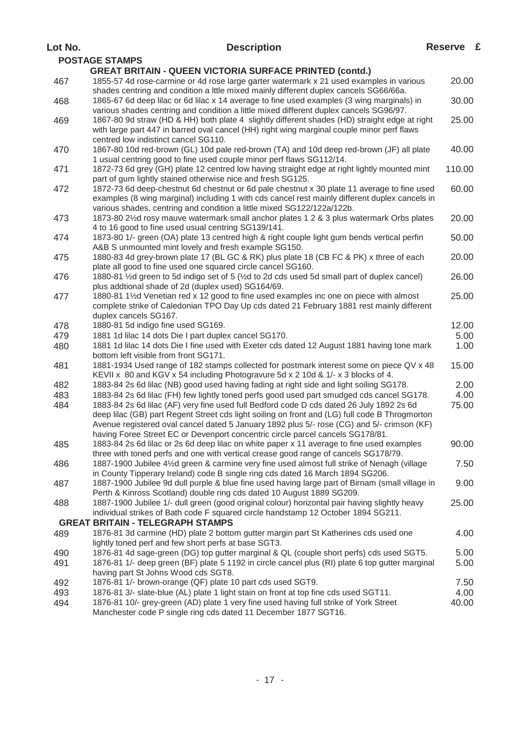| Lot No. | <b>Description</b>                                                                                                                                                                                                                                                                                                                                                         | Reserve £ |  |
|---------|----------------------------------------------------------------------------------------------------------------------------------------------------------------------------------------------------------------------------------------------------------------------------------------------------------------------------------------------------------------------------|-----------|--|
|         | <b>POSTAGE STAMPS</b>                                                                                                                                                                                                                                                                                                                                                      |           |  |
|         | <b>GREAT BRITAIN - QUEEN VICTORIA SURFACE PRINTED (contd.)</b>                                                                                                                                                                                                                                                                                                             |           |  |
| 467     | 1855-57 4d rose-carmine or 4d rose large garter watermark x 21 used examples in various<br>shades centring and condition a lttle mixed mainly different duplex cancels SG66/66a.                                                                                                                                                                                           | 20.00     |  |
| 468     | 1865-67 6d deep lilac or 6d lilac x 14 average to fine used examples (3 wing marginals) in<br>various shades centring and condition a little mixed different duplex cancels SG96/97.                                                                                                                                                                                       | 30.00     |  |
| 469     | 1867-80 9d straw (HD & HH) both plate 4 slightly different shades (HD) straight edge at right<br>with large part 447 in barred oval cancel (HH) right wing marginal couple minor perf flaws<br>centred low indistinct cancel SG110.                                                                                                                                        | 25.00     |  |
| 470     | 1867-80 10d red-brown (GL) 10d pale red-brown (TA) and 10d deep red-brown (JF) all plate<br>1 usual centring good to fine used couple minor perf flaws SG112/14.                                                                                                                                                                                                           | 40.00     |  |
| 471     | 1872-73 6d grey (GH) plate 12 centred low having straight edge at right lightly mounted mint<br>part of gum lightly stained otherwise nice and fresh SG125.                                                                                                                                                                                                                | 110.00    |  |
| 472     | 1872-73 6d deep-chestnut 6d chestnut or 6d pale chestnut x 30 plate 11 average to fine used<br>examples (8 wing marginal) including 1 with cds cancel rest mainly different duplex cancels in<br>various shades, centring and condition a little mixed SG122/122a/122b.                                                                                                    | 60.00     |  |
| 473     | 1873-80 2½d rosy mauve watermark small anchor plates 1 2 & 3 plus watermark Orbs plates<br>4 to 16 good to fine used usual centring SG139/141.                                                                                                                                                                                                                             | 20.00     |  |
| 474     | 1873-80 1/- green (OA) plate 13 centred high & right couple light gum bends vertical perfin<br>A&B S unmounted mint lovely and fresh example SG150.                                                                                                                                                                                                                        | 50.00     |  |
| 475     | 1880-83 4d grey-brown plate 17 (BL GC & RK) plus plate 18 (CB FC & PK) x three of each<br>plate all good to fine used one squared circle cancel SG160.                                                                                                                                                                                                                     | 20.00     |  |
| 476     | 1880-81 1/2d green to 5d indigo set of 5 (1/2d to 2d cds used 5d small part of duplex cancel)<br>plus addtional shade of 2d (duplex used) SG164/69.                                                                                                                                                                                                                        | 26.00     |  |
| 477     | 1880-81 1½d Venetian red x 12 good to fine used examples inc one on piece with almost<br>complete strike of Caledonian TPO Day Up cds dated 21 February 1881 rest mainly different<br>duplex cancels SG167.                                                                                                                                                                | 25.00     |  |
| 478     | 1880-81 5d indigo fine used SG169.                                                                                                                                                                                                                                                                                                                                         | 12.00     |  |
| 479     | 1881 1d lilac 14 dots Die I part duplex cancel SG170.                                                                                                                                                                                                                                                                                                                      | 5.00      |  |
| 480     | 1881 1d lilac 14 dots Die I fine used with Exeter cds dated 12 August 1881 having tone mark<br>bottom left visible from front SG171.                                                                                                                                                                                                                                       | 1.00      |  |
| 481     | 1881-1934 Used range of 182 stamps collected for postmark interest some on piece QV x 48<br>KEVII x 80 and KGV x 54 including Photogravure 5d x 2 10d & 1/- x 3 blocks of 4.                                                                                                                                                                                               | 15.00     |  |
| 482     | 1883-84 2s 6d lilac (NB) good used having fading at right side and light soiling SG178.                                                                                                                                                                                                                                                                                    | 2.00      |  |
| 483     | 1883-84 2s 6d lilac (FH) few lightly toned perfs good used part smudged cds cancel SG178.                                                                                                                                                                                                                                                                                  | 4.00      |  |
| 484     | 1883-84 2s 6d lilac (AF) very fine used full Bedford code D cds dated 26 July 1892 2s 6d<br>deep lilac (GB) part Regent Street cds light soiling on front and (LG) full code B Throgmorton<br>Avenue registered oval cancel dated 5 January 1892 plus 5/- rose (CG) and 5/- crimson (KF)<br>having Foree Street EC or Devenport concentric circle parcel cancels SG178/81. | 75.00     |  |
| 485     | 1883-84 2s 6d lilac or 2s 6d deep lilac on white paper x 11 average to fine used examples<br>three with toned perfs and one with vertical crease good range of cancels SG178/79.                                                                                                                                                                                           | 90.00     |  |
| 486     | 1887-1900 Jubilee 4½d green & carmine very fine used almost full strike of Nenagh (village<br>in County Tipperary Ireland) code B single ring cds dated 16 March 1894 SG206.                                                                                                                                                                                               | 7.50      |  |
| 487     | 1887-1900 Jubilee 9d dull purple & blue fine used having large part of Birnam (small village in<br>Perth & Kinross Scotland) double ring cds dated 10 August 1889 SG209.                                                                                                                                                                                                   | 9.00      |  |
| 488     | 1887-1900 Jubilee 1/- dull green (good original colour) horizontal pair having slightly heavy<br>individual strikes of Bath code F squared circle handstamp 12 October 1894 SG211.                                                                                                                                                                                         | 25.00     |  |
|         | <b>GREAT BRITAIN - TELEGRAPH STAMPS</b>                                                                                                                                                                                                                                                                                                                                    |           |  |
| 489     | 1876-81 3d carmine (HD) plate 2 bottom gutter margin part St Katherines cds used one<br>lightly toned perf and few short perfs at base SGT3.                                                                                                                                                                                                                               | 4.00      |  |
| 490     | 1876-81 4d sage-green (DG) top gutter marginal & QL (couple short perfs) cds used SGT5.                                                                                                                                                                                                                                                                                    | 5.00      |  |
| 491     | 1876-81 1/- deep green (BF) plate 5 1192 in circle cancel plus (RI) plate 6 top gutter marginal<br>having part St Johns Wood cds SGT8.                                                                                                                                                                                                                                     | 5.00      |  |
| 492     | 1876-81 1/- brown-orange (QF) plate 10 part cds used SGT9.                                                                                                                                                                                                                                                                                                                 | 7.50      |  |
| 493     | 1876-81 3/- slate-blue (AL) plate 1 light stain on front at top fine cds used SGT11.                                                                                                                                                                                                                                                                                       | 4.00      |  |
| 494     | 1876-81 10/- grey-green (AD) plate 1 very fine used having full strike of York Street<br>Manchester code P single ring cds dated 11 December 1877 SGT16.                                                                                                                                                                                                                   | 40.00     |  |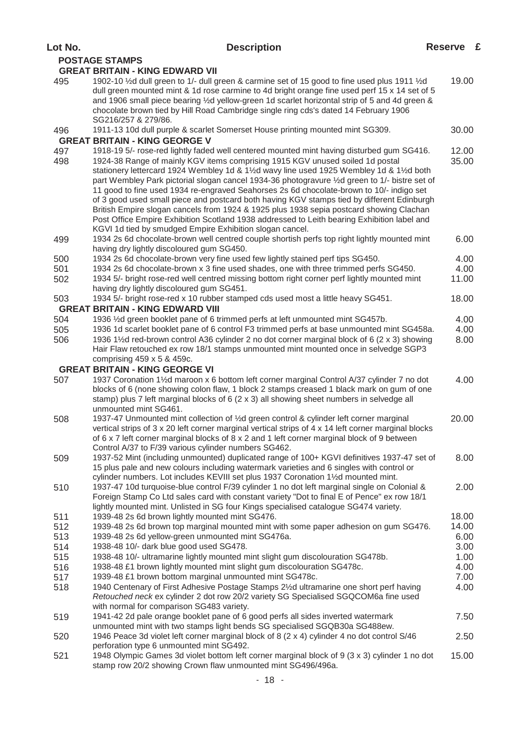| Lot No.    | <b>Description</b>                                                                                                                                                                                                                                                                                                                                                                                                                                                                                                                                                                                                                                                                                                           | Reserve £    |  |
|------------|------------------------------------------------------------------------------------------------------------------------------------------------------------------------------------------------------------------------------------------------------------------------------------------------------------------------------------------------------------------------------------------------------------------------------------------------------------------------------------------------------------------------------------------------------------------------------------------------------------------------------------------------------------------------------------------------------------------------------|--------------|--|
|            | <b>POSTAGE STAMPS</b>                                                                                                                                                                                                                                                                                                                                                                                                                                                                                                                                                                                                                                                                                                        |              |  |
|            | <b>GREAT BRITAIN - KING EDWARD VII</b>                                                                                                                                                                                                                                                                                                                                                                                                                                                                                                                                                                                                                                                                                       |              |  |
| 495        | 1902-10 1/2d dull green to 1/- dull green & carmine set of 15 good to fine used plus 1911 1/2d<br>dull green mounted mint & 1d rose carmine to 4d bright orange fine used perf 15 x 14 set of 5<br>and 1906 small piece bearing 1/2d yellow-green 1d scarlet horizontal strip of 5 and 4d green &<br>chocolate brown tied by Hill Road Cambridge single ring cds's dated 14 February 1906<br>SG216/257 & 279/86.                                                                                                                                                                                                                                                                                                             | 19.00        |  |
| 496        | 1911-13 10d dull purple & scarlet Somerset House printing mounted mint SG309.<br><b>GREAT BRITAIN - KING GEORGE V</b>                                                                                                                                                                                                                                                                                                                                                                                                                                                                                                                                                                                                        | 30.00        |  |
| 497        | 1918-19 5/- rose-red lightly faded well centered mounted mint having disturbed gum SG416.                                                                                                                                                                                                                                                                                                                                                                                                                                                                                                                                                                                                                                    | 12.00        |  |
| 498        | 1924-38 Range of mainly KGV items comprising 1915 KGV unused soiled 1d postal<br>stationery lettercard 1924 Wembley 1d & 11/2d wavy line used 1925 Wembley 1d & 11/2d both<br>part Wembley Park pictorial slogan cancel 1934-36 photogravure 1/2d green to 1/- bistre set of<br>11 good to fine used 1934 re-engraved Seahorses 2s 6d chocolate-brown to 10/- indigo set<br>of 3 good used small piece and postcard both having KGV stamps tied by different Edinburgh<br>British Empire slogan cancels from 1924 & 1925 plus 1938 sepia postcard showing Clachan<br>Post Office Empire Exhibition Scotland 1938 addressed to Leith bearing Exhibition label and<br>KGVI 1d tied by smudged Empire Exhibition slogan cancel. | 35.00        |  |
| 499        | 1934 2s 6d chocolate-brown well centred couple shortish perfs top right lightly mounted mint<br>having dry lightly discoloured gum SG450.                                                                                                                                                                                                                                                                                                                                                                                                                                                                                                                                                                                    | 6.00         |  |
| 500        | 1934 2s 6d chocolate-brown very fine used few lightly stained perf tips SG450.                                                                                                                                                                                                                                                                                                                                                                                                                                                                                                                                                                                                                                               | 4.00         |  |
| 501        | 1934 2s 6d chocolate-brown x 3 fine used shades, one with three trimmed perfs SG450.                                                                                                                                                                                                                                                                                                                                                                                                                                                                                                                                                                                                                                         | 4.00         |  |
| 502        | 1934 5/- bright rose-red well centred missing bottom right corner perf lightly mounted mint<br>having dry lightly discoloured gum SG451.                                                                                                                                                                                                                                                                                                                                                                                                                                                                                                                                                                                     | 11.00        |  |
| 503        | 1934 5/- bright rose-red x 10 rubber stamped cds used most a little heavy SG451.                                                                                                                                                                                                                                                                                                                                                                                                                                                                                                                                                                                                                                             | 18.00        |  |
|            | <b>GREAT BRITAIN - KING EDWARD VIII</b>                                                                                                                                                                                                                                                                                                                                                                                                                                                                                                                                                                                                                                                                                      |              |  |
| 504        | 1936 1/2d green booklet pane of 6 trimmed perfs at left unmounted mint SG457b.                                                                                                                                                                                                                                                                                                                                                                                                                                                                                                                                                                                                                                               | 4.00         |  |
| 505<br>506 | 1936 1d scarlet booklet pane of 6 control F3 trimmed perfs at base unmounted mint SG458a.<br>1936 1½d red-brown control A36 cylinder 2 no dot corner marginal block of 6 (2 x 3) showing<br>Hair Flaw retouched ex row 18/1 stamps unmounted mint mounted once in selvedge SGP3<br>comprising 459 x 5 & 459c.                                                                                                                                                                                                                                                                                                                                                                                                                | 4.00<br>8.00 |  |
|            | <b>GREAT BRITAIN - KING GEORGE VI</b>                                                                                                                                                                                                                                                                                                                                                                                                                                                                                                                                                                                                                                                                                        |              |  |
| 507        | 1937 Coronation 11/2d maroon x 6 bottom left corner marginal Control A/37 cylinder 7 no dot<br>blocks of 6 (none showing colon flaw, 1 block 2 stamps creased 1 black mark on gum of one<br>stamp) plus 7 left marginal blocks of $6(2 \times 3)$ all showing sheet numbers in selvedge all                                                                                                                                                                                                                                                                                                                                                                                                                                  | 4.00         |  |
| 508        | unmounted mint SG461.<br>1937-47 Unmounted mint collection of 1/2d green control & cylinder left corner marginal<br>vertical strips of 3 x 20 left corner marginal vertical strips of 4 x 14 left corner marginal blocks<br>of 6 x 7 left corner marginal blocks of 8 x 2 and 1 left corner marginal block of 9 between<br>Control A/37 to F/39 various cylinder numbers SG462.                                                                                                                                                                                                                                                                                                                                              | 20.00        |  |
| 509        | 1937-52 Mint (including unmounted) duplicated range of 100+ KGVI definitives 1937-47 set of<br>15 plus pale and new colours including watermark varieties and 6 singles with control or<br>cylinder numbers. Lot includes KEVIII set plus 1937 Coronation 11/2d mounted mint.                                                                                                                                                                                                                                                                                                                                                                                                                                                | 8.00         |  |
| 510        | 1937-47 10d turquoise-blue control F/39 cylinder 1 no dot left marginal single on Colonial &<br>Foreign Stamp Co Ltd sales card with constant variety "Dot to final E of Pence" ex row 18/1<br>lightly mounted mint. Unlisted in SG four Kings specialised catalogue SG474 variety.                                                                                                                                                                                                                                                                                                                                                                                                                                          | 2.00         |  |
| 511        | 1939-48 2s 6d brown lightly mounted mint SG476.                                                                                                                                                                                                                                                                                                                                                                                                                                                                                                                                                                                                                                                                              | 18.00        |  |
| 512        | 1939-48 2s 6d brown top marginal mounted mint with some paper adhesion on gum SG476.                                                                                                                                                                                                                                                                                                                                                                                                                                                                                                                                                                                                                                         | 14.00        |  |
| 513<br>514 | 1939-48 2s 6d yellow-green unmounted mint SG476a.                                                                                                                                                                                                                                                                                                                                                                                                                                                                                                                                                                                                                                                                            | 6.00<br>3.00 |  |
| 515        | 1938-48 10/- dark blue good used SG478.<br>1938-48 10/- ultramarine lightly mounted mint slight gum discolouration SG478b.                                                                                                                                                                                                                                                                                                                                                                                                                                                                                                                                                                                                   | 1.00         |  |
| 516        | 1938-48 £1 brown lightly mounted mint slight gum discolouration SG478c.                                                                                                                                                                                                                                                                                                                                                                                                                                                                                                                                                                                                                                                      | 4.00         |  |
| 517        | 1939-48 £1 brown bottom marginal unmounted mint SG478c.                                                                                                                                                                                                                                                                                                                                                                                                                                                                                                                                                                                                                                                                      | 7.00         |  |
| 518        | 1940 Centenary of First Adhesive Postage Stamps 21/2d ultramarine one short perf having<br>Retouched neck ex cylinder 2 dot row 20/2 variety SG Specialised SGQCOM6a fine used<br>with normal for comparison SG483 variety.                                                                                                                                                                                                                                                                                                                                                                                                                                                                                                  | 4.00         |  |
| 519        | 1941-42 2d pale orange booklet pane of 6 good perfs all sides inverted watermark<br>unmounted mint with two stamps light bends SG specialised SGQB30a SG488ew.                                                                                                                                                                                                                                                                                                                                                                                                                                                                                                                                                               | 7.50         |  |
| 520        | 1946 Peace 3d violet left corner marginal block of 8 (2 x 4) cylinder 4 no dot control S/46<br>perforation type 6 unmounted mint SG492.                                                                                                                                                                                                                                                                                                                                                                                                                                                                                                                                                                                      | 2.50         |  |
| 521        | 1948 Olympic Games 3d violet bottom left corner marginal block of 9 (3 x 3) cylinder 1 no dot<br>stamp row 20/2 showing Crown flaw unmounted mint SG496/496a.                                                                                                                                                                                                                                                                                                                                                                                                                                                                                                                                                                | 15.00        |  |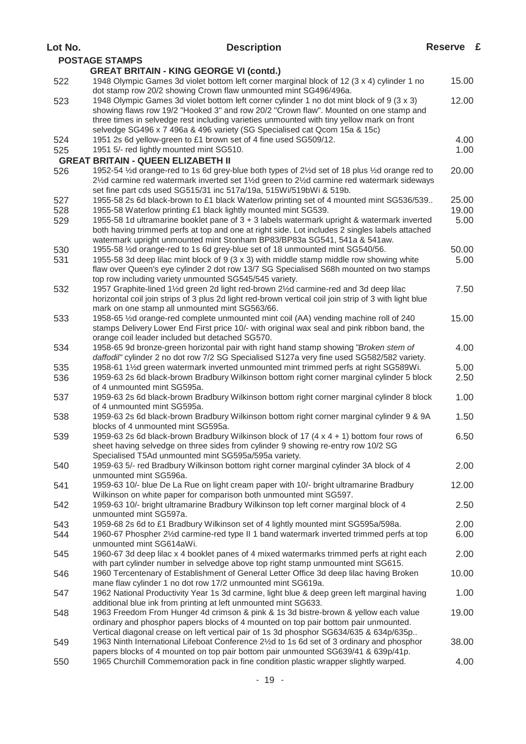| Lot No. | <b>Description</b>                                                                                                                                       | Reserve £ |  |
|---------|----------------------------------------------------------------------------------------------------------------------------------------------------------|-----------|--|
|         | <b>POSTAGE STAMPS</b>                                                                                                                                    |           |  |
|         | <b>GREAT BRITAIN - KING GEORGE VI (contd.)</b>                                                                                                           |           |  |
| 522     | 1948 Olympic Games 3d violet bottom left corner marginal block of 12 (3 x 4) cylinder 1 no                                                               | 15.00     |  |
|         | dot stamp row 20/2 showing Crown flaw unmounted mint SG496/496a.                                                                                         |           |  |
| 523     | 1948 Olympic Games 3d violet bottom left corner cylinder 1 no dot mint block of 9 (3 x 3)                                                                | 12.00     |  |
|         | showing flaws row 19/2 "Hooked 3" and row 20/2 "Crown flaw". Mounted on one stamp and                                                                    |           |  |
|         | three times in selvedge rest including varieties unmounted with tiny yellow mark on front                                                                |           |  |
|         | selvedge SG496 x 7 496a & 496 variety (SG Specialised cat Qcom 15a & 15c)                                                                                |           |  |
| 524     | 1951 2s 6d yellow-green to £1 brown set of 4 fine used SG509/12.                                                                                         | 4.00      |  |
| 525     | 1951 5/- red lightly mounted mint SG510.                                                                                                                 | 1.00      |  |
|         | <b>GREAT BRITAIN - QUEEN ELIZABETH II</b>                                                                                                                |           |  |
| 526     | 1952-54 1/2d orange-red to 1s 6d grey-blue both types of 21/2d set of 18 plus 1/2d orange red to                                                         | 20.00     |  |
|         | 2½d carmine red watermark inverted set 1½d green to 2½d carmine red watermark sideways                                                                   |           |  |
|         | set fine part cds used SG515/31 inc 517a/19a, 515Wi/519bWi & 519b.                                                                                       |           |  |
| 527     | 1955-58 2s 6d black-brown to £1 black Waterlow printing set of 4 mounted mint SG536/539                                                                  | 25.00     |  |
| 528     | 1955-58 Waterlow printing £1 black lightly mounted mint SG539.                                                                                           | 19.00     |  |
| 529     | 1955-58 1d ultramarine booklet pane of 3 + 3 labels watermark upright & watermark inverted                                                               | 5.00      |  |
|         | both having trimmed perfs at top and one at right side. Lot includes 2 singles labels attached                                                           |           |  |
|         | watermark upright unmounted mint Stonham BP83/BP83a SG541, 541a & 541aw.                                                                                 |           |  |
| 530     | 1955-58 1/2d orange-red to 1s 6d grey-blue set of 18 unmounted mint SG540/56.                                                                            | 50.00     |  |
| 531     | 1955-58 3d deep lilac mint block of 9 (3 x 3) with middle stamp middle row showing white                                                                 | 5.00      |  |
|         | flaw over Queen's eye cylinder 2 dot row 13/7 SG Specialised S68h mounted on two stamps                                                                  |           |  |
|         | top row including variety unmounted SG545/545 variety.                                                                                                   | 7.50      |  |
| 532     | 1957 Graphite-lined 1½d green 2d light red-brown 2½d carmine-red and 3d deep lilac                                                                       |           |  |
|         | horizontal coil join strips of 3 plus 2d light red-brown vertical coil join strip of 3 with light blue<br>mark on one stamp all unmounted mint SG563/66. |           |  |
| 533     | 1958-65 1/2d orange-red complete unmounted mint coil (AA) vending machine roll of 240                                                                    | 15.00     |  |
|         | stamps Delivery Lower End First price 10/- with original wax seal and pink ribbon band, the                                                              |           |  |
|         | orange coil leader included but detached SG570.                                                                                                          |           |  |
| 534     | 1958-65 9d bronze-green horizontal pair with right hand stamp showing "Broken stem of                                                                    | 4.00      |  |
|         | daffodil" cylinder 2 no dot row 7/2 SG Specialised S127a very fine used SG582/582 variety.                                                               |           |  |
| 535     | 1958-61 1½d green watermark inverted unmounted mint trimmed perfs at right SG589Wi.                                                                      | 5.00      |  |
| 536     | 1959-63 2s 6d black-brown Bradbury Wilkinson bottom right corner marginal cylinder 5 block                                                               | 2.50      |  |
|         | of 4 unmounted mint SG595a.                                                                                                                              |           |  |
| 537     | 1959-63 2s 6d black-brown Bradbury Wilkinson bottom right corner marginal cylinder 8 block                                                               | 1.00      |  |
|         | of 4 unmounted mint SG595a.                                                                                                                              |           |  |
| 538     | 1959-63 2s 6d black-brown Bradbury Wilkinson bottom right corner marginal cylinder 9 & 9A                                                                | 1.50      |  |
|         | blocks of 4 unmounted mint SG595a.                                                                                                                       |           |  |
| 539     | 1959-63 2s 6d black-brown Bradbury Wilkinson block of 17 (4 x 4 + 1) bottom four rows of                                                                 | 6.50      |  |
|         | sheet having selvedge on three sides from cylinder 9 showing re-entry row 10/2 SG                                                                        |           |  |
|         | Specialised T5Ad unmounted mint SG595a/595a variety.                                                                                                     |           |  |
| 540     | 1959-63 5/- red Bradbury Wilkinson bottom right corner marginal cylinder 3A block of 4                                                                   | 2.00      |  |
|         | unmounted mint SG596a.                                                                                                                                   |           |  |
| 541     | 1959-63 10/- blue De La Rue on light cream paper with 10/- bright ultramarine Bradbury                                                                   | 12.00     |  |
|         | Wilkinson on white paper for comparison both unmounted mint SG597.                                                                                       |           |  |
| 542     | 1959-63 10/- bright ultramarine Bradbury Wilkinson top left corner marginal block of 4                                                                   | 2.50      |  |
|         | unmounted mint SG597a.                                                                                                                                   |           |  |
| 543     | 1959-68 2s 6d to £1 Bradbury Wilkinson set of 4 lightly mounted mint SG595a/598a.                                                                        | 2.00      |  |
| 544     | 1960-67 Phospher 21/2d carmine-red type II 1 band watermark inverted trimmed perfs at top                                                                | 6.00      |  |
|         | unmounted mint SG614aWi.<br>1960-67 3d deep lilac x 4 booklet panes of 4 mixed watermarks trimmed perfs at right each                                    |           |  |
| 545     | with part cylinder number in selvedge above top right stamp unmounted mint SG615.                                                                        | 2.00      |  |
| 546     | 1960 Tercentenary of Establishment of General Letter Office 3d deep lilac having Broken                                                                  | 10.00     |  |
|         | mane flaw cylinder 1 no dot row 17/2 unmounted mint SG619a.                                                                                              |           |  |
| 547     | 1962 National Productivity Year 1s 3d carmine, light blue & deep green left marginal having                                                              | 1.00      |  |
|         | additional blue ink from printing at left unmounted mint SG633.                                                                                          |           |  |
| 548     | 1963 Freedom From Hunger 4d crimson & pink & 1s 3d bistre-brown & yellow each value                                                                      | 19.00     |  |
|         | ordinary and phosphor papers blocks of 4 mounted on top pair bottom pair unmounted.                                                                      |           |  |
|         | Vertical diagonal crease on left vertical pair of 1s 3d phosphor SG634/635 & 634p/635p                                                                   |           |  |
| 549     | 1963 Ninth International Lifeboat Conference 21/2d to 1s 6d set of 3 ordinary and phosphor                                                               | 38.00     |  |
|         | papers blocks of 4 mounted on top pair bottom pair unmounted SG639/41 & 639p/41p.                                                                        |           |  |
| 550     | 1965 Churchill Commemoration pack in fine condition plastic wrapper slightly warped.                                                                     | 4.00      |  |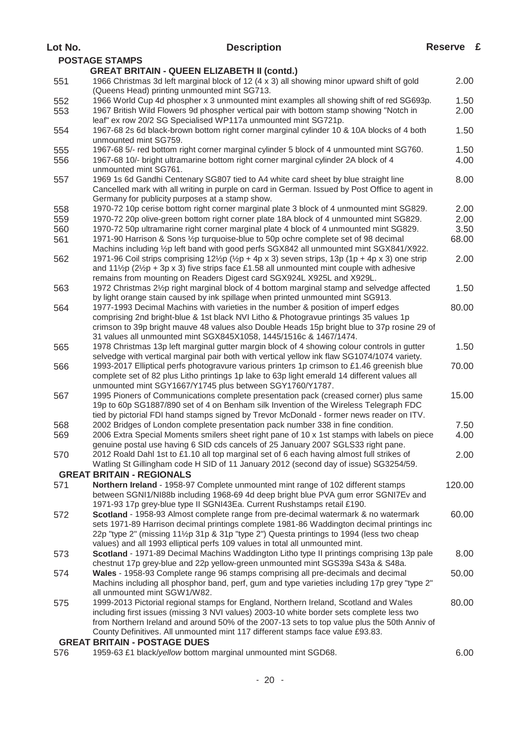| Lot No. | <b>Description</b>                                                                                                                                                                                                                                                                                                                                                                                          | Reserve £ |  |
|---------|-------------------------------------------------------------------------------------------------------------------------------------------------------------------------------------------------------------------------------------------------------------------------------------------------------------------------------------------------------------------------------------------------------------|-----------|--|
|         | <b>POSTAGE STAMPS</b>                                                                                                                                                                                                                                                                                                                                                                                       |           |  |
|         | <b>GREAT BRITAIN - QUEEN ELIZABETH II (contd.)</b>                                                                                                                                                                                                                                                                                                                                                          |           |  |
| 551     | 1966 Christmas 3d left marginal block of 12 (4 x 3) all showing minor upward shift of gold<br>(Queens Head) printing unmounted mint SG713.                                                                                                                                                                                                                                                                  | 2.00      |  |
| 552     | 1966 World Cup 4d phospher x 3 unmounted mint examples all showing shift of red SG693p.                                                                                                                                                                                                                                                                                                                     | 1.50      |  |
| 553     | 1967 British Wild Flowers 9d phospher vertical pair with bottom stamp showing "Notch in<br>leaf" ex row 20/2 SG Specialised WP117a unmounted mint SG721p.                                                                                                                                                                                                                                                   | 2.00      |  |
| 554     | 1967-68 2s 6d black-brown bottom right corner marginal cylinder 10 & 10A blocks of 4 both<br>unmounted mint SG759.                                                                                                                                                                                                                                                                                          | 1.50      |  |
| 555     | 1967-68 5/- red bottom right corner marginal cylinder 5 block of 4 unmounted mint SG760.                                                                                                                                                                                                                                                                                                                    | 1.50      |  |
| 556     | 1967-68 10/- bright ultramarine bottom right corner marginal cylinder 2A block of 4<br>unmounted mint SG761.                                                                                                                                                                                                                                                                                                | 4.00      |  |
| 557     | 1969 1s 6d Gandhi Centenary SG807 tied to A4 white card sheet by blue straight line<br>Cancelled mark with all writing in purple on card in German. Issued by Post Office to agent in<br>Germany for publicity purposes at a stamp show.                                                                                                                                                                    | 8.00      |  |
| 558     | 1970-72 10p cerise bottom right corner marginal plate 3 block of 4 unmounted mint SG829.                                                                                                                                                                                                                                                                                                                    | 2.00      |  |
| 559     | 1970-72 20p olive-green bottom right corner plate 18A block of 4 unmounted mint SG829.                                                                                                                                                                                                                                                                                                                      | 2.00      |  |
| 560     | 1970-72 50p ultramarine right corner marginal plate 4 block of 4 unmounted mint SG829.                                                                                                                                                                                                                                                                                                                      | 3.50      |  |
| 561     | 1971-90 Harrison & Sons 1/2p turquoise-blue to 50p ochre complete set of 98 decimal<br>Machins including 1/2p left band with good perfs SGX842 all unmounted mint SGX841/X922.                                                                                                                                                                                                                              | 68.00     |  |
| 562     | 1971-96 Coil strips comprising $12\frac{1}{2}p$ ( $\frac{1}{2}p + 4p \times 3$ ) seven strips, 13p (1p + 4p x 3) one strip<br>and $11\frac{1}{2}$ ( $2\frac{1}{2}$ + 3p x 3) five strips face £1.58 all unmounted mint couple with adhesive<br>remains from mounting on Readers Digest card SGX924L X925L and X929L.                                                                                        | 2.00      |  |
| 563     | 1972 Christmas 2½p right marginal block of 4 bottom marginal stamp and selvedge affected<br>by light orange stain caused by ink spillage when printed unmounted mint SG913.                                                                                                                                                                                                                                 | 1.50      |  |
| 564     | 1977-1993 Decimal Machins with varieties in the number & position of imperf edges<br>comprising 2nd bright-blue & 1st black NVI Litho & Photogravue printings 35 values 1p<br>crimson to 39p bright mauve 48 values also Double Heads 15p bright blue to 37p rosine 29 of                                                                                                                                   | 80.00     |  |
| 565     | 31 values all unmounted mint SGX845X1058, 1445/1516c & 1467/1474.<br>1978 Christmas 13p left marginal gutter margin block of 4 showing colour controls in gutter<br>selvedge with vertical marginal pair both with vertical yellow ink flaw SG1074/1074 variety.                                                                                                                                            | 1.50      |  |
| 566     | 1993-2017 Elliptical perfs photogravure various printers 1p crimson to £1.46 greenish blue<br>complete set of 82 plus Litho printings 1p lake to 63p light emerald 14 different values all<br>unmounted mint SGY1667/Y1745 plus between SGY1760/Y1787.                                                                                                                                                      | 70.00     |  |
| 567     | 1995 Pioners of Communications complete presentation pack (creased corner) plus same<br>19p to 60p SG1887/890 set of 4 on Benham silk Invention of the Wireless Telegraph FDC<br>tied by pictorial FDI hand stamps signed by Trevor McDonald - former news reader on ITV.                                                                                                                                   | 15.00     |  |
| 568     | 2002 Bridges of London complete presentation pack number 338 in fine condition.                                                                                                                                                                                                                                                                                                                             | 7.50      |  |
| 569     | 2006 Extra Special Moments smilers sheet right pane of 10 x 1st stamps with labels on piece<br>genuine postal use having 6 SID cds cancels of 25 January 2007 SGLS33 right pane.                                                                                                                                                                                                                            | 4.00      |  |
| 570     | 2012 Roald Dahl 1st to £1.10 all top marginal set of 6 each having almost full strikes of<br>Watling St Gillingham code H SID of 11 January 2012 (second day of issue) SG3254/59.                                                                                                                                                                                                                           | 2.00      |  |
|         | <b>GREAT BRITAIN - REGIONALS</b>                                                                                                                                                                                                                                                                                                                                                                            |           |  |
| 571     | Northern Ireland - 1958-97 Complete unmounted mint range of 102 different stamps<br>between SGNI1/NI88b including 1968-69 4d deep bright blue PVA gum error SGNI7Ev and<br>1971-93 17p grey-blue type II SGNI43Ea. Current Rushstamps retail £190.                                                                                                                                                          | 120.00    |  |
| 572     | Scotland - 1958-93 Almost complete range from pre-decimal watermark & no watermark<br>sets 1971-89 Harrison decimal printings complete 1981-86 Waddington decimal printings inc<br>22p "type 2" (missing 111/2p 31p & 31p "type 2") Questa printings to 1994 (less two cheap<br>values) and all 1993 elliptical perfs 109 values in total all unmounted mint.                                               | 60.00     |  |
| 573     | Scotland - 1971-89 Decimal Machins Waddington Litho type II printings comprising 13p pale<br>chestnut 17p grey-blue and 22p yellow-green unmounted mint SGS39a S43a & S48a.                                                                                                                                                                                                                                 | 8.00      |  |
| 574     | Wales - 1958-93 Complete range 96 stamps comprising all pre-decimals and decimal<br>Machins including all phosphor band, perf, gum and type varieties including 17p grey "type 2"<br>all unmounted mint SGW1/W82.                                                                                                                                                                                           | 50.00     |  |
| 575     | 1999-2013 Pictorial regional stamps for England, Northern Ireland, Scotland and Wales<br>including first issues (missing 3 NVI values) 2003-10 white border sets complete less two<br>from Northern Ireland and around 50% of the 2007-13 sets to top value plus the 50th Anniv of<br>County Definitives. All unmounted mint 117 different stamps face value £93.83.<br><b>GREAT BRITAIN - POSTAGE DUES</b> | 80.00     |  |
| 576     | 1959-63 £1 black/yellow bottom marginal unmounted mint SGD68.                                                                                                                                                                                                                                                                                                                                               | 6.00      |  |
|         |                                                                                                                                                                                                                                                                                                                                                                                                             |           |  |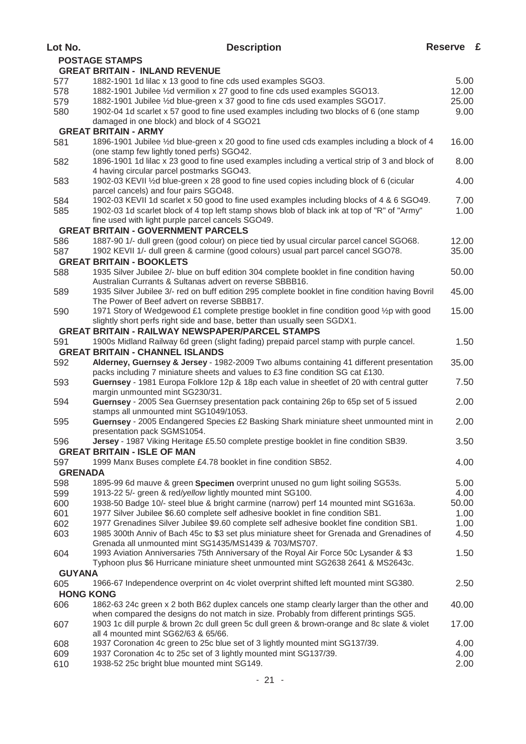| Lot No.          | <b>Description</b>                                                                                                                                  | Reserve £ |  |
|------------------|-----------------------------------------------------------------------------------------------------------------------------------------------------|-----------|--|
|                  | <b>POSTAGE STAMPS</b>                                                                                                                               |           |  |
|                  | <b>GREAT BRITAIN - INLAND REVENUE</b>                                                                                                               |           |  |
| 577              | 1882-1901 1d lilac x 13 good to fine cds used examples SGO3.                                                                                        | 5.00      |  |
| 578              | 1882-1901 Jubilee 1/2d vermilion x 27 good to fine cds used examples SGO13.                                                                         | 12.00     |  |
| 579              | 1882-1901 Jubilee 1/2d blue-green x 37 good to fine cds used examples SGO17.                                                                        | 25.00     |  |
| 580              | 1902-04 1d scarlet x 57 good to fine used examples including two blocks of 6 (one stamp                                                             | 9.00      |  |
|                  | damaged in one block) and block of 4 SGO21                                                                                                          |           |  |
|                  | <b>GREAT BRITAIN - ARMY</b>                                                                                                                         |           |  |
| 581              | 1896-1901 Jubilee 1/2d blue-green x 20 good to fine used cds examples including a block of 4                                                        | 16.00     |  |
|                  | (one stamp few lightly toned perfs) SGO42.                                                                                                          |           |  |
| 582              | 1896-1901 1d lilac x 23 good to fine used examples including a vertical strip of 3 and block of                                                     | 8.00      |  |
|                  | 4 having circular parcel postmarks SGO43.                                                                                                           |           |  |
| 583              | 1902-03 KEVII 1/2d blue-green x 28 good to fine used copies including block of 6 (cicular                                                           | 4.00      |  |
|                  | parcel cancels) and four pairs SGO48.                                                                                                               | 7.00      |  |
| 584              | 1902-03 KEVII 1d scarlet x 50 good to fine used examples including blocks of 4 & 6 SGO49.                                                           |           |  |
| 585              | 1902-03 1d scarlet block of 4 top left stamp shows blob of black ink at top of "R" of "Army"<br>fine used with light purple parcel cancels SGO49.   | 1.00      |  |
|                  | <b>GREAT BRITAIN - GOVERNMENT PARCELS</b>                                                                                                           |           |  |
| 586              | 1887-90 1/- dull green (good colour) on piece tied by usual circular parcel cancel SGO68.                                                           | 12.00     |  |
| 587              | 1902 KEVII 1/- dull green & carmine (good colours) usual part parcel cancel SGO78.                                                                  | 35.00     |  |
|                  | <b>GREAT BRITAIN - BOOKLETS</b>                                                                                                                     |           |  |
| 588              | 1935 Silver Jubilee 2/- blue on buff edition 304 complete booklet in fine condition having                                                          | 50.00     |  |
|                  | Australian Currants & Sultanas advert on reverse SBBB16.                                                                                            |           |  |
| 589              | 1935 Silver Jubilee 3/- red on buff edition 295 complete booklet in fine condition having Bovril                                                    | 45.00     |  |
|                  | The Power of Beef advert on reverse SBBB17.                                                                                                         |           |  |
| 590              | 1971 Story of Wedgewood £1 complete prestige booklet in fine condition good 1/2p with good                                                          | 15.00     |  |
|                  | slightly short perfs right side and base, better than usually seen SGDX1.                                                                           |           |  |
|                  | <b>GREAT BRITAIN - RAILWAY NEWSPAPER/PARCEL STAMPS</b>                                                                                              |           |  |
| 591              | 1900s Midland Railway 6d green (slight fading) prepaid parcel stamp with purple cancel.                                                             | 1.50      |  |
|                  | <b>GREAT BRITAIN - CHANNEL ISLANDS</b>                                                                                                              |           |  |
| 592              | Alderney, Guernsey & Jersey - 1982-2009 Two albums containing 41 different presentation                                                             | 35.00     |  |
|                  | packs including 7 miniature sheets and values to £3 fine condition SG cat £130.                                                                     |           |  |
| 593              | Guernsey - 1981 Europa Folklore 12p & 18p each value in sheetlet of 20 with central gutter                                                          | 7.50      |  |
|                  | margin unmounted mint SG230/31.                                                                                                                     |           |  |
| 594              | Guernsey - 2005 Sea Guernsey presentation pack containing 26p to 65p set of 5 issued                                                                | 2.00      |  |
|                  | stamps all unmounted mint SG1049/1053.                                                                                                              |           |  |
| 595              | Guernsey - 2005 Endangered Species £2 Basking Shark miniature sheet unmounted mint in                                                               | 2.00      |  |
|                  | presentation pack SGMS1054.                                                                                                                         |           |  |
| 596              | Jersey - 1987 Viking Heritage £5.50 complete prestige booklet in fine condition SB39.                                                               | 3.50      |  |
|                  | <b>GREAT BRITAIN - ISLE OF MAN</b>                                                                                                                  |           |  |
| 597              | 1999 Manx Buses complete £4.78 booklet in fine condition SB52.                                                                                      | 4.00      |  |
| <b>GRENADA</b>   |                                                                                                                                                     |           |  |
| 598              | 1895-99 6d mauve & green Specimen overprint unused no gum light soiling SG53s.                                                                      | 5.00      |  |
| 599              | 1913-22 5/- green & red/yellow lightly mounted mint SG100.                                                                                          | 4.00      |  |
| 600              | 1938-50 Badge 10/- steel blue & bright carmine (narrow) perf 14 mounted mint SG163a.                                                                | 50.00     |  |
| 601              | 1977 Silver Jubilee \$6.60 complete self adhesive booklet in fine condition SB1.                                                                    | 1.00      |  |
| 602              | 1977 Grenadines Silver Jubilee \$9.60 complete self adhesive booklet fine condition SB1.                                                            | 1.00      |  |
| 603              | 1985 300th Anniv of Bach 45c to \$3 set plus miniature sheet for Grenada and Grenadines of<br>Grenada all unmounted mint SG1435/MS1439 & 703/MS707. | 4.50      |  |
| 604              | 1993 Aviation Anniversaries 75th Anniversary of the Royal Air Force 50c Lysander & \$3                                                              | 1.50      |  |
|                  | Typhoon plus \$6 Hurricane miniature sheet unmounted mint SG2638 2641 & MS2643c.                                                                    |           |  |
| <b>GUYANA</b>    |                                                                                                                                                     |           |  |
| 605              | 1966-67 Independence overprint on 4c violet overprint shifted left mounted mint SG380.                                                              | 2.50      |  |
| <b>HONG KONG</b> |                                                                                                                                                     |           |  |
| 606              | 1862-63 24c green x 2 both B62 duplex cancels one stamp clearly larger than the other and                                                           | 40.00     |  |
|                  | when compared the designs do not match in size. Probably from different printings SG5.                                                              |           |  |
| 607              | 1903 1c dill purple & brown 2c dull green 5c dull green & brown-orange and 8c slate & violet                                                        | 17.00     |  |
|                  | all 4 mounted mint SG62/63 & 65/66.                                                                                                                 |           |  |
| 608              | 1937 Coronation 4c green to 25c blue set of 3 lightly mounted mint SG137/39.                                                                        | 4.00      |  |
| 609              | 1937 Coronation 4c to 25c set of 3 lightly mounted mint SG137/39.                                                                                   | 4.00      |  |
| 610              | 1938-52 25c bright blue mounted mint SG149.                                                                                                         | 2.00      |  |
|                  |                                                                                                                                                     |           |  |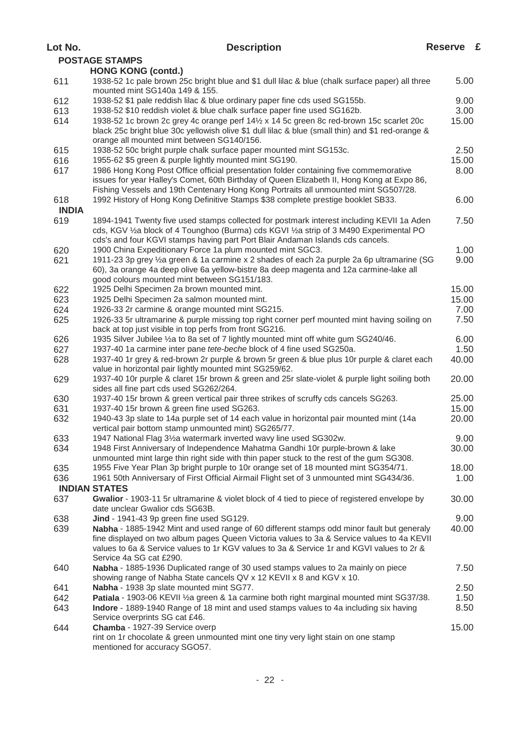| Lot No.      | <b>Description</b>                                                                                                                | Reserve £ |  |
|--------------|-----------------------------------------------------------------------------------------------------------------------------------|-----------|--|
|              | <b>POSTAGE STAMPS</b>                                                                                                             |           |  |
|              | <b>HONG KONG (contd.)</b>                                                                                                         |           |  |
| 611          | 1938-52 1c pale brown 25c bright blue and \$1 dull lilac & blue (chalk surface paper) all three<br>mounted mint SG140a 149 & 155. | 5.00      |  |
| 612          | 1938-52 \$1 pale reddish lilac & blue ordinary paper fine cds used SG155b.                                                        | 9.00      |  |
| 613          | 1938-52 \$10 reddish violet & blue chalk surface paper fine used SG162b.                                                          | 3.00      |  |
| 614          | 1938-52 1c brown 2c grey 4c orange perf 141/2 x 14 5c green 8c red-brown 15c scarlet 20c                                          | 15.00     |  |
|              | black 25c bright blue 30c yellowish olive \$1 dull lilac & blue (small thin) and \$1 red-orange &                                 |           |  |
|              | orange all mounted mint between SG140/156.                                                                                        |           |  |
| 615          | 1938-52 50c bright purple chalk surface paper mounted mint SG153c.                                                                | 2.50      |  |
| 616          | 1955-62 \$5 green & purple lightly mounted mint SG190.                                                                            | 15.00     |  |
| 617          | 1986 Hong Kong Post Office official presentation folder containing five commemorative                                             | 8.00      |  |
|              | issues for year Halley's Comet, 60th Birthday of Queen Elizabeth II, Hong Kong at Expo 86,                                        |           |  |
|              | Fishing Vessels and 19th Centenary Hong Kong Portraits all unmounted mint SG507/28.                                               |           |  |
| 618          | 1992 History of Hong Kong Definitive Stamps \$38 complete prestige booklet SB33.                                                  | 6.00      |  |
| <b>INDIA</b> |                                                                                                                                   |           |  |
| 619          | 1894-1941 Twenty five used stamps collected for postmark interest including KEVII 1a Aden                                         | 7.50      |  |
|              | cds, KGV 1/2 a block of 4 Tounghoo (Burma) cds KGVI 1/2 a strip of 3 M490 Experimental PO                                         |           |  |
|              | cds's and four KGVI stamps having part Port Blair Andaman Islands cds cancels.                                                    |           |  |
| 620          | 1900 China Expeditionary Force 1a plum mounted mint SGC3.                                                                         | 1.00      |  |
| 621          | 1911-23 3p grey 1/2 a green & 1a carmine x 2 shades of each 2a purple 2a 6p ultramarine (SG                                       | 9.00      |  |
|              | 60), 3a orange 4a deep olive 6a yellow-bistre 8a deep magenta and 12a carmine-lake all                                            |           |  |
| 622          | good colours mounted mint between SG151/183.<br>1925 Delhi Specimen 2a brown mounted mint.                                        | 15.00     |  |
| 623          | 1925 Delhi Specimen 2a salmon mounted mint.                                                                                       | 15.00     |  |
| 624          | 1926-33 2r carmine & orange mounted mint SG215.                                                                                   | 7.00      |  |
| 625          | 1926-33 5r ultramarine & purple missing top right corner perf mounted mint having soiling on                                      | 7.50      |  |
|              | back at top just visible in top perfs from front SG216.                                                                           |           |  |
| 626          | 1935 Silver Jubilee 1/2 to 8a set of 7 lightly mounted mint off white gum SG240/46.                                               | 6.00      |  |
| 627          | 1937-40 1a carmine inter pane tete-beche block of 4 fine used SG250a.                                                             | 1.50      |  |
| 628          | 1937-40 1r grey & red-brown 2r purple & brown 5r green & blue plus 10r purple & claret each                                       | 40.00     |  |
|              | value in horizontal pair lightly mounted mint SG259/62.                                                                           |           |  |
| 629          | 1937-40 10r purple & claret 15r brown & green and 25r slate-violet & purple light soiling both                                    | 20.00     |  |
|              | sides all fine part cds used SG262/264.                                                                                           |           |  |
| 630          | 1937-40 15r brown & green vertical pair three strikes of scruffy cds cancels SG263.                                               | 25.00     |  |
| 631          | 1937-40 15r brown & green fine used SG263.                                                                                        | 15.00     |  |
| 632          | 1940-43 3p slate to 14a purple set of 14 each value in horizontal pair mounted mint (14a                                          | 20.00     |  |
|              | vertical pair bottom stamp unmounted mint) SG265/77.                                                                              |           |  |
| 633          | 1947 National Flag 31/2 watermark inverted wavy line used SG302w.                                                                 | 9.00      |  |
| 634          | 1948 First Anniversary of Independence Mahatma Gandhi 10r purple-brown & lake                                                     | 30.00     |  |
|              | unmounted mint large thin right side with thin paper stuck to the rest of the gum SG308.                                          |           |  |
| 635          | 1955 Five Year Plan 3p bright purple to 10r orange set of 18 mounted mint SG354/71.                                               | 18.00     |  |
| 636          | 1961 50th Anniversary of First Official Airmail Flight set of 3 unmounted mint SG434/36.                                          | 1.00      |  |
|              | <b>INDIAN STATES</b>                                                                                                              |           |  |
| 637          | Gwalior - 1903-11 5r ultramarine & violet block of 4 tied to piece of registered envelope by                                      | 30.00     |  |
|              | date unclear Gwalior cds SG63B.                                                                                                   |           |  |
| 638          | Jind - 1941-43 9p green fine used SG129.                                                                                          | 9.00      |  |
| 639          | Nabha - 1885-1942 Mint and used range of 60 different stamps odd minor fault but generaly                                         | 40.00     |  |
|              | fine displayed on two album pages Queen Victoria values to 3a & Service values to 4a KEVII                                        |           |  |
|              | values to 6a & Service values to 1r KGV values to 3a & Service 1r and KGVI values to 2r &                                         |           |  |
|              | Service 4a SG cat £290.<br>Nabha - 1885-1936 Duplicated range of 30 used stamps values to 2a mainly on piece                      | 7.50      |  |
| 640          | showing range of Nabha State cancels QV x 12 KEVII x 8 and KGV x 10.                                                              |           |  |
| 641          | Nabha - 1938 3p slate mounted mint SG77.                                                                                          | 2.50      |  |
| 642          | Patiala - 1903-06 KEVII 1/2a green & 1a carmine both right marginal mounted mint SG37/38.                                         | 1.50      |  |
| 643          | Indore - 1889-1940 Range of 18 mint and used stamps values to 4a including six having                                             | 8.50      |  |
|              | Service overprints SG cat £46.                                                                                                    |           |  |
| 644          | Chamba - 1927-39 Service overp                                                                                                    | 15.00     |  |
|              | rint on 1r chocolate & green unmounted mint one tiny very light stain on one stamp                                                |           |  |
|              | mentioned for accuracy SGO57.                                                                                                     |           |  |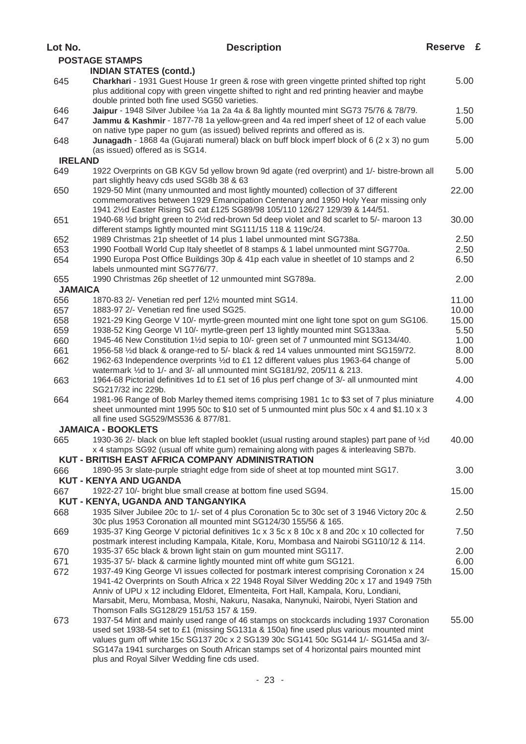| Lot No.        | <b>Description</b>                                                                                                                                                                                                                                                                                                                                                                                                | Reserve £ |  |
|----------------|-------------------------------------------------------------------------------------------------------------------------------------------------------------------------------------------------------------------------------------------------------------------------------------------------------------------------------------------------------------------------------------------------------------------|-----------|--|
|                | <b>POSTAGE STAMPS</b>                                                                                                                                                                                                                                                                                                                                                                                             |           |  |
|                | <b>INDIAN STATES (contd.)</b>                                                                                                                                                                                                                                                                                                                                                                                     |           |  |
| 645            | Charkhari - 1931 Guest House 1r green & rose with green vingette printed shifted top right<br>plus additional copy with green vingette shifted to right and red printing heavier and maybe<br>double printed both fine used SG50 varieties.                                                                                                                                                                       | 5.00      |  |
| 646            | Jaipur - 1948 Silver Jubilee 1/2 1 a 2a 4a & 8a lightly mounted mint SG73 75/76 & 78/79.                                                                                                                                                                                                                                                                                                                          | 1.50      |  |
| 647            | Jammu & Kashmir - 1877-78 1a yellow-green and 4a red imperf sheet of 12 of each value                                                                                                                                                                                                                                                                                                                             | 5.00      |  |
|                | on native type paper no gum (as issued) belived reprints and offered as is.                                                                                                                                                                                                                                                                                                                                       |           |  |
| 648            | Junagadh - 1868 4a (Gujarati numeral) black on buff block imperf block of 6 (2 x 3) no gum<br>(as issued) offered as is SG14.                                                                                                                                                                                                                                                                                     | 5.00      |  |
| <b>IRELAND</b> |                                                                                                                                                                                                                                                                                                                                                                                                                   |           |  |
| 649            | 1922 Overprints on GB KGV 5d yellow brown 9d agate (red overprint) and 1/- bistre-brown all<br>part slightly heavy cds used SG8b 38 & 63                                                                                                                                                                                                                                                                          | 5.00      |  |
| 650            | 1929-50 Mint (many unmounted and most lightly mounted) collection of 37 different<br>commemoratives between 1929 Emancipation Centenary and 1950 Holy Year missing only<br>1941 21/2d Easter Rising SG cat £125 SG89/98 105/110 126/27 129/39 & 144/51.                                                                                                                                                           | 22.00     |  |
| 651            | 1940-68 1/2d bright green to 21/2d red-brown 5d deep violet and 8d scarlet to 5/- maroon 13<br>different stamps lightly mounted mint SG111/15 118 & 119c/24.                                                                                                                                                                                                                                                      | 30.00     |  |
| 652            | 1989 Christmas 21p sheetlet of 14 plus 1 label unmounted mint SG738a.                                                                                                                                                                                                                                                                                                                                             | 2.50      |  |
| 653            | 1990 Football World Cup Italy sheetlet of 8 stamps & 1 label unmounted mint SG770a.                                                                                                                                                                                                                                                                                                                               | 2.50      |  |
| 654            | 1990 Europa Post Office Buildings 30p & 41p each value in sheetlet of 10 stamps and 2<br>labels unmounted mint SG776/77.                                                                                                                                                                                                                                                                                          | 6.50      |  |
| 655            | 1990 Christmas 26p sheetlet of 12 unmounted mint SG789a.                                                                                                                                                                                                                                                                                                                                                          | 2.00      |  |
| <b>JAMAICA</b> |                                                                                                                                                                                                                                                                                                                                                                                                                   |           |  |
| 656            | 1870-83 2/- Venetian red perf 121/2 mounted mint SG14.                                                                                                                                                                                                                                                                                                                                                            | 11.00     |  |
| 657            | 1883-97 2/- Venetian red fine used SG25.                                                                                                                                                                                                                                                                                                                                                                          | 10.00     |  |
| 658            | 1921-29 King George V 10/- myrtle-green mounted mint one light tone spot on gum SG106.                                                                                                                                                                                                                                                                                                                            | 15.00     |  |
| 659            | 1938-52 King George VI 10/- myrtle-green perf 13 lightly mounted mint SG133aa.                                                                                                                                                                                                                                                                                                                                    | 5.50      |  |
| 660            | 1945-46 New Constitution 1½d sepia to 10/- green set of 7 unmounted mint SG134/40.                                                                                                                                                                                                                                                                                                                                | 1.00      |  |
| 661            | 1956-58 1/2d black & orange-red to 5/- black & red 14 values unmounted mint SG159/72.                                                                                                                                                                                                                                                                                                                             | 8.00      |  |
| 662            | 1962-63 Independence overprints 1/2d to £1 12 different values plus 1963-64 change of<br>watermark 1/2d to 1/- and 3/- all unmounted mint SG181/92, 205/11 & 213.                                                                                                                                                                                                                                                 | 5.00      |  |
| 663            | 1964-68 Pictorial definitives 1d to £1 set of 16 plus perf change of 3/- all unmounted mint<br>SG217/32 inc 229b.                                                                                                                                                                                                                                                                                                 | 4.00      |  |
| 664            | 1981-96 Range of Bob Marley themed items comprising 1981 1c to \$3 set of 7 plus miniature<br>sheet unmounted mint 1995 50c to \$10 set of 5 unmounted mint plus 50c x 4 and \$1.10 x 3<br>all fine used SG529/MS536 & 877/81.                                                                                                                                                                                    | 4.00      |  |
|                | <b>JAMAICA - BOOKLETS</b>                                                                                                                                                                                                                                                                                                                                                                                         |           |  |
| 665            | 1930-36 2/- black on blue left stapled booklet (usual rusting around staples) part pane of 1/2d                                                                                                                                                                                                                                                                                                                   | 40.00     |  |
|                | x 4 stamps SG92 (usual off white gum) remaining along with pages & interleaving SB7b.<br>KUT - BRITISH EAST AFRICA COMPANY ADMINISTRATION                                                                                                                                                                                                                                                                         |           |  |
| 666            | 1890-95 3r slate-purple striaght edge from side of sheet at top mounted mint SG17.                                                                                                                                                                                                                                                                                                                                | 3.00      |  |
|                | <b>KUT - KENYA AND UGANDA</b>                                                                                                                                                                                                                                                                                                                                                                                     |           |  |
| 667            | 1922-27 10/- bright blue small crease at bottom fine used SG94.<br>KUT - KENYA, UGANDA AND TANGANYIKA                                                                                                                                                                                                                                                                                                             | 15.00     |  |
| 668            | 1935 Silver Jubilee 20c to 1/- set of 4 plus Coronation 5c to 30c set of 3 1946 Victory 20c &<br>30c plus 1953 Coronation all mounted mint SG124/30 155/56 & 165.                                                                                                                                                                                                                                                 | 2.50      |  |
| 669            | 1935-37 King George V pictorial definitives 1c x 3 5c x 8 10c x 8 and 20c x 10 collected for<br>postmark interest including Kampala, Kitale, Koru, Mombasa and Nairobi SG110/12 & 114.                                                                                                                                                                                                                            | 7.50      |  |
| 670            | 1935-37 65c black & brown light stain on gum mounted mint SG117.                                                                                                                                                                                                                                                                                                                                                  | 2.00      |  |
| 671            | 1935-37 5/- black & carmine lightly mounted mint off white gum SG121.                                                                                                                                                                                                                                                                                                                                             | 6.00      |  |
| 672            | 1937-49 King George VI issues collected for postmark interest comprising Coronation x 24                                                                                                                                                                                                                                                                                                                          | 15.00     |  |
|                | 1941-42 Overprints on South Africa x 22 1948 Royal Silver Wedding 20c x 17 and 1949 75th<br>Anniv of UPU x 12 including Eldoret, Elmenteita, Fort Hall, Kampala, Koru, Londiani,<br>Marsabit, Meru, Mombasa, Moshi, Nakuru, Nasaka, Nanynuki, Nairobi, Nyeri Station and<br>Thomson Falls SG128/29 151/53 157 & 159.                                                                                              |           |  |
| 673            | 1937-54 Mint and mainly used range of 46 stamps on stockcards including 1937 Coronation<br>used set 1938-54 set to £1 (missing SG131a & 150a) fine used plus various mounted mint<br>values gum off white 15c SG137 20c x 2 SG139 30c SG141 50c SG144 1/- SG145a and 3/-<br>SG147a 1941 surcharges on South African stamps set of 4 horizontal pairs mounted mint<br>plus and Royal Silver Wedding fine cds used. | 55.00     |  |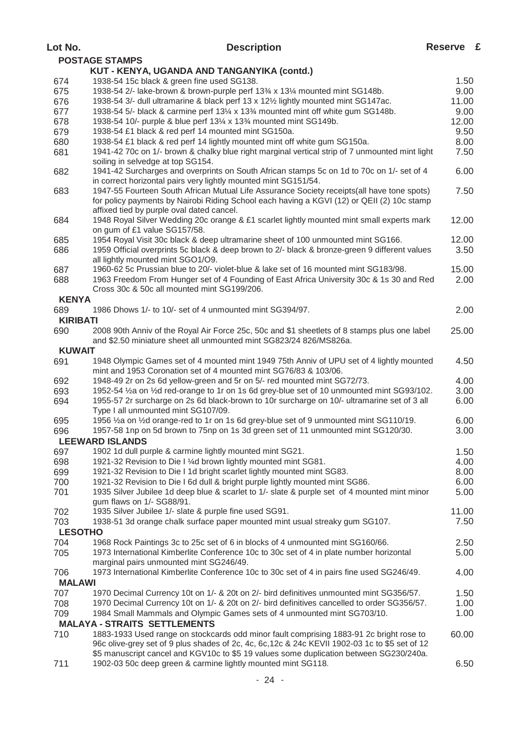| Lot No.         | <b>Description</b>                                                                                                                                                                       | Reserve £ |  |
|-----------------|------------------------------------------------------------------------------------------------------------------------------------------------------------------------------------------|-----------|--|
|                 | <b>POSTAGE STAMPS</b>                                                                                                                                                                    |           |  |
|                 | KUT - KENYA, UGANDA AND TANGANYIKA (contd.)                                                                                                                                              |           |  |
| 674             | 1938-54 15c black & green fine used SG138.                                                                                                                                               | 1.50      |  |
| 675             | 1938-54 2/- lake-brown & brown-purple perf 133⁄4 x 131⁄4 mounted mint SG148b.                                                                                                            | 9.00      |  |
| 676             | 1938-54 3/- dull ultramarine & black perf 13 x 121/2 lightly mounted mint SG147ac.                                                                                                       | 11.00     |  |
| 677             | 1938-54 5/- black & carmine perf 131/4 x 133/4 mounted mint off white gum SG148b.                                                                                                        | 9.00      |  |
| 678             | 1938-54 10/- purple & blue perf 131/4 x 133/4 mounted mint SG149b.                                                                                                                       | 12.00     |  |
| 679             | 1938-54 £1 black & red perf 14 mounted mint SG150a.                                                                                                                                      | 9.50      |  |
| 680             | 1938-54 £1 black & red perf 14 lightly mounted mint off white gum SG150a.                                                                                                                | 8.00      |  |
| 681             | 1941-42 70c on 1/- brown & chalky blue right marginal vertical strip of 7 unmounted mint light                                                                                           | 7.50      |  |
|                 | soiling in selvedge at top SG154.                                                                                                                                                        |           |  |
| 682             | 1941-42 Surcharges and overprints on South African stamps 5c on 1d to 70c on 1/- set of 4                                                                                                | 6.00      |  |
|                 | in correct horizontal pairs very lightly mounted mint SG151/54.                                                                                                                          |           |  |
| 683             | 1947-55 Fourteen South African Mutual Life Assurance Society receipts(all have tone spots)                                                                                               | 7.50      |  |
|                 | for policy payments by Nairobi Riding School each having a KGVI (12) or QEII (2) 10c stamp                                                                                               |           |  |
|                 | affixed tied by purple oval dated cancel.                                                                                                                                                |           |  |
| 684             | 1948 Royal Silver Wedding 20c orange & £1 scarlet lightly mounted mint small experts mark                                                                                                | 12.00     |  |
|                 | on gum of £1 value SG157/58.                                                                                                                                                             |           |  |
| 685             | 1954 Royal Visit 30c black & deep ultramarine sheet of 100 unmounted mint SG166.                                                                                                         | 12.00     |  |
| 686             | 1959 Official overprints 5c black & deep brown to 2/- black & bronze-green 9 different values                                                                                            | 3.50      |  |
|                 | all lightly mounted mint SGO1/O9.                                                                                                                                                        |           |  |
| 687             | 1960-62 5c Prussian blue to 20/- violet-blue & lake set of 16 mounted mint SG183/98.                                                                                                     | 15.00     |  |
| 688             | 1963 Freedom From Hunger set of 4 Founding of East Africa University 30c & 1s 30 and Red                                                                                                 | 2.00      |  |
|                 | Cross 30c & 50c all mounted mint SG199/206.                                                                                                                                              |           |  |
| <b>KENYA</b>    |                                                                                                                                                                                          |           |  |
| 689             | 1986 Dhows 1/- to 10/- set of 4 unmounted mint SG394/97.                                                                                                                                 | 2.00      |  |
| <b>KIRIBATI</b> |                                                                                                                                                                                          |           |  |
| 690             | 2008 90th Anniv of the Royal Air Force 25c, 50c and \$1 sheetlets of 8 stamps plus one label                                                                                             | 25.00     |  |
|                 | and \$2.50 miniature sheet all unmounted mint SG823/24 826/MS826a.                                                                                                                       |           |  |
| <b>KUWAIT</b>   |                                                                                                                                                                                          |           |  |
| 691             | 1948 Olympic Games set of 4 mounted mint 1949 75th Anniv of UPU set of 4 lightly mounted                                                                                                 | 4.50      |  |
|                 | mint and 1953 Coronation set of 4 mounted mint SG76/83 & 103/06.                                                                                                                         |           |  |
| 692             | 1948-49 2r on 2s 6d yellow-green and 5r on 5/- red mounted mint SG72/73.                                                                                                                 | 4.00      |  |
| 693             | 1952-54 1/2a on 1/2d red-orange to 1r on 1s 6d grey-blue set of 10 unmounted mint SG93/102.                                                                                              | 3.00      |  |
| 694             | 1955-57 2r surcharge on 2s 6d black-brown to 10r surcharge on 10/- ultramarine set of 3 all                                                                                              | 6.00      |  |
|                 | Type I all unmounted mint SG107/09.                                                                                                                                                      |           |  |
| 695             | 1956 1⁄2 a on 1⁄2 d orange-red to 1r on 1s 6d grey-blue set of 9 unmounted mint SG110/19.                                                                                                | 6.00      |  |
| 696             | 1957-58 1np on 5d brown to 75np on 1s 3d green set of 11 unmounted mint SG120/30.                                                                                                        | 3.00      |  |
|                 | <b>LEEWARD ISLANDS</b>                                                                                                                                                                   |           |  |
| 697             | 1902 1d dull purple & carmine lightly mounted mint SG21.                                                                                                                                 | 1.50      |  |
| 698             | 1921-32 Revision to Die I ¼d brown lightly mounted mint SG81.                                                                                                                            | 4.00      |  |
| 699             | 1921-32 Revision to Die I 1d bright scarlet lightly mounted mint SG83.                                                                                                                   | 8.00      |  |
| 700             | 1921-32 Revision to Die I 6d dull & bright purple lightly mounted mint SG86.                                                                                                             | 6.00      |  |
| 701             | 1935 Silver Jubilee 1d deep blue & scarlet to 1/- slate & purple set of 4 mounted mint minor                                                                                             | 5.00      |  |
|                 | gum flaws on 1/- SG88/91.                                                                                                                                                                |           |  |
| 702             | 1935 Silver Jubilee 1/- slate & purple fine used SG91.                                                                                                                                   | 11.00     |  |
| 703             | 1938-51 3d orange chalk surface paper mounted mint usual streaky gum SG107.                                                                                                              | 7.50      |  |
| <b>LESOTHO</b>  |                                                                                                                                                                                          |           |  |
| 704             | 1968 Rock Paintings 3c to 25c set of 6 in blocks of 4 unmounted mint SG160/66.                                                                                                           | 2.50      |  |
| 705             | 1973 International Kimberlite Conference 10c to 30c set of 4 in plate number horizontal                                                                                                  | 5.00      |  |
|                 | marginal pairs unmounted mint SG246/49.                                                                                                                                                  |           |  |
| 706             | 1973 International Kimberlite Conference 10c to 30c set of 4 in pairs fine used SG246/49.                                                                                                | 4.00      |  |
| <b>MALAWI</b>   |                                                                                                                                                                                          |           |  |
| 707             | 1970 Decimal Currency 10t on 1/- & 20t on 2/- bird definitives unmounted mint SG356/57.                                                                                                  | 1.50      |  |
| 708             | 1970 Decimal Currency 10t on 1/- & 20t on 2/- bird definitives cancelled to order SG356/57.                                                                                              | 1.00      |  |
| 709             | 1984 Small Mammals and Olympic Games sets of 4 unmounted mint SG703/10.                                                                                                                  | 1.00      |  |
|                 | <b>MALAYA - STRAITS SETTLEMENTS</b>                                                                                                                                                      |           |  |
|                 |                                                                                                                                                                                          |           |  |
| 710             | 1883-1933 Used range on stockcards odd minor fault comprising 1883-91 2c bright rose to                                                                                                  | 60.00     |  |
|                 | 96c olive-grey set of 9 plus shades of 2c, 4c, 6c, 12c & 24c KEVII 1902-03 1c to \$5 set of 12<br>\$5 manuscript cancel and KGV10c to \$5 19 values some duplication between SG230/240a. |           |  |
| 711             | 1902-03 50c deep green & carmine lightly mounted mint SG118.                                                                                                                             | 6.50      |  |
|                 |                                                                                                                                                                                          |           |  |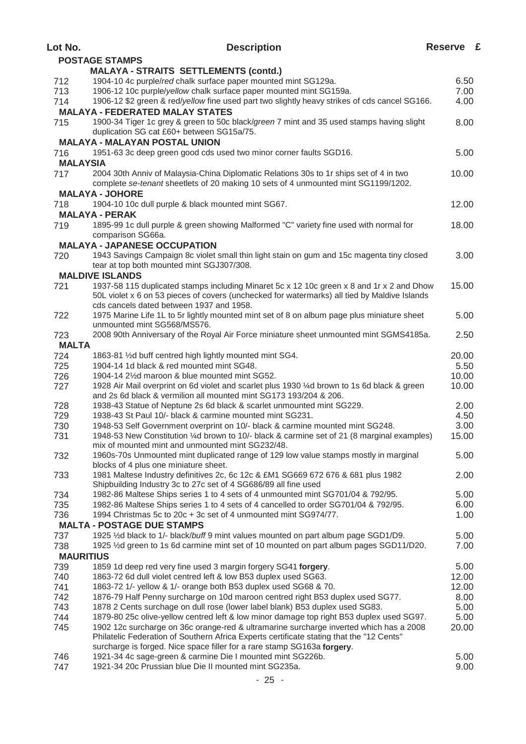| Lot No.          | <b>Description</b>                                                                                                                                                                 | Reserve £ |  |
|------------------|------------------------------------------------------------------------------------------------------------------------------------------------------------------------------------|-----------|--|
|                  | <b>POSTAGE STAMPS</b>                                                                                                                                                              |           |  |
|                  | <b>MALAYA - STRAITS SETTLEMENTS (contd.)</b>                                                                                                                                       |           |  |
| 712              | 1904-10 4c purple/red chalk surface paper mounted mint SG129a.                                                                                                                     | 6.50      |  |
| 713              | 1906-12 10c purple/yellow chalk surface paper mounted mint SG159a.                                                                                                                 | 7.00      |  |
| 714              | 1906-12 \$2 green & red/yellow fine used part two slightly heavy strikes of cds cancel SG166.                                                                                      | 4.00      |  |
|                  | <b>MALAYA - FEDERATED MALAY STATES</b>                                                                                                                                             |           |  |
| 715              | 1900-34 Tiger 1c grey & green to 50c black/green 7 mint and 35 used stamps having slight<br>duplication SG cat £60+ between SG15a/75.                                              | 8.00      |  |
|                  | <b>MALAYA - MALAYAN POSTAL UNION</b>                                                                                                                                               |           |  |
| 716              | 1951-63 3c deep green good cds used two minor corner faults SGD16.                                                                                                                 | 5.00      |  |
| <b>MALAYSIA</b>  |                                                                                                                                                                                    |           |  |
| 717              | 2004 30th Anniv of Malaysia-China Diplomatic Relations 30s to 1r ships set of 4 in two<br>complete se-tenant sheetlets of 20 making 10 sets of 4 unmounted mint SG1199/1202.       | 10.00     |  |
|                  | <b>MALAYA - JOHORE</b>                                                                                                                                                             |           |  |
| 718              | 1904-10 10c dull purple & black mounted mint SG67.                                                                                                                                 | 12.00     |  |
|                  | <b>MALAYA - PERAK</b>                                                                                                                                                              |           |  |
| 719              | 1895-99 1c dull purple & green showing Malformed "C" variety fine used with normal for<br>comparison SG66a.                                                                        | 18.00     |  |
|                  | <b>MALAYA - JAPANESE OCCUPATION</b>                                                                                                                                                |           |  |
| 720              | 1943 Savings Campaign 8c violet small thin light stain on gum and 15c magenta tiny closed                                                                                          | 3.00      |  |
|                  | tear at top both mounted mint SGJ307/308.                                                                                                                                          |           |  |
|                  | <b>MALDIVE ISLANDS</b>                                                                                                                                                             |           |  |
| 721              | 1937-58 115 duplicated stamps including Minaret 5c x 12 10c green x 8 and 1r x 2 and Dhow                                                                                          | 15.00     |  |
|                  | 50L violet x 6 on 53 pieces of covers (unchecked for watermarks) all tied by Maldive Islands                                                                                       |           |  |
|                  | cds cancels dated between 1937 and 1958.                                                                                                                                           |           |  |
| 722              | 1975 Marine Life 1L to 5r lightly mounted mint set of 8 on album page plus miniature sheet<br>unmounted mint SG568/MS576.                                                          | 5.00      |  |
| 723              | 2008 90th Anniversary of the Royal Air Force miniature sheet unmounted mint SGMS4185a.                                                                                             | 2.50      |  |
| <b>MALTA</b>     |                                                                                                                                                                                    |           |  |
| 724              | 1863-81 1/2d buff centred high lightly mounted mint SG4.                                                                                                                           | 20.00     |  |
| 725              | 1904-14 1d black & red mounted mint SG48.                                                                                                                                          | 5.50      |  |
| 726              | 1904-14 21/2d maroon & blue mounted mint SG52.                                                                                                                                     | 10.00     |  |
| 727              | 1928 Air Mail overprint on 6d violet and scarlet plus 1930 ¼d brown to 1s 6d black & green<br>and 2s 6d black & vermilion all mounted mint SG173 193/204 & 206.                    | 10.00     |  |
| 728              | 1938-43 Statue of Neptune 2s 6d black & scarlet unmounted mint SG229.                                                                                                              | 2.00      |  |
| 729              | 1938-43 St Paul 10/- black & carmine mounted mint SG231.                                                                                                                           | 4.50      |  |
| 730              | 1948-53 Self Government overprint on 10/- black & carmine mounted mint SG248.                                                                                                      | 3.00      |  |
| 731              | 1948-53 New Constitution ¼d brown to 10/- black & carmine set of 21 (8 marginal examples)                                                                                          | 15.00     |  |
|                  | mix of mounted mint and unmounted mint SG232/48.                                                                                                                                   |           |  |
| 732              | 1960s-70s Unmounted mint duplicated range of 129 low value stamps mostly in marginal                                                                                               | 5.00      |  |
|                  | blocks of 4 plus one miniature sheet.                                                                                                                                              |           |  |
| 733              | 1981 Maltese Industry definitives 2c, 6c 12c & £M1 SG669 672 676 & 681 plus 1982                                                                                                   | 2.00      |  |
|                  | Shipbuilding Industry 3c to 27c set of 4 SG686/89 all fine used                                                                                                                    |           |  |
| 734              | 1982-86 Maltese Ships series 1 to 4 sets of 4 unmounted mint SG701/04 & 792/95.                                                                                                    | 5.00      |  |
| 735              | 1982-86 Maltese Ships series 1 to 4 sets of 4 cancelled to order SG701/04 & 792/95.                                                                                                | 6.00      |  |
| 736              | 1994 Christmas 5c to 20c + 3c set of 4 unmounted mint SG974/77.                                                                                                                    | 1.00      |  |
|                  | <b>MALTA - POSTAGE DUE STAMPS</b>                                                                                                                                                  |           |  |
| 737              | 1925 1/2d black to 1/- black/buff 9 mint values mounted on part album page SGD1/D9.                                                                                                | 5.00      |  |
| 738              | 1925 1/2d green to 1s 6d carmine mint set of 10 mounted on part album pages SGD11/D20.                                                                                             | 7.00      |  |
| <b>MAURITIUS</b> |                                                                                                                                                                                    |           |  |
| 739              | 1859 1d deep red very fine used 3 margin forgery SG41 forgery.                                                                                                                     | 5.00      |  |
| 740              | 1863-72 6d dull violet centred left & low B53 duplex used SG63.                                                                                                                    | 12.00     |  |
| 741              | 1863-72 1/- yellow & 1/- orange both B53 duplex used SG68 & 70.                                                                                                                    | 12.00     |  |
| 742              | 1876-79 Half Penny surcharge on 10d maroon centred right B53 duplex used SG77.                                                                                                     | 8.00      |  |
| 743              | 1878 2 Cents surchage on dull rose (lower label blank) B53 duplex used SG83.                                                                                                       | 5.00      |  |
| 744              | 1879-80 25c olive-yellow centred left & low minor damage top right B53 duplex used SG97.                                                                                           | 5.00      |  |
| 745              | 1902 12c surcharge on 36c orange-red & ultramarine surcharge inverted which has a 2008<br>Philatelic Federation of Southern Africa Experts certificate stating that the "12 Cents" | 20.00     |  |
|                  | surcharge is forged. Nice space filler for a rare stamp SG163a forgery.                                                                                                            |           |  |
| 746              | 1921-34 4c sage-green & carmine Die I mounted mint SG226b.                                                                                                                         | 5.00      |  |
| 747              | 1921-34 20c Prussian blue Die II mounted mint SG235a.                                                                                                                              | 9.00      |  |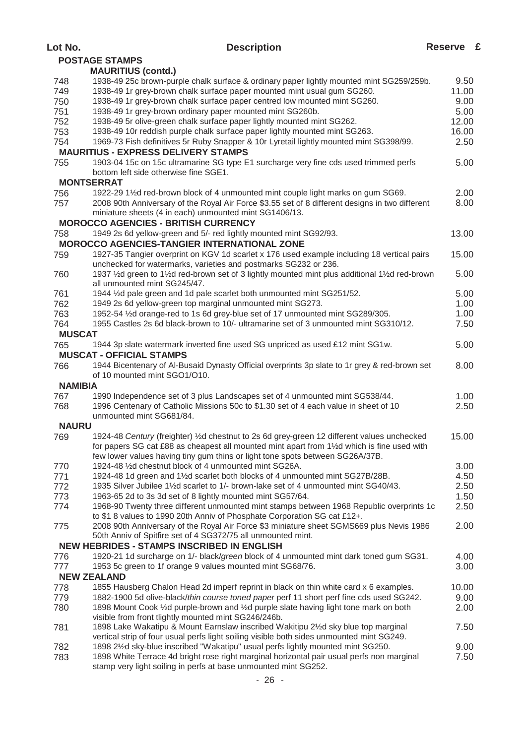|                | <b>POSTAGE STAMPS</b>                                                                            |              |
|----------------|--------------------------------------------------------------------------------------------------|--------------|
|                | <b>MAURITIUS (contd.)</b>                                                                        |              |
| 748            | 1938-49 25c brown-purple chalk surface & ordinary paper lightly mounted mint SG259/259b.         | 9.50         |
| 749            | 1938-49 1r grey-brown chalk surface paper mounted mint usual gum SG260.                          | 11.00        |
| 750            | 1938-49 1r grey-brown chalk surface paper centred low mounted mint SG260.                        | 9.00         |
| 751            | 1938-49 1r grey-brown ordinary paper mounted mint SG260b.                                        | 5.00         |
| 752            | 1938-49 5r olive-green chalk surface paper lightly mounted mint SG262.                           | 12.00        |
| 753            | 1938-49 10r reddish purple chalk surface paper lightly mounted mint SG263.                       | 16.00        |
| 754            | 1969-73 Fish definitives 5r Ruby Snapper & 10r Lyretail lightly mounted mint SG398/99.           | 2.50         |
|                | <b>MAURITIUS - EXPRESS DELIVERY STAMPS</b>                                                       |              |
| 755            | 1903-04 15c on 15c ultramarine SG type E1 surcharge very fine cds used trimmed perfs             | 5.00         |
|                | bottom left side otherwise fine SGE1.                                                            |              |
|                | <b>MONTSERRAT</b>                                                                                |              |
| 756            | 1922-29 11/2d red-brown block of 4 unmounted mint couple light marks on gum SG69.                | 2.00         |
| 757            | 2008 90th Anniversary of the Royal Air Force \$3.55 set of 8 different designs in two different  | 8.00         |
|                | miniature sheets (4 in each) unmounted mint SG1406/13.                                           |              |
|                | <b>MOROCCO AGENCIES - BRITISH CURRENCY</b>                                                       |              |
| 758            | 1949 2s 6d yellow-green and 5/- red lightly mounted mint SG92/93.                                | 13.00        |
|                | <b>MOROCCO AGENCIES-TANGIER INTERNATIONAL ZONE</b>                                               |              |
|                |                                                                                                  |              |
| 759            | 1927-35 Tangier overprint on KGV 1d scarlet x 176 used example including 18 vertical pairs       | 15.00        |
|                | unchecked for watermarks, varieties and postmarks SG232 or 236.                                  |              |
| 760            | 1937 1/2d green to 11/2d red-brown set of 3 lightly mounted mint plus additional 11/2d red-brown | 5.00         |
|                | all unmounted mint SG245/47.                                                                     |              |
| 761            | 1944 1/2d pale green and 1d pale scarlet both unmounted mint SG251/52.                           | 5.00         |
| 762            | 1949 2s 6d yellow-green top marginal unmounted mint SG273.                                       | 1.00         |
| 763            | 1952-54 1/2d orange-red to 1s 6d grey-blue set of 17 unmounted mint SG289/305.                   | 1.00         |
| 764            | 1955 Castles 2s 6d black-brown to 10/- ultramarine set of 3 unmounted mint SG310/12.             | 7.50         |
| <b>MUSCAT</b>  |                                                                                                  |              |
| 765            | 1944 3p slate watermark inverted fine used SG unpriced as used £12 mint SG1w.                    | 5.00         |
|                | <b>MUSCAT - OFFICIAL STAMPS</b>                                                                  |              |
| 766            | 1944 Bicentenary of Al-Busaid Dynasty Official overprints 3p slate to 1r grey & red-brown set    | 8.00         |
|                | of 10 mounted mint SGO1/O10.                                                                     |              |
| <b>NAMIBIA</b> |                                                                                                  |              |
| 767            | 1990 Independence set of 3 plus Landscapes set of 4 unmounted mint SG538/44.                     | 1.00         |
| 768            | 1996 Centenary of Catholic Missions 50c to \$1.30 set of 4 each value in sheet of 10             | 2.50         |
|                | unmounted mint SG681/84.                                                                         |              |
| <b>NAURU</b>   |                                                                                                  |              |
| 769            | 1924-48 Century (freighter) 1/2d chestnut to 2s 6d grey-green 12 different values unchecked      | 15.00        |
|                | for papers SG cat £88 as cheapest all mounted mint apart from 1½d which is fine used with        |              |
|                | few lower values having tiny gum thins or light tone spots between SG26A/37B.                    |              |
| 770            | 1924-48 1/2d chestnut block of 4 unmounted mint SG26A.                                           | 3.00         |
| 771            | 1924-48 1d green and 11/2d scarlet both blocks of 4 unmounted mint SG27B/28B.                    | 4.50         |
| 772            | 1935 Silver Jubilee 1½d scarlet to 1/- brown-lake set of 4 unmounted mint SG40/43.               | 2.50         |
| 773            | 1963-65 2d to 3s 3d set of 8 lightly mounted mint SG57/64.                                       | 1.50         |
| 774            | 1968-90 Twenty three different unmounted mint stamps between 1968 Republic overprints 1c         | 2.50         |
|                | to \$1 8 values to 1990 20th Anniv of Phosphate Corporation SG cat £12+.                         |              |
| 775            | 2008 90th Anniversary of the Royal Air Force \$3 miniature sheet SGMS669 plus Nevis 1986         | 2.00         |
|                | 50th Anniv of Spitfire set of 4 SG372/75 all unmounted mint.                                     |              |
|                | <b>NEW HEBRIDES - STAMPS INSCRIBED IN ENGLISH</b>                                                |              |
| 776            | 1920-21 1d surcharge on 1/- black/green block of 4 unmounted mint dark toned gum SG31.           | 4.00         |
| 777            | 1953 5c green to 1f orange 9 values mounted mint SG68/76.                                        | 3.00         |
|                | <b>NEW ZEALAND</b>                                                                               |              |
| 778            | 1855 Hausberg Chalon Head 2d imperf reprint in black on thin white card x 6 examples.            | 10.00        |
| 779            | 1882-1900 5d olive-black/thin course toned paper perf 11 short perf fine cds used SG242.         | 9.00         |
|                | 1898 Mount Cook 1/2d purple-brown and 1/2d purple slate having light tone mark on both           | 2.00         |
| 780            | visible from front tlightly mounted mint SG246/246b.                                             |              |
| 781            | 1898 Lake Wakatipu & Mount Earnslaw inscribed Wakitipu 2½d sky blue top marginal                 | 7.50         |
|                | vertical strip of four usual perfs light soiling visible both sides unmounted mint SG249.        |              |
|                | 1898 21/ <sub>2</sub> d sky-blue inscribed "Wakatipu" usual perfs lightly mounted mint SG250.    |              |
| 782<br>783     | 1898 White Terrace 4d bright rose right marginal horizontal pair usual perfs non marginal        | 9.00<br>7.50 |
|                | stamp very light soiling in perfs at base unmounted mint SG252.                                  |              |
|                |                                                                                                  |              |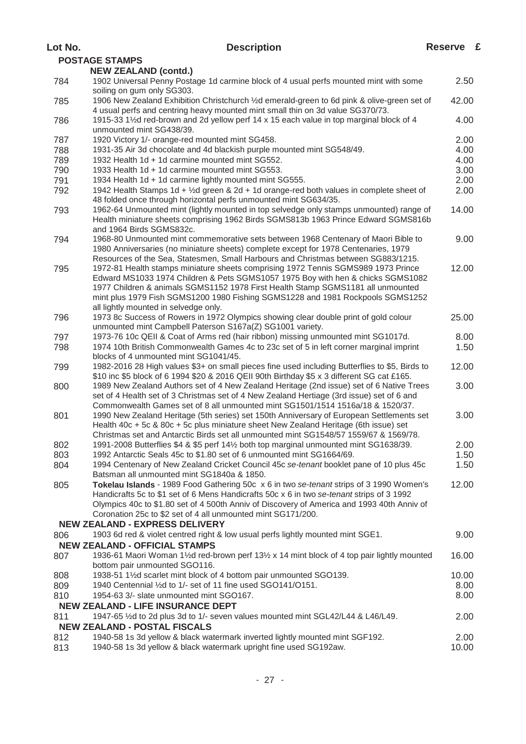| Lot No. | <b>Description</b>                                                                                                                                                                                                                                                                                                                                                                 | Reserve £ |  |
|---------|------------------------------------------------------------------------------------------------------------------------------------------------------------------------------------------------------------------------------------------------------------------------------------------------------------------------------------------------------------------------------------|-----------|--|
|         | <b>POSTAGE STAMPS</b>                                                                                                                                                                                                                                                                                                                                                              |           |  |
|         | <b>NEW ZEALAND (contd.)</b>                                                                                                                                                                                                                                                                                                                                                        |           |  |
| 784     | 1902 Universal Penny Postage 1d carmine block of 4 usual perfs mounted mint with some<br>soiling on gum only SG303.                                                                                                                                                                                                                                                                | 2.50      |  |
| 785     | 1906 New Zealand Exhibition Christchurch 1/2d emerald-green to 6d pink & olive-green set of<br>4 usual perfs and centring heavy mounted mint small thin on 3d value SG370/73.                                                                                                                                                                                                      | 42.00     |  |
| 786     | 1915-33 1½d red-brown and 2d yellow perf 14 x 15 each value in top marginal block of 4<br>unmounted mint SG438/39.                                                                                                                                                                                                                                                                 | 4.00      |  |
| 787     | 1920 Victory 1/- orange-red mounted mint SG458.                                                                                                                                                                                                                                                                                                                                    | 2.00      |  |
| 788     | 1931-35 Air 3d chocolate and 4d blackish purple mounted mint SG548/49.                                                                                                                                                                                                                                                                                                             | 4.00      |  |
| 789     | 1932 Health 1d + 1d carmine mounted mint SG552.                                                                                                                                                                                                                                                                                                                                    | 4.00      |  |
| 790     | 1933 Health 1d + 1d carmine mounted mint SG553.                                                                                                                                                                                                                                                                                                                                    | 3.00      |  |
| 791     | 1934 Health 1d + 1d carmine lightly mounted mint SG555.                                                                                                                                                                                                                                                                                                                            | 2.00      |  |
| 792     | 1942 Health Stamps 1d + 1/2d green & 2d + 1d orange-red both values in complete sheet of<br>48 folded once through horizontal perfs unmounted mint SG634/35.                                                                                                                                                                                                                       | 2.00      |  |
| 793     | 1962-64 Unmounted mint (lightly mounted in top selvedge only stamps unmounted) range of<br>Health miniature sheets comprising 1962 Birds SGMS813b 1963 Prince Edward SGMS816b<br>and 1964 Birds SGMS832c.                                                                                                                                                                          | 14.00     |  |
| 794     | 1968-80 Unmounted mint commemorative sets between 1968 Centenary of Maori Bible to<br>1980 Anniversaries (no miniature sheets) complete except for 1978 Centenaries, 1979<br>Resources of the Sea, Statesmen, Small Harbours and Christmas between SG883/1215.                                                                                                                     | 9.00      |  |
| 795     | 1972-81 Health stamps miniature sheets comprising 1972 Tennis SGMS989 1973 Prince<br>Edward MS1033 1974 Children & Pets SGMS1057 1975 Boy with hen & chicks SGMS1082<br>1977 Children & animals SGMS1152 1978 First Health Stamp SGMS1181 all unmounted<br>mint plus 1979 Fish SGMS1200 1980 Fishing SGMS1228 and 1981 Rockpools SGMS1252<br>all lightly mounted in selvedge only. | 12.00     |  |
| 796     | 1973 8c Success of Rowers in 1972 Olympics showing clear double print of gold colour<br>unmounted mint Campbell Paterson S167a(Z) SG1001 variety.                                                                                                                                                                                                                                  | 25.00     |  |
| 797     | 1973-76 10c QEII & Coat of Arms red (hair ribbon) missing unmounted mint SG1017d.                                                                                                                                                                                                                                                                                                  | 8.00      |  |
| 798     | 1974 10th British Commonwealth Games 4c to 23c set of 5 in left corner marginal imprint                                                                                                                                                                                                                                                                                            | 1.50      |  |
|         | blocks of 4 unmounted mint SG1041/45.                                                                                                                                                                                                                                                                                                                                              |           |  |
| 799     | 1982-2016 28 High values \$3+ on small pieces fine used including Butterflies to \$5, Birds to<br>\$10 inc \$5 block of 6 1994 \$20 & 2016 QEII 90th Birthday \$5 x 3 different SG cat £165.                                                                                                                                                                                       | 12.00     |  |
| 800     | 1989 New Zealand Authors set of 4 New Zealand Heritage (2nd issue) set of 6 Native Trees<br>set of 4 Health set of 3 Christmas set of 4 New Zealand Hertiage (3rd issue) set of 6 and<br>Commonwealth Games set of 8 all unmounted mint SG1501/1514 1516a/18 & 1520/37.                                                                                                            | 3.00      |  |
| 801     | 1990 New Zealand Heritage (5th series) set 150th Anniversary of European Settlements set<br>Health 40c + 5c & 80c + 5c plus miniature sheet New Zealand Heritage (6th issue) set<br>Christmas set and Antarctic Birds set all unmounted mint SG1548/57 1559/67 & 1569/78.                                                                                                          | 3.00      |  |
| 802     | 1991-2008 Butterflies \$4 & \$5 perf 14½ both top marginal unmounted mint SG1638/39.                                                                                                                                                                                                                                                                                               | 2.00      |  |
| 803     | 1992 Antarctic Seals 45c to \$1.80 set of 6 unmounted mint SG1664/69.                                                                                                                                                                                                                                                                                                              | 1.50      |  |
| 804     | 1994 Centenary of New Zealand Cricket Council 45c se-tenant booklet pane of 10 plus 45c<br>Batsman all unmounted mint SG1840a & 1850.                                                                                                                                                                                                                                              | 1.50      |  |
| 805     | Tokelau Islands - 1989 Food Gathering 50c x 6 in two se-tenant strips of 3 1990 Women's<br>Handicrafts 5c to \$1 set of 6 Mens Handicrafts 50c x 6 in two se-tenant strips of 3 1992<br>Olympics 40c to \$1.80 set of 4 500th Anniv of Discovery of America and 1993 40th Anniv of<br>Coronation 25c to \$2 set of 4 all unmounted mint SG171/200.                                 | 12.00     |  |
|         | <b>NEW ZEALAND - EXPRESS DELIVERY</b>                                                                                                                                                                                                                                                                                                                                              |           |  |
| 806     | 1903 6d red & violet centred right & low usual perfs lightly mounted mint SGE1.                                                                                                                                                                                                                                                                                                    | 9.00      |  |
|         | <b>NEW ZEALAND - OFFICIAL STAMPS</b>                                                                                                                                                                                                                                                                                                                                               |           |  |
| 807     | 1936-61 Maori Woman 1½d red-brown perf 13½ x 14 mint block of 4 top pair lightly mounted<br>bottom pair unmounted SGO116.                                                                                                                                                                                                                                                          | 16.00     |  |
| 808     | 1938-51 1½d scarlet mint block of 4 bottom pair unmounted SGO139.                                                                                                                                                                                                                                                                                                                  | 10.00     |  |
| 809     | 1940 Centennial 1/2d to 1/- set of 11 fine used SGO141/O151.                                                                                                                                                                                                                                                                                                                       | 8.00      |  |
| 810     | 1954-63 3/- slate unmounted mint SGO167.                                                                                                                                                                                                                                                                                                                                           | 8.00      |  |
|         | <b>NEW ZEALAND - LIFE INSURANCE DEPT</b>                                                                                                                                                                                                                                                                                                                                           |           |  |
| 811     | 1947-65 1/2d to 2d plus 3d to 1/- seven values mounted mint SGL42/L44 & L46/L49.<br><b>NEW ZEALAND - POSTAL FISCALS</b>                                                                                                                                                                                                                                                            | 2.00      |  |
| 812     | 1940-58 1s 3d yellow & black watermark inverted lightly mounted mint SGF192.                                                                                                                                                                                                                                                                                                       | 2.00      |  |
| 813     | 1940-58 1s 3d yellow & black watermark upright fine used SG192aw.                                                                                                                                                                                                                                                                                                                  | 10.00     |  |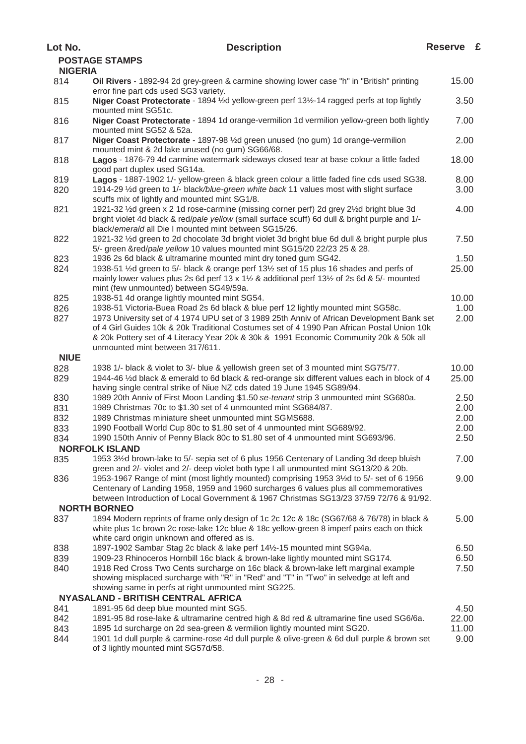| Lot No.        | <b>Description</b>                                                                                                                                                                                                                                                                                                    | Reserve £      |  |
|----------------|-----------------------------------------------------------------------------------------------------------------------------------------------------------------------------------------------------------------------------------------------------------------------------------------------------------------------|----------------|--|
| <b>NIGERIA</b> | <b>POSTAGE STAMPS</b>                                                                                                                                                                                                                                                                                                 |                |  |
| 814            | Oil Rivers - 1892-94 2d grey-green & carmine showing lower case "h" in "British" printing<br>error fine part cds used SG3 variety.                                                                                                                                                                                    | 15.00          |  |
| 815            | Niger Coast Protectorate - 1894 1/2d yellow-green perf 131/2-14 ragged perfs at top lightly<br>mounted mint SG51c.                                                                                                                                                                                                    | 3.50           |  |
| 816            | Niger Coast Protectorate - 1894 1d orange-vermilion 1d vermilion yellow-green both lightly<br>mounted mint SG52 & 52a.                                                                                                                                                                                                | 7.00           |  |
| 817            | Niger Coast Protectorate - 1897-98 1/2d green unused (no gum) 1d orange-vermilion<br>mounted mint & 2d lake unused (no gum) SG66/68.                                                                                                                                                                                  | 2.00           |  |
| 818            | Lagos - 1876-79 4d carmine watermark sideways closed tear at base colour a little faded<br>good part duplex used SG14a.                                                                                                                                                                                               | 18.00          |  |
| 819            | Lagos - 1887-1902 1/- yellow-green & black green colour a little faded fine cds used SG38.                                                                                                                                                                                                                            | 8.00           |  |
| 820            | 1914-29 1/2d green to 1/- black/blue-green white back 11 values most with slight surface                                                                                                                                                                                                                              | 3.00           |  |
| 821            | scuffs mix of lightly and mounted mint SG1/8.<br>1921-32 1/2d green x 2 1d rose-carmine (missing corner perf) 2d grey 21/2d bright blue 3d<br>bright violet 4d black & red/pale yellow (small surface scuff) 6d dull & bright purple and 1/-<br>black/emerald all Die I mounted mint between SG15/26.                 | 4.00           |  |
| 822            | 1921-32 1/2d green to 2d chocolate 3d bright violet 3d bright blue 6d dull & bright purple plus<br>5/- green &red/pale yellow 10 values mounted mint SG15/20 22/23 25 & 28.                                                                                                                                           | 7.50           |  |
| 823            | 1936 2s 6d black & ultramarine mounted mint dry toned gum SG42.                                                                                                                                                                                                                                                       | 1.50           |  |
| 824            | 1938-51 1/2d green to 5/- black & orange perf 131/2 set of 15 plus 16 shades and perfs of<br>mainly lower values plus 2s 6d perf 13 x 1½ & additional perf 13½ of 2s 6d & 5/- mounted<br>mint (few unmounted) between SG49/59a.                                                                                       | 25.00          |  |
| 825            | 1938-51 4d orange lightly mounted mint SG54.                                                                                                                                                                                                                                                                          | 10.00          |  |
| 826            | 1938-51 Victoria-Buea Road 2s 6d black & blue perf 12 lightly mounted mint SG58c.                                                                                                                                                                                                                                     | 1.00           |  |
| 827            | 1973 University set of 4 1974 UPU set of 3 1989 25th Anniv of African Development Bank set<br>of 4 Girl Guides 10k & 20k Traditional Costumes set of 4 1990 Pan African Postal Union 10k<br>& 20k Pottery set of 4 Literacy Year 20k & 30k & 1991 Economic Community 20k & 50k all<br>unmounted mint between 317/611. | 2.00           |  |
| <b>NIUE</b>    |                                                                                                                                                                                                                                                                                                                       |                |  |
| 828<br>829     | 1938 1/- black & violet to 3/- blue & yellowish green set of 3 mounted mint SG75/77.<br>1944-46 1/2d black & emerald to 6d black & red-orange six different values each in block of 4<br>having single central strike of Niue NZ cds dated 19 June 1945 SG89/94.                                                      | 10.00<br>25.00 |  |
| 830            | 1989 20th Anniv of First Moon Landing \$1.50 se-tenant strip 3 unmounted mint SG680a.                                                                                                                                                                                                                                 | 2.50           |  |
| 831            | 1989 Christmas 70c to \$1.30 set of 4 unmounted mint SG684/87.                                                                                                                                                                                                                                                        | 2.00           |  |
| 832            | 1989 Christmas miniature sheet unmounted mint SGMS688.                                                                                                                                                                                                                                                                | 2.00           |  |
| 833            | 1990 Football World Cup 80c to \$1.80 set of 4 unmounted mint SG689/92.                                                                                                                                                                                                                                               | 2.00           |  |
| 834            | 1990 150th Anniv of Penny Black 80c to \$1.80 set of 4 unmounted mint SG693/96.<br><b>NORFOLK ISLAND</b>                                                                                                                                                                                                              | 2.50           |  |
| 835            | 1953 31/2d brown-lake to 5/- sepia set of 6 plus 1956 Centenary of Landing 3d deep bluish                                                                                                                                                                                                                             | 7.00           |  |
| 836            | green and 2/- violet and 2/- deep violet both type I all unmounted mint SG13/20 & 20b.<br>1953-1967 Range of mint (most lightly mounted) comprising 1953 31/2d to 5/- set of 6 1956                                                                                                                                   | 9.00           |  |
|                | Centenary of Landing 1958, 1959 and 1960 surcharges 6 values plus all commemoratives<br>between Introduction of Local Government & 1967 Christmas SG13/23 37/59 72/76 & 91/92.                                                                                                                                        |                |  |
|                | <b>NORTH BORNEO</b>                                                                                                                                                                                                                                                                                                   |                |  |
| 837            | 1894 Modern reprints of frame only design of 1c 2c 12c & 18c (SG67/68 & 76/78) in black &<br>white plus 1c brown 2c rose-lake 12c blue & 18c yellow-green 8 imperf pairs each on thick<br>white card origin unknown and offered as is.                                                                                | 5.00           |  |
| 838            | 1897-1902 Sambar Stag 2c black & lake perf 141/2-15 mounted mint SG94a.                                                                                                                                                                                                                                               | 6.50           |  |
| 839            | 1909-23 Rhinoceros Hornbill 16c black & brown-lake lightly mounted mint SG174.                                                                                                                                                                                                                                        | 6.50           |  |
| 840            | 1918 Red Cross Two Cents surcharge on 16c black & brown-lake left marginal example<br>showing misplaced surcharge with "R" in "Red" and "T" in "Two" in selvedge at left and<br>showing same in perfs at right unmounted mint SG225.                                                                                  | 7.50           |  |
|                | NYASALAND - BRITISH CENTRAL AFRICA                                                                                                                                                                                                                                                                                    |                |  |
| 841            | 1891-95 6d deep blue mounted mint SG5.                                                                                                                                                                                                                                                                                | 4.50           |  |
| 842            | 1891-95 8d rose-lake & ultramarine centred high & 8d red & ultramarine fine used SG6/6a.                                                                                                                                                                                                                              | 22.00          |  |
| 843            | 1895 1d surcharge on 2d sea-green & vermilion lightly mounted mint SG20.                                                                                                                                                                                                                                              | 11.00          |  |
| 844            | 1901 1d dull purple & carmine-rose 4d dull purple & olive-green & 6d dull purple & brown set<br>of 3 lightly mounted mint SG57d/58.                                                                                                                                                                                   | 9.00           |  |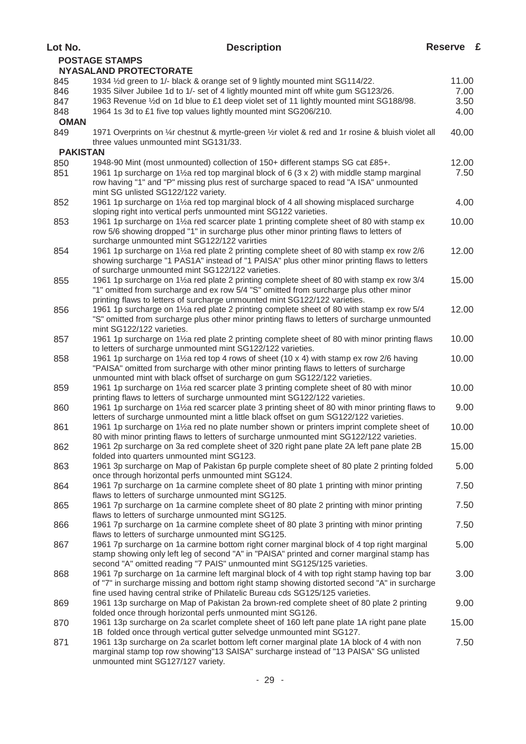| Lot No.                          | <b>Description</b>                                                                                                                                                                   | Reserve £     |  |
|----------------------------------|--------------------------------------------------------------------------------------------------------------------------------------------------------------------------------------|---------------|--|
| <b>POSTAGE STAMPS</b>            |                                                                                                                                                                                      |               |  |
| <b>NYASALAND PROTECTORATE</b>    |                                                                                                                                                                                      |               |  |
| 845<br>846                       | 1934 1⁄2d green to 1/- black & orange set of 9 lightly mounted mint SG114/22.<br>1935 Silver Jubilee 1d to 1/- set of 4 lightly mounted mint off white gum SG123/26.                 | 11.00<br>7.00 |  |
| 847                              | 1963 Revenue 1/2d on 1d blue to £1 deep violet set of 11 lightly mounted mint SG188/98.                                                                                              | 3.50          |  |
| 848                              | 1964 1s 3d to £1 five top values lightly mounted mint SG206/210.                                                                                                                     | 4.00          |  |
| <b>OMAN</b>                      |                                                                                                                                                                                      |               |  |
| 849                              | 1971 Overprints on 1/4r chestnut & myrtle-green 1/2r violet & red and 1r rosine & bluish violet all                                                                                  | 40.00         |  |
|                                  | three values unmounted mint SG131/33.                                                                                                                                                |               |  |
| <b>PAKISTAN</b>                  | 1948-90 Mint (most unmounted) collection of 150+ different stamps SG cat £85+.                                                                                                       | 12.00         |  |
| 850<br>851                       | 1961 1p surcharge on 1½ a red top marginal block of 6 $(3 \times 2)$ with middle stamp marginal                                                                                      | 7.50          |  |
|                                  | row having "1" and "P" missing plus rest of surcharge spaced to read "A ISA" unmounted                                                                                               |               |  |
|                                  | mint SG unlisted SG122/122 variety.                                                                                                                                                  |               |  |
| 852                              | 1961 1p surcharge on 1½ a red top marginal block of 4 all showing misplaced surcharge                                                                                                | 4.00          |  |
|                                  | sloping right into vertical perfs unmounted mint SG122 varieties.<br>1961 1p surcharge on 11/2 ared scarcer plate 1 printing complete sheet of 80 with stamp ex                      | 10.00         |  |
| 853                              | row 5/6 showing dropped "1" in surcharge plus other minor printing flaws to letters of                                                                                               |               |  |
|                                  | surcharge unmounted mint SG122/122 varirties                                                                                                                                         |               |  |
| 854                              | 1961 1p surcharge on 11/2 ared plate 2 printing complete sheet of 80 with stamp ex row 2/6                                                                                           | 12.00         |  |
|                                  | showing surcharge "1 PAS1A" instead of "1 PAISA" plus other minor printing flaws to letters                                                                                          |               |  |
| 855                              | of surcharge unmounted mint SG122/122 varieties.<br>1961 1p surcharge on 11/2 ared plate 2 printing complete sheet of 80 with stamp ex row 3/4                                       | 15.00         |  |
|                                  | "1" omitted from surcharge and ex row 5/4 "S" omitted from surcharge plus other minor                                                                                                |               |  |
|                                  | printing flaws to letters of surcharge unmounted mint SG122/122 varieties.                                                                                                           |               |  |
| 856                              | 1961 1p surcharge on 11/2 ared plate 2 printing complete sheet of 80 with stamp ex row 5/4                                                                                           | 12.00         |  |
|                                  | "S" omitted from surcharge plus other minor printing flaws to letters of surcharge unmounted                                                                                         |               |  |
| mint SG122/122 varieties.<br>857 | 1961 1p surcharge on 11/2 ared plate 2 printing complete sheet of 80 with minor printing flaws                                                                                       | 10.00         |  |
|                                  | to letters of surcharge unmounted mint SG122/122 varieties.                                                                                                                          |               |  |
| 858                              | 1961 1p surcharge on 1½ a red top 4 rows of sheet (10 x 4) with stamp ex row 2/6 having                                                                                              | 10.00         |  |
|                                  | "PAISA" omitted from surcharge with other minor printing flaws to letters of surcharge                                                                                               |               |  |
| 859                              | unmounted mint with black offset of surcharge on gum SG122/122 varieties.<br>1961 1p surcharge on 1½a red scarcer plate 3 printing complete sheet of 80 with minor                   | 10.00         |  |
|                                  | printing flaws to letters of surcharge unmounted mint SG122/122 varieties.                                                                                                           |               |  |
| 860                              | 1961 1p surcharge on 1½ a red scarcer plate 3 printing sheet of 80 with minor printing flaws to                                                                                      | 9.00          |  |
|                                  | letters of surcharge unmounted mint a little black offset on gum SG122/122 varieties.                                                                                                |               |  |
| 861                              | 1961 1p surcharge on 1½ a red no plate number shown or printers imprint complete sheet of                                                                                            | 10.00         |  |
| 862                              | 80 with minor printing flaws to letters of surcharge unmounted mint SG122/122 varieties.<br>1961 2p surcharge on 3a red complete sheet of 320 right pane plate 2A left pane plate 2B | 15.00         |  |
|                                  | folded into quarters unmounted mint SG123.                                                                                                                                           |               |  |
| 863                              | 1961 3p surcharge on Map of Pakistan 6p purple complete sheet of 80 plate 2 printing folded                                                                                          | 5.00          |  |
|                                  | once through horizontal perfs unmounted mint SG124.                                                                                                                                  |               |  |
| 864                              | 1961 7p surcharge on 1a carmine complete sheet of 80 plate 1 printing with minor printing<br>flaws to letters of surcharge unmounted mint SG125.                                     | 7.50          |  |
| 865                              | 1961 7p surcharge on 1a carmine complete sheet of 80 plate 2 printing with minor printing                                                                                            | 7.50          |  |
|                                  | flaws to letters of surcharge unmounted mint SG125.                                                                                                                                  |               |  |
| 866                              | 1961 7p surcharge on 1a carmine complete sheet of 80 plate 3 printing with minor printing                                                                                            | 7.50          |  |
|                                  | flaws to letters of surcharge unmounted mint SG125.                                                                                                                                  |               |  |
| 867                              |                                                                                                                                                                                      |               |  |
|                                  | 1961 7p surcharge on 1a carmine bottom right corner marginal block of 4 top right marginal                                                                                           | 5.00          |  |
|                                  | stamp showing only left leg of second "A" in "PAISA" printed and corner marginal stamp has<br>second "A" omitted reading "7 PAIS" unmounted mint SG125/125 varieties.                |               |  |
| 868                              | 1961 7p surcharge on 1a carmine left marginal block of 4 with top right stamp having top bar                                                                                         | 3.00          |  |
|                                  | of "7" in surcharge missing and bottom right stamp showing distorted second "A" in surcharge                                                                                         |               |  |
|                                  | fine used having central strike of Philatelic Bureau cds SG125/125 varieties.                                                                                                        |               |  |
| 869                              | 1961 13p surcharge on Map of Pakistan 2a brown-red complete sheet of 80 plate 2 printing<br>folded once through horizontal perfs unmounted mint SG126.                               | 9.00          |  |
| 870                              | 1961 13p surcharge on 2a scarlet complete sheet of 160 left pane plate 1A right pane plate                                                                                           | 15.00         |  |
|                                  | 1B folded once through vertical gutter selvedge unmounted mint SG127.                                                                                                                |               |  |
| 871                              | 1961 13p surcharge on 2a scarlet bottom left corner marginal plate 1A block of 4 with non<br>marginal stamp top row showing"13 SAISA" surcharge instead of "13 PAISA" SG unlisted    | 7.50          |  |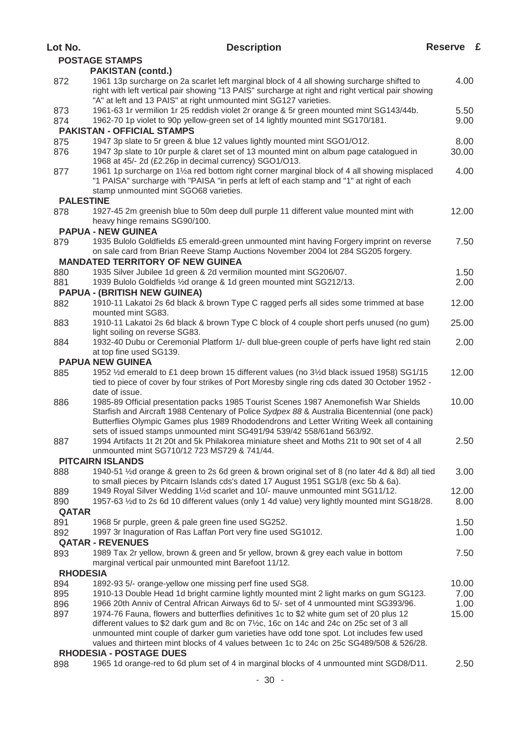|              | <b>PAKISTAN (contd.)</b>                                                                                                                                                                                                                                                                                                                                    |               |
|--------------|-------------------------------------------------------------------------------------------------------------------------------------------------------------------------------------------------------------------------------------------------------------------------------------------------------------------------------------------------------------|---------------|
| 872          | 1961 13p surcharge on 2a scarlet left marginal block of 4 all showing surcharge shifted to<br>right with left vertical pair showing "13 PAIS" surcharge at right and right vertical pair showing                                                                                                                                                            | 4.00          |
|              | "A" at left and 13 PAIS" at right unmounted mint SG127 varieties.                                                                                                                                                                                                                                                                                           |               |
| 873          | 1961-63 1r vermilion 1r 25 reddish violet 2r orange & 5r green mounted mint SG143/44b.                                                                                                                                                                                                                                                                      | 5.50          |
| 874          | 1962-70 1p violet to 90p yellow-green set of 14 lightly mounted mint SG170/181.                                                                                                                                                                                                                                                                             | 9.00          |
|              | <b>PAKISTAN - OFFICIAL STAMPS</b>                                                                                                                                                                                                                                                                                                                           |               |
| 875          | 1947 3p slate to 5r green & blue 12 values lightly mounted mint SGO1/O12.<br>1947 3p slate to 10r purple & claret set of 13 mounted mint on album page catalogued in                                                                                                                                                                                        | 8.00<br>30.00 |
| 876          | 1968 at 45/- 2d (£2.26p in decimal currency) SGO1/O13.                                                                                                                                                                                                                                                                                                      |               |
| 877          | 1961 1p surcharge on 1½a red bottom right corner marginal block of 4 all showing misplaced<br>"1 PAISA" surcharge with "PAISA "in perfs at left of each stamp and "1" at right of each<br>stamp unmounted mint SGO68 varieties.                                                                                                                             | 4.00          |
|              | <b>PALESTINE</b>                                                                                                                                                                                                                                                                                                                                            |               |
| 878          | 1927-45 2m greenish blue to 50m deep dull purple 11 different value mounted mint with<br>heavy hinge remains SG90/100.                                                                                                                                                                                                                                      | 12.00         |
|              | <b>PAPUA - NEW GUINEA</b>                                                                                                                                                                                                                                                                                                                                   |               |
| 879          | 1935 Bulolo Goldfields £5 emerald-green unmounted mint having Forgery imprint on reverse<br>on sale card from Brian Reeve Stamp Auctions November 2004 lot 284 SG205 forgery.                                                                                                                                                                               | 7.50          |
|              | <b>MANDATED TERRITORY OF NEW GUINEA</b>                                                                                                                                                                                                                                                                                                                     |               |
| 880          | 1935 Silver Jubilee 1d green & 2d vermilion mounted mint SG206/07.                                                                                                                                                                                                                                                                                          | 1.50<br>2.00  |
| 881          | 1939 Bulolo Goldfields 1/2d orange & 1d green mounted mint SG212/13.                                                                                                                                                                                                                                                                                        |               |
| 882          | <b>PAPUA - (BRITISH NEW GUINEA)</b><br>1910-11 Lakatoi 2s 6d black & brown Type C ragged perfs all sides some trimmed at base                                                                                                                                                                                                                               | 12.00         |
|              | mounted mint SG83.                                                                                                                                                                                                                                                                                                                                          |               |
| 883          | 1910-11 Lakatoi 2s 6d black & brown Type C block of 4 couple short perfs unused (no gum)                                                                                                                                                                                                                                                                    | 25.00         |
|              | light soiling on reverse SG83.                                                                                                                                                                                                                                                                                                                              |               |
| 884          | 1932-40 Dubu or Ceremonial Platform 1/- dull blue-green couple of perfs have light red stain<br>at top fine used SG139.                                                                                                                                                                                                                                     | 2.00          |
|              | <b>PAPUA NEW GUINEA</b>                                                                                                                                                                                                                                                                                                                                     |               |
| 885          | 1952 1/2d emerald to £1 deep brown 15 different values (no 31/2d black issued 1958) SG1/15<br>tied to piece of cover by four strikes of Port Moresby single ring cds dated 30 October 1952 -<br>date of issue.                                                                                                                                              | 12.00         |
| 886          | 1985-89 Official presentation packs 1985 Tourist Scenes 1987 Anemonefish War Shields<br>Starfish and Aircraft 1988 Centenary of Police Sydpex 88 & Australia Bicentennial (one pack)<br>Butterflies Olympic Games plus 1989 Rhododendrons and Letter Writing Week all containing<br>sets of issued stamps unmounted mint SG491/94 539/42 558/61 and 563/92. | 10.00         |
| 887          | 1994 Artifacts 1t 2t 20t and 5k Philakorea miniature sheet and Moths 21t to 90t set of 4 all<br>unmounted mint SG710/12 723 MS729 & 741/44.                                                                                                                                                                                                                 | 2.50          |
|              | <b>PITCAIRN ISLANDS</b>                                                                                                                                                                                                                                                                                                                                     |               |
| 888          | 1940-51 1/2d orange & green to 2s 6d green & brown original set of 8 (no later 4d & 8d) all tied<br>to small pieces by Pitcairn Islands cds's dated 17 August 1951 SG1/8 (exc 5b & 6a).                                                                                                                                                                     | 3.00          |
| 889          | 1949 Royal Silver Wedding 11/2d scarlet and 10/- mauve unmounted mint SG11/12.                                                                                                                                                                                                                                                                              | 12.00         |
| 890          | 1957-63 1/2d to 2s 6d 10 different values (only 1 4d value) very lightly mounted mint SG18/28.                                                                                                                                                                                                                                                              | 8.00          |
| <b>QATAR</b> |                                                                                                                                                                                                                                                                                                                                                             |               |
| 891          | 1968 5r purple, green & pale green fine used SG252.                                                                                                                                                                                                                                                                                                         | 1.50          |
| 892          | 1997 3r Inaguration of Ras Laffan Port very fine used SG1012.                                                                                                                                                                                                                                                                                               | 1.00          |
|              | <b>QATAR - REVENUES</b>                                                                                                                                                                                                                                                                                                                                     |               |
| 893          | 1989 Tax 2r yellow, brown & green and 5r yellow, brown & grey each value in bottom<br>marginal vertical pair unmounted mint Barefoot 11/12.                                                                                                                                                                                                                 | 7.50          |
|              | <b>RHODESIA</b>                                                                                                                                                                                                                                                                                                                                             |               |
| 894          | 1892-93 5/- orange-yellow one missing perf fine used SG8.                                                                                                                                                                                                                                                                                                   | 10.00         |
| 895          | 1910-13 Double Head 1d bright carmine lightly mounted mint 2 light marks on gum SG123.                                                                                                                                                                                                                                                                      | 7.00          |
| 896          | 1966 20th Anniv of Central African Airways 6d to 5/- set of 4 unmounted mint SG393/96.                                                                                                                                                                                                                                                                      | 1.00          |
| 897          | 1974-76 Fauna, flowers and butterflies definitives 1c to \$2 white gum set of 20 plus 12<br>different values to \$2 dark gum and 8c on 71/ <sub>2</sub> c, 16c on 14c and 24c on 25c set of 3 all                                                                                                                                                           | 15.00         |

- 885 1952 ½d emerald to £1 deep brown 15 different values (no 3½d black issued 1958) SG1/15 12.00
- 886 1985-89 Official presentation packs 1985 Tourist Scenes 1987 Anemonefish War Shields 10.00
- 887 1994 Artifacts 1t 2t 20t and 5k Philakorea miniature sheet and Moths 21t to 90t set of 4 all 2.50

| 888             | 1940-51 $\frac{1}{2}$ d orange & green to 2s 6d green & brown original set of 8 (no later 4d & 8d) all tied<br>to small pieces by Pitcairn Islands cds's dated 17 August 1951 SG1/8 (exc 5b & 6a). | 3.00              |
|-----------------|----------------------------------------------------------------------------------------------------------------------------------------------------------------------------------------------------|-------------------|
| 889             | 1949 Royal Silver Wedding 1½d scarlet and 10/- mauve unmounted mint SG11/12.                                                                                                                       | 12.00             |
|                 |                                                                                                                                                                                                    |                   |
| 890             | 1957-63 ½d to 2s 6d 10 different values (only 1 4d value) very lightly mounted mint SG18/28.                                                                                                       | 8.00              |
| <b>QATAR</b>    |                                                                                                                                                                                                    |                   |
| 891             | 1968 5r purple, green & pale green fine used SG252.                                                                                                                                                | 1.50              |
| 892             | 1997 3r Inaguration of Ras Laffan Port very fine used SG1012.                                                                                                                                      | 1.00 <sub>1</sub> |
|                 | <b>QATAR - REVENUES</b>                                                                                                                                                                            |                   |
| 893             | 1989 Tax 2r yellow, brown & green and 5r yellow, brown & grey each value in bottom                                                                                                                 | 7.50              |
|                 | marginal vertical pair unmounted mint Barefoot 11/12.                                                                                                                                              |                   |
| <b>RHODESIA</b> |                                                                                                                                                                                                    |                   |
| 894             | 1892-93 5/- orange-yellow one missing perf fine used SG8.                                                                                                                                          | 10.00             |
| 895             | 1910-13 Double Head 1d bright carmine lightly mounted mint 2 light marks on gum SG123.                                                                                                             | 7.00              |
| 896             | 1966 20th Anniv of Central African Airways 6d to 5/- set of 4 unmounted mint SG393/96.                                                                                                             | 1.00              |
| 897             | 1974-76 Fauna, flowers and butterflies definitives 1c to \$2 white gum set of 20 plus 12                                                                                                           | 15.00             |
|                 | different values to \$2 dark gum and 8c on $7\frac{1}{2}$ c, 16c on 14c and 24c on 25c set of 3 all                                                                                                |                   |
|                 | unmounted mint couple of darker gum varieties have odd tone spot. Lot includes few used                                                                                                            |                   |
|                 | values and thirteen mint blocks of 4 values between 1c to 24c on 25c SG489/508 & 526/28.                                                                                                           |                   |
|                 | <b>RHODESIA - POSTAGE DUES</b>                                                                                                                                                                     |                   |
| 898             | 1965 1d orange-red to 6d plum set of 4 in marginal blocks of 4 unmounted mint SGD8/D11.                                                                                                            | 2.50              |

## **Lot No. Description Reserve £**

**POSTAGE STAMPS**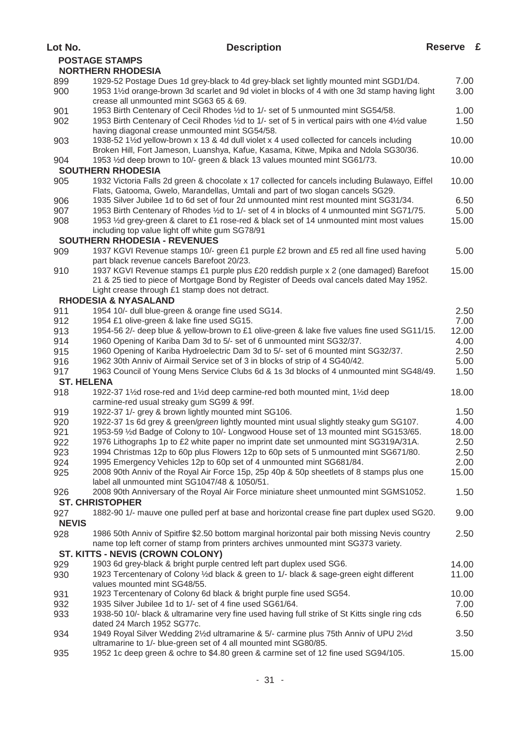|                   | <b>POSTAGE STAMPS</b>                                                                                                                                                             |       |
|-------------------|-----------------------------------------------------------------------------------------------------------------------------------------------------------------------------------|-------|
|                   | <b>NORTHERN RHODESIA</b>                                                                                                                                                          |       |
| 899               | 1929-52 Postage Dues 1d grey-black to 4d grey-black set lightly mounted mint SGD1/D4.                                                                                             | 7.00  |
| 900               | 1953 1½d orange-brown 3d scarlet and 9d violet in blocks of 4 with one 3d stamp having light<br>crease all unmounted mint SG63 65 & 69.                                           | 3.00  |
| 901               | 1953 Birth Centenary of Cecil Rhodes 1/2d to 1/- set of 5 unmounted mint SG54/58.                                                                                                 | 1.00  |
| 902               | 1953 Birth Centenary of Cecil Rhodes 1/2d to 1/- set of 5 in vertical pairs with one 41/2d value                                                                                  | 1.50  |
|                   | having diagonal crease unmounted mint SG54/58.                                                                                                                                    |       |
| 903               | 1938-52 1½d yellow-brown x 13 & 4d dull violet x 4 used collected for cancels including                                                                                           | 10.00 |
|                   | Broken Hill, Fort Jameson, Luanshya, Kafue, Kasama, Kitwe, Mpika and Ndola SG30/36.                                                                                               |       |
| 904               | 1953 1⁄2d deep brown to 10/- green & black 13 values mounted mint SG61/73.                                                                                                        | 10.00 |
|                   | <b>SOUTHERN RHODESIA</b>                                                                                                                                                          |       |
| 905               | 1932 Victoria Falls 2d green & chocolate x 17 collected for cancels including Bulawayo, Eiffel<br>Flats, Gatooma, Gwelo, Marandellas, Umtali and part of two slogan cancels SG29. | 10.00 |
| 906               | 1935 Silver Jubilee 1d to 6d set of four 2d unmounted mint rest mounted mint SG31/34.                                                                                             | 6.50  |
| 907               | 1953 Birth Centenary of Rhodes 1/2d to 1/- set of 4 in blocks of 4 unmounted mint SG71/75.                                                                                        | 5.00  |
| 908               | 1953 1/2d grey-green & claret to £1 rose-red & black set of 14 unmounted mint most values                                                                                         | 15.00 |
|                   | including top value light off white gum SG78/91                                                                                                                                   |       |
|                   | <b>SOUTHERN RHODESIA - REVENUES</b>                                                                                                                                               |       |
|                   | 1937 KGVI Revenue stamps 10/- green £1 purple £2 brown and £5 red all fine used having                                                                                            | 5.00  |
| 909               | part black revenue cancels Barefoot 20/23.                                                                                                                                        |       |
| 910               | 1937 KGVI Revenue stamps £1 purple plus £20 reddish purple x 2 (one damaged) Barefoot                                                                                             | 15.00 |
|                   | 21 & 25 tied to piece of Mortgage Bond by Register of Deeds oval cancels dated May 1952.                                                                                          |       |
|                   |                                                                                                                                                                                   |       |
|                   | Light crease through £1 stamp does not detract.                                                                                                                                   |       |
|                   | <b>RHODESIA &amp; NYASALAND</b>                                                                                                                                                   |       |
| 911               | 1954 10/- dull blue-green & orange fine used SG14.                                                                                                                                | 2.50  |
| 912               | 1954 £1 olive-green & lake fine used SG15.                                                                                                                                        | 7.00  |
| 913               | 1954-56 2/- deep blue & yellow-brown to £1 olive-green & lake five values fine used SG11/15.                                                                                      | 12.00 |
| 914               | 1960 Opening of Kariba Dam 3d to 5/- set of 6 unmounted mint SG32/37.                                                                                                             | 4.00  |
| 915               | 1960 Opening of Kariba Hydroelectric Dam 3d to 5/- set of 6 mounted mint SG32/37.                                                                                                 | 2.50  |
| 916               | 1962 30th Anniv of Airmail Service set of 3 in blocks of strip of 4 SG40/42.                                                                                                      | 5.00  |
| 917               | 1963 Council of Young Mens Service Clubs 6d & 1s 3d blocks of 4 unmounted mint SG48/49.                                                                                           | 1.50  |
| <b>ST. HELENA</b> |                                                                                                                                                                                   |       |
| 918               | 1922-37 1½d rose-red and 1½d deep carmine-red both mounted mint, 1½d deep                                                                                                         | 18.00 |
|                   | carmine-red usual streaky gum SG99 & 99f.                                                                                                                                         |       |
| 919               | 1922-37 1/- grey & brown lightly mounted mint SG106.                                                                                                                              | 1.50  |
| 920               | 1922-37 1s 6d grey & green/green lightly mounted mint usual slightly steaky gum SG107.                                                                                            | 4.00  |
| 921               | 1953-59 1/2d Badge of Colony to 10/- Longwood House set of 13 mounted mint SG153/65.                                                                                              | 18.00 |
| 922               | 1976 Lithographs 1p to £2 white paper no imprint date set unmounted mint SG319A/31A.                                                                                              | 2.50  |
| 923               | 1994 Christmas 12p to 60p plus Flowers 12p to 60p sets of 5 unmounted mint SG671/80.                                                                                              | 2.50  |
| 924               | 1995 Emergency Vehicles 12p to 60p set of 4 unmounted mint SG681/84.                                                                                                              | 2.00  |
| 925               | 2008 90th Anniv of the Royal Air Force 15p, 25p 40p & 50p sheetlets of 8 stamps plus one                                                                                          | 15.00 |
|                   | label all unmounted mint SG1047/48 & 1050/51.                                                                                                                                     |       |
| 926               | 2008 90th Anniversary of the Royal Air Force miniature sheet unmounted mint SGMS1052.                                                                                             | 1.50  |
|                   | <b>ST. CHRISTOPHER</b>                                                                                                                                                            |       |
| 927               | 1882-90 1/- mauve one pulled perf at base and horizontal crease fine part duplex used SG20.                                                                                       | 9.00  |
| <b>NEVIS</b>      |                                                                                                                                                                                   |       |
| 928               | 1986 50th Anniv of Spitfire \$2.50 bottom marginal horizontal pair both missing Nevis country                                                                                     | 2.50  |
|                   | name top left corner of stamp from printers archives unmounted mint SG373 variety.                                                                                                |       |
|                   | ST. KITTS - NEVIS (CROWN COLONY)                                                                                                                                                  |       |
| 929               | 1903 6d grey-black & bright purple centred left part duplex used SG6.                                                                                                             | 14.00 |
| 930               | 1923 Tercentenary of Colony 1/2d black & green to 1/- black & sage-green eight different                                                                                          | 11.00 |
|                   | values mounted mint SG48/55.                                                                                                                                                      |       |
| 931               | 1923 Tercentenary of Colony 6d black & bright purple fine used SG54.                                                                                                              | 10.00 |
| 932               | 1935 Silver Jubilee 1d to 1/- set of 4 fine used SG61/64.                                                                                                                         | 7.00  |
|                   |                                                                                                                                                                                   | 6.50  |
| 933               | 1938-50 10/- black & ultramarine very fine used having full strike of St Kitts single ring cds                                                                                    |       |
|                   | dated 24 March 1952 SG77c.                                                                                                                                                        |       |
| 934               | 1949 Royal Silver Wedding 21/2d ultramarine & 5/- carmine plus 75th Anniv of UPU 21/2d                                                                                            | 3.50  |
|                   | ultramarine to 1/- blue-green set of 4 all mounted mint SG80/85.                                                                                                                  |       |
| 935               | 1952 1c deep green & ochre to \$4.80 green & carmine set of 12 fine used SG94/105.                                                                                                | 15.00 |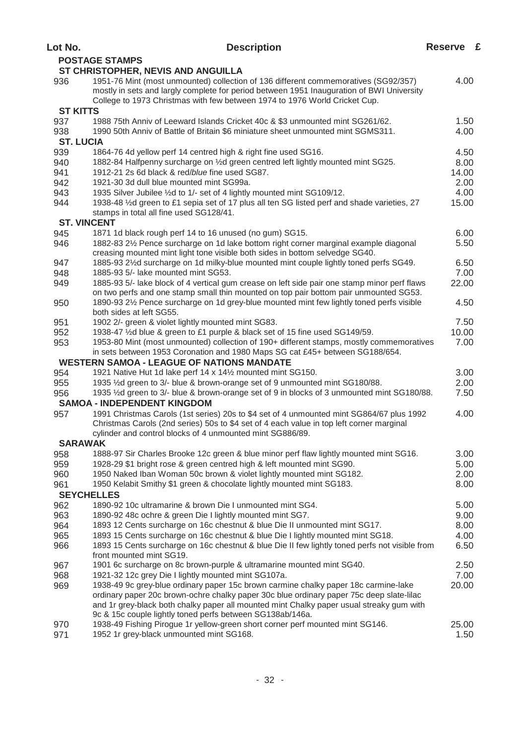| Lot No.    | <b>Description</b>                                                                                                                                                                                                                                             | Reserve £     |  |
|------------|----------------------------------------------------------------------------------------------------------------------------------------------------------------------------------------------------------------------------------------------------------------|---------------|--|
|            | <b>POSTAGE STAMPS</b>                                                                                                                                                                                                                                          |               |  |
|            | ST CHRISTOPHER, NEVIS AND ANGUILLA                                                                                                                                                                                                                             |               |  |
| 936        | 1951-76 Mint (most unmounted) collection of 136 different commemoratives (SG92/357)<br>mostly in sets and largly complete for period between 1951 Inauguration of BWI University<br>College to 1973 Christmas with few between 1974 to 1976 World Cricket Cup. | 4.00          |  |
|            | <b>ST KITTS</b>                                                                                                                                                                                                                                                |               |  |
| 937        | 1988 75th Anniv of Leeward Islands Cricket 40c & \$3 unmounted mint SG261/62.                                                                                                                                                                                  | 1.50          |  |
| 938        | 1990 50th Anniv of Battle of Britain \$6 miniature sheet unmounted mint SGMS311.                                                                                                                                                                               | 4.00          |  |
|            | <b>ST. LUCIA</b>                                                                                                                                                                                                                                               |               |  |
| 939        | 1864-76 4d yellow perf 14 centred high & right fine used SG16.                                                                                                                                                                                                 | 4.50          |  |
| 940        | 1882-84 Halfpenny surcharge on 1/2d green centred left lightly mounted mint SG25.                                                                                                                                                                              | 8.00          |  |
| 941        | 1912-21 2s 6d black & red/blue fine used SG87.                                                                                                                                                                                                                 | 14.00         |  |
| 942        | 1921-30 3d dull blue mounted mint SG99a.                                                                                                                                                                                                                       | 2.00          |  |
| 943        | 1935 Silver Jubilee 1/2d to 1/- set of 4 lightly mounted mint SG109/12.                                                                                                                                                                                        | 4.00          |  |
| 944        | 1938-48 1/2d green to £1 sepia set of 17 plus all ten SG listed perf and shade varieties, 27<br>stamps in total all fine used SG128/41.                                                                                                                        | 15.00         |  |
|            | <b>ST. VINCENT</b>                                                                                                                                                                                                                                             |               |  |
| 945        | 1871 1d black rough perf 14 to 16 unused (no gum) SG15.                                                                                                                                                                                                        | 6.00          |  |
| 946        | 1882-83 21/2 Pence surcharge on 1d lake bottom right corner marginal example diagonal                                                                                                                                                                          | 5.50          |  |
| 947        | creasing mounted mint light tone visible both sides in bottom selvedge SG40.<br>1885-93 21% d surcharge on 1d milky-blue mounted mint couple lightly toned perfs SG49.                                                                                         | 6.50          |  |
| 948        | 1885-93 5/- lake mounted mint SG53.                                                                                                                                                                                                                            | 7.00          |  |
| 949        | 1885-93 5/- lake block of 4 vertical gum crease on left side pair one stamp minor perf flaws                                                                                                                                                                   | 22.00         |  |
|            | on two perfs and one stamp small thin mounted on top pair bottom pair unmounted SG53.                                                                                                                                                                          |               |  |
| 950        | 1890-93 21/2 Pence surcharge on 1d grey-blue mounted mint few lightly toned perfs visible                                                                                                                                                                      | 4.50          |  |
|            | both sides at left SG55.                                                                                                                                                                                                                                       |               |  |
| 951        | 1902 2/- green & violet lightly mounted mint SG83.                                                                                                                                                                                                             | 7.50          |  |
| 952        | 1938-47 1/2d blue & green to £1 purple & black set of 15 fine used SG149/59.                                                                                                                                                                                   | 10.00         |  |
| 953        | 1953-80 Mint (most unmounted) collection of 190+ different stamps, mostly commemoratives<br>in sets between 1953 Coronation and 1980 Maps SG cat £45+ between SG188/654.                                                                                       | 7.00          |  |
|            | <b>WESTERN SAMOA - LEAGUE OF NATIONS MANDATE</b>                                                                                                                                                                                                               |               |  |
| 954        | 1921 Native Hut 1d lake perf 14 x 141/2 mounted mint SG150.                                                                                                                                                                                                    | 3.00          |  |
| 955        | 1935 1/2d green to 3/- blue & brown-orange set of 9 unmounted mint SG180/88.                                                                                                                                                                                   | 2.00          |  |
| 956        | 1935 1/2d green to 3/- blue & brown-orange set of 9 in blocks of 3 unmounted mint SG180/88.                                                                                                                                                                    | 7.50          |  |
|            | <b>SAMOA - INDEPENDENT KINGDOM</b>                                                                                                                                                                                                                             |               |  |
| 957        | 1991 Christmas Carols (1st series) 20s to \$4 set of 4 unmounted mint SG864/67 plus 1992                                                                                                                                                                       | 4.00          |  |
|            | Christmas Carols (2nd series) 50s to \$4 set of 4 each value in top left corner marginal                                                                                                                                                                       |               |  |
|            | cylinder and control blocks of 4 unmounted mint SG886/89.                                                                                                                                                                                                      |               |  |
|            | <b>SARAWAK</b>                                                                                                                                                                                                                                                 |               |  |
| 958        | 1888-97 Sir Charles Brooke 12c green & blue minor perf flaw lightly mounted mint SG16.                                                                                                                                                                         | 3.00          |  |
| 959<br>960 | 1928-29 \$1 bright rose & green centred high & left mounted mint SG90.<br>1950 Naked Iban Woman 50c brown & violet lightly mounted mint SG182.                                                                                                                 | 5.00<br>2.00  |  |
| 961        | 1950 Kelabit Smithy \$1 green & chocolate lightly mounted mint SG183.                                                                                                                                                                                          | 8.00          |  |
|            | <b>SEYCHELLES</b>                                                                                                                                                                                                                                              |               |  |
| 962        | 1890-92 10c ultramarine & brown Die I unmounted mint SG4.                                                                                                                                                                                                      | 5.00          |  |
| 963        | 1890-92 48c ochre & green Die I lightly mounted mint SG7.                                                                                                                                                                                                      | 9.00          |  |
| 964        | 1893 12 Cents surcharge on 16c chestnut & blue Die II unmounted mint SG17.                                                                                                                                                                                     | 8.00          |  |
| 965        | 1893 15 Cents surcharge on 16c chestnut & blue Die I lightly mounted mint SG18.                                                                                                                                                                                | 4.00          |  |
| 966        | 1893 15 Cents surcharge on 16c chestnut & blue Die II few lightly toned perfs not visible from                                                                                                                                                                 | 6.50          |  |
|            | front mounted mint SG19.                                                                                                                                                                                                                                       |               |  |
| 967        | 1901 6c surcharge on 8c brown-purple & ultramarine mounted mint SG40.                                                                                                                                                                                          | 2.50          |  |
| 968<br>969 | 1921-32 12c grey Die I lightly mounted mint SG107a.<br>1938-49 9c grey-blue ordinary paper 15c brown carmine chalky paper 18c carmine-lake                                                                                                                     | 7.00<br>20.00 |  |
|            | ordinary paper 20c brown-ochre chalky paper 30c blue ordinary paper 75c deep slate-lilac                                                                                                                                                                       |               |  |
|            | and 1r grey-black both chalky paper all mounted mint Chalky paper usual streaky gum with                                                                                                                                                                       |               |  |
|            | 9c & 15c couple lightly toned perfs between SG138ab/146a.                                                                                                                                                                                                      |               |  |
| 970        | 1938-49 Fishing Pirogue 1r yellow-green short corner perf mounted mint SG146.                                                                                                                                                                                  | 25.00         |  |
| 971        | 1952 1r grey-black unmounted mint SG168.                                                                                                                                                                                                                       | 1.50          |  |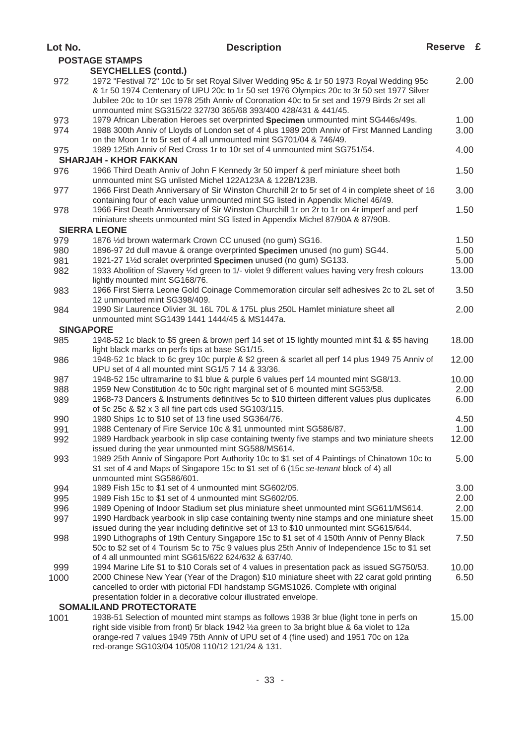| Lot No.          | <b>Description</b>                                                                                                                                                                         | Reserve £    |  |
|------------------|--------------------------------------------------------------------------------------------------------------------------------------------------------------------------------------------|--------------|--|
|                  | <b>POSTAGE STAMPS</b>                                                                                                                                                                      |              |  |
|                  | <b>SEYCHELLES (contd.)</b>                                                                                                                                                                 |              |  |
| 972              | 1972 "Festival 72" 10c to 5r set Royal Silver Wedding 95c & 1r 50 1973 Royal Wedding 95c<br>& 1r 50 1974 Centenary of UPU 20c to 1r 50 set 1976 Olympics 20c to 3r 50 set 1977 Silver      | 2.00         |  |
|                  | Jubilee 20c to 10r set 1978 25th Anniv of Coronation 40c to 5r set and 1979 Birds 2r set all<br>unmounted mint SG315/22 327/30 365/68 393/400 428/431 & 441/45.                            |              |  |
| 973              | 1979 African Liberation Heroes set overprinted Specimen unmounted mint SG446s/49s.                                                                                                         | 1.00         |  |
| 974              | 1988 300th Anniv of Lloyds of London set of 4 plus 1989 20th Anniv of First Manned Landing                                                                                                 | 3.00         |  |
| 975              | on the Moon 1r to 5r set of 4 all unmounted mint SG701/04 & 746/49.<br>1989 125th Anniv of Red Cross 1r to 10r set of 4 unmounted mint SG751/54.                                           | 4.00         |  |
|                  | <b>SHARJAH - KHOR FAKKAN</b>                                                                                                                                                               |              |  |
| 976              | 1966 Third Death Anniv of John F Kennedy 3r 50 imperf & perf miniature sheet both<br>unmounted mint SG unlisted Michel 122A123A & 122B/123B.                                               | 1.50         |  |
| 977              | 1966 First Death Anniversary of Sir Winston Churchill 2r to 5r set of 4 in complete sheet of 16<br>containing four of each value unmounted mint SG listed in Appendix Michel 46/49.        | 3.00         |  |
| 978              | 1966 First Death Anniversary of Sir Winston Churchill 1r on 2r to 1r on 4r imperf and perf<br>miniature sheets unmounted mint SG listed in Appendix Michel 87/90A & 87/90B.                | 1.50         |  |
|                  | <b>SIERRA LEONE</b>                                                                                                                                                                        |              |  |
| 979              | 1876 1/2d brown watermark Crown CC unused (no gum) SG16.                                                                                                                                   | 1.50         |  |
| 980              | 1896-97 2d dull mavue & orange overprinted Specimen unused (no gum) SG44.                                                                                                                  | 5.00         |  |
| 981              | 1921-27 11/2d scralet overprinted Specimen unused (no gum) SG133.                                                                                                                          | 5.00         |  |
| 982              | 1933 Abolition of Slavery 1/2d green to 1/- violet 9 different values having very fresh colours<br>lightly mounted mint SG168/76.                                                          | 13.00        |  |
| 983              | 1966 First Sierra Leone Gold Coinage Commemoration circular self adhesives 2c to 2L set of<br>12 unmounted mint SG398/409.                                                                 | 3.50         |  |
| 984              | 1990 Sir Laurence Olivier 3L 16L 70L & 175L plus 250L Hamlet miniature sheet all<br>unmounted mint SG1439 1441 1444/45 & MS1447a.                                                          | 2.00         |  |
| <b>SINGAPORE</b> |                                                                                                                                                                                            |              |  |
| 985              | 1948-52 1c black to \$5 green & brown perf 14 set of 15 lightly mounted mint \$1 & \$5 having                                                                                              | 18.00        |  |
|                  | light black marks on perfs tips at base SG1/15.                                                                                                                                            |              |  |
| 986              | 1948-52 1c black to 6c grey 10c purple & \$2 green & scarlet all perf 14 plus 1949 75 Anniv of<br>UPU set of 4 all mounted mint SG1/5 7 14 & 33/36.                                        | 12.00        |  |
| 987              | 1948-52 15c ultramarine to \$1 blue & purple 6 values perf 14 mounted mint SG8/13.                                                                                                         | 10.00        |  |
| 988              | 1959 New Constitution 4c to 50c right marginal set of 6 mounted mint SG53/58.                                                                                                              | 2.00         |  |
| 989              | 1968-73 Dancers & Instruments definitives 5c to \$10 thirteen different values plus duplicates<br>of 5c 25c & \$2 x 3 all fine part cds used SG103/115.                                    | 6.00         |  |
| 990              | 1980 Ships 1c to \$10 set of 13 fine used SG364/76.                                                                                                                                        |              |  |
| 991              | 1988 Centenary of Fire Service 10c & \$1 unmounted mint SG586/87.                                                                                                                          | 4.50<br>1.00 |  |
| 992              | 1989 Hardback yearbook in slip case containing twenty five stamps and two miniature sheets                                                                                                 | 12.00        |  |
| 993              | issued during the year unmounted mint SG588/MS614.<br>1989 25th Anniv of Singapore Port Authority 10c to \$1 set of 4 Paintings of Chinatown 10c to                                        | 5.00         |  |
|                  | \$1 set of 4 and Maps of Singapore 15c to \$1 set of 6 (15c se-tenant block of 4) all<br>unmounted mint SG586/601.                                                                         |              |  |
| 994              | 1989 Fish 15c to \$1 set of 4 unmounted mint SG602/05.                                                                                                                                     | 3.00         |  |
| 995              | 1989 Fish 15c to \$1 set of 4 unmounted mint SG602/05.                                                                                                                                     | 2.00         |  |
| 996              | 1989 Opening of Indoor Stadium set plus miniature sheet unmounted mint SG611/MS614.                                                                                                        | 2.00         |  |
| 997              | 1990 Hardback yearbook in slip case containing twenty nine stamps and one miniature sheet<br>issued during the year including definitive set of 13 to \$10 unmounted mint SG615/644.       | 15.00        |  |
| 998              | 1990 Lithographs of 19th Century Singapore 15c to \$1 set of 4 150th Anniv of Penny Black<br>50c to \$2 set of 4 Tourism 5c to 75c 9 values plus 25th Anniv of Independence 15c to \$1 set | 7.50         |  |
|                  | of 4 all unmounted mint SG615/622 624/632 & 637/40.<br>1994 Marine Life \$1 to \$10 Corals set of 4 values in presentation pack as issued SG750/53.                                        | 10.00        |  |
| 999<br>1000      | 2000 Chinese New Year (Year of the Dragon) \$10 miniature sheet with 22 carat gold printing                                                                                                | 6.50         |  |
|                  | cancelled to order with pictorial FDI handstamp SGMS1026. Complete with original                                                                                                           |              |  |
|                  | presentation folder in a decorative colour illustrated envelope.                                                                                                                           |              |  |
|                  | <b>SOMALILAND PROTECTORATE</b><br>1938-51 Selection of mounted mint stamps as follows 1938 3r blue (light tone in perfs on                                                                 | 15.00        |  |
| 1001             | right side visible from front) 5r black 1942 1/2 green to 3a bright blue & 6a violet to 12a<br>orange-red 7 values 1949 75th Anniv of UPU set of 4 (fine used) and 1951 70c on 12a         |              |  |
|                  | red-orange SG103/04 105/08 110/12 121/24 & 131.                                                                                                                                            |              |  |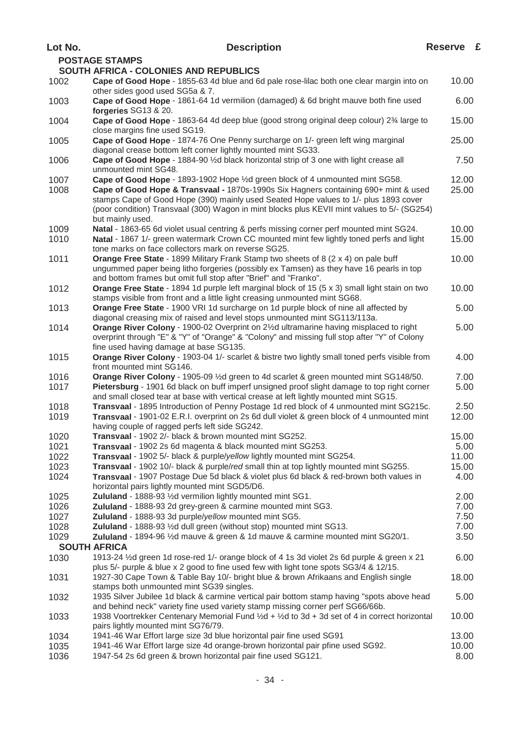| Lot No.      | <b>Description</b>                                                                                                                                                                                                                                                                                       | Reserve £      |  |  |  |  |  |  |
|--------------|----------------------------------------------------------------------------------------------------------------------------------------------------------------------------------------------------------------------------------------------------------------------------------------------------------|----------------|--|--|--|--|--|--|
|              | <b>POSTAGE STAMPS</b>                                                                                                                                                                                                                                                                                    |                |  |  |  |  |  |  |
|              | SOUTH AFRICA - COLONIES AND REPUBLICS                                                                                                                                                                                                                                                                    |                |  |  |  |  |  |  |
| 1002         | Cape of Good Hope - 1855-63 4d blue and 6d pale rose-lilac both one clear margin into on<br>other sides good used SG5a & 7.                                                                                                                                                                              | 10.00          |  |  |  |  |  |  |
| 1003         | Cape of Good Hope - 1861-64 1d vermilion (damaged) & 6d bright mauve both fine used<br>forgeries SG13 & 20.                                                                                                                                                                                              | 6.00           |  |  |  |  |  |  |
| 1004         | Cape of Good Hope - 1863-64 4d deep blue (good strong original deep colour) 23⁄4 large to<br>close margins fine used SG19.                                                                                                                                                                               | 15.00          |  |  |  |  |  |  |
| 1005         | Cape of Good Hope - 1874-76 One Penny surcharge on 1/- green left wing marginal<br>diagonal crease bottom left corner lightly mounted mint SG33.                                                                                                                                                         | 25.00          |  |  |  |  |  |  |
| 1006         | Cape of Good Hope - 1884-90 1/2d black horizontal strip of 3 one with light crease all<br>unmounted mint SG48.                                                                                                                                                                                           | 7.50           |  |  |  |  |  |  |
| 1007         | Cape of Good Hope - 1893-1902 Hope 1/2d green block of 4 unmounted mint SG58.                                                                                                                                                                                                                            | 12.00          |  |  |  |  |  |  |
| 1008         | Cape of Good Hope & Transvaal - 1870s-1990s Six Hagners containing 690+ mint & used<br>stamps Cape of Good Hope (390) mainly used Seated Hope values to 1/- plus 1893 cover<br>(poor condition) Transvaal (300) Wagon in mint blocks plus KEVII mint values to 5/- (SG254)<br>but mainly used.           | 25.00          |  |  |  |  |  |  |
| 1009<br>1010 | Natal - 1863-65 6d violet usual centring & perfs missing corner perf mounted mint SG24.<br>Natal - 1867 1/- green watermark Crown CC mounted mint few lightly toned perfs and light                                                                                                                      | 10.00<br>15.00 |  |  |  |  |  |  |
| 1011         | tone marks on face collectors mark on reverse SG25.<br>Orange Free State - 1899 Military Frank Stamp two sheets of 8 (2 x 4) on pale buff<br>ungummed paper being litho forgeries (possibly ex Tamsen) as they have 16 pearls in top<br>and bottom frames but omit full stop after "Brief" and "Franko". | 10.00          |  |  |  |  |  |  |
| 1012         | Orange Free State - 1894 1d purple left marginal block of 15 (5 x 3) small light stain on two<br>stamps visible from front and a little light creasing unmounted mint SG68.                                                                                                                              | 10.00          |  |  |  |  |  |  |
| 1013         | Orange Free State - 1900 VRI 1d surcharge on 1d purple block of nine all affected by<br>diagonal creasing mix of raised and level stops unmounted mint SG113/113a.                                                                                                                                       | 5.00           |  |  |  |  |  |  |
| 1014         | Orange River Colony - 1900-02 Overprint on 2½d ultramarine having misplaced to right<br>overprint through "E" & "Y" of "Orange" & "Colony" and missing full stop after "Y" of Colony<br>fine used having damage at base SG135.                                                                           | 5.00           |  |  |  |  |  |  |
| 1015         | Orange River Colony - 1903-04 1/- scarlet & bistre two lightly small toned perfs visible from<br>front mounted mint SG146.                                                                                                                                                                               | 4.00           |  |  |  |  |  |  |
| 1016         | Orange River Colony - 1905-09 1/2d green to 4d scarlet & green mounted mint SG148/50.                                                                                                                                                                                                                    | 7.00           |  |  |  |  |  |  |
| 1017         | Pietersburg - 1901 6d black on buff imperf unsigned proof slight damage to top right corner<br>and small closed tear at base with vertical crease at left lightly mounted mint SG15.                                                                                                                     | 5.00           |  |  |  |  |  |  |
| 1018         | Transvaal - 1895 Introduction of Penny Postage 1d red block of 4 unmounted mint SG215c.                                                                                                                                                                                                                  | 2.50           |  |  |  |  |  |  |
| 1019         | Transvaal - 1901-02 E.R.I. overprint on 2s 6d dull violet & green block of 4 unmounted mint<br>having couple of ragged perfs left side SG242.                                                                                                                                                            | 12.00          |  |  |  |  |  |  |
| 1020         | Transvaal - 1902 2/- black & brown mounted mint SG252.                                                                                                                                                                                                                                                   | 15.00          |  |  |  |  |  |  |
| 1021         | Transvaal - 1902 2s 6d magenta & black mounted mint SG253.                                                                                                                                                                                                                                               | 5.00           |  |  |  |  |  |  |
| 1022         | Transvaal - 1902 5/- black & purple/yellow lightly mounted mint SG254.                                                                                                                                                                                                                                   | 11.00          |  |  |  |  |  |  |
| 1023         | Transvaal - 1902 10/- black & purple/red small thin at top lightly mounted mint SG255.                                                                                                                                                                                                                   | 15.00          |  |  |  |  |  |  |
| 1024         | Transvaal - 1907 Postage Due 5d black & violet plus 6d black & red-brown both values in<br>horizontal pairs lightly mounted mint SGD5/D6.                                                                                                                                                                | 4.00           |  |  |  |  |  |  |
| 1025         | Zululand - 1888-93 1/2d vermilion lightly mounted mint SG1.                                                                                                                                                                                                                                              | 2.00           |  |  |  |  |  |  |
| 1026         | Zululand - 1888-93 2d grey-green & carmine mounted mint SG3.                                                                                                                                                                                                                                             | 7.00           |  |  |  |  |  |  |
| 1027         | Zululand - 1888-93 3d purple/yellow mounted mint SG5.                                                                                                                                                                                                                                                    | 7.50           |  |  |  |  |  |  |
| 1028         | Zululand - 1888-93 1/2d dull green (without stop) mounted mint SG13.                                                                                                                                                                                                                                     | 7.00           |  |  |  |  |  |  |
| 1029         | Zululand - 1894-96 1/2d mauve & green & 1d mauve & carmine mounted mint SG20/1.                                                                                                                                                                                                                          | 3.50           |  |  |  |  |  |  |
|              | <b>SOUTH AFRICA</b>                                                                                                                                                                                                                                                                                      |                |  |  |  |  |  |  |
| 1030         | 1913-24 1/2d green 1d rose-red 1/- orange block of 4 1s 3d violet 2s 6d purple & green x 21                                                                                                                                                                                                              | 6.00           |  |  |  |  |  |  |
|              | plus 5/- purple & blue x 2 good to fine used few with light tone spots SG3/4 & 12/15.                                                                                                                                                                                                                    |                |  |  |  |  |  |  |
| 1031         | 1927-30 Cape Town & Table Bay 10/- bright blue & brown Afrikaans and English single<br>stamps both unmounted mint SG39 singles.                                                                                                                                                                          | 18.00          |  |  |  |  |  |  |
| 1032         | 1935 Silver Jubilee 1d black & carmine vertical pair bottom stamp having "spots above head<br>and behind neck" variety fine used variety stamp missing corner perf SG66/66b.                                                                                                                             | 5.00           |  |  |  |  |  |  |
| 1033         | 1938 Voortrekker Centenary Memorial Fund 1/2d + 1/2d to 3d + 3d set of 4 in correct horizontal<br>pairs lightly mounted mint SG76/79.                                                                                                                                                                    | 10.00          |  |  |  |  |  |  |
| 1034         | 1941-46 War Effort large size 3d blue horizontal pair fine used SG91                                                                                                                                                                                                                                     | 13.00          |  |  |  |  |  |  |
| 1035         | 1941-46 War Effort large size 4d orange-brown horizontal pair pfine used SG92.                                                                                                                                                                                                                           | 10.00          |  |  |  |  |  |  |
| 1036         | 1947-54 2s 6d green & brown horizontal pair fine used SG121.                                                                                                                                                                                                                                             | 8.00           |  |  |  |  |  |  |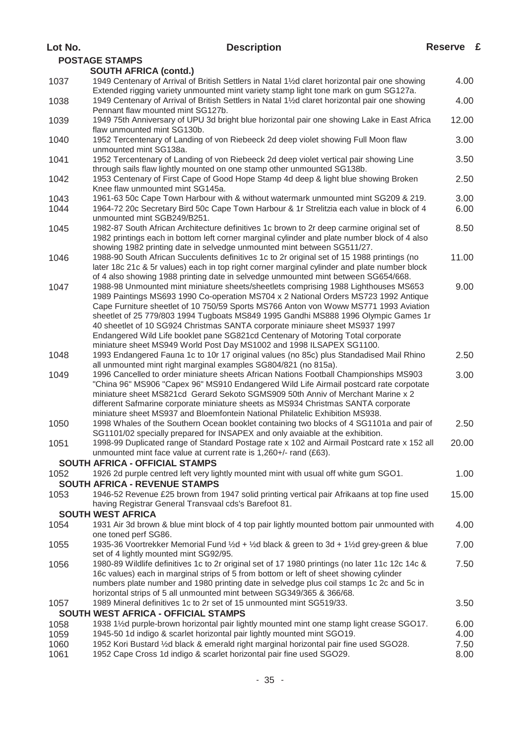| Lot No.      | <b>Description</b>                                                                                                                                                                                                                                                                                                                                                                                                                                                                                                                                                                                 | Reserve £    |  |
|--------------|----------------------------------------------------------------------------------------------------------------------------------------------------------------------------------------------------------------------------------------------------------------------------------------------------------------------------------------------------------------------------------------------------------------------------------------------------------------------------------------------------------------------------------------------------------------------------------------------------|--------------|--|
|              | <b>POSTAGE STAMPS</b>                                                                                                                                                                                                                                                                                                                                                                                                                                                                                                                                                                              |              |  |
|              | <b>SOUTH AFRICA (contd.)</b>                                                                                                                                                                                                                                                                                                                                                                                                                                                                                                                                                                       |              |  |
| 1037         | 1949 Centenary of Arrival of British Settlers in Natal 11/2d claret horizontal pair one showing<br>Extended rigging variety unmounted mint variety stamp light tone mark on gum SG127a.                                                                                                                                                                                                                                                                                                                                                                                                            | 4.00         |  |
| 1038         | 1949 Centenary of Arrival of British Settlers in Natal 11/2d claret horizontal pair one showing<br>Pennant flaw mounted mint SG127b.                                                                                                                                                                                                                                                                                                                                                                                                                                                               | 4.00         |  |
| 1039         | 1949 75th Anniversary of UPU 3d bright blue horizontal pair one showing Lake in East Africa<br>flaw unmounted mint SG130b.                                                                                                                                                                                                                                                                                                                                                                                                                                                                         | 12.00        |  |
| 1040         | 1952 Tercentenary of Landing of von Riebeeck 2d deep violet showing Full Moon flaw<br>unmounted mint SG138a.                                                                                                                                                                                                                                                                                                                                                                                                                                                                                       | 3.00         |  |
| 1041         | 1952 Tercentenary of Landing of von Riebeeck 2d deep violet vertical pair showing Line<br>through sails flaw lightly mounted on one stamp other unmounted SG138b.                                                                                                                                                                                                                                                                                                                                                                                                                                  | 3.50         |  |
| 1042         | 1953 Centenary of First Cape of Good Hope Stamp 4d deep & light blue showing Broken<br>Knee flaw unmounted mint SG145a.                                                                                                                                                                                                                                                                                                                                                                                                                                                                            | 2.50         |  |
| 1043         | 1961-63 50c Cape Town Harbour with & without watermark unmounted mint SG209 & 219.                                                                                                                                                                                                                                                                                                                                                                                                                                                                                                                 | 3.00         |  |
| 1044         | 1964-72 20c Secretary Bird 50c Cape Town Harbour & 1r Strelitzia each value in block of 4<br>unmounted mint SGB249/B251.                                                                                                                                                                                                                                                                                                                                                                                                                                                                           | 6.00         |  |
| 1045         | 1982-87 South African Architecture definitives 1c brown to 2r deep carmine original set of<br>1982 printings each in bottom left corner marginal cylinder and plate number block of 4 also<br>showing 1982 printing date in selvedge unmounted mint between SG511/27.                                                                                                                                                                                                                                                                                                                              | 8.50         |  |
| 1046         | 1988-90 South African Succulents definitives 1c to 2r original set of 15 1988 printings (no<br>later 18c 21c & 5r values) each in top right corner marginal cylinder and plate number block<br>of 4 also showing 1988 printing date in selvedge unmounted mint between SG654/668.                                                                                                                                                                                                                                                                                                                  | 11.00        |  |
| 1047         | 1988-98 Unmounted mint miniature sheets/sheetlets comprising 1988 Lighthouses MS653<br>1989 Paintings MS693 1990 Co-operation MS704 x 2 National Orders MS723 1992 Antique<br>Cape Furniture sheetlet of 10 750/59 Sports MS766 Anton von Woww MS771 1993 Aviation<br>sheetlet of 25 779/803 1994 Tugboats MS849 1995 Gandhi MS888 1996 Olympic Games 1r<br>40 sheetlet of 10 SG924 Christmas SANTA corporate miniaure sheet MS937 1997<br>Endangered Wild Life booklet pane SG821cd Centenary of Motoring Total corporate<br>miniature sheet MS949 World Post Day MS1002 and 1998 ILSAPEX SG1100. | 9.00         |  |
| 1048         | 1993 Endangered Fauna 1c to 10r 17 original values (no 85c) plus Standadised Mail Rhino<br>all unmounted mint right marginal examples SG804/821 (no 815a).                                                                                                                                                                                                                                                                                                                                                                                                                                         | 2.50         |  |
| 1049         | 1996 Cancelled to order miniature sheets African Nations Football Championships MS903<br>"China 96" MS906 "Capex 96" MS910 Endangered Wild Life Airmail postcard rate corpotate<br>miniature sheet MS821cd Gerard Sekoto SGMS909 50th Anniv of Merchant Marine x 2<br>different Safmarine corporate miniature sheets as MS934 Christmas SANTA corporate                                                                                                                                                                                                                                            | 3.00         |  |
| 1050         | miniature sheet MS937 and Bloemfontein National Philatelic Exhibition MS938.<br>1998 Whales of the Southern Ocean booklet containing two blocks of 4 SG1101a and pair of<br>SG1101/02 specially prepared for INSAPEX and only avaiable at the exhibition.                                                                                                                                                                                                                                                                                                                                          | 2.50         |  |
| 1051         | 1998-99 Duplicated range of Standard Postage rate x 102 and Airmail Postcard rate x 152 all<br>unmounted mint face value at current rate is 1,260+/- rand (£63).                                                                                                                                                                                                                                                                                                                                                                                                                                   | 20.00        |  |
| 1052         | SOUTH AFRICA - OFFICIAL STAMPS<br>1926 2d purple centred left very lightly mounted mint with usual off white gum SGO1.                                                                                                                                                                                                                                                                                                                                                                                                                                                                             | 1.00         |  |
|              | <b>SOUTH AFRICA - REVENUE STAMPS</b>                                                                                                                                                                                                                                                                                                                                                                                                                                                                                                                                                               |              |  |
| 1053         | 1946-52 Revenue £25 brown from 1947 solid printing vertical pair Afrikaans at top fine used<br>having Registrar General Transvaal cds's Barefoot 81.                                                                                                                                                                                                                                                                                                                                                                                                                                               | 15.00        |  |
|              | <b>SOUTH WEST AFRICA</b>                                                                                                                                                                                                                                                                                                                                                                                                                                                                                                                                                                           |              |  |
| 1054         | 1931 Air 3d brown & blue mint block of 4 top pair lightly mounted bottom pair unmounted with<br>one toned perf SG86.                                                                                                                                                                                                                                                                                                                                                                                                                                                                               | 4.00         |  |
| 1055         | 1935-36 Voortrekker Memorial Fund 1/2d + 1/2d black & green to 3d + 11/2d grey-green & blue<br>set of 4 lightly mounted mint SG92/95.                                                                                                                                                                                                                                                                                                                                                                                                                                                              | 7.00         |  |
| 1056         | 1980-89 Wildlife definitives 1c to 2r original set of 17 1980 printings (no later 11c 12c 14c &<br>16c values) each in marginal strips of 5 from bottom or left of sheet showing cylinder<br>numbers plate number and 1980 printing date in selvedge plus coil stamps 1c 2c and 5c in<br>horizontal strips of 5 all unmounted mint between SG349/365 & 366/68.                                                                                                                                                                                                                                     | 7.50         |  |
| 1057         | 1989 Mineral definitives 1c to 2r set of 15 unmounted mint SG519/33.<br>SOUTH WEST AFRICA - OFFICIAL STAMPS                                                                                                                                                                                                                                                                                                                                                                                                                                                                                        | 3.50         |  |
| 1058         | 1938 11/2d purple-brown horizontal pair lightly mounted mint one stamp light crease SGO17.                                                                                                                                                                                                                                                                                                                                                                                                                                                                                                         | 6.00         |  |
| 1059         | 1945-50 1d indigo & scarlet horizontal pair lightly mounted mint SGO19.                                                                                                                                                                                                                                                                                                                                                                                                                                                                                                                            | 4.00         |  |
| 1060<br>1061 | 1952 Kori Bustard 1/2d black & emerald right marginal horizontal pair fine used SGO28.<br>1952 Cape Cross 1d indigo & scarlet horizontal pair fine used SGO29.                                                                                                                                                                                                                                                                                                                                                                                                                                     | 7.50<br>8.00 |  |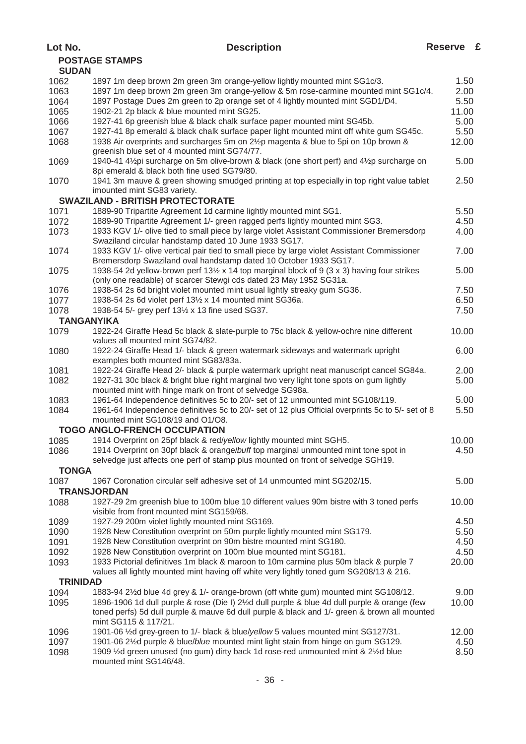| <b>POSTAGE STAMPS</b> |  |
|-----------------------|--|
| <b>SUDAN</b>          |  |

| <b>SUDAN</b>      |                                                                                                   |       |
|-------------------|---------------------------------------------------------------------------------------------------|-------|
| 1062              | 1897 1m deep brown 2m green 3m orange-yellow lightly mounted mint SG1c/3.                         | 1.50  |
| 1063              | 1897 1m deep brown 2m green 3m orange-yellow & 5m rose-carmine mounted mint SG1c/4.               | 2.00  |
| 1064              | 1897 Postage Dues 2m green to 2p orange set of 4 lightly mounted mint SGD1/D4.                    | 5.50  |
| 1065              | 1902-21 2p black & blue mounted mint SG25.                                                        | 11.00 |
| 1066              | 1927-41 6p greenish blue & black chalk surface paper mounted mint SG45b.                          | 5.00  |
| 1067              | 1927-41 8p emerald & black chalk surface paper light mounted mint off white gum SG45c.            | 5.50  |
| 1068              | 1938 Air overprints and surcharges 5m on 2½p magenta & blue to 5pi on 10p brown &                 | 12.00 |
|                   | greenish blue set of 4 mounted mint SG74/77.                                                      |       |
| 1069              | 1940-41 4½ pi surcharge on 5m olive-brown & black (one short perf) and 4½ p surcharge on          | 5.00  |
|                   | 8pi emerald & black both fine used SG79/80.                                                       |       |
| 1070              | 1941 3m mauve & green showing smudged printing at top especially in top right value tablet        | 2.50  |
|                   | imounted mint SG83 variety.                                                                       |       |
|                   | <b>SWAZILAND - BRITISH PROTECTORATE</b>                                                           |       |
| 1071              | 1889-90 Tripartite Agreement 1d carmine lightly mounted mint SG1.                                 | 5.50  |
| 1072              | 1889-90 Tripartite Agreement 1/- green ragged perfs lightly mounted mint SG3.                     | 4.50  |
| 1073              | 1933 KGV 1/- olive tied to small piece by large violet Assistant Commissioner Bremersdorp         | 4.00  |
|                   | Swaziland circular handstamp dated 10 June 1933 SG17.                                             |       |
|                   | 1933 KGV 1/- olive vertical pair tied to small piece by large violet Assistant Commissioner       | 7.00  |
| 1074              | Bremersdorp Swaziland oval handstamp dated 10 October 1933 SG17.                                  |       |
| 1075              | 1938-54 2d yellow-brown perf 131/2 x 14 top marginal block of 9 (3 x 3) having four strikes       | 5.00  |
|                   | (only one readable) of scarcer Stewgi cds dated 23 May 1952 SG31a.                                |       |
| 1076              | 1938-54 2s 6d bright violet mounted mint usual lightly streaky gum SG36.                          | 7.50  |
|                   | 1938-54 2s 6d violet perf 131/2 x 14 mounted mint SG36a.                                          |       |
| 1077              |                                                                                                   | 6.50  |
| 1078              | 1938-54 5/- grey perf 131/2 x 13 fine used SG37.                                                  | 7.50  |
| <b>TANGANYIKA</b> |                                                                                                   |       |
| 1079              | 1922-24 Giraffe Head 5c black & slate-purple to 75c black & yellow-ochre nine different           | 10.00 |
|                   | values all mounted mint SG74/82.                                                                  |       |
| 1080              | 1922-24 Giraffe Head 1/- black & green watermark sideways and watermark upright                   | 6.00  |
|                   | examples both mounted mint SG83/83a.                                                              |       |
| 1081              | 1922-24 Giraffe Head 2/- black & purple watermark upright neat manuscript cancel SG84a.           | 2.00  |
| 1082              | 1927-31 30c black & bright blue right marginal two very light tone spots on gum lightly           | 5.00  |
|                   | mounted mint with hinge mark on front of selvedge SG98a.                                          |       |
| 1083              | 1961-64 Independence definitives 5c to 20/- set of 12 unmounted mint SG108/119.                   | 5.00  |
| 1084              | 1961-64 Independence definitives 5c to 20/- set of 12 plus Official overprints 5c to 5/- set of 8 | 5.50  |
|                   | mounted mint SG108/19 and O1/O8.                                                                  |       |
|                   | <b>TOGO ANGLO-FRENCH OCCUPATION</b>                                                               |       |
| 1085              | 1914 Overprint on 25pf black & red/yellow lightly mounted mint SGH5.                              | 10.00 |
| 1086              | 1914 Overprint on 30pf black & orange/buff top marginal unmounted mint tone spot in               | 4.50  |
|                   | selvedge just affects one perf of stamp plus mounted on front of selvedge SGH19.                  |       |
| <b>TONGA</b>      |                                                                                                   |       |
| 1087              | 1967 Coronation circular self adhesive set of 14 unmounted mint SG202/15.                         | 5.00  |
|                   | <b>TRANSJORDAN</b>                                                                                |       |
| 1088              | 1927-29 2m greenish blue to 100m blue 10 different values 90m bistre with 3 toned perfs           | 10.00 |
|                   | visible from front mounted mint SG159/68.                                                         |       |
| 1089              | 1927-29 200m violet lightly mounted mint SG169.                                                   | 4.50  |
| 1090              | 1928 New Constitution overprint on 50m purple lightly mounted mint SG179.                         | 5.50  |
| 1091              | 1928 New Constitution overprint on 90m bistre mounted mint SG180.                                 | 4.50  |
| 1092              | 1928 New Constitution overprint on 100m blue mounted mint SG181.                                  | 4.50  |
| 1093              | 1933 Pictorial definitives 1m black & maroon to 10m carmine plus 50m black & purple 7             | 20.00 |
|                   | values all lightly mounted mint having off white very lightly toned gum SG208/13 & 216.           |       |
| <b>TRINIDAD</b>   |                                                                                                   |       |
| 1094              | 1883-94 2½d blue 4d grey & 1/- orange-brown (off white gum) mounted mint SG108/12.                | 9.00  |
| 1095              | 1896-1906 1d dull purple & rose (Die I) 2½d dull purple & blue 4d dull purple & orange (few       | 10.00 |
|                   | toned perfs) 5d dull purple & mauve 6d dull purple & black and 1/- green & brown all mounted      |       |
|                   | mint SG115 & 117/21.                                                                              |       |
| 1096              | 1901-06 1/2d grey-green to 1/- black & blue/yellow 5 values mounted mint SG127/31.                | 12.00 |
| 1097              | 1901-06 2½d purple & blue/blue mounted mint light stain from hinge on gum SG129.                  | 4.50  |
| 1098              | 1909 1/2d green unused (no gum) dirty back 1d rose-red unmounted mint & 21/2d blue                | 8.50  |
|                   | mounted mint SG146/48.                                                                            |       |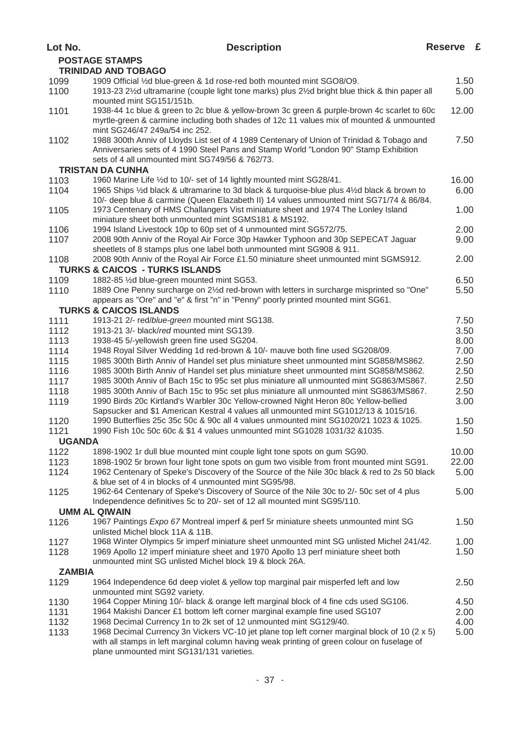| Lot No.               | <b>Description</b>                                                                                                                                                                                                                   | Reserve £ |  |
|-----------------------|--------------------------------------------------------------------------------------------------------------------------------------------------------------------------------------------------------------------------------------|-----------|--|
|                       | <b>POSTAGE STAMPS</b>                                                                                                                                                                                                                |           |  |
|                       | <b>TRINIDAD AND TOBAGO</b>                                                                                                                                                                                                           |           |  |
| 1099                  | 1909 Official 1/2d blue-green & 1d rose-red both mounted mint SGO8/O9.                                                                                                                                                               | 1.50      |  |
| 1100                  | 1913-23 21/2d ultramarine (couple light tone marks) plus 21/2d bright blue thick & thin paper all<br>mounted mint SG151/151b.                                                                                                        | 5.00      |  |
| 1101                  | 1938-44 1c blue & green to 2c blue & yellow-brown 3c green & purple-brown 4c scarlet to 60c<br>myrtle-green & carmine including both shades of 12c 11 values mix of mounted & unmounted<br>mint SG246/47 249a/54 inc 252.            | 12.00     |  |
| 1102                  | 1988 300th Anniv of Lloyds List set of 4 1989 Centenary of Union of Trinidad & Tobago and<br>Anniversaries sets of 4 1990 Steel Pans and Stamp World "London 90" Stamp Exhibition<br>sets of 4 all unmounted mint SG749/56 & 762/73. | 7.50      |  |
|                       | <b>TRISTAN DA CUNHA</b>                                                                                                                                                                                                              |           |  |
| 1103                  | 1960 Marine Life 1/2d to 10/- set of 14 lightly mounted mint SG28/41.                                                                                                                                                                | 16.00     |  |
| 1104                  | 1965 Ships 1/2d black & ultramarine to 3d black & turquoise-blue plus 41/2d black & brown to<br>10/- deep blue & carmine (Queen Elazabeth II) 14 values unmounted mint SG71/74 & 86/84.                                              | 6.00      |  |
| 1105                  | 1973 Centenary of HMS Challangers Vist miniature sheet and 1974 The Lonley Island<br>miniature sheet both unmounted mint SGMS181 & MS192.                                                                                            | 1.00      |  |
| 1106                  | 1994 Island Livestock 10p to 60p set of 4 unmounted mint SG572/75.                                                                                                                                                                   | 2.00      |  |
| 1107                  | 2008 90th Anniv of the Royal Air Force 30p Hawker Typhoon and 30p SEPECAT Jaguar<br>sheetlets of 8 stamps plus one label both unmounted mint SG908 & 911.                                                                            | 9.00      |  |
| 1108                  | 2008 90th Anniv of the Royal Air Force £1.50 miniature sheet unmounted mint SGMS912.                                                                                                                                                 | 2.00      |  |
|                       | <b>TURKS &amp; CAICOS - TURKS ISLANDS</b>                                                                                                                                                                                            |           |  |
| 1109                  | 1882-85 1/2d blue-green mounted mint SG53.                                                                                                                                                                                           | 6.50      |  |
| 1110                  | 1889 One Penny surcharge on 2½d red-brown with letters in surcharge misprinted so "One"                                                                                                                                              | 5.50      |  |
|                       | appears as "Ore" and "e" & first "n" in "Penny" poorly printed mounted mint SG61.                                                                                                                                                    |           |  |
|                       | <b>TURKS &amp; CAICOS ISLANDS</b>                                                                                                                                                                                                    |           |  |
| 1111                  | 1913-21 2/- red/blue-green mounted mint SG138.                                                                                                                                                                                       | 7.50      |  |
| 1112                  | 1913-21 3/- black/red mounted mint SG139.                                                                                                                                                                                            | 3.50      |  |
| 1113                  | 1938-45 5/-yellowish green fine used SG204.                                                                                                                                                                                          | 8.00      |  |
| 1114                  | 1948 Royal Silver Wedding 1d red-brown & 10/- mauve both fine used SG208/09.                                                                                                                                                         | 7.00      |  |
| 1115                  | 1985 300th Birth Anniv of Handel set plus miniature sheet unmounted mint SG858/MS862.                                                                                                                                                | 2.50      |  |
| 1116                  | 1985 300th Birth Anniv of Handel set plus miniature sheet unmounted mint SG858/MS862.                                                                                                                                                | 2.50      |  |
| 1117                  | 1985 300th Anniv of Bach 15c to 95c set plus miniature all unmounted mint SG863/MS867.                                                                                                                                               | 2.50      |  |
| 1118                  | 1985 300th Anniv of Bach 15c to 95c set plus miniature all unmounted mint SG863/MS867.                                                                                                                                               | 2.50      |  |
| 1119                  | 1990 Birds 20c Kirtland's Warbler 30c Yellow-crowned Night Heron 80c Yellow-bellied                                                                                                                                                  | 3.00      |  |
|                       | Sapsucker and \$1 American Kestral 4 values all unmounted mint SG1012/13 & 1015/16.                                                                                                                                                  |           |  |
| 1120                  | 1990 Butterflies 25c 35c 50c & 90c all 4 values unmounted mint SG1020/21 1023 & 1025.                                                                                                                                                | 1.50      |  |
| 1121                  | 1990 Fish 10c 50c 60c & \$1 4 values unmounted mint SG1028 1031/32 & 1035.                                                                                                                                                           | 1.50      |  |
| UGANDA                |                                                                                                                                                                                                                                      |           |  |
| 1122                  | 1898-1902 1r dull blue mounted mint couple light tone spots on gum SG90.                                                                                                                                                             | 10.00     |  |
| 1123                  | 1898-1902 5r brown four light tone spots on gum two visible from front mounted mint SG91.                                                                                                                                            | 22.00     |  |
| 1124                  | 1962 Centenary of Speke's Discovery of the Source of the Nile 30c black & red to 2s 50 black<br>& blue set of 4 in blocks of 4 unmounted mint SG95/98.                                                                               | 5.00      |  |
| 1125                  | 1962-64 Centenary of Speke's Discovery of Source of the Nile 30c to 2/- 50c set of 4 plus<br>Independence definitives 5c to 20/- set of 12 all mounted mint SG95/110.                                                                | 5.00      |  |
|                       | <b>UMM AL QIWAIN</b>                                                                                                                                                                                                                 |           |  |
| 1126                  | 1967 Paintings Expo 67 Montreal imperf & perf 5r miniature sheets unmounted mint SG<br>unlisted Michel block 11A & 11B.                                                                                                              | 1.50      |  |
| 1127                  | 1968 Winter Olympics 5r imperf miniature sheet unmounted mint SG unlisted Michel 241/42.                                                                                                                                             | 1.00      |  |
| 1128                  | 1969 Apollo 12 imperf miniature sheet and 1970 Apollo 13 perf miniature sheet both                                                                                                                                                   | 1.50      |  |
|                       | unmounted mint SG unlisted Michel block 19 & block 26A.                                                                                                                                                                              |           |  |
| <b>ZAMBIA</b><br>1129 | 1964 Independence 6d deep violet & yellow top marginal pair misperfed left and low<br>unmounted mint SG92 variety.                                                                                                                   | 2.50      |  |
| 1130                  | 1964 Copper Mining 10/- black & orange left marginal block of 4 fine cds used SG106.                                                                                                                                                 | 4.50      |  |
| 1131                  | 1964 Makishi Dancer £1 bottom left corner marginal example fine used SG107                                                                                                                                                           | 2.00      |  |
| 1132                  | 1968 Decimal Currency 1n to 2k set of 12 unmounted mint SG129/40.                                                                                                                                                                    | 4.00      |  |
| 1133                  | 1968 Decimal Currency 3n Vickers VC-10 jet plane top left corner marginal block of 10 (2 x 5)                                                                                                                                        | 5.00      |  |
|                       | with all stamps in left marginal column having weak printing of green colour on fuselage of<br>plane unmounted mint SG131/131 varieties.                                                                                             |           |  |
|                       |                                                                                                                                                                                                                                      |           |  |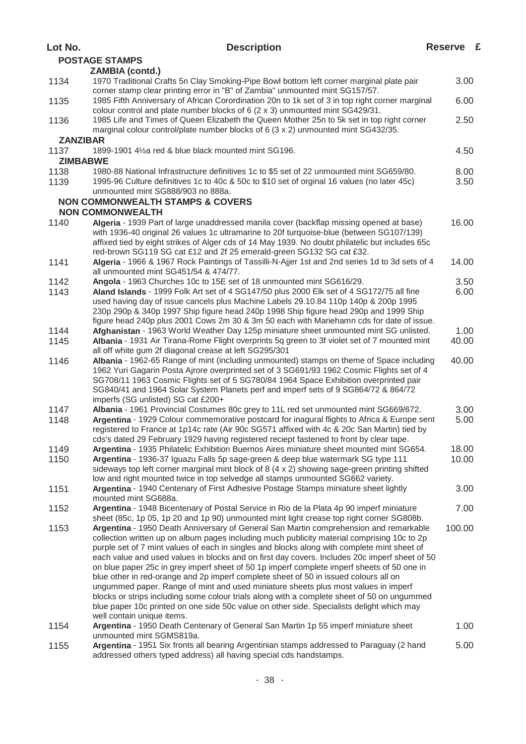## **POSTAGE STAMPS ZAMBIA (contd.)** 1134 1970 Traditional Crafts 5n Clay Smoking-Pipe Bowl bottom left corner marginal plate pair 3.00 corner stamp clear printing error in "B" of Zambia" unmounted mint SG157/57. 1135 1985 Fifth Anniversary of African Corordination 20n to 1k set of 3 in top right corner marginal 6.00 colour control and plate number blocks of 6 (2 x 3) unmounted mint SG429/31. 1136 1985 Life and Times of Queen Elizabeth the Queen Mother 25n to 5k set in top right corner 2.50 marginal colour control/plate number blocks of 6 (3 x 2) unmounted mint SG432/35. 1137 1899-1901 4½a red & blue black mounted mint SG196. 4.50 **ZANZIBAR** 1138 1980-88 National Infrastructure definitives 1c to \$5 set of 22 unmounted mint SG659/80. 8.00 **ZIMBABWE** 1139 1995-96 Culture definitives 1c to 40c & 50c to \$10 set of orginal 16 values (no later 45c) 3.50 unmounted mint SG888/903 no 888a. 1140 **Algeria** - 1939 Part of large unaddressed manila cover (backflap missing opened at base) 16.00 with 1936-40 original 26 values 1c ultramarine to 20f turquoise-blue (between SG107/139) affixed tied by eight strikes of Alger cds of 14 May 1939. No doubt philatelic but includes 65c red-brown SG119 SG cat £12 and 2f 25 emerald-green SG132 SG cat £32. **NON COMMONWEALTH STAMPS & COVERS NON COMMONWEALTH** 1141 **Algeria** - 1966 & 1967 Rock Paintings of Tassilli-N-Ajjer 1st and 2nd series 1d to 3d sets of 4 14.00 all unmounted mint SG451/54 & 474/77. 1142 **Angola** - 1963 Churches 10c to 15E set of 18 unmounted mint SG616/29. 3.50 1143 **Aland Islands** - 1999 Folk Art set of 4 SG147/50 plus 2000 Elk set of 4 SG172/75 all fine 6.00 used having day of issue cancels plus Machine Labels 29.10.84 110p 140p & 200p 1995 230p 290p & 340p 1997 Ship figure head 240p 1998 Ship figure head 290p and 1999 Ship figure head 240p plus 2001 Cows 2m 30 & 3m 50 each with Mariehamn cds for date of issue. 1144 **Afghanistan** - 1963 World Weather Day 125p miniature sheet unmounted mint SG unlisted. 1.00<br>1145 **Albania** - 1931 Air Tirana-Rome Flight overprints 5g green to 3f violet set of 7 mounted mint 40.00 1145 **Albania** - 1931 Air Tirana-Rome Flight overprints 5q green to 3f violet set of 7 mounted mint all off white gum 2f diagonal crease at left SG295/301 1146 **Albania** - 1962-65 Range of mint (including unmounted) stamps on theme of Space including 40.00 1962 Yuri Gagarin Posta Ajrore overprinted set of 3 SG691/93 1962 Cosmic Flights set of 4 SG708/11 1963 Cosmic Flights set of 5 SG780/84 1964 Space Exhibition overprinted pair SG840/41 and 1964 Solar System Planets perf and imperf sets of 9 SG864/72 & 864/72 imperfs (SG unlisted) SG cat £200+ 1147 **Albania** - 1961 Provincial Costumes 80c grey to 11L red set unmounted mint SG669/672. 3.00<br>1148 **Argentina** - 1929 Colour commemorative postcard for inagural flights to Africa & Europe sent 5.00 **Argentina** - 1929 Colour commemorative postcard for inagural flights to Africa & Europe sent registered to France at 1p14c rate (Air 90c SG571 affixed with 4c & 20c San Martin) tied by cds's dated 29 February 1929 having registered reciept fastened to front by clear tape. 1149 **Argentina** - 1935 Philatelic Exhibition Buernos Aires miniature sheet mounted mint SG654. 18.00 1150 **Argentina** - 1936-37 Iguazu Falls 5p sage-green & deep blue watermark SG type 111 10.00 sideways top left corner marginal mint block of 8 (4 x 2) showing sage-green printing shifted low and right mounted twice in top selvedge all stamps unmounted SG662 variety. 1151 **Argentina** - 1940 Centenary of First Adhesive Postage Stamps miniature sheet lightly 3.00 mounted mint SG688a. 1152 **Argentina** - 1948 Bicentenary of Postal Service in Rio de la Plata 4p 90 imperf miniature 7.00 sheet (85c, 1p 05, 1p 20 and 1p 90) unmounted mint light crease top right corner SG808b. 1153 **Argentina** - 1950 Death Anniversary of General San Martin comprehension and remarkable 100.00 collection written up on album pages including much publicity material comprising 10c to 2p purple set of 7 mint values of each in singles and blocks along with complete mint sheet of each value and used values in blocks and on first day covers. Includes 20c imperf sheet of 50 on blue paper 25c in grey imperf sheet of 50 1p imperf complete imperf sheets of 50 one in blue other in red-orange and 2p imperf complete sheet of 50 in issued colours all on ungummed paper. Range of mint and used miniature sheets plus most values in imperf blocks or strips including some colour trials along with a complete sheet of 50 on ungummed blue paper 10c printed on one side 50c value on other side. Specialists delight which may well contain unique items. 1154 **Argentina** - 1950 Death Centenary of General San Martin 1p 55 imperf miniature sheet 1.00 unmounted mint SGMS819a. 1155 **Argentina** - 1951 Six fronts all bearing Argentinian stamps addressed to Paraguay (2 hand 5.00 **Lot No. Description Reserve £**

addressed others typed address) all having special cds handstamps.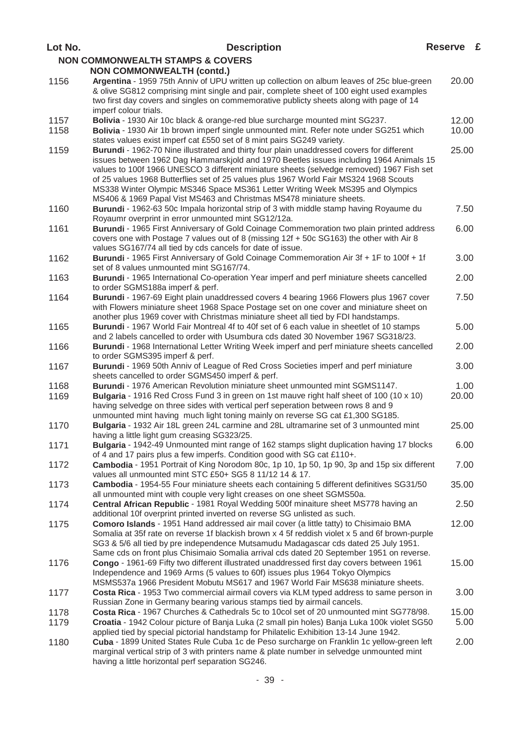| Lot No. | <b>Description</b>                                                                                                                                                                                                                                                                                                                                                                                                                                                                                                               | Reserve £ |
|---------|----------------------------------------------------------------------------------------------------------------------------------------------------------------------------------------------------------------------------------------------------------------------------------------------------------------------------------------------------------------------------------------------------------------------------------------------------------------------------------------------------------------------------------|-----------|
|         | <b>NON COMMONWEALTH STAMPS &amp; COVERS</b><br><b>NON COMMONWEALTH (contd.)</b>                                                                                                                                                                                                                                                                                                                                                                                                                                                  |           |
| 1156    | Argentina - 1959 75th Anniv of UPU written up collection on album leaves of 25c blue-green<br>& olive SG812 comprising mint single and pair, complete sheet of 100 eight used examples<br>two first day covers and singles on commemorative publicty sheets along with page of 14<br>imperf colour trials.                                                                                                                                                                                                                       | 20.00     |
| 1157    | Bolivia - 1930 Air 10c black & orange-red blue surcharge mounted mint SG237.                                                                                                                                                                                                                                                                                                                                                                                                                                                     | 12.00     |
| 1158    | Bolivia - 1930 Air 1b brown imperf single unmounted mint. Refer note under SG251 which<br>states values exist imperf cat £550 set of 8 mint pairs SG249 variety.                                                                                                                                                                                                                                                                                                                                                                 | 10.00     |
| 1159    | Burundi - 1962-70 Nine illustrated and thirty four plain unaddressed covers for different<br>issues between 1962 Dag Hammarskjold and 1970 Beetles issues including 1964 Animals 15<br>values to 100f 1966 UNESCO 3 different miniature sheets (selvedge removed) 1967 Fish set<br>of 25 values 1968 Butterflies set of 25 values plus 1967 World Fair MS324 1968 Scouts<br>MS338 Winter Olympic MS346 Space MS361 Letter Writing Week MS395 and Olympics<br>MS406 & 1969 Papal Vist MS463 and Christmas MS478 miniature sheets. | 25.00     |
| 1160    | Burundi - 1962-63 50c Impala horizontal strip of 3 with middle stamp having Royaume du<br>Royaumr overprint in error unmounted mint SG12/12a.                                                                                                                                                                                                                                                                                                                                                                                    | 7.50      |
| 1161    | Burundi - 1965 First Anniversary of Gold Coinage Commemoration two plain printed address<br>covers one with Postage 7 values out of 8 (missing 12f + 50c SG163) the other with Air 8<br>values SG167/74 all tied by cds cancels for date of issue.                                                                                                                                                                                                                                                                               | 6.00      |
| 1162    | Burundi - 1965 First Anniversary of Gold Coinage Commemoration Air 3f + 1F to 100f + 1f<br>set of 8 values unmounted mint SG167/74.                                                                                                                                                                                                                                                                                                                                                                                              | 3.00      |
| 1163    | Burundi - 1965 International Co-operation Year imperf and perf miniature sheets cancelled<br>to order SGMS188a imperf & perf.                                                                                                                                                                                                                                                                                                                                                                                                    | 2.00      |
| 1164    | Burundi - 1967-69 Eight plain unaddressed covers 4 bearing 1966 Flowers plus 1967 cover<br>with Flowers miniature sheet 1968 Space Postage set on one cover and miniature sheet on<br>another plus 1969 cover with Christmas miniature sheet all tied by FDI handstamps.                                                                                                                                                                                                                                                         | 7.50      |
| 1165    | Burundi - 1967 World Fair Montreal 4f to 40f set of 6 each value in sheetlet of 10 stamps<br>and 2 labels cancelled to order with Usumbura cds dated 30 November 1967 SG318/23.                                                                                                                                                                                                                                                                                                                                                  | 5.00      |
| 1166    | Burundi - 1968 International Letter Writing Week imperf and perf miniature sheets cancelled<br>to order SGMS395 imperf & perf.                                                                                                                                                                                                                                                                                                                                                                                                   | 2.00      |
| 1167    | Burundi - 1969 50th Anniv of League of Red Cross Societies imperf and perf miniature<br>sheets cancelled to order SGMS450 imperf & perf.                                                                                                                                                                                                                                                                                                                                                                                         | 3.00      |
| 1168    | Burundi - 1976 American Revolution miniature sheet unmounted mint SGMS1147.                                                                                                                                                                                                                                                                                                                                                                                                                                                      | 1.00      |
| 1169    | Bulgaria - 1916 Red Cross Fund 3 in green on 1st mauve right half sheet of 100 (10 x 10)<br>having selvedge on three sides with vertical perf seperation between rows 8 and 9<br>unmounted mint having much light toning mainly on reverse SG cat £1,300 SG185.                                                                                                                                                                                                                                                                  | 20.00     |
| 1170    | Bulgaria - 1932 Air 18L green 24L carmine and 28L ultramarine set of 3 unmounted mint<br>having a little light gum creasing SG323/25.                                                                                                                                                                                                                                                                                                                                                                                            | 25.00     |
| 1171    | Bulgaria - 1942-49 Unmounted mint range of 162 stamps slight duplication having 17 blocks<br>of 4 and 17 pairs plus a few imperfs. Condition good with SG cat £110+.                                                                                                                                                                                                                                                                                                                                                             | 6.00      |
| 1172    | Cambodia - 1951 Portrait of King Norodom 80c, 1p 10, 1p 50, 1p 90, 3p and 15p six different<br>values all unmounted mint STC £50+ SG5 8 11/12 14 & 17.                                                                                                                                                                                                                                                                                                                                                                           | 7.00      |
| 1173    | Cambodia - 1954-55 Four miniature sheets each containing 5 different definitives SG31/50<br>all unmounted mint with couple very light creases on one sheet SGMS50a.                                                                                                                                                                                                                                                                                                                                                              | 35.00     |
| 1174    | Central African Republic - 1981 Royal Wedding 500f minaiture sheet MS778 having an<br>additional 10f overprint printed inverted on reverse SG unlisted as such.                                                                                                                                                                                                                                                                                                                                                                  | 2.50      |
| 1175    | Comoro Islands - 1951 Hand addressed air mail cover (a little tatty) to Chisimaio BMA<br>Somalia at 35f rate on reverse 1f blackish brown x 4 5f reddish violet x 5 and 6f brown-purple<br>SG3 & 5/6 all tied by pre independence Mutsamudu Madagascar cds dated 25 July 1951.<br>Same cds on front plus Chisimaio Somalia arrival cds dated 20 September 1951 on reverse.                                                                                                                                                       | 12.00     |
| 1176    | Congo - 1961-69 Fifty two different illustrated unaddressed first day covers between 1961<br>Independence and 1969 Arms (5 values to 60f) issues plus 1964 Tokyo Olympics<br>MSMS537a 1966 President Mobutu MS617 and 1967 World Fair MS638 miniature sheets.                                                                                                                                                                                                                                                                    | 15.00     |
| 1177    | Costa Rica - 1953 Two commercial airmail covers via KLM typed address to same person in<br>Russian Zone in Germany bearing various stamps tied by airmail cancels.                                                                                                                                                                                                                                                                                                                                                               | 3.00      |
| 1178    | Costa Rica - 1967 Churches & Cathedrals 5c to 10col set of 20 unmounted mint SG778/98.                                                                                                                                                                                                                                                                                                                                                                                                                                           | 15.00     |
| 1179    | Croatia - 1942 Colour picture of Banja Luka (2 small pin holes) Banja Luka 100k violet SG50<br>applied tied by special pictorial handstamp for Philatelic Exhibition 13-14 June 1942.                                                                                                                                                                                                                                                                                                                                            | 5.00      |
| 1180    | Cuba - 1899 United States Rule Cuba 1c de Peso surcharge on Franklin 1c yellow-green left<br>marginal vertical strip of 3 with printers name & plate number in selvedge unmounted mint<br>having a little horizontal perf separation SG246.                                                                                                                                                                                                                                                                                      | 2.00      |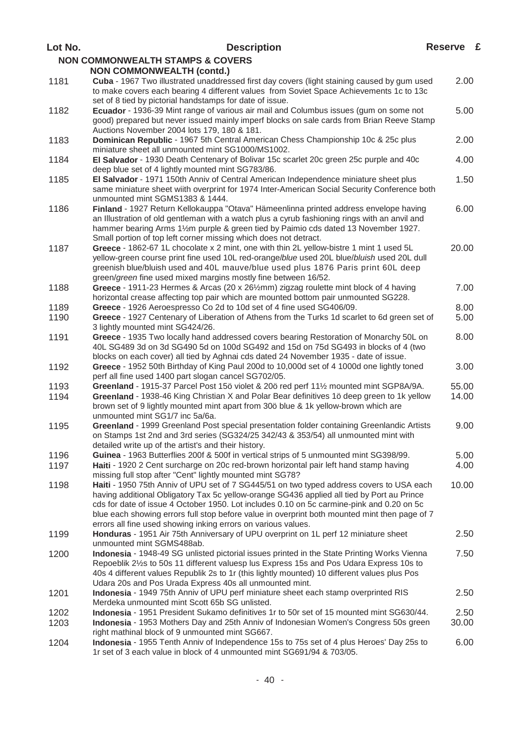| Lot No.      | <b>Description</b>                                                                                                                                                                                                                                                                                                                                                                                                                                    | Reserve £     |  |
|--------------|-------------------------------------------------------------------------------------------------------------------------------------------------------------------------------------------------------------------------------------------------------------------------------------------------------------------------------------------------------------------------------------------------------------------------------------------------------|---------------|--|
|              | <b>NON COMMONWEALTH STAMPS &amp; COVERS</b>                                                                                                                                                                                                                                                                                                                                                                                                           |               |  |
|              | <b>NON COMMONWEALTH (contd.)</b>                                                                                                                                                                                                                                                                                                                                                                                                                      |               |  |
| 1181         | Cuba - 1967 Two illustrated unaddressed first day covers (light staining caused by gum used<br>to make covers each bearing 4 different values from Soviet Space Achievements 1c to 13c<br>set of 8 tied by pictorial handstamps for date of issue.                                                                                                                                                                                                    | 2.00          |  |
| 1182         | Ecuador - 1936-39 Mint range of various air mail and Columbus issues (gum on some not<br>good) prepared but never issued mainly imperf blocks on sale cards from Brian Reeve Stamp<br>Auctions November 2004 lots 179, 180 & 181.                                                                                                                                                                                                                     | 5.00          |  |
| 1183         | Dominican Republic - 1967 5th Central American Chess Championship 10c & 25c plus<br>miniature sheet all unmounted mint SG1000/MS1002.                                                                                                                                                                                                                                                                                                                 | 2.00          |  |
| 1184         | El Salvador - 1930 Death Centenary of Bolivar 15c scarlet 20c green 25c purple and 40c<br>deep blue set of 4 lightly mounted mint SG783/86.                                                                                                                                                                                                                                                                                                           | 4.00          |  |
| 1185         | El Salvador - 1971 150th Anniv of Central American Independence miniature sheet plus<br>same miniature sheet wiith overprint for 1974 Inter-American Social Security Conference both<br>unmounted mint SGMS1383 & 1444.                                                                                                                                                                                                                               | 1.50          |  |
| 1186         | Finland - 1927 Return Kellokauppa "Otava" Hämeenlinna printed address envelope having<br>an Illustration of old gentleman with a watch plus a cyrub fashioning rings with an anvil and<br>hammer bearing Arms 11/2m purple & green tied by Paimio cds dated 13 November 1927.                                                                                                                                                                         | 6.00          |  |
| 1187         | Small portion of top left corner missing which does not detract.<br>Greece - 1862-67 1L chocolate x 2 mint, one with thin 2L yellow-bistre 1 mint 1 used 5L<br>yellow-green course print fine used 10L red-orange/blue used 20L blue/bluish used 20L dull<br>greenish blue/bluish used and 40L mauve/blue used plus 1876 Paris print 60L deep<br>green/green fine used mixed margins mostly fine between 16/52.                                       | 20.00         |  |
| 1188         | Greece - 1911-23 Hermes & Arcas (20 x 261/2mm) zigzag roulette mint block of 4 having<br>horizontal crease affecting top pair which are mounted bottom pair unmounted SG228.                                                                                                                                                                                                                                                                          | 7.00          |  |
| 1189         | Greece - 1926 Aeroespresso Co 2d to 10d set of 4 fine used SG406/09.                                                                                                                                                                                                                                                                                                                                                                                  | 8.00          |  |
| 1190         | Greece - 1927 Centenary of Liberation of Athens from the Turks 1d scarlet to 6d green set of<br>3 lightly mounted mint SG424/26.                                                                                                                                                                                                                                                                                                                      | 5.00          |  |
| 1191         | Greece - 1935 Two locally hand addressed covers bearing Restoration of Monarchy 50L on<br>40L SG489 3d on 3d SG490 5d on 100d SG492 and 15d on 75d SG493 in blocks of 4 (two<br>blocks on each cover) all tied by Aghnai cds dated 24 November 1935 - date of issue.                                                                                                                                                                                  | 8.00          |  |
| 1192         | Greece - 1952 50th Birthday of King Paul 200d to 10,000d set of 4 1000d one lightly toned<br>perf all fine used 1400 part slogan cancel SG702/05.                                                                                                                                                                                                                                                                                                     | 3.00          |  |
| 1193         | Greenland - 1915-37 Parcel Post 15ö violet & 20ö red perf 11½ mounted mint SGP8A/9A.                                                                                                                                                                                                                                                                                                                                                                  | 55.00         |  |
| 1194         | Greenland - 1938-46 King Christian X and Polar Bear definitives 1ö deep green to 1k yellow<br>brown set of 9 lightly mounted mint apart from 30ö blue & 1k yellow-brown which are<br>unmounted mint SG1/7 inc 5a/6a.                                                                                                                                                                                                                                  | 14.00         |  |
| 1195         | Greenland - 1999 Greenland Post special presentation folder containing Greenlandic Artists<br>on Stamps 1st 2nd and 3rd series (SG324/25 342/43 & 353/54) all unmounted mint with<br>detailed write up of the artist's and their history.                                                                                                                                                                                                             | 9.00          |  |
| 1196         | Guinea - 1963 Butterflies 200f & 500f in vertical strips of 5 unmounted mint SG398/99.                                                                                                                                                                                                                                                                                                                                                                | 5.00          |  |
| 1197         | Haiti - 1920 2 Cent surcharge on 20c red-brown horizontal pair left hand stamp having<br>missing full stop after "Cent" lightly mounted mint SG78?                                                                                                                                                                                                                                                                                                    | 4.00          |  |
| 1198         | Haiti - 1950 75th Anniv of UPU set of 7 SG445/51 on two typed address covers to USA each<br>having additional Obligatory Tax 5c yellow-orange SG436 applied all tied by Port au Prince<br>cds for date of issue 4 October 1950. Lot includes 0.10 on 5c carmine-pink and 0.20 on 5c<br>blue each showing errors full stop before value in overprint both mounted mint then page of 7<br>errors all fine used showing inking errors on various values. | 10.00         |  |
| 1199         | Honduras - 1951 Air 75th Anniversary of UPU overprint on 1L perf 12 miniature sheet<br>unmounted mint SGMS488ab.                                                                                                                                                                                                                                                                                                                                      | 2.50          |  |
| 1200         | Indonesia - 1948-49 SG unlisted pictorial issues printed in the State Printing Works Vienna<br>Repoeblik 21/2s to 50s 11 different valuesp lus Express 15s and Pos Udara Express 10s to<br>40s 4 different values Republik 2s to 1r (this lightly mounted) 10 different values plus Pos<br>Udara 20s and Pos Urada Express 40s all unmounted mint.                                                                                                    | 7.50          |  |
| 1201         | Indonesia - 1949 75th Anniv of UPU perf miniature sheet each stamp overprinted RIS<br>Merdeka unmounted mint Scott 65b SG unlisted.                                                                                                                                                                                                                                                                                                                   | 2.50          |  |
| 1202<br>1203 | Indonesia - 1951 President Sukamo definitives 1r to 50r set of 15 mounted mint SG630/44.<br>Indonesia - 1953 Mothers Day and 25th Anniv of Indonesian Women's Congress 50s green<br>right mathinal block of 9 unmounted mint SG667.                                                                                                                                                                                                                   | 2.50<br>30.00 |  |
| 1204         | Indonesia - 1955 Tenth Anniv of Independence 15s to 75s set of 4 plus Heroes' Day 25s to<br>1r set of 3 each value in block of 4 unmounted mint SG691/94 & 703/05.                                                                                                                                                                                                                                                                                    | 6.00          |  |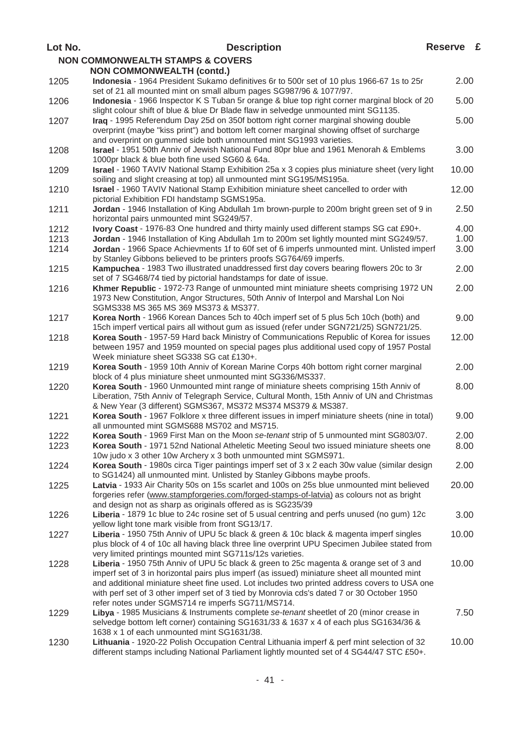| Lot No. | <b>Description</b>                                                                                                                                                                                                                                                                                                                                                                                                                        | Reserve £ |  |
|---------|-------------------------------------------------------------------------------------------------------------------------------------------------------------------------------------------------------------------------------------------------------------------------------------------------------------------------------------------------------------------------------------------------------------------------------------------|-----------|--|
|         | <b>NON COMMONWEALTH STAMPS &amp; COVERS</b>                                                                                                                                                                                                                                                                                                                                                                                               |           |  |
|         | <b>NON COMMONWEALTH (contd.)</b>                                                                                                                                                                                                                                                                                                                                                                                                          |           |  |
| 1205    | Indonesia - 1964 President Sukamo definitives 6r to 500r set of 10 plus 1966-67 1s to 25r<br>set of 21 all mounted mint on small album pages SG987/96 & 1077/97.                                                                                                                                                                                                                                                                          | 2.00      |  |
| 1206    | Indonesia - 1966 Inspector K S Tuban 5r orange & blue top right corner marginal block of 20<br>slight colour shift of blue & blue Dr Blade flaw in selvedge unmounted mint SG1135.                                                                                                                                                                                                                                                        | 5.00      |  |
| 1207    | Iraq - 1995 Referendum Day 25d on 350f bottom right corner marginal showing double<br>overprint (maybe "kiss print") and bottom left corner marginal showing offset of surcharge<br>and overprint on gummed side both unmounted mint SG1993 varieties.                                                                                                                                                                                    | 5.00      |  |
| 1208    | Israel - 1951 50th Anniv of Jewish National Fund 80pr blue and 1961 Menorah & Emblems<br>1000pr black & blue both fine used SG60 & 64a.                                                                                                                                                                                                                                                                                                   | 3.00      |  |
| 1209    | Israel - 1960 TAVIV National Stamp Exhibition 25a x 3 copies plus miniature sheet (very light<br>soiling and slight creasing at top) all unmounted mint SG195/MS195a.                                                                                                                                                                                                                                                                     | 10.00     |  |
| 1210    | Israel - 1960 TAVIV National Stamp Exhibition miniature sheet cancelled to order with<br>pictorial Exhibition FDI handstamp SGMS195a.                                                                                                                                                                                                                                                                                                     | 12.00     |  |
| 1211    | Jordan - 1946 Installation of King Abdullah 1m brown-purple to 200m bright green set of 9 in<br>horizontal pairs unmounted mint SG249/57.                                                                                                                                                                                                                                                                                                 | 2.50      |  |
| 1212    | Ivory Coast - 1976-83 One hundred and thirty mainly used different stamps SG cat £90+.                                                                                                                                                                                                                                                                                                                                                    | 4.00      |  |
| 1213    | Jordan - 1946 Installation of King Abdullah 1m to 200m set lightly mounted mint SG249/57.                                                                                                                                                                                                                                                                                                                                                 | 1.00      |  |
| 1214    | Jordan - 1966 Space Achievments 1f to 60f set of 6 imperfs unmounted mint. Unlisted imperf<br>by Stanley Gibbons believed to be printers proofs SG764/69 imperfs.                                                                                                                                                                                                                                                                         | 3.00      |  |
| 1215    | Kampuchea - 1983 Two illustrated unaddressed first day covers bearing flowers 20c to 3r<br>set of 7 SG468/74 tied by pictorial handstamps for date of issue.                                                                                                                                                                                                                                                                              | 2.00      |  |
| 1216    | Khmer Republic - 1972-73 Range of unmounted mint miniature sheets comprising 1972 UN<br>1973 New Constitution, Angor Structures, 50th Anniv of Interpol and Marshal Lon Noi<br>SGMS338 MS 365 MS 369 MS373 & MS377.                                                                                                                                                                                                                       | 2.00      |  |
| 1217    | Korea North - 1966 Korean Dances 5ch to 40ch imperf set of 5 plus 5ch 10ch (both) and<br>15ch imperf vertical pairs all without gum as issued (refer under SGN721/25) SGN721/25.                                                                                                                                                                                                                                                          | 9.00      |  |
| 1218    | Korea South - 1957-59 Hard back Ministry of Communications Republic of Korea for issues<br>between 1957 and 1959 mounted on special pages plus additional used copy of 1957 Postal<br>Week miniature sheet SG338 SG cat £130+.                                                                                                                                                                                                            | 12.00     |  |
| 1219    | Korea South - 1959 10th Anniv of Korean Marine Corps 40h bottom right corner marginal<br>block of 4 plus miniature sheet unmounted mint SG336/MS337.                                                                                                                                                                                                                                                                                      | 2.00      |  |
| 1220    | Korea South - 1960 Unmounted mint range of miniature sheets comprising 15th Anniv of<br>Liberation, 75th Anniv of Telegraph Service, Cultural Month, 15th Anniv of UN and Christmas<br>& New Year (3 different) SGMS367, MS372 MS374 MS379 & MS387.                                                                                                                                                                                       | 8.00      |  |
| 1221    | Korea South - 1967 Folklore x three different issues in imperf miniature sheets (nine in total)<br>all unmounted mint SGMS688 MS702 and MS715.                                                                                                                                                                                                                                                                                            | 9.00      |  |
| 1222    | Korea South - 1969 First Man on the Moon se-tenant strip of 5 unmounted mint SG803/07.                                                                                                                                                                                                                                                                                                                                                    | 2.00      |  |
| 1223    | Korea South - 1971 52nd National Atheletic Meeting Seoul two issued miniature sheets one<br>10w judo x 3 other 10w Archery x 3 both unmounted mint SGMS971.                                                                                                                                                                                                                                                                               | 8.00      |  |
| 1224    | Korea South - 1980s circa Tiger paintings imperf set of 3 x 2 each 30w value (similar design<br>to SG1424) all unmounted mint. Unlisted by Stanley Gibbons maybe proofs.                                                                                                                                                                                                                                                                  | 2.00      |  |
| 1225    | Latvia - 1933 Air Charity 50s on 15s scarlet and 100s on 25s blue unmounted mint believed<br>forgeries refer (www.stampforgeries.com/forged-stamps-of-latvia) as colours not as bright<br>and design not as sharp as originals offered as is SG235/39                                                                                                                                                                                     | 20.00     |  |
| 1226    | Liberia - 1879 1c blue to 24c rosine set of 5 usual centring and perfs unused (no gum) 12c<br>yellow light tone mark visible from front SG13/17.                                                                                                                                                                                                                                                                                          | 3.00      |  |
| 1227    | Liberia - 1950 75th Anniv of UPU 5c black & green & 10c black & magenta imperf singles<br>plus block of 4 of 10c all having black three line overprint UPU Specimen Jubilee stated from<br>very limited printings mounted mint SG711s/12s varieties.                                                                                                                                                                                      | 10.00     |  |
| 1228    | Liberia - 1950 75th Anniv of UPU 5c black & green to 25c magenta & orange set of 3 and<br>imperf set of 3 in horizontal pairs plus imperf (as issued) miniature sheet all mounted mint<br>and additional miniature sheet fine used. Lot includes two printed address covers to USA one<br>with perf set of 3 other imperf set of 3 tied by Monrovia cds's dated 7 or 30 October 1950<br>refer notes under SGMS714 re imperfs SG711/MS714. | 10.00     |  |
| 1229    | Libya - 1985 Musicians & Instruments complete se-tenant sheetlet of 20 (minor crease in<br>selvedge bottom left corner) containing SG1631/33 & 1637 x 4 of each plus SG1634/36 &<br>1638 x 1 of each unmounted mint SG1631/38.                                                                                                                                                                                                            | 7.50      |  |
| 1230    | Lithuania - 1920-22 Polish Occupation Central Lithuania imperf & perf mint selection of 32<br>different stamps including National Parliament lightly mounted set of 4 SG44/47 STC £50+.                                                                                                                                                                                                                                                   | 10.00     |  |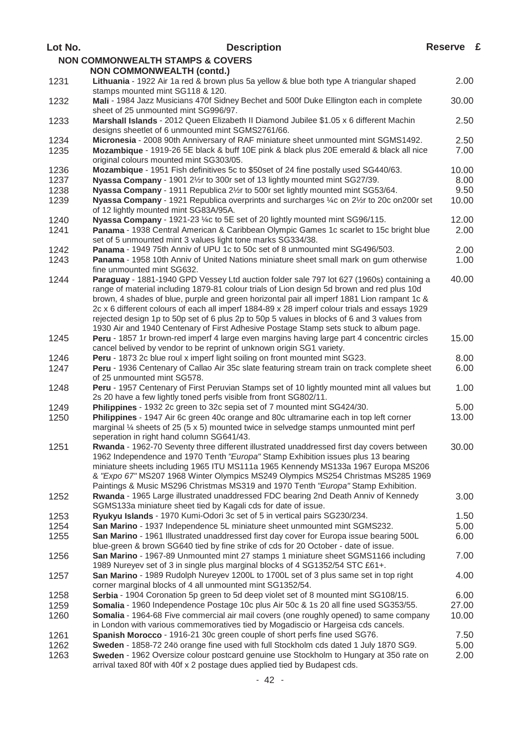| Lot No.      | <b>Description</b>                                                                                                                                                                                                                                                                                                                                                                                                                                                                    | Reserve £    |  |
|--------------|---------------------------------------------------------------------------------------------------------------------------------------------------------------------------------------------------------------------------------------------------------------------------------------------------------------------------------------------------------------------------------------------------------------------------------------------------------------------------------------|--------------|--|
|              | <b>NON COMMONWEALTH STAMPS &amp; COVERS</b>                                                                                                                                                                                                                                                                                                                                                                                                                                           |              |  |
|              | <b>NON COMMONWEALTH (contd.)</b>                                                                                                                                                                                                                                                                                                                                                                                                                                                      |              |  |
| 1231         | Lithuania - 1922 Air 1a red & brown plus 5a yellow & blue both type A triangular shaped<br>stamps mounted mint SG118 & 120.                                                                                                                                                                                                                                                                                                                                                           | 2.00         |  |
| 1232         | Mali - 1984 Jazz Musicians 470f Sidney Bechet and 500f Duke Ellington each in complete<br>sheet of 25 unmounted mint SG996/97.                                                                                                                                                                                                                                                                                                                                                        | 30.00        |  |
| 1233         | Marshall Islands - 2012 Queen Elizabeth II Diamond Jubilee \$1.05 x 6 different Machin<br>designs sheetlet of 6 unmounted mint SGMS2761/66.                                                                                                                                                                                                                                                                                                                                           | 2.50         |  |
| 1234         | Micronesia - 2008 90th Anniversary of RAF miniature sheet unmounted mint SGMS1492.                                                                                                                                                                                                                                                                                                                                                                                                    | 2.50         |  |
| 1235         | Mozambique - 1919-26 5E black & buff 10E pink & black plus 20E emerald & black all nice<br>original colours mounted mint SG303/05.                                                                                                                                                                                                                                                                                                                                                    | 7.00         |  |
| 1236         | Mozambique - 1951 Fish definitives 5c to \$50set of 24 fine postally used SG440/63.                                                                                                                                                                                                                                                                                                                                                                                                   | 10.00        |  |
| 1237         | Nyassa Company - 1901 21/2r to 300r set of 13 lightly mounted mint SG27/39.                                                                                                                                                                                                                                                                                                                                                                                                           | 8.00         |  |
| 1238         | Nyassa Company - 1911 Republica 21/2r to 500r set lightly mounted mint SG53/64.                                                                                                                                                                                                                                                                                                                                                                                                       | 9.50         |  |
| 1239         | Nyassa Company - 1921 Republica overprints and surcharges ¼c on 2½r to 20c on200r set<br>of 12 lightly mounted mint SG83A/95A.                                                                                                                                                                                                                                                                                                                                                        | 10.00        |  |
| 1240         | Nyassa Company - 1921-23 ¼c to 5E set of 20 lightly mounted mint SG96/115.                                                                                                                                                                                                                                                                                                                                                                                                            | 12.00        |  |
| 1241         | Panama - 1938 Central American & Caribbean Olympic Games 1c scarlet to 15c bright blue<br>set of 5 unmounted mint 3 values light tone marks SG334/38.                                                                                                                                                                                                                                                                                                                                 | 2.00         |  |
| 1242         | Panama - 1949 75th Anniv of UPU 1c to 50c set of 8 unmounted mint SG496/503.                                                                                                                                                                                                                                                                                                                                                                                                          | 2.00         |  |
| 1243         | Panama - 1958 10th Anniv of United Nations miniature sheet small mark on gum otherwise<br>fine unmounted mint SG632.                                                                                                                                                                                                                                                                                                                                                                  | 1.00         |  |
| 1244         | Paraguay - 1881-1940 GPD Vessey Ltd auction folder sale 797 lot 627 (1960s) containing a<br>range of material including 1879-81 colour trials of Lion design 5d brown and red plus 10d<br>brown, 4 shades of blue, purple and green horizontal pair all imperf 1881 Lion rampant 1c &<br>2c x 6 different colours of each all imperf 1884-89 x 28 imperf colour trials and essays 1929<br>rejected design 1p to 50p set of 6 plus 2p to 50p 5 values in blocks of 6 and 3 values from | 40.00        |  |
|              | 1930 Air and 1940 Centenary of First Adhesive Postage Stamp sets stuck to album page.                                                                                                                                                                                                                                                                                                                                                                                                 |              |  |
| 1245         | Peru - 1857 1r brown-red imperf 4 large even margins having large part 4 concentric circles<br>cancel belived by vendor to be reprint of unknown origin SG1 variety.                                                                                                                                                                                                                                                                                                                  | 15.00        |  |
| 1246         | Peru - 1873 2c blue roul x imperf light soiling on front mounted mint SG23.                                                                                                                                                                                                                                                                                                                                                                                                           | 8.00         |  |
| 1247         | Peru - 1936 Centenary of Callao Air 35c slate featuring stream train on track complete sheet<br>of 25 unmounted mint SG578.                                                                                                                                                                                                                                                                                                                                                           | 6.00         |  |
| 1248         | Peru - 1957 Centenary of First Peruvian Stamps set of 10 lightly mounted mint all values but<br>2s 20 have a few lightly toned perfs visible from front SG802/11.                                                                                                                                                                                                                                                                                                                     | 1.00         |  |
| 1249         | Philippines - 1932 2c green to 32c sepia set of 7 mounted mint SG424/30.                                                                                                                                                                                                                                                                                                                                                                                                              | 5.00         |  |
| 1250         | Philippines - 1947 Air 6c green 40c orange and 80c ultramarine each in top left corner<br>marginal 1/4 sheets of 25 (5 x 5) mounted twice in selvedge stamps unmounted mint perf<br>seperation in right hand column SG641/43.                                                                                                                                                                                                                                                         | 13.00        |  |
| 1251         | Rwanda - 1962-70 Seventy three different illustrated unaddressed first day covers between<br>1962 Independence and 1970 Tenth "Europa" Stamp Exhibition issues plus 13 bearing                                                                                                                                                                                                                                                                                                        | 30.00        |  |
|              | miniature sheets including 1965 ITU MS111a 1965 Kennendy MS133a 1967 Europa MS206<br>& "Expo 67" MS207 1968 Winter Olympics MS249 Olympics MS254 Christmas MS285 1969<br>Paintings & Music MS296 Christmas MS319 and 1970 Tenth "Europa" Stamp Exhibition.                                                                                                                                                                                                                            |              |  |
| 1252         | Rwanda - 1965 Large illustrated unaddressed FDC bearing 2nd Death Anniv of Kennedy<br>SGMS133a miniature sheet tied by Kagali cds for date of issue.                                                                                                                                                                                                                                                                                                                                  | 3.00         |  |
| 1253         | Ryukyu Islands - 1970 Kumi-Odori 3c set of 5 in vertical pairs SG230/234.                                                                                                                                                                                                                                                                                                                                                                                                             | 1.50         |  |
| 1254         | San Marino - 1937 Independence 5L miniature sheet unmounted mint SGMS232.                                                                                                                                                                                                                                                                                                                                                                                                             | 5.00         |  |
| 1255         | San Marino - 1961 Illustrated unaddressed first day cover for Europa issue bearing 500L<br>blue-green & brown SG640 tied by fine strike of cds for 20 October - date of issue.                                                                                                                                                                                                                                                                                                        | 6.00         |  |
| 1256         | San Marino - 1967-89 Unmounted mint 27 stamps 1 miniature sheet SGMS1166 including<br>1989 Nureyev set of 3 in single plus marginal blocks of 4 SG1352/54 STC £61+.                                                                                                                                                                                                                                                                                                                   | 7.00         |  |
| 1257         | San Marino - 1989 Rudolph Nureyev 1200L to 1700L set of 3 plus same set in top right<br>corner marginal blocks of 4 all unmounted mint SG1352/54.                                                                                                                                                                                                                                                                                                                                     | 4.00         |  |
| 1258         | Serbia - 1904 Coronation 5p green to 5d deep violet set of 8 mounted mint SG108/15.                                                                                                                                                                                                                                                                                                                                                                                                   | 6.00         |  |
| 1259         | Somalia - 1960 Independence Postage 10c plus Air 50c & 1s 20 all fine used SG353/55.                                                                                                                                                                                                                                                                                                                                                                                                  | 27.00        |  |
| 1260         | Somalia - 1964-68 Five commercial air mail covers (one roughly opened) to same company                                                                                                                                                                                                                                                                                                                                                                                                | 10.00        |  |
|              | in London with various commemoratives tied by Mogadiscio or Hargeisa cds cancels.                                                                                                                                                                                                                                                                                                                                                                                                     |              |  |
| 1261<br>1262 | Spanish Morocco - 1916-21 30c green couple of short perfs fine used SG76.<br>Sweden - 1858-72 24ö orange fine used with full Stockholm cds dated 1 July 1870 SG9.                                                                                                                                                                                                                                                                                                                     | 7.50<br>5.00 |  |
| 1263         | Sweden - 1962 Oversize colour postcard genuine use Stockholm to Hungary at 35ö rate on                                                                                                                                                                                                                                                                                                                                                                                                | 2.00         |  |
|              | arrival taxed 80f with 40f x 2 postage dues applied tied by Budapest cds.                                                                                                                                                                                                                                                                                                                                                                                                             |              |  |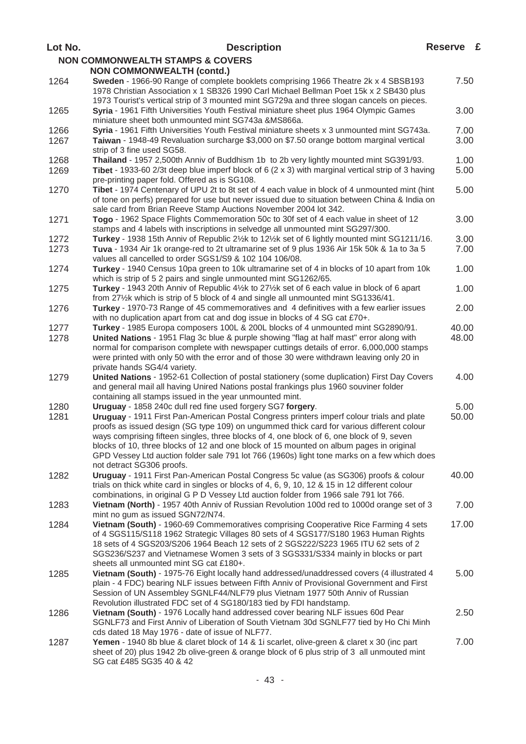| Lot No. | <b>Description</b>                                                                                                                                                                                                                                                                                                                                                                                                                                                                                         | Reserve £ |  |
|---------|------------------------------------------------------------------------------------------------------------------------------------------------------------------------------------------------------------------------------------------------------------------------------------------------------------------------------------------------------------------------------------------------------------------------------------------------------------------------------------------------------------|-----------|--|
|         | <b>NON COMMONWEALTH STAMPS &amp; COVERS</b>                                                                                                                                                                                                                                                                                                                                                                                                                                                                |           |  |
|         | <b>NON COMMONWEALTH (contd.)</b>                                                                                                                                                                                                                                                                                                                                                                                                                                                                           |           |  |
| 1264    | Sweden - 1966-90 Range of complete booklets comprising 1966 Theatre 2k x 4 SBSB193<br>1978 Christian Association x 1 SB326 1990 Carl Michael Bellman Poet 15k x 2 SB430 plus<br>1973 Tourist's vertical strip of 3 mounted mint SG729a and three slogan cancels on pieces.                                                                                                                                                                                                                                 | 7.50      |  |
| 1265    | Syria - 1961 Fifth Universities Youth Festival miniature sheet plus 1964 Olympic Games<br>miniature sheet both unmounted mint SG743a &MS866a.                                                                                                                                                                                                                                                                                                                                                              | 3.00      |  |
| 1266    | Syria - 1961 Fifth Universities Youth Festival miniature sheets x 3 unmounted mint SG743a.                                                                                                                                                                                                                                                                                                                                                                                                                 | 7.00      |  |
| 1267    | Taiwan - 1948-49 Revaluation surcharge \$3,000 on \$7.50 orange bottom marginal vertical<br>strip of 3 fine used SG58.                                                                                                                                                                                                                                                                                                                                                                                     | 3.00      |  |
| 1268    | Thailand - 1957 2,500th Anniv of Buddhism 1b to 2b very lightly mounted mint SG391/93.                                                                                                                                                                                                                                                                                                                                                                                                                     | 1.00      |  |
| 1269    | Tibet - 1933-60 2/3t deep blue imperf block of 6 $(2 \times 3)$ with marginal vertical strip of 3 having<br>pre-printing paper fold. Offered as is SG108.                                                                                                                                                                                                                                                                                                                                                  | 5.00      |  |
| 1270    | Tibet - 1974 Centenary of UPU 2t to 8t set of 4 each value in block of 4 unmounted mint (hint<br>of tone on perfs) prepared for use but never issued due to situation between China & India on<br>sale card from Brian Reeve Stamp Auctions November 2004 lot 342.                                                                                                                                                                                                                                         | 5.00      |  |
| 1271    | Togo - 1962 Space Flights Commemoration 50c to 30f set of 4 each value in sheet of 12<br>stamps and 4 labels with inscriptions in selvedge all unmounted mint SG297/300.                                                                                                                                                                                                                                                                                                                                   | 3.00      |  |
| 1272    | Turkey - 1938 15th Anniv of Republic 21/2 k to 121/2 k set of 6 lightly mounted mint SG1211/16.                                                                                                                                                                                                                                                                                                                                                                                                            | 3.00      |  |
| 1273    | Tuva - 1934 Air 1k orange-red to 2t ultramarine set of 9 plus 1936 Air 15k 50k & 1a to 3a 5<br>values all cancelled to order SGS1/S9 & 102 104 106/08.                                                                                                                                                                                                                                                                                                                                                     | 7.00      |  |
| 1274    | Turkey - 1940 Census 10pa green to 10k ultramarine set of 4 in blocks of 10 apart from 10k<br>which is strip of 5 2 pairs and single unmounted mint SG1262/65.                                                                                                                                                                                                                                                                                                                                             | 1.00      |  |
| 1275    | Turkey - 1943 20th Anniv of Republic 41/2k to 271/2k set of 6 each value in block of 6 apart<br>from 27½k which is strip of 5 block of 4 and single all unmounted mint SG1336/41.                                                                                                                                                                                                                                                                                                                          | 1.00      |  |
| 1276    | Turkey - 1970-73 Range of 45 commemoratives and 4 definitives with a few earlier issues<br>with no duplication apart from cat and dog issue in blocks of 4 SG cat £70+.                                                                                                                                                                                                                                                                                                                                    | 2.00      |  |
| 1277    | Turkey - 1985 Europa composers 100L & 200L blocks of 4 unmounted mint SG2890/91.                                                                                                                                                                                                                                                                                                                                                                                                                           | 40.00     |  |
| 1278    | United Nations - 1951 Flag 3c blue & purple showing "flag at half mast" error along with<br>normal for comparison complete with newspaper cuttings details of error. 6,000,000 stamps<br>were printed with only 50 with the error and of those 30 were withdrawn leaving only 20 in<br>private hands SG4/4 variety.                                                                                                                                                                                        | 48.00     |  |
| 1279    | United Nations - 1952-61 Collection of postal stationery (some duplication) First Day Covers<br>and general mail all having Unired Nations postal frankings plus 1960 souviner folder<br>containing all stamps issued in the year unmounted mint.                                                                                                                                                                                                                                                          | 4.00      |  |
| 1280    | Uruguay - 1858 240c dull red fine used forgery SG7 forgery.                                                                                                                                                                                                                                                                                                                                                                                                                                                | 5.00      |  |
| 1281    | Uruguay - 1911 First Pan-American Postal Congress printers imperf colour trials and plate<br>proofs as issued design (SG type 109) on ungummed thick card for various different colour<br>ways comprising fifteen singles, three blocks of 4, one block of 6, one block of 9, seven<br>blocks of 10, three blocks of 12 and one block of 15 mounted on album pages in original<br>GPD Vessey Ltd auction folder sale 791 lot 766 (1960s) light tone marks on a few which does<br>not detract SG306 proofs. | 50.00     |  |
| 1282    | Uruguay - 1911 First Pan-American Postal Congress 5c value (as SG306) proofs & colour<br>trials on thick white card in singles or blocks of 4, 6, 9, 10, 12 & 15 in 12 different colour<br>combinations, in original G P D Vessey Ltd auction folder from 1966 sale 791 lot 766.                                                                                                                                                                                                                           | 40.00     |  |
| 1283    | Vietnam (North) - 1957 40th Anniv of Russian Revolution 100d red to 1000d orange set of 3<br>mint no gum as issued SGN72/N74.                                                                                                                                                                                                                                                                                                                                                                              | 7.00      |  |
| 1284    | Vietnam (South) - 1960-69 Commemoratives comprising Cooperative Rice Farming 4 sets<br>of 4 SGS115/S118 1962 Strategic Villages 80 sets of 4 SGS177/S180 1963 Human Rights<br>18 sets of 4 SGS203/S206 1964 Beach 12 sets of 2 SGS222/S223 1965 ITU 62 sets of 2<br>SGS236/S237 and Vietnamese Women 3 sets of 3 SGS331/S334 mainly in blocks or part                                                                                                                                                      | 17.00     |  |
| 1285    | sheets all unmounted mint SG cat £180+.<br>Vietnam (South) - 1975-76 Eight locally hand addressed/unaddressed covers (4 illustrated 4<br>plain - 4 FDC) bearing NLF issues between Fifth Anniv of Provisional Government and First<br>Session of UN Assembley SGNLF44/NLF79 plus Vietnam 1977 50th Anniv of Russian<br>Revolution illustrated FDC set of 4 SG180/183 tied by FDI handstamp.                                                                                                                | 5.00      |  |
| 1286    | Vietnam (South) - 1976 Locally hand addressed cover bearing NLF issues 60d Pear<br>SGNLF73 and First Anniv of Liberation of South Vietnam 30d SGNLF77 tied by Ho Chi Minh<br>cds dated 18 May 1976 - date of issue of NLF77.                                                                                                                                                                                                                                                                               | 2.50      |  |
| 1287    | Yemen - 1940 8b blue & claret block of 14 & 1i scarlet, olive-green & claret x 30 (inc part<br>sheet of 20) plus 1942 2b olive-green & orange block of 6 plus strip of 3 all unmouted mint<br>SG cat £485 SG35 40 & 42                                                                                                                                                                                                                                                                                     | 7.00      |  |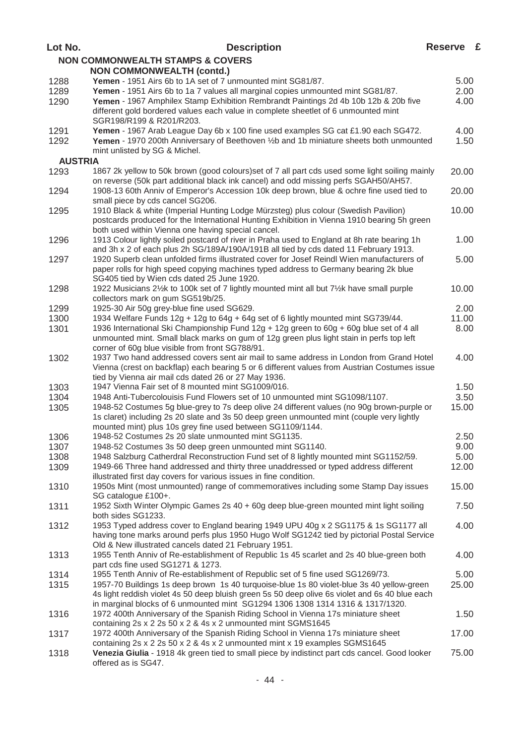| Lot No.        | <b>Description</b>                                                                                                                                                                                                                                                            | Reserve £ |  |
|----------------|-------------------------------------------------------------------------------------------------------------------------------------------------------------------------------------------------------------------------------------------------------------------------------|-----------|--|
|                | <b>NON COMMONWEALTH STAMPS &amp; COVERS</b>                                                                                                                                                                                                                                   |           |  |
|                | <b>NON COMMONWEALTH (contd.)</b>                                                                                                                                                                                                                                              |           |  |
| 1288           | Yemen - 1951 Airs 6b to 1A set of 7 unmounted mint SG81/87.                                                                                                                                                                                                                   | 5.00      |  |
| 1289           | Yemen - 1951 Airs 6b to 1a 7 values all marginal copies unmounted mint SG81/87.                                                                                                                                                                                               | 2.00      |  |
| 1290           | Yemen - 1967 Amphilex Stamp Exhibition Rembrandt Paintings 2d 4b 10b 12b & 20b five<br>different gold bordered values each value in complete sheetlet of 6 unmounted mint<br>SGR198/R199 & R201/R203.                                                                         | 4.00      |  |
| 1291           | Yemen - 1967 Arab League Day 6b x 100 fine used examples SG cat £1.90 each SG472.                                                                                                                                                                                             | 4.00      |  |
| 1292           | Yemen - 1970 200th Anniversary of Beethoven 1/2b and 1b miniature sheets both unmounted<br>mint unlisted by SG & Michel.                                                                                                                                                      | 1.50      |  |
| <b>AUSTRIA</b> |                                                                                                                                                                                                                                                                               |           |  |
| 1293           | 1867 2k yellow to 50k brown (good colours)set of 7 all part cds used some light soiling mainly<br>on reverse (50k part additional black ink cancel) and odd missing perfs SGAH50/AH57.                                                                                        | 20.00     |  |
| 1294           | 1908-13 60th Anniv of Emperor's Accession 10k deep brown, blue & ochre fine used tied to<br>small piece by cds cancel SG206.                                                                                                                                                  | 20.00     |  |
| 1295           | 1910 Black & white (Imperial Hunting Lodge Mürzsteg) plus colour (Swedish Pavilion)<br>postcards produced for the International Hunting Exhibition in Vienna 1910 bearing 5h green<br>both used within Vienna one having special cancel.                                      | 10.00     |  |
| 1296           | 1913 Colour lightly soiled postcard of river in Praha used to England at 8h rate bearing 1h<br>and 3h x 2 of each plus 2h SG/189A/190A/191B all tied by cds dated 11 February 1913.                                                                                           | 1.00      |  |
| 1297           | 1920 Superb clean unfolded firms illustrated cover for Josef Reindl Wien manufacturers of<br>paper rolls for high speed copying machines typed address to Germany bearing 2k blue<br>SG405 tied by Wien cds dated 25 June 1920.                                               | 5.00      |  |
| 1298           | 1922 Musicians 21/2k to 100k set of 7 lightly mounted mint all but 71/2k have small purple<br>collectors mark on gum SG519b/25.                                                                                                                                               | 10.00     |  |
| 1299           | 1925-30 Air 50g grey-blue fine used SG629.                                                                                                                                                                                                                                    | 2.00      |  |
| 1300           | 1934 Welfare Funds 12g + 12g to 64g + 64g set of 6 lightly mounted mint SG739/44.                                                                                                                                                                                             | 11.00     |  |
| 1301           | 1936 International Ski Championship Fund 12g + 12g green to 60g + 60g blue set of 4 all<br>unmounted mint. Small black marks on gum of 12g green plus light stain in perfs top left<br>corner of 60g blue visible from front SG788/91.                                        | 8.00      |  |
| 1302           | 1937 Two hand addressed covers sent air mail to same address in London from Grand Hotel<br>Vienna (crest on backflap) each bearing 5 or 6 different values from Austrian Costumes issue<br>tied by Vienna air mail cds dated 26 or 27 May 1936.                               | 4.00      |  |
| 1303           | 1947 Vienna Fair set of 8 mounted mint SG1009/016.                                                                                                                                                                                                                            | 1.50      |  |
| 1304           | 1948 Anti-Tubercolouisis Fund Flowers set of 10 unmounted mint SG1098/1107.                                                                                                                                                                                                   | 3.50      |  |
| 1305           | 1948-52 Costumes 5g blue-grey to 7s deep olive 24 different values (no 90g brown-purple or<br>1s claret) including 2s 20 slate and 3s 50 deep green unmounted mint (couple very lightly<br>mounted mint) plus 10s grey fine used between SG1109/1144.                         | 15.00     |  |
| 1306           | 1948-52 Costumes 2s 20 slate unmounted mint SG1135.                                                                                                                                                                                                                           | 2.50      |  |
| 1307           | 1948-52 Costumes 3s 50 deep green unmounted mint SG1140.                                                                                                                                                                                                                      | 9.00      |  |
| 1308           | 1948 Salzburg Catherdral Reconstruction Fund set of 8 lightly mounted mint SG1152/59.                                                                                                                                                                                         | 5.00      |  |
| 1309           | 1949-66 Three hand addressed and thirty three unaddressed or typed address different<br>illustrated first day covers for various issues in fine condition.                                                                                                                    | 12.00     |  |
| 1310           | 1950s Mint (most unmounted) range of commemoratives including some Stamp Day issues<br>SG catalogue £100+.                                                                                                                                                                    | 15.00     |  |
| 1311           | 1952 Sixth Winter Olympic Games 2s 40 + 60g deep blue-green mounted mint light soiling<br>both sides SG1233.                                                                                                                                                                  | 7.50      |  |
| 1312           | 1953 Typed address cover to England bearing 1949 UPU 40g x 2 SG1175 & 1s SG1177 all<br>having tone marks around perfs plus 1950 Hugo Wolf SG1242 tied by pictorial Postal Service<br>Old & New illustrated cancels dated 21 February 1951.                                    | 4.00      |  |
| 1313           | 1955 Tenth Anniv of Re-establishment of Republic 1s 45 scarlet and 2s 40 blue-green both<br>part cds fine used SG1271 & 1273.                                                                                                                                                 | 4.00      |  |
| 1314           | 1955 Tenth Anniv of Re-establishment of Republic set of 5 fine used SG1269/73.                                                                                                                                                                                                | 5.00      |  |
| 1315           | 1957-70 Buildings 1s deep brown 1s 40 turquoise-blue 1s 80 violet-blue 3s 40 yellow-green<br>4s light reddish violet 4s 50 deep bluish green 5s 50 deep olive 6s violet and 6s 40 blue each<br>in marginal blocks of 6 unmounted mint SG1294 1306 1308 1314 1316 & 1317/1320. | 25.00     |  |
| 1316           | 1972 400th Anniversary of the Spanish Riding School in Vienna 17s miniature sheet<br>containing 2s x 2 2s 50 x 2 & 4s x 2 unmounted mint SGMS1645                                                                                                                             | 1.50      |  |
| 1317           | 1972 400th Anniversary of the Spanish Riding School in Vienna 17s miniature sheet<br>containing 2s x 2 2s 50 x 2 & 4s x 2 unmounted mint x 19 examples SGMS1645                                                                                                               | 17.00     |  |
| 1318           | Venezia Giulia - 1918 4k green tied to small piece by indistinct part cds cancel. Good looker<br>offered as is SG47.                                                                                                                                                          | 75.00     |  |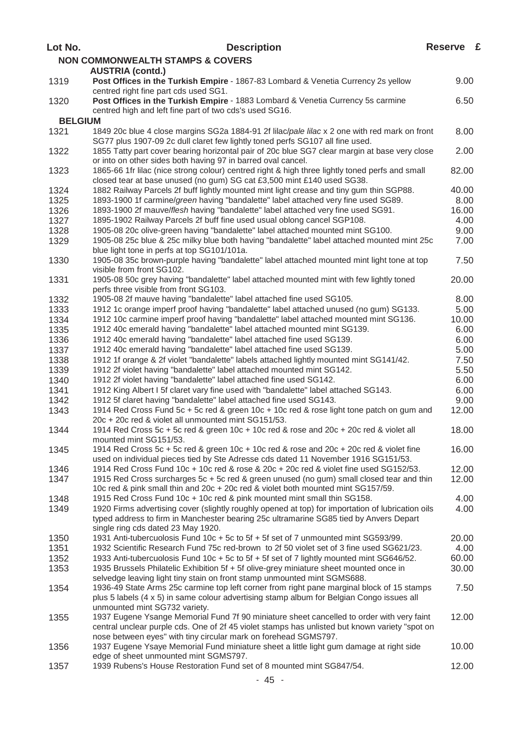| Lot No.        | <b>Description</b>                                                                                                                                                                                                                                             | Reserve £ |  |
|----------------|----------------------------------------------------------------------------------------------------------------------------------------------------------------------------------------------------------------------------------------------------------------|-----------|--|
|                | <b>NON COMMONWEALTH STAMPS &amp; COVERS</b>                                                                                                                                                                                                                    |           |  |
|                | <b>AUSTRIA (contd.)</b>                                                                                                                                                                                                                                        |           |  |
| 1319           | Post Offices in the Turkish Empire - 1867-83 Lombard & Venetia Currency 2s yellow<br>centred right fine part cds used SG1.                                                                                                                                     | 9.00      |  |
| 1320           | Post Offices in the Turkish Empire - 1883 Lombard & Venetia Currency 5s carmine<br>centred high and left fine part of two cds's used SG16.                                                                                                                     | 6.50      |  |
| <b>BELGIUM</b> |                                                                                                                                                                                                                                                                |           |  |
| 1321           | 1849 20c blue 4 close margins SG2a 1884-91 2f lilac/pale lilac x 2 one with red mark on front<br>SG77 plus 1907-09 2c dull claret few lightly toned perfs SG107 all fine used.                                                                                 | 8.00      |  |
| 1322           | 1855 Tatty part cover bearing horizontal pair of 20c blue SG7 clear margin at base very close<br>or into on other sides both having 97 in barred oval cancel.                                                                                                  | 2.00      |  |
| 1323           | 1865-66 1fr lilac (nice strong colour) centred right & high three lightly toned perfs and small<br>closed tear at base unused (no gum) SG cat £3,500 mint £140 used SG38.                                                                                      | 82.00     |  |
| 1324           | 1882 Railway Parcels 2f buff lightly mounted mint light crease and tiny gum thin SGP88.                                                                                                                                                                        | 40.00     |  |
| 1325           | 1893-1900 1f carmine/green having "bandalette" label attached very fine used SG89.                                                                                                                                                                             | 8.00      |  |
| 1326           | 1893-1900 2f mauve/flesh having "bandalette" label attached very fine used SG91.                                                                                                                                                                               | 16.00     |  |
| 1327           | 1895-1902 Railway Parcels 2f buff fine used usual oblong cancel SGP108.                                                                                                                                                                                        | 4.00      |  |
| 1328           | 1905-08 20c olive-green having "bandalette" label attached mounted mint SG100.                                                                                                                                                                                 | 9.00      |  |
| 1329           | 1905-08 25c blue & 25c milky blue both having "bandalette" label attached mounted mint 25c<br>blue light tone in perfs at top SG101/101a.                                                                                                                      | 7.00      |  |
| 1330           | 1905-08 35c brown-purple having "bandalette" label attached mounted mint light tone at top<br>visible from front SG102.                                                                                                                                        | 7.50      |  |
| 1331           | 1905-08 50c grey having "bandalette" label attached mounted mint with few lightly toned<br>perfs three visible from front SG103.                                                                                                                               | 20.00     |  |
| 1332           | 1905-08 2f mauve having "bandalette" label attached fine used SG105.                                                                                                                                                                                           | 8.00      |  |
| 1333           | 1912 1c orange imperf proof having "bandalette" label attached unused (no gum) SG133.                                                                                                                                                                          | 5.00      |  |
| 1334           | 1912 10c carmine imperf proof having "bandalette" label attached mounted mint SG136.                                                                                                                                                                           | 10.00     |  |
| 1335           | 1912 40c emerald having "bandalette" label attached mounted mint SG139.                                                                                                                                                                                        | 6.00      |  |
| 1336           | 1912 40c emerald having "bandalette" label attached fine used SG139.                                                                                                                                                                                           | 6.00      |  |
| 1337           | 1912 40c emerald having "bandalette" label attached fine used SG139.                                                                                                                                                                                           | 5.00      |  |
| 1338           | 1912 1f orange & 2f violet "bandalette" labels attached lightly mounted mint SG141/42.                                                                                                                                                                         | 7.50      |  |
| 1339           | 1912 2f violet having "bandalette" label attached mounted mint SG142.                                                                                                                                                                                          | 5.50      |  |
| 1340           | 1912 2f violet having "bandalette" label attached fine used SG142.                                                                                                                                                                                             | 6.00      |  |
| 1341           | 1912 King Albert I 5f claret vary fine used with "bandalette" label attached SG143.                                                                                                                                                                            | 6.00      |  |
| 1342           | 1912 5f claret having "bandalette" label attached fine used SG143.                                                                                                                                                                                             | 9.00      |  |
| 1343           | 1914 Red Cross Fund 5c + 5c red & green 10c + 10c red & rose light tone patch on gum and<br>20c + 20c red & violet all unmounted mint SG151/53.                                                                                                                | 12.00     |  |
| 1344           | 1914 Red Cross 5c + 5c red & green 10c + 10c red & rose and 20c + 20c red & violet all<br>mounted mint SG151/53.                                                                                                                                               | 18.00     |  |
| 1345           | 1914 Red Cross 5c + 5c red & green 10c + 10c red & rose and 20c + 20c red & violet fine<br>used on individual pieces tied by Ste Adresse cds dated 11 November 1916 SG151/53.                                                                                  | 16.00     |  |
| 1346           | 1914 Red Cross Fund 10c + 10c red & rose & 20c + 20c red & violet fine used SG152/53.                                                                                                                                                                          | 12.00     |  |
| 1347           | 1915 Red Cross surcharges 5c + 5c red & green unused (no gum) small closed tear and thin<br>10c red & pink small thin and 20c + 20c red & violet both mounted mint SG157/59.                                                                                   | 12.00     |  |
| 1348           | 1915 Red Cross Fund 10c + 10c red & pink mounted mint small thin SG158.                                                                                                                                                                                        | 4.00      |  |
| 1349           | 1920 Firms advertising cover (slightly roughly opened at top) for importation of lubrication oils<br>typed address to firm in Manchester bearing 25c ultramarine SG85 tied by Anvers Depart<br>single ring cds dated 23 May 1920.                              | 4.00      |  |
| 1350           | 1931 Anti-tubercuolosis Fund 10c + 5c to 5f + 5f set of 7 unmounted mint SG593/99.                                                                                                                                                                             | 20.00     |  |
| 1351           | 1932 Scientific Research Fund 75c red-brown to 2f 50 violet set of 3 fine used SG621/23.                                                                                                                                                                       | 4.00      |  |
| 1352           | 1933 Anti-tubercuolosis Fund 10c + 5c to 5f + 5f set of 7 lightly mounted mint SG646/52.                                                                                                                                                                       | 60.00     |  |
| 1353           | 1935 Brussels Philatelic Exhibition 5f + 5f olive-grey miniature sheet mounted once in<br>selvedge leaving light tiny stain on front stamp unmounted mint SGMS688.                                                                                             | 30.00     |  |
| 1354           | 1936-49 State Arms 25c carmine top left corner from right pane marginal block of 15 stamps<br>plus 5 labels (4 x 5) in same colour advertising stamp album for Belgian Congo issues all<br>unmounted mint SG732 variety.                                       | 7.50      |  |
| 1355           | 1937 Eugene Ysange Memorial Fund 7f 90 miniature sheet cancelled to order with very faint<br>central unclear purple cds. One of 2f 45 violet stamps has unlisted but known variety "spot on<br>nose between eyes" with tiny circular mark on forehead SGMS797. | 12.00     |  |
| 1356           | 1937 Eugene Ysaye Memorial Fund miniature sheet a little light gum damage at right side<br>edge of sheet unmounted mint SGMS797.                                                                                                                               | 10.00     |  |
| 1357           | 1939 Rubens's House Restoration Fund set of 8 mounted mint SG847/54.                                                                                                                                                                                           | 12.00     |  |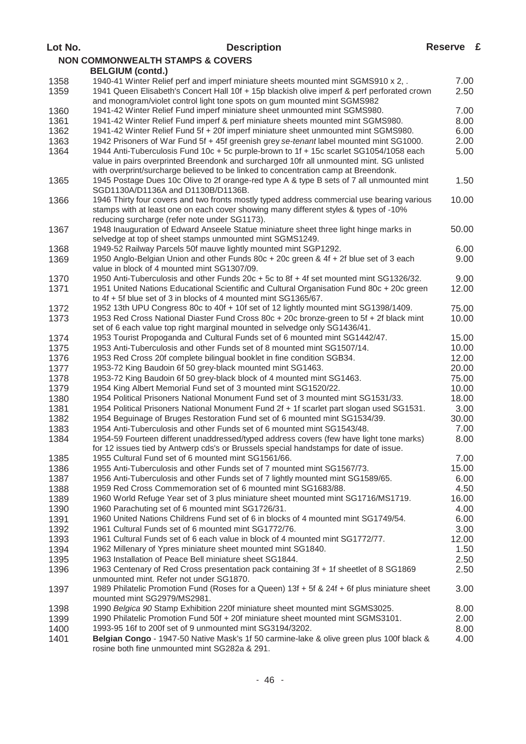| Lot No. | <b>Description</b>                                                                                                                                                                 | Reserve £ |  |
|---------|------------------------------------------------------------------------------------------------------------------------------------------------------------------------------------|-----------|--|
|         | <b>NON COMMONWEALTH STAMPS &amp; COVERS</b>                                                                                                                                        |           |  |
|         | <b>BELGIUM (contd.)</b>                                                                                                                                                            |           |  |
| 1358    | 1940-41 Winter Relief perf and imperf miniature sheets mounted mint SGMS910 x 2, .                                                                                                 | 7.00      |  |
| 1359    | 1941 Queen Elisabeth's Concert Hall 10f + 15p blackish olive imperf & perf perforated crown                                                                                        | 2.50      |  |
|         | and monogram/violet control light tone spots on gum mounted mint SGMS982                                                                                                           |           |  |
| 1360    | 1941-42 Winter Relief Fund imperf miniature sheet unmounted mint SGMS980.                                                                                                          | 7.00      |  |
| 1361    | 1941-42 Winter Relief Fund imperf & perf miniature sheets mounted mint SGMS980.                                                                                                    | 8.00      |  |
| 1362    | 1941-42 Winter Relief Fund 5f + 20f imperf miniature sheet unmounted mint SGMS980.                                                                                                 | 6.00      |  |
| 1363    | 1942 Prisoners of War Fund 5f + 45f greenish grey se-tenant label mounted mint SG1000.                                                                                             | 2.00      |  |
| 1364    | 1944 Anti-Tuberculosis Fund 10c + 5c purple-brown to 1f + 15c scarlet SG1054/1058 each<br>value in pairs overprinted Breendonk and surcharged 10fr all unmounted mint. SG unlisted | 5.00      |  |
|         | with overprint/surcharge believed to be linked to concentration camp at Breendonk.                                                                                                 |           |  |
| 1365    | 1945 Postage Dues 10c Olive to 2f orange-red type A & type B sets of 7 all unmounted mint                                                                                          | 1.50      |  |
|         | SGD1130A/D1136A and D1130B/D1136B.                                                                                                                                                 |           |  |
| 1366    | 1946 Thirty four covers and two fronts mostly typed address commercial use bearing various                                                                                         | 10.00     |  |
|         | stamps with at least one on each cover showing many different styles & types of -10%<br>reducing surcharge (refer note under SG1173).                                              |           |  |
| 1367    | 1948 Inauguration of Edward Anseele Statue miniature sheet three light hinge marks in                                                                                              | 50.00     |  |
|         | selvedge at top of sheet stamps unmounted mint SGMS1249.                                                                                                                           |           |  |
| 1368    | 1949-52 Railway Parcels 50f mauve lightly mounted mint SGP1292.                                                                                                                    | 6.00      |  |
| 1369    | 1950 Anglo-Belgian Union and other Funds 80c + 20c green & 4f + 2f blue set of 3 each                                                                                              | 9.00      |  |
|         | value in block of 4 mounted mint SG1307/09.                                                                                                                                        |           |  |
| 1370    | 1950 Anti-Tuberculosis and other Funds 20c + 5c to 8f + 4f set mounted mint SG1326/32.                                                                                             | 9.00      |  |
| 1371    | 1951 United Nations Educational Scientific and Cultural Organisation Fund 80c + 20c green                                                                                          | 12.00     |  |
|         | to 4f + 5f blue set of 3 in blocks of 4 mounted mint SG1365/67.                                                                                                                    |           |  |
| 1372    | 1952 13th UPU Congress 80c to 40f + 10f set of 12 lightly mounted mint SG1398/1409.                                                                                                | 75.00     |  |
| 1373    | 1953 Red Cross National Diaster Fund Cross 80c + 20c bronze-green to 5f + 2f black mint                                                                                            | 10.00     |  |
|         | set of 6 each value top right marginal mounted in selvedge only SG1436/41.                                                                                                         |           |  |
| 1374    | 1953 Tourist Propoganda and Cultural Funds set of 6 mounted mint SG1442/47.                                                                                                        | 15.00     |  |
| 1375    | 1953 Anti-Tuberculosis and other Funds set of 8 mounted mint SG1507/14.                                                                                                            | 10.00     |  |
| 1376    | 1953 Red Cross 20f complete bilingual booklet in fine condition SGB34.                                                                                                             | 12.00     |  |
| 1377    | 1953-72 King Baudoin 6f 50 grey-black mounted mint SG1463.                                                                                                                         | 20.00     |  |
| 1378    | 1953-72 King Baudoin 6f 50 grey-black block of 4 mounted mint SG1463.                                                                                                              | 75.00     |  |
| 1379    | 1954 King Albert Memorial Fund set of 3 mounted mint SG1520/22.                                                                                                                    | 10.00     |  |
| 1380    | 1954 Political Prisoners National Monument Fund set of 3 mounted mint SG1531/33.                                                                                                   | 18.00     |  |
| 1381    | 1954 Political Prisoners National Monument Fund 2f + 1f scarlet part slogan used SG1531.                                                                                           | 3.00      |  |
| 1382    | 1954 Beguinage of Bruges Restoration Fund set of 6 mounted mint SG1534/39.                                                                                                         | 30.00     |  |
| 1383    | 1954 Anti-Tuberculosis and other Funds set of 6 mounted mint SG1543/48.                                                                                                            | 7.00      |  |
| 1384    | 1954-59 Fourteen different unaddressed/typed address covers (few have light tone marks)                                                                                            | 8.00      |  |
| 1385    | for 12 issues tied by Antwerp cds's or Brussels special handstamps for date of issue.<br>1955 Cultural Fund set of 6 mounted mint SG1561/66.                                       | 7.00      |  |
| 1386    | 1955 Anti-Tuberculosis and other Funds set of 7 mounted mint SG1567/73.                                                                                                            | 15.00     |  |
| 1387    | 1956 Anti-Tuberculosis and other Funds set of 7 lightly mounted mint SG1589/65.                                                                                                    | 6.00      |  |
| 1388    | 1959 Red Cross Commemoration set of 6 mounted mint SG1683/88.                                                                                                                      | 4.50      |  |
| 1389    | 1960 World Refuge Year set of 3 plus miniature sheet mounted mint SG1716/MS1719.                                                                                                   | 16.00     |  |
| 1390    | 1960 Parachuting set of 6 mounted mint SG1726/31.                                                                                                                                  | 4.00      |  |
| 1391    | 1960 United Nations Childrens Fund set of 6 in blocks of 4 mounted mint SG1749/54.                                                                                                 | 6.00      |  |
| 1392    | 1961 Cultural Funds set of 6 mounted mint SG1772/76.                                                                                                                               | 3.00      |  |
| 1393    | 1961 Cultural Funds set of 6 each value in block of 4 mounted mint SG1772/77.                                                                                                      | 12.00     |  |
| 1394    | 1962 Millenary of Ypres miniature sheet mounted mint SG1840.                                                                                                                       | 1.50      |  |
| 1395    | 1963 Installation of Peace Bell miniature sheet SG1844.                                                                                                                            | 2.50      |  |
| 1396    | 1963 Centenary of Red Cross presentation pack containing 3f + 1f sheetlet of 8 SG1869                                                                                              | 2.50      |  |
|         | unmounted mint. Refer not under SG1870.                                                                                                                                            |           |  |
| 1397    | 1989 Philatelic Promotion Fund (Roses for a Queen) 13f + 5f & 24f + 6f plus miniature sheet                                                                                        | 3.00      |  |
|         | mounted mint SG2979/MS2981.                                                                                                                                                        |           |  |
| 1398    | 1990 Belgica 90 Stamp Exhibition 220f miniature sheet mounted mint SGMS3025.                                                                                                       | 8.00      |  |
| 1399    | 1990 Philatelic Promotion Fund 50f + 20f miniature sheet mounted mint SGMS3101.                                                                                                    | 2.00      |  |
| 1400    | 1993-95 16f to 200f set of 9 unmounted mint SG3194/3202.                                                                                                                           | 8.00      |  |
| 1401    | Belgian Congo - 1947-50 Native Mask's 1f 50 carmine-lake & olive green plus 100f black &                                                                                           | 4.00      |  |
|         | rosine both fine unmounted mint SG282a & 291.                                                                                                                                      |           |  |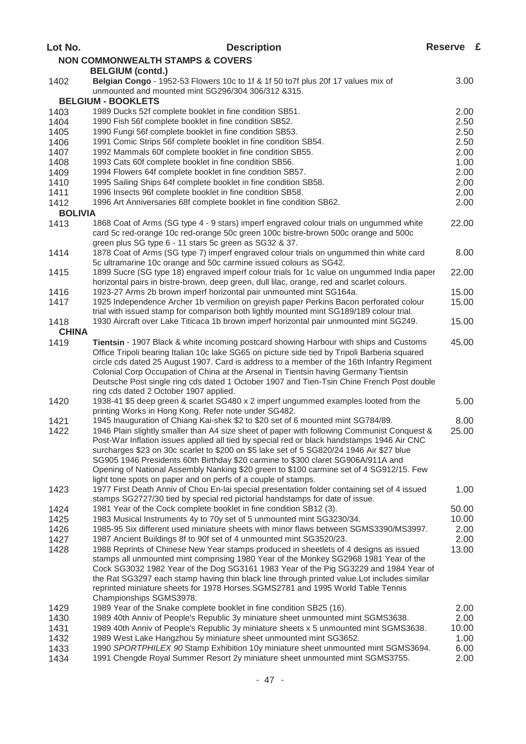| Lot No.              | <b>Description</b>                                                                                                                                                                      | Reserve £    |  |
|----------------------|-----------------------------------------------------------------------------------------------------------------------------------------------------------------------------------------|--------------|--|
|                      | <b>NON COMMONWEALTH STAMPS &amp; COVERS</b>                                                                                                                                             |              |  |
|                      | <b>BELGIUM (contd.)</b>                                                                                                                                                                 |              |  |
| 1402                 | Belgian Congo - 1952-53 Flowers 10c to 1f & 1f 50 to7f plus 20f 17 values mix of                                                                                                        | 3.00         |  |
|                      | unmounted and mounted mint SG296/304 306/312 &315.                                                                                                                                      |              |  |
|                      | <b>BELGIUM - BOOKLETS</b>                                                                                                                                                               |              |  |
| 1403                 | 1989 Ducks 52f complete booklet in fine condition SB51.                                                                                                                                 | 2.00         |  |
| 1404                 | 1990 Fish 56f complete booklet in fine condition SB52.<br>1990 Fungi 56f complete booklet in fine condition SB53.                                                                       | 2.50<br>2.50 |  |
| 1405<br>1406         | 1991 Comic Strips 56f complete booklet in fine condition SB54.                                                                                                                          | 2.50         |  |
| 1407                 | 1992 Mammals 60f complete booklet in fine condition SB55.                                                                                                                               | 2.00         |  |
| 1408                 | 1993 Cats 60f complete booklet in fine condition SB56.                                                                                                                                  | 1.00         |  |
| 1409                 | 1994 Flowers 64f complete booklet in fine condition SB57.                                                                                                                               | 2.00         |  |
| 1410                 | 1995 Sailing Ships 64f complete booklet in fine condition SB58.                                                                                                                         | 2.00         |  |
| 1411                 | 1996 Insects 96f complete booklet in fine condition SB58.                                                                                                                               | 2.00         |  |
| 1412                 | 1996 Art Anniversaries 68f complete booklet in fine condition SB62.                                                                                                                     | 2.00         |  |
| <b>BOLIVIA</b>       |                                                                                                                                                                                         |              |  |
| 1413                 | 1868 Coat of Arms (SG type 4 - 9 stars) imperf engraved colour trials on ungummed white                                                                                                 | 22.00        |  |
|                      | card 5c red-orange 10c red-orange 50c green 100c bistre-brown 500c orange and 500c                                                                                                      |              |  |
|                      | green plus SG type 6 - 11 stars 5c green as SG32 & 37.                                                                                                                                  |              |  |
| 1414                 | 1878 Coat of Arms (SG type 7) imperf engraved colour trials on ungummed thin white card                                                                                                 | 8.00         |  |
|                      | 5c ultramarine 10c orange and 50c carmine issued colours as SG42.                                                                                                                       |              |  |
| 1415                 | 1899 Sucre (SG type 18) engraved imperf colour trials for 1c value on ungummed India paper                                                                                              | 22.00        |  |
|                      | horizontal pairs in bistre-brown, deep green, dull lilac, orange, red and scarlet colours.                                                                                              |              |  |
| 1416                 | 1923-27 Arms 2b brown imperf horizontal pair unmounted mint SG164a.                                                                                                                     | 15.00        |  |
| 1417                 | 1925 Independence Archer 1b vermilion on greyish paper Perkins Bacon perforated colour                                                                                                  | 15.00        |  |
|                      | trial with issued stamp for comparison both lightly mounted mint SG189/189 colour trial.                                                                                                |              |  |
| 1418<br><b>CHINA</b> | 1930 Aircraft over Lake Titicaca 1b brown imperf horizontal pair unmounted mint SG249.                                                                                                  | 15.00        |  |
|                      |                                                                                                                                                                                         | 45.00        |  |
| 1419                 | Tientsin - 1907 Black & white incoming postcard showing Harbour with ships and Customs<br>Office Tripoli bearing Italian 10c lake SG65 on picture side tied by Tripoli Barberia squared |              |  |
|                      | circle cds dated 25 August 1907. Card is address to a member of the 16th Infantry Regiment                                                                                              |              |  |
|                      | Colonial Corp Occupation of China at the Arsenal in Tientsin having Germany Tientsin                                                                                                    |              |  |
|                      | Deutsche Post single ring cds dated 1 October 1907 and Tien-Tsin Chine French Post double                                                                                               |              |  |
|                      | ring cds dated 2 October 1907 applied.                                                                                                                                                  |              |  |
| 1420                 | 1938-41 \$5 deep green & scarlet SG480 x 2 imperf ungummed examples looted from the                                                                                                     | 5.00         |  |
|                      | printing Works in Hong Kong. Refer note under SG482.                                                                                                                                    |              |  |
| 1421                 | 1945 Inauguration of Chiang Kai-shek \$2 to \$20 set of 6 mounted mint SG784/89.                                                                                                        | 8.00         |  |
| 1422                 | 1946 Plain slightly smaller than A4 size sheet of paper with following Communist Conquest &                                                                                             | 25.00        |  |
|                      | Post-War Inflation issues applied all tied by special red or black handstamps 1946 Air CNC                                                                                              |              |  |
|                      | surcharges \$23 on 30c scarlet to \$200 on \$5 lake set of 5 SG820/24 1946 Air \$27 blue                                                                                                |              |  |
|                      | SG905 1946 Presidents 60th Birthday \$20 carmine to \$300 claret SG906A/911A and                                                                                                        |              |  |
|                      | Opening of National Assembly Nanking \$20 green to \$100 carmine set of 4 SG912/15. Few<br>light tone spots on paper and on perfs of a couple of stamps.                                |              |  |
| 1423                 | 1977 First Death Anniv of Chou En-lai special presentation folder containing set of 4 issued                                                                                            | 1.00         |  |
|                      | stamps SG2727/30 tied by special red pictorial handstamps for date of issue.                                                                                                            |              |  |
| 1424                 | 1981 Year of the Cock complete booklet in fine condition SB12 (3).                                                                                                                      | 50.00        |  |
| 1425                 | 1983 Musical Instruments 4y to 70y set of 5 unmounted mint SG3230/34.                                                                                                                   | 10.00        |  |
| 1426                 | 1985-95 Six different used miniature sheets with minor flaws between SGMS3390/MS3997.                                                                                                   | 2.00         |  |
| 1427                 | 1987 Ancient Buildings 8f to 90f set of 4 unmounted mint SG3520/23.                                                                                                                     | 2.00         |  |
| 1428                 | 1988 Reprints of Chinese New Year stamps produced in sheetlets of 4 designs as issued                                                                                                   | 13.00        |  |
|                      | stamps all unmounted mint comprising 1980 Year of the Monkey SG2968 1981 Year of the                                                                                                    |              |  |
|                      | Cock SG3032 1982 Year of the Dog SG3161 1983 Year of the Pig SG3229 and 1984 Year of                                                                                                    |              |  |
|                      | the Rat SG3297 each stamp having thin black line through printed value.Lot includes similar                                                                                             |              |  |
|                      | reprinted miniature sheets for 1978 Horses SGMS2781 and 1995 World Table Tennis                                                                                                         |              |  |
|                      | Championships SGMS3978.                                                                                                                                                                 |              |  |
| 1429                 | 1989 Year of the Snake complete booklet in fine condition SB25 (16).                                                                                                                    | 2.00         |  |
| 1430                 | 1989 40th Anniv of People's Republic 3y miniature sheet unmounted mint SGMS3638.                                                                                                        | 2.00         |  |
| 1431                 | 1989 40th Anniv of People's Republic 3y miniature sheets x 5 unmounted mint SGMS3638.                                                                                                   | 10.00        |  |
| 1432                 | 1989 West Lake Hangzhou 5y miniature sheet unmounted mint SG3652.                                                                                                                       | 1.00         |  |
| 1433                 | 1990 SPORTPHILEX 90 Stamp Exhibition 10y miniature sheet unmounted mint SGMS3694.<br>1991 Chengde Royal Summer Resort 2y miniature sheet unmounted mint SGMS3755.                       | 6.00         |  |
| 1434                 |                                                                                                                                                                                         | 2.00         |  |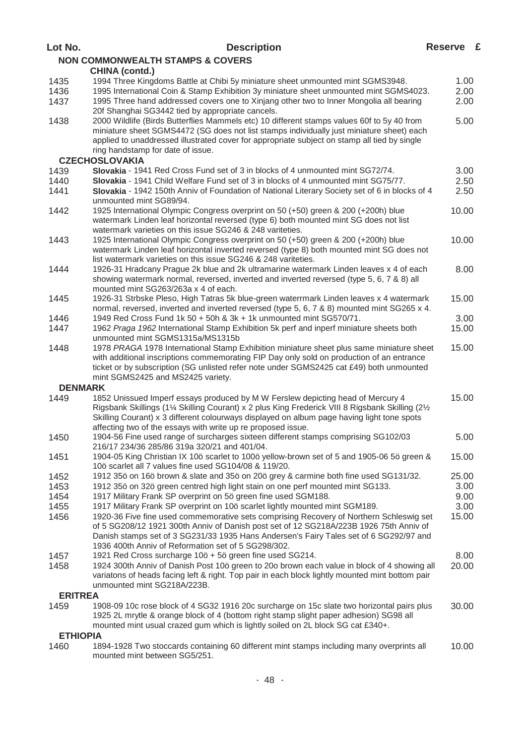| Lot No.         | <b>Description</b>                                                                                                                                                                                                                                                          | Reserve £ |  |
|-----------------|-----------------------------------------------------------------------------------------------------------------------------------------------------------------------------------------------------------------------------------------------------------------------------|-----------|--|
|                 | <b>NON COMMONWEALTH STAMPS &amp; COVERS</b>                                                                                                                                                                                                                                 |           |  |
|                 | <b>CHINA (contd.)</b>                                                                                                                                                                                                                                                       |           |  |
| 1435            | 1994 Three Kingdoms Battle at Chibi 5y miniature sheet unmounted mint SGMS3948.                                                                                                                                                                                             | 1.00      |  |
| 1436            | 1995 International Coin & Stamp Exhibition 3y miniature sheet unmounted mint SGMS4023.                                                                                                                                                                                      | 2.00      |  |
| 1437            | 1995 Three hand addressed covers one to Xinjang other two to Inner Mongolia all bearing<br>20f Shanghai SG3442 tied by appropriate cancels.                                                                                                                                 | 2.00      |  |
| 1438            | 2000 Wildlife (Birds Butterflies Mammels etc) 10 different stamps values 60f to 5y 40 from                                                                                                                                                                                  | 5.00      |  |
|                 | miniature sheet SGMS4472 (SG does not list stamps individually just miniature sheet) each<br>applied to unaddressed illustrated cover for appropriate subject on stamp all tied by single                                                                                   |           |  |
|                 | ring handstamp for date of issue.<br><b>CZECHOSLOVAKIA</b>                                                                                                                                                                                                                  |           |  |
| 1439            | Slovakia - 1941 Red Cross Fund set of 3 in blocks of 4 unmounted mint SG72/74.                                                                                                                                                                                              | 3.00      |  |
| 1440            | Slovakia - 1941 Child Welfare Fund set of 3 in blocks of 4 unmounted mint SG75/77.                                                                                                                                                                                          | 2.50      |  |
|                 | Slovakia - 1942 150th Anniv of Foundation of National Literary Society set of 6 in blocks of 4                                                                                                                                                                              | 2.50      |  |
| 1441            | unmounted mint SG89/94.                                                                                                                                                                                                                                                     |           |  |
| 1442            | 1925 International Olympic Congress overprint on 50 (+50) green & 200 (+200h) blue                                                                                                                                                                                          | 10.00     |  |
|                 | watermark Linden leaf horizontal reversed (type 6) both mounted mint SG does not list                                                                                                                                                                                       |           |  |
|                 | watermark varieties on this issue SG246 & 248 variteties.                                                                                                                                                                                                                   |           |  |
| 1443            | 1925 International Olympic Congress overprint on 50 (+50) green & 200 (+200h) blue<br>watermark Linden leaf horizontal inverted reversed (type 8) both mounted mint SG does not<br>list watermark varieties on this issue SG246 & 248 variteties.                           | 10.00     |  |
| 1444            | 1926-31 Hradcany Prague 2k blue and 2k ultramarine watermark Linden leaves x 4 of each                                                                                                                                                                                      | 8.00      |  |
|                 | showing watermark normal, reversed, inverted and inverted reversed (type 5, 6, 7 & 8) all<br>mounted mint SG263/263a x 4 of each.                                                                                                                                           |           |  |
| 1445            | 1926-31 Strbske Pleso, High Tatras 5k blue-green waterrmark Linden leaves x 4 watermark                                                                                                                                                                                     | 15.00     |  |
|                 | normal, reversed, inverted and inverted reversed (type 5, 6, 7 & 8) mounted mint SG265 x 4.                                                                                                                                                                                 |           |  |
| 1446            | 1949 Red Cross Fund 1k 50 + 50h & 3k + 1k unmounted mint SG570/71.                                                                                                                                                                                                          | 3.00      |  |
| 1447            | 1962 Praga 1962 International Stamp Exhibition 5k perf and inperf miniature sheets both                                                                                                                                                                                     | 15.00     |  |
|                 | unmounted mint SGMS1315a/MS1315b                                                                                                                                                                                                                                            |           |  |
| 1448            | 1978 PRAGA 1978 International Stamp Exhibition miniature sheet plus same miniature sheet                                                                                                                                                                                    | 15.00     |  |
|                 | with additional inscriptions commemorating FIP Day only sold on production of an entrance<br>ticket or by subscription (SG unlisted refer note under SGMS2425 cat £49) both unmounted<br>mint SGMS2425 and MS2425 variety.                                                  |           |  |
| <b>DENMARK</b>  |                                                                                                                                                                                                                                                                             |           |  |
| 1449            | 1852 Unissued Imperf essays produced by M W Ferslew depicting head of Mercury 4                                                                                                                                                                                             | 15.00     |  |
|                 | Rigsbank Skillings (11/4 Skilling Courant) x 2 plus King Frederick VIII 8 Rigsbank Skilling (21/2<br>Skilling Courant) x 3 different colourways displayed on album page having light tone spots                                                                             |           |  |
|                 | affecting two of the essays with write up re proposed issue.                                                                                                                                                                                                                |           |  |
| 1450            | 1904-56 Fine used range of surcharges sixteen different stamps comprising SG102/03<br>216/17 234/36 285/86 319a 320/21 and 401/04.                                                                                                                                          | 5.00      |  |
| 1451            | 1904-05 King Christian IX 10ö scarlet to 100ö yellow-brown set of 5 and 1905-06 5ö green &<br>10ö scarlet all 7 values fine used SG104/08 & 119/20.                                                                                                                         | 15.00     |  |
| 1452            | 1912 35ö on 16ö brown & slate and 35ö on 20ö grey & carmine both fine used SG131/32.                                                                                                                                                                                        | 25.00     |  |
| 1453            | 1912 35ö on 32ö green centred high light stain on one perf mounted mint SG133.                                                                                                                                                                                              | 3.00      |  |
| 1454            | 1917 Military Frank SP overprint on 5ö green fine used SGM188.                                                                                                                                                                                                              | 9.00      |  |
| 1455            | 1917 Military Frank SP overprint on 10ö scarlet lightly mounted mint SGM189.                                                                                                                                                                                                | 3.00      |  |
| 1456            | 1920-36 Five fine used commemorative sets comprising Recovery of Northern Schleswig set<br>of 5 SG208/12 1921 300th Anniv of Danish post set of 12 SG218A/223B 1926 75th Anniv of<br>Danish stamps set of 3 SG231/33 1935 Hans Andersen's Fairy Tales set of 6 SG292/97 and | 15.00     |  |
|                 | 1936 400th Anniv of Reformation set of 5 SG298/302.                                                                                                                                                                                                                         |           |  |
| 1457            | 1921 Red Cross surcharge 10ö + 5ö green fine used SG214.                                                                                                                                                                                                                    | 8.00      |  |
| 1458            | 1924 300th Anniv of Danish Post 10ö green to 20o brown each value in block of 4 showing all<br>variatons of heads facing left & right. Top pair in each block lightly mounted mint bottom pair<br>unmounted mint SG218A/223B.                                               | 20.00     |  |
| <b>ERITREA</b>  |                                                                                                                                                                                                                                                                             |           |  |
| 1459            | 1908-09 10c rose block of 4 SG32 1916 20c surcharge on 15c slate two horizontal pairs plus<br>1925 2L mrytle & orange block of 4 (bottom right stamp slight paper adhesion) SG98 all<br>mounted mint usual crazed gum which is lightly soiled on 2L block SG cat £340+.     | 30.00     |  |
| <b>ETHIOPIA</b> |                                                                                                                                                                                                                                                                             |           |  |
| 1460            | 1894-1928 Two stoccards containing 60 different mint stamps including many overprints all<br>mounted mint between SG5/251.                                                                                                                                                  | 10.00     |  |
|                 |                                                                                                                                                                                                                                                                             |           |  |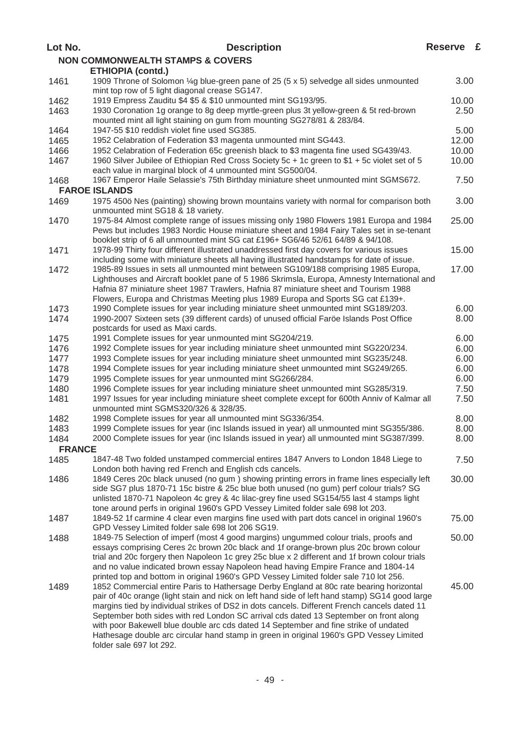| Lot No.       | <b>Description</b>                                                                                                                                                                                                                                                                                                                                                                                                                                                                                                                                                                                | Reserve £ |  |
|---------------|---------------------------------------------------------------------------------------------------------------------------------------------------------------------------------------------------------------------------------------------------------------------------------------------------------------------------------------------------------------------------------------------------------------------------------------------------------------------------------------------------------------------------------------------------------------------------------------------------|-----------|--|
|               | <b>NON COMMONWEALTH STAMPS &amp; COVERS</b>                                                                                                                                                                                                                                                                                                                                                                                                                                                                                                                                                       |           |  |
|               | <b>ETHIOPIA (contd.)</b>                                                                                                                                                                                                                                                                                                                                                                                                                                                                                                                                                                          |           |  |
| 1461          | 1909 Throne of Solomon 1/4g blue-green pane of 25 (5 x 5) selvedge all sides unmounted<br>mint top row of 5 light diagonal crease SG147.                                                                                                                                                                                                                                                                                                                                                                                                                                                          | 3.00      |  |
| 1462          | 1919 Empress Zauditu \$4 \$5 & \$10 unmounted mint SG193/95.                                                                                                                                                                                                                                                                                                                                                                                                                                                                                                                                      | 10.00     |  |
| 1463          | 1930 Coronation 1g orange to 8g deep myrtle-green plus 3t yellow-green & 5t red-brown<br>mounted mint all light staining on gum from mounting SG278/81 & 283/84.                                                                                                                                                                                                                                                                                                                                                                                                                                  | 2.50      |  |
| 1464          | 1947-55 \$10 reddish violet fine used SG385.                                                                                                                                                                                                                                                                                                                                                                                                                                                                                                                                                      | 5.00      |  |
| 1465          | 1952 Celabration of Federation \$3 magenta unmounted mint SG443.                                                                                                                                                                                                                                                                                                                                                                                                                                                                                                                                  | 12.00     |  |
| 1466          | 1952 Celabration of Federation 65c greenish black to \$3 magenta fine used SG439/43.                                                                                                                                                                                                                                                                                                                                                                                                                                                                                                              | 10.00     |  |
| 1467          | 1960 Silver Jubilee of Ethiopian Red Cross Society 5c + 1c green to \$1 + 5c violet set of 5<br>each value in marginal block of 4 unmounted mint SG500/04.                                                                                                                                                                                                                                                                                                                                                                                                                                        | 10.00     |  |
| 1468          | 1967 Emperor Haile Selassie's 75th Birthday miniature sheet unmounted mint SGMS672.                                                                                                                                                                                                                                                                                                                                                                                                                                                                                                               | 7.50      |  |
|               | <b>FAROE ISLANDS</b>                                                                                                                                                                                                                                                                                                                                                                                                                                                                                                                                                                              |           |  |
| 1469          | 1975 450ö Nes (painting) showing brown mountains variety with normal for comparison both<br>unmounted mint SG18 & 18 variety.                                                                                                                                                                                                                                                                                                                                                                                                                                                                     | 3.00      |  |
| 1470          | 1975-84 Almost complete range of issues missing only 1980 Flowers 1981 Europa and 1984<br>Pews but includes 1983 Nordic House miniature sheet and 1984 Fairy Tales set in se-tenant                                                                                                                                                                                                                                                                                                                                                                                                               | 25.00     |  |
|               | booklet strip of 6 all unmounted mint SG cat £196+ SG6/46 52/61 64/89 & 94/108.                                                                                                                                                                                                                                                                                                                                                                                                                                                                                                                   |           |  |
| 1471          | 1978-99 Thirty four different illustrated unaddressed first day covers for various issues<br>including some with miniature sheets all having illustrated handstamps for date of issue.                                                                                                                                                                                                                                                                                                                                                                                                            | 15.00     |  |
| 1472          | 1985-89 Issues in sets all unmounted mint between SG109/188 comprising 1985 Europa,<br>Lighthouses and Aircraft booklet pane of 5 1986 Skrimsla, Europa, Amnesty International and<br>Hafnia 87 miniature sheet 1987 Trawlers, Hafnia 87 miniature sheet and Tourism 1988                                                                                                                                                                                                                                                                                                                         | 17.00     |  |
| 1473          | Flowers, Europa and Christmas Meeting plus 1989 Europa and Sports SG cat £139+.<br>1990 Complete issues for year including miniature sheet unmounted mint SG189/203.                                                                                                                                                                                                                                                                                                                                                                                                                              | 6.00      |  |
| 1474          | 1990-2007 Sixteen sets (39 different cards) of unused official Faröe Islands Post Office<br>postcards for used as Maxi cards.                                                                                                                                                                                                                                                                                                                                                                                                                                                                     | 8.00      |  |
| 1475          | 1991 Complete issues for year unmounted mint SG204/219.                                                                                                                                                                                                                                                                                                                                                                                                                                                                                                                                           | 6.00      |  |
| 1476          | 1992 Complete issues for year including miniature sheet unmounted mint SG220/234.                                                                                                                                                                                                                                                                                                                                                                                                                                                                                                                 | 6.00      |  |
| 1477          | 1993 Complete issues for year including miniature sheet unmounted mint SG235/248.                                                                                                                                                                                                                                                                                                                                                                                                                                                                                                                 | 6.00      |  |
| 1478          | 1994 Complete issues for year including miniature sheet unmounted mint SG249/265.                                                                                                                                                                                                                                                                                                                                                                                                                                                                                                                 | 6.00      |  |
| 1479          | 1995 Complete issues for year unmounted mint SG266/284.                                                                                                                                                                                                                                                                                                                                                                                                                                                                                                                                           | 6.00      |  |
| 1480          | 1996 Complete issues for year including miniature sheet unmounted mint SG285/319.                                                                                                                                                                                                                                                                                                                                                                                                                                                                                                                 | 7.50      |  |
| 1481          | 1997 Issues for year including miniature sheet complete except for 600th Anniv of Kalmar all<br>unmounted mint SGMS320/326 & 328/35.                                                                                                                                                                                                                                                                                                                                                                                                                                                              | 7.50      |  |
| 1482          | 1998 Complete issues for year all unmounted mint SG336/354.                                                                                                                                                                                                                                                                                                                                                                                                                                                                                                                                       | 8.00      |  |
| 1483          | 1999 Complete issues for year (inc Islands issued in year) all unmounted mint SG355/386.                                                                                                                                                                                                                                                                                                                                                                                                                                                                                                          | 8.00      |  |
| 1484          | 2000 Complete issues for year (inc Islands issued in year) all unmounted mint SG387/399.                                                                                                                                                                                                                                                                                                                                                                                                                                                                                                          | 8.00      |  |
| <b>FRANCE</b> |                                                                                                                                                                                                                                                                                                                                                                                                                                                                                                                                                                                                   |           |  |
| 1485          | 1847-48 Two folded unstamped commercial entires 1847 Anvers to London 1848 Liege to<br>London both having red French and English cds cancels.                                                                                                                                                                                                                                                                                                                                                                                                                                                     | 7.50      |  |
| 1486          | 1849 Ceres 20c black unused (no gum) showing printing errors in frame lines especially left<br>side SG7 plus 1870-71 15c bistre & 25c blue both unused (no gum) perf colour trials? SG<br>unlisted 1870-71 Napoleon 4c grey & 4c lilac-grey fine used SG154/55 last 4 stamps light<br>tone around perfs in original 1960's GPD Vessey Limited folder sale 698 lot 203.                                                                                                                                                                                                                            | 30.00     |  |
| 1487          | 1849-52 1f carmine 4 clear even margins fine used with part dots cancel in original 1960's<br>GPD Vessey Limited folder sale 698 lot 206 SG19.                                                                                                                                                                                                                                                                                                                                                                                                                                                    | 75.00     |  |
| 1488          | 1849-75 Selection of imperf (most 4 good margins) ungummed colour trials, proofs and<br>essays comprising Ceres 2c brown 20c black and 1f orange-brown plus 20c brown colour<br>trial and 20c forgery then Napoleon 1c grey 25c blue x 2 different and 1f brown colour trials<br>and no value indicated brown essay Napoleon head having Empire France and 1804-14<br>printed top and bottom in original 1960's GPD Vessey Limited folder sale 710 lot 256.                                                                                                                                       | 50.00     |  |
| 1489          | 1852 Commercial entire Paris to Hathersage Derby England at 80c rate bearing horizontal<br>pair of 40c orange (light stain and nick on left hand side of left hand stamp) SG14 good large<br>margins tied by individual strikes of DS2 in dots cancels. Different French cancels dated 11<br>September both sides with red London SC arrival cds dated 13 September on front along<br>with poor Bakewell blue double arc cds dated 14 September and fine strike of undated<br>Hathesage double arc circular hand stamp in green in original 1960's GPD Vessey Limited<br>folder sale 697 lot 292. | 45.00     |  |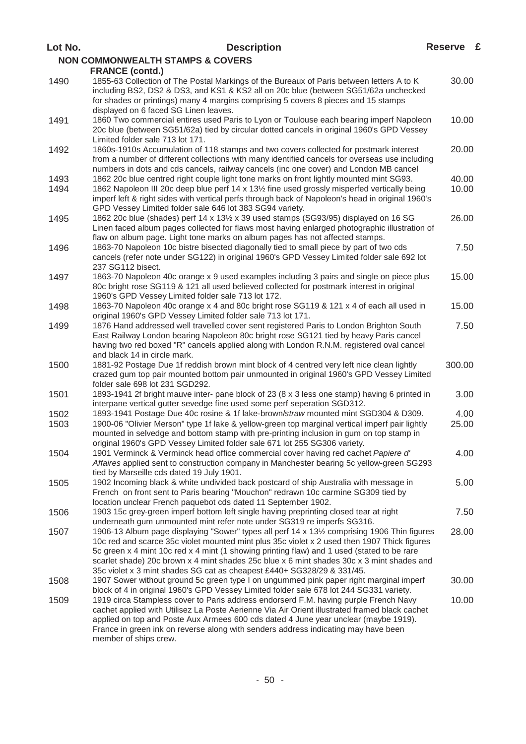| Lot No. | <b>Description</b>                                                                                                                                                                                                                                                                                                                                                                                                                                               | Reserve £ |  |
|---------|------------------------------------------------------------------------------------------------------------------------------------------------------------------------------------------------------------------------------------------------------------------------------------------------------------------------------------------------------------------------------------------------------------------------------------------------------------------|-----------|--|
|         | <b>NON COMMONWEALTH STAMPS &amp; COVERS</b>                                                                                                                                                                                                                                                                                                                                                                                                                      |           |  |
| 1490    | <b>FRANCE (contd.)</b><br>1855-63 Collection of The Postal Markings of the Bureaux of Paris between letters A to K<br>including BS2, DS2 & DS3, and KS1 & KS2 all on 20c blue (between SG51/62a unchecked<br>for shades or printings) many 4 margins comprising 5 covers 8 pieces and 15 stamps<br>displayed on 6 faced SG Linen leaves.                                                                                                                         | 30.00     |  |
| 1491    | 1860 Two commercial entires used Paris to Lyon or Toulouse each bearing imperf Napoleon<br>20c blue (between SG51/62a) tied by circular dotted cancels in original 1960's GPD Vessey<br>Limited folder sale 713 lot 171.                                                                                                                                                                                                                                         | 10.00     |  |
| 1492    | 1860s-1910s Accumulation of 118 stamps and two covers collected for postmark interest<br>from a number of different collections with many identified cancels for overseas use including<br>numbers in dots and cds cancels, railway cancels (inc one cover) and London MB cancel                                                                                                                                                                                 | 20.00     |  |
| 1493    | 1862 20c blue centred right couple light tone marks on front lightly mounted mint SG93.                                                                                                                                                                                                                                                                                                                                                                          | 40.00     |  |
| 1494    | 1862 Napoleon III 20c deep blue perf 14 x 131/ <sub>2</sub> fine used grossly misperfed vertically being<br>imperf left & right sides with vertical perfs through back of Napoleon's head in original 1960's<br>GPD Vessey Limited folder sale 646 lot 383 SG94 variety.                                                                                                                                                                                         | 10.00     |  |
| 1495    | 1862 20c blue (shades) perf 14 x 13½ x 39 used stamps (SG93/95) displayed on 16 SG<br>Linen faced album pages collected for flaws most having enlarged photographic illustration of<br>flaw on album page. Light tone marks on album pages has not affected stamps.                                                                                                                                                                                              | 26.00     |  |
| 1496    | 1863-70 Napoleon 10c bistre bisected diagonally tied to small piece by part of two cds<br>cancels (refer note under SG122) in original 1960's GPD Vessey Limited folder sale 692 lot<br>237 SG112 bisect.                                                                                                                                                                                                                                                        | 7.50      |  |
| 1497    | 1863-70 Napoleon 40c orange x 9 used examples including 3 pairs and single on piece plus<br>80c bright rose SG119 & 121 all used believed collected for postmark interest in original<br>1960's GPD Vessey Limited folder sale 713 lot 172.                                                                                                                                                                                                                      | 15.00     |  |
| 1498    | 1863-70 Napoleon 40c orange x 4 and 80c bright rose SG119 & 121 x 4 of each all used in<br>original 1960's GPD Vessey Limited folder sale 713 lot 171.                                                                                                                                                                                                                                                                                                           | 15.00     |  |
| 1499    | 1876 Hand addressed well travelled cover sent registered Paris to London Brighton South<br>East Railway London bearing Napoleon 80c bright rose SG121 tied by heavy Paris cancel<br>having two red boxed "R" cancels applied along with London R.N.M. registered oval cancel<br>and black 14 in circle mark.                                                                                                                                                     | 7.50      |  |
| 1500    | 1881-92 Postage Due 1f reddish brown mint block of 4 centred very left nice clean lightly<br>crazed gum top pair mounted bottom pair unmounted in original 1960's GPD Vessey Limited<br>folder sale 698 lot 231 SGD292.                                                                                                                                                                                                                                          | 300.00    |  |
| 1501    | 1893-1941 2f bright mauve inter- pane block of 23 (8 x 3 less one stamp) having 6 printed in<br>interpane vertical gutter sevedge fine used some perf seperation SGD312.                                                                                                                                                                                                                                                                                         | 3.00      |  |
| 1502    | 1893-1941 Postage Due 40c rosine & 1f lake-brown/straw mounted mint SGD304 & D309.                                                                                                                                                                                                                                                                                                                                                                               | 4.00      |  |
| 1503    | 1900-06 "Olivier Merson" type 1f lake & yellow-green top marginal vertical imperf pair lightly<br>mounted in selvedge and bottom stamp with pre-printing inclusion in gum on top stamp in<br>original 1960's GPD Vessey Limited folder sale 671 lot 255 SG306 variety.                                                                                                                                                                                           | 25.00     |  |
| 1504    | 1901 Verminck & Verminck head office commercial cover having red cachet Papiere d'<br>Affaires applied sent to construction company in Manchester bearing 5c yellow-green SG293<br>tied by Marseille cds dated 19 July 1901.                                                                                                                                                                                                                                     | 4.00      |  |
| 1505    | 1902 Incoming black & white undivided back postcard of ship Australia with message in<br>French on front sent to Paris bearing "Mouchon" redrawn 10c carmine SG309 tied by<br>location unclear French paquebot cds dated 11 September 1902.                                                                                                                                                                                                                      | 5.00      |  |
| 1506    | 1903 15c grey-green imperf bottom left single having preprinting closed tear at right<br>underneath gum unmounted mint refer note under SG319 re imperfs SG316.                                                                                                                                                                                                                                                                                                  | 7.50      |  |
| 1507    | 1906-13 Album page displaying "Sower" types all perf 14 x 131/2 comprising 1906 Thin figures<br>10c red and scarce 35c violet mounted mint plus 35c violet x 2 used then 1907 Thick figures<br>5c green x 4 mint 10c red x 4 mint (1 showing printing flaw) and 1 used (stated to be rare<br>scarlet shade) 20c brown x 4 mint shades 25c blue x 6 mint shades 30c x 3 mint shades and<br>35c violet x 3 mint shades SG cat as cheapest £440+ SG328/29 & 331/45. | 28.00     |  |
| 1508    | 1907 Sower without ground 5c green type I on ungummed pink paper right marginal imperf<br>block of 4 in original 1960's GPD Vessey Limited folder sale 678 lot 244 SG331 variety.                                                                                                                                                                                                                                                                                | 30.00     |  |
| 1509    | 1919 circa Stampless cover to Paris address endorserd F.M. having purple French Navy<br>cachet applied with Utilisez La Poste Aerienne Via Air Orient illustrated framed black cachet<br>applied on top and Poste Aux Armees 600 cds dated 4 June year unclear (maybe 1919).<br>France in green ink on reverse along with senders address indicating may have been<br>member of ships crew.                                                                      | 10.00     |  |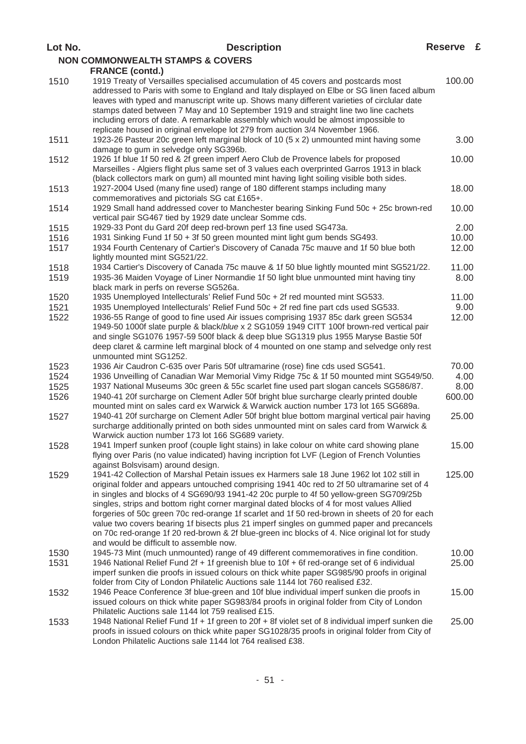| Lot No. | <b>Description</b>                                                                                                                                                                                                                                                                                                                                                                                                                                                                                                                                                                                                                                                                                                         | Reserve £ |  |
|---------|----------------------------------------------------------------------------------------------------------------------------------------------------------------------------------------------------------------------------------------------------------------------------------------------------------------------------------------------------------------------------------------------------------------------------------------------------------------------------------------------------------------------------------------------------------------------------------------------------------------------------------------------------------------------------------------------------------------------------|-----------|--|
|         | <b>NON COMMONWEALTH STAMPS &amp; COVERS</b>                                                                                                                                                                                                                                                                                                                                                                                                                                                                                                                                                                                                                                                                                |           |  |
|         | <b>FRANCE (contd.)</b>                                                                                                                                                                                                                                                                                                                                                                                                                                                                                                                                                                                                                                                                                                     |           |  |
| 1510    | 1919 Treaty of Versailles specialised accumulation of 45 covers and postcards most<br>addressed to Paris with some to England and Italy displayed on Elbe or SG linen faced album<br>leaves with typed and manuscript write up. Shows many different varieties of circlular date<br>stamps dated between 7 May and 10 September 1919 and straight line two line cachets<br>including errors of date. A remarkable assembly which would be almost impossible to                                                                                                                                                                                                                                                             | 100.00    |  |
| 1511    | replicate housed in original envelope lot 279 from auction 3/4 November 1966.<br>1923-26 Pasteur 20c green left marginal block of 10 (5 x 2) unmounted mint having some<br>damage to gum in selvedge only SG396b.                                                                                                                                                                                                                                                                                                                                                                                                                                                                                                          | 3.00      |  |
| 1512    | 1926 1f blue 1f 50 red & 2f green imperf Aero Club de Provence labels for proposed<br>Marseilles - Algiers flight plus same set of 3 values each overprinted Garros 1913 in black<br>(black collectors mark on gum) all mounted mint having light soiling visible both sides.                                                                                                                                                                                                                                                                                                                                                                                                                                              | 10.00     |  |
| 1513    | 1927-2004 Used (many fine used) range of 180 different stamps including many<br>commemoratives and pictorials SG cat £165+.                                                                                                                                                                                                                                                                                                                                                                                                                                                                                                                                                                                                | 18.00     |  |
| 1514    | 1929 Small hand addressed cover to Manchester bearing Sinking Fund 50c + 25c brown-red<br>vertical pair SG467 tied by 1929 date unclear Somme cds.                                                                                                                                                                                                                                                                                                                                                                                                                                                                                                                                                                         | 10.00     |  |
| 1515    | 1929-33 Pont du Gard 20f deep red-brown perf 13 fine used SG473a.                                                                                                                                                                                                                                                                                                                                                                                                                                                                                                                                                                                                                                                          | 2.00      |  |
| 1516    | 1931 Sinking Fund 1f 50 + 3f 50 green mounted mint light gum bends SG493.                                                                                                                                                                                                                                                                                                                                                                                                                                                                                                                                                                                                                                                  | 10.00     |  |
| 1517    | 1934 Fourth Centenary of Cartier's Discovery of Canada 75c mauve and 1f 50 blue both<br>lightly mounted mint SG521/22.                                                                                                                                                                                                                                                                                                                                                                                                                                                                                                                                                                                                     | 12.00     |  |
| 1518    | 1934 Cartier's Discovery of Canada 75c mauve & 1f 50 blue lightly mounted mint SG521/22.                                                                                                                                                                                                                                                                                                                                                                                                                                                                                                                                                                                                                                   | 11.00     |  |
| 1519    | 1935-36 Maiden Voyage of Liner Normandie 1f 50 light blue unmounted mint having tiny<br>black mark in perfs on reverse SG526a.                                                                                                                                                                                                                                                                                                                                                                                                                                                                                                                                                                                             | 8.00      |  |
| 1520    | 1935 Unemployed Intellecturals' Relief Fund 50c + 2f red mounted mint SG533.                                                                                                                                                                                                                                                                                                                                                                                                                                                                                                                                                                                                                                               | 11.00     |  |
| 1521    | 1935 Unemployed Intellecturals' Relief Fund 50c + 2f red fine part cds used SG533.                                                                                                                                                                                                                                                                                                                                                                                                                                                                                                                                                                                                                                         | 9.00      |  |
| 1522    | 1936-55 Range of good to fine used Air issues comprising 1937 85c dark green SG534<br>1949-50 1000f slate purple & black/blue x 2 SG1059 1949 CITT 100f brown-red vertical pair<br>and single SG1076 1957-59 500f black & deep blue SG1319 plus 1955 Maryse Bastie 50f<br>deep claret & carmine left marginal block of 4 mounted on one stamp and selvedge only rest<br>unmounted mint SG1252.                                                                                                                                                                                                                                                                                                                             | 12.00     |  |
| 1523    | 1936 Air Caudron C-635 over Paris 50f ultramarine (rose) fine cds used SG541.                                                                                                                                                                                                                                                                                                                                                                                                                                                                                                                                                                                                                                              | 70.00     |  |
| 1524    | 1936 Unveilling of Canadian War Memorial Vimy Ridge 75c & 1f 50 mounted mint SG549/50.                                                                                                                                                                                                                                                                                                                                                                                                                                                                                                                                                                                                                                     | 4.00      |  |
| 1525    | 1937 National Museums 30c green & 55c scarlet fine used part slogan cancels SG586/87.                                                                                                                                                                                                                                                                                                                                                                                                                                                                                                                                                                                                                                      | 8.00      |  |
| 1526    | 1940-41 20f surcharge on Clement Adler 50f bright blue surcharge clearly printed double                                                                                                                                                                                                                                                                                                                                                                                                                                                                                                                                                                                                                                    | 600.00    |  |
|         | mounted mint on sales card ex Warwick & Warwick auction number 173 lot 165 SG689a.                                                                                                                                                                                                                                                                                                                                                                                                                                                                                                                                                                                                                                         |           |  |
| 1527    | 1940-41 20f surcharge on Clement Adler 50f bright blue bottom marginal vertical pair having<br>surcharge additionally printed on both sides unmounted mint on sales card from Warwick &<br>Warwick auction number 173 lot 166 SG689 variety.                                                                                                                                                                                                                                                                                                                                                                                                                                                                               | 25.00     |  |
| 1528    | 1941 Imperf sunken proof (couple light stains) in lake colour on white card showing plane<br>flying over Paris (no value indicated) having incription fot LVF (Legion of French Volunties<br>against Bolsvisam) around design.                                                                                                                                                                                                                                                                                                                                                                                                                                                                                             | 15.00     |  |
| 1529    | 1941-42 Collection of Marshal Petain issues ex Harmers sale 18 June 1962 lot 102 still in<br>original folder and appears untouched comprising 1941 40c red to 2f 50 ultramarine set of 4<br>in singles and blocks of 4 SG690/93 1941-42 20c purple to 4f 50 yellow-green SG709/25b<br>singles, strips and bottom right corner marginal dated blocks of 4 for most values Allied<br>forgeries of 50c green 70c red-orange 1f scarlet and 1f 50 red-brown in sheets of 20 for each<br>value two covers bearing 1f bisects plus 21 imperf singles on gummed paper and precancels<br>on 70c red-orange 1f 20 red-brown & 2f blue-green inc blocks of 4. Nice original lot for study<br>and would be difficult to assemble now. | 125.00    |  |
| 1530    | 1945-73 Mint (much unmounted) range of 49 different commemoratives in fine condition.                                                                                                                                                                                                                                                                                                                                                                                                                                                                                                                                                                                                                                      | 10.00     |  |
| 1531    | 1946 National Relief Fund 2f + 1f greenish blue to 10f + 6f red-orange set of 6 individual<br>imperf sunken die proofs in issued colours on thick white paper SG985/90 proofs in original                                                                                                                                                                                                                                                                                                                                                                                                                                                                                                                                  | 25.00     |  |
| 1532    | folder from City of London Philatelic Auctions sale 1144 lot 760 realised £32.<br>1946 Peace Conference 3f blue-green and 10f blue individual imperf sunken die proofs in<br>issued colours on thick white paper SG983/84 proofs in original folder from City of London                                                                                                                                                                                                                                                                                                                                                                                                                                                    | 15.00     |  |
| 1533    | Philatelic Auctions sale 1144 lot 759 realised £15.<br>1948 National Relief Fund 1f + 1f green to 20f + 8f violet set of 8 individual imperf sunken die<br>proofs in issued colours on thick white paper SG1028/35 proofs in original folder from City of                                                                                                                                                                                                                                                                                                                                                                                                                                                                  | 25.00     |  |
|         | London Philatelic Auctions sale 1144 lot 764 realised £38.                                                                                                                                                                                                                                                                                                                                                                                                                                                                                                                                                                                                                                                                 |           |  |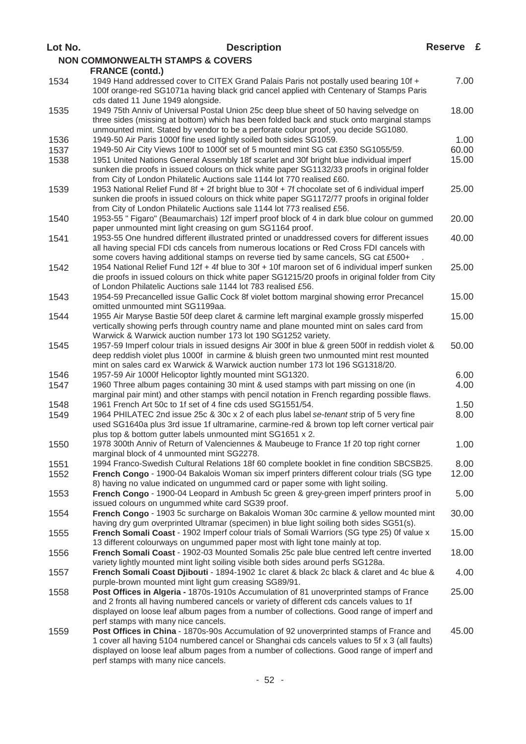| Lot No. | <b>Description</b>                                                                                                                                                                                                                                                                                                                                                   | Reserve £ |  |
|---------|----------------------------------------------------------------------------------------------------------------------------------------------------------------------------------------------------------------------------------------------------------------------------------------------------------------------------------------------------------------------|-----------|--|
|         | <b>NON COMMONWEALTH STAMPS &amp; COVERS</b>                                                                                                                                                                                                                                                                                                                          |           |  |
|         | <b>FRANCE (contd.)</b>                                                                                                                                                                                                                                                                                                                                               |           |  |
| 1534    | 1949 Hand addressed cover to CITEX Grand Palais Paris not postally used bearing 10f +<br>100f orange-red SG1071a having black grid cancel applied with Centenary of Stamps Paris<br>cds dated 11 June 1949 alongside.                                                                                                                                                | 7.00      |  |
| 1535    | 1949 75th Anniv of Universal Postal Union 25c deep blue sheet of 50 having selvedge on<br>three sides (missing at bottom) which has been folded back and stuck onto marginal stamps<br>unmounted mint. Stated by vendor to be a perforate colour proof, you decide SG1080.                                                                                           | 18.00     |  |
| 1536    | 1949-50 Air Paris 1000f fine used lightly soiled both sides SG1059.                                                                                                                                                                                                                                                                                                  | 1.00      |  |
| 1537    | 1949-50 Air City Views 100f to 1000f set of 5 mounted mint SG cat £350 SG1055/59.                                                                                                                                                                                                                                                                                    | 60.00     |  |
| 1538    | 1951 United Nations General Assembly 18f scarlet and 30f bright blue individual imperf<br>sunken die proofs in issued colours on thick white paper SG1132/33 proofs in original folder<br>from City of London Philatelic Auctions sale 1144 lot 770 realised £60.                                                                                                    | 15.00     |  |
| 1539    | 1953 National Relief Fund 8f + 2f bright blue to 30f + 7f chocolate set of 6 individual imperf<br>sunken die proofs in issued colours on thick white paper SG1172/77 proofs in original folder<br>from City of London Philatelic Auctions sale 1144 lot 773 realised £56.                                                                                            | 25.00     |  |
| 1540    | 1953-55 " Figaro" (Beaumarchais) 12f imperf proof block of 4 in dark blue colour on gummed<br>paper unmounted mint light creasing on gum SG1164 proof.                                                                                                                                                                                                               | 20.00     |  |
| 1541    | 1953-55 One hundred different illustrated printed or unaddressed covers for different issues<br>all having special FDI cds cancels from numerous locations or Red Cross FDI cancels with<br>some covers having additional stamps on reverse tied by same cancels, SG cat £500+                                                                                       | 40.00     |  |
| 1542    | 1954 National Relief Fund 12f + 4f blue to 30f + 10f maroon set of 6 individual imperf sunken<br>die proofs in issued colours on thick white paper SG1215/20 proofs in original folder from City<br>of London Philatelic Auctions sale 1144 lot 783 realised £56.                                                                                                    | 25.00     |  |
| 1543    | 1954-59 Precancelled issue Gallic Cock 8f violet bottom marginal showing error Precancel<br>omitted unmounted mint SG1199aa.                                                                                                                                                                                                                                         | 15.00     |  |
| 1544    | 1955 Air Maryse Bastie 50f deep claret & carmine left marginal example grossly misperfed<br>vertically showing perfs through country name and plane mounted mint on sales card from<br>Warwick & Warwick auction number 173 lot 190 SG1252 variety.                                                                                                                  | 15.00     |  |
| 1545    | 1957-59 Imperf colour trials in issued designs Air 300f in blue & green 500f in reddish violet &<br>deep reddish violet plus 1000f in carmine & bluish green two unmounted mint rest mounted<br>mint on sales card ex Warwick & Warwick auction number 173 lot 196 SG1318/20.                                                                                        | 50.00     |  |
| 1546    | 1957-59 Air 1000f Helicoptor lightly mounted mint SG1320.                                                                                                                                                                                                                                                                                                            | 6.00      |  |
| 1547    | 1960 Three album pages containing 30 mint & used stamps with part missing on one (in<br>marginal pair mint) and other stamps with pencil notation in French regarding possible flaws.                                                                                                                                                                                | 4.00      |  |
| 1548    | 1961 French Art 50c to 1f set of 4 fine cds used SG1551/54.                                                                                                                                                                                                                                                                                                          | 1.50      |  |
| 1549    | 1964 PHILATEC 2nd issue 25c & 30c x 2 of each plus label se-tenant strip of 5 very fine<br>used SG1640a plus 3rd issue 1f ultramarine, carmine-red & brown top left corner vertical pair<br>plus top & bottom gutter labels unmounted mint SG1651 x 2.                                                                                                               | 8.00      |  |
| 1550    | 1978 300th Anniv of Return of Valenciennes & Maubeuge to France 1f 20 top right corner<br>marginal block of 4 unmounted mint SG2278.                                                                                                                                                                                                                                 | 1.00      |  |
| 1551    | 1994 Franco-Swedish Cultural Relations 18f 60 complete booklet in fine condition SBCSB25.                                                                                                                                                                                                                                                                            | 8.00      |  |
| 1552    | French Congo - 1900-04 Bakalois Woman six imperf printers different colour trials (SG type<br>8) having no value indicated on ungummed card or paper some with light soiling.                                                                                                                                                                                        | 12.00     |  |
| 1553    | French Congo - 1900-04 Leopard in Ambush 5c green & grey-green imperf printers proof in<br>issued colours on ungummed white card SG39 proof.                                                                                                                                                                                                                         | 5.00      |  |
| 1554    | French Congo - 1903 5c surcharge on Bakalois Woman 30c carmine & yellow mounted mint<br>having dry gum overprinted Ultramar (specimen) in blue light soiling both sides SG51(s).                                                                                                                                                                                     | 30.00     |  |
| 1555    | French Somali Coast - 1902 Imperf colour trials of Somali Warriors (SG type 25) 0f value x<br>13 different colourways on ungummed paper most with light tone mainly at top.                                                                                                                                                                                          | 15.00     |  |
| 1556    | French Somali Coast - 1902-03 Mounted Somalis 25c pale blue centred left centre inverted<br>variety lightly mounted mint light soiling visible both sides around perfs SG128a.                                                                                                                                                                                       | 18.00     |  |
| 1557    | French Somali Coast Djibouti - 1894-1902 1c claret & black 2c black & claret and 4c blue &<br>purple-brown mounted mint light gum creasing SG89/91.                                                                                                                                                                                                                  | 4.00      |  |
| 1558    | Post Offices in Algeria - 1870s-1910s Accumulation of 81 unoverprinted stamps of France<br>and 2 fronts all having numbered cancels or variety of different cds cancels values to 1f<br>displayed on loose leaf album pages from a number of collections. Good range of imperf and                                                                                   | 25.00     |  |
| 1559    | perf stamps with many nice cancels.<br>Post Offices in China - 1870s-90s Accumulation of 92 unoverprinted stamps of France and<br>1 cover all having 5104 numbered cancel or Shanghai cds cancels values to 5f x 3 (all faults)<br>displayed on loose leaf album pages from a number of collections. Good range of imperf and<br>perf stamps with many nice cancels. | 45.00     |  |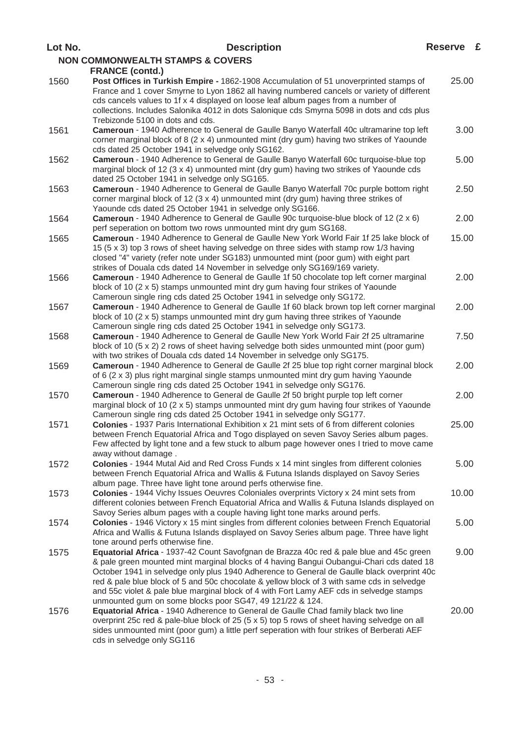| Lot No. | <b>Description</b>                                                                                                                                                                                                                                                                                                                                                                                                                                                                                                                      | Reserve £ |  |
|---------|-----------------------------------------------------------------------------------------------------------------------------------------------------------------------------------------------------------------------------------------------------------------------------------------------------------------------------------------------------------------------------------------------------------------------------------------------------------------------------------------------------------------------------------------|-----------|--|
|         | <b>NON COMMONWEALTH STAMPS &amp; COVERS</b>                                                                                                                                                                                                                                                                                                                                                                                                                                                                                             |           |  |
| 1560    | <b>FRANCE (contd.)</b><br>Post Offices in Turkish Empire - 1862-1908 Accumulation of 51 unoverprinted stamps of<br>France and 1 cover Smyrne to Lyon 1862 all having numbered cancels or variety of different<br>cds cancels values to 1f x 4 displayed on loose leaf album pages from a number of<br>collections. Includes Salonika 4012 in dots Salonique cds Smyrna 5098 in dots and cds plus<br>Trebizonde 5100 in dots and cds.                                                                                                    | 25.00     |  |
| 1561    | Cameroun - 1940 Adherence to General de Gaulle Banyo Waterfall 40c ultramarine top left<br>corner marginal block of 8 $(2 \times 4)$ unmounted mint (dry gum) having two strikes of Yaounde<br>cds dated 25 October 1941 in selvedge only SG162.                                                                                                                                                                                                                                                                                        | 3.00      |  |
| 1562    | Cameroun - 1940 Adherence to General de Gaulle Banyo Waterfall 60c turquoise-blue top<br>marginal block of 12 (3 x 4) unmounted mint (dry gum) having two strikes of Yaounde cds<br>dated 25 October 1941 in selvedge only SG165.                                                                                                                                                                                                                                                                                                       | 5.00      |  |
| 1563    | Cameroun - 1940 Adherence to General de Gaulle Banyo Waterfall 70c purple bottom right<br>corner marginal block of 12 ( $3 \times 4$ ) unmounted mint (dry gum) having three strikes of<br>Yaounde cds dated 25 October 1941 in selvedge only SG166.                                                                                                                                                                                                                                                                                    | 2.50      |  |
| 1564    | <b>Cameroun</b> - 1940 Adherence to General de Gaulle 90c turquoise-blue block of 12 (2 x 6)<br>perf seperation on bottom two rows unmounted mint dry gum SG168.                                                                                                                                                                                                                                                                                                                                                                        | 2.00      |  |
| 1565    | Cameroun - 1940 Adherence to General de Gaulle New York World Fair 1f 25 lake block of<br>15 (5 x 3) top 3 rows of sheet having selvedge on three sides with stamp row 1/3 having<br>closed "4" variety (refer note under SG183) unmounted mint (poor gum) with eight part<br>strikes of Douala cds dated 14 November in selvedge only SG169/169 variety.                                                                                                                                                                               | 15.00     |  |
| 1566    | Cameroun - 1940 Adherence to General de Gaulle 1f 50 chocolate top left corner marginal<br>block of 10 (2 x 5) stamps unmounted mint dry gum having four strikes of Yaounde<br>Cameroun single ring cds dated 25 October 1941 in selvedge only SG172.                                                                                                                                                                                                                                                                                   | 2.00      |  |
| 1567    | Cameroun - 1940 Adherence to General de Gaulle 1f 60 black brown top left corner marginal<br>block of 10 (2 x 5) stamps unmounted mint dry gum having three strikes of Yaounde<br>Cameroun single ring cds dated 25 October 1941 in selvedge only SG173.                                                                                                                                                                                                                                                                                | 2.00      |  |
| 1568    | Cameroun - 1940 Adherence to General de Gaulle New York World Fair 2f 25 ultramarine<br>block of 10 (5 x 2) 2 rows of sheet having selvedge both sides unmounted mint (poor gum)<br>with two strikes of Douala cds dated 14 November in selvedge only SG175.                                                                                                                                                                                                                                                                            | 7.50      |  |
| 1569    | Cameroun - 1940 Adherence to General de Gaulle 2f 25 blue top right corner marginal block<br>of 6 (2 x 3) plus right marginal single stamps unmounted mint dry gum having Yaounde<br>Cameroun single ring cds dated 25 October 1941 in selvedge only SG176.                                                                                                                                                                                                                                                                             | 2.00      |  |
| 1570    | Cameroun - 1940 Adherence to General de Gaulle 2f 50 bright purple top left corner<br>marginal block of 10 $(2 \times 5)$ stamps unmounted mint dry gum having four strikes of Yaounde<br>Cameroun single ring cds dated 25 October 1941 in selvedge only SG177.                                                                                                                                                                                                                                                                        | 2.00      |  |
| 1571    | Colonies - 1937 Paris International Exhibition x 21 mint sets of 6 from different colonies<br>between French Equatorial Africa and Togo displayed on seven Savoy Series album pages.<br>Few affected by light tone and a few stuck to album page however ones I tried to move came<br>away without damage.                                                                                                                                                                                                                              | 25.00     |  |
| 1572    | Colonies - 1944 Mutal Aid and Red Cross Funds x 14 mint singles from different colonies<br>between French Equatorial Africa and Wallis & Futuna Islands displayed on Savoy Series<br>album page. Three have light tone around perfs otherwise fine.                                                                                                                                                                                                                                                                                     | 5.00      |  |
| 1573    | Colonies - 1944 Vichy Issues Oeuvres Coloniales overprints Victory x 24 mint sets from<br>different colonies between French Equatorial Africa and Wallis & Futuna Islands displayed on<br>Savoy Series album pages with a couple having light tone marks around perfs.                                                                                                                                                                                                                                                                  | 10.00     |  |
| 1574    | Colonies - 1946 Victory x 15 mint singles from different colonies between French Equatorial<br>Africa and Wallis & Futuna Islands displayed on Savoy Series album page. Three have light<br>tone around perfs otherwise fine.                                                                                                                                                                                                                                                                                                           | 5.00      |  |
| 1575    | Equatorial Africa - 1937-42 Count Savofgnan de Brazza 40c red & pale blue and 45c green<br>& pale green mounted mint marginal blocks of 4 having Bangui Oubangui-Chari cds dated 18<br>October 1941 in selvedge only plus 1940 Adherence to General de Gaulle black overprint 40c<br>red & pale blue block of 5 and 50c chocolate & yellow block of 3 with same cds in selvedge<br>and 55c violet & pale blue marginal block of 4 with Fort Lamy AEF cds in selvedge stamps<br>unmounted gum on some blocks poor SG47, 49 121/22 & 124. | 9.00      |  |
| 1576    | Equatorial Africa - 1940 Adherence to General de Gaulle Chad family black two line<br>overprint 25c red & pale-blue block of 25 (5 x 5) top 5 rows of sheet having selvedge on all<br>sides unmounted mint (poor gum) a little perf seperation with four strikes of Berberati AEF<br>cds in selvedge only SG116                                                                                                                                                                                                                         | 20.00     |  |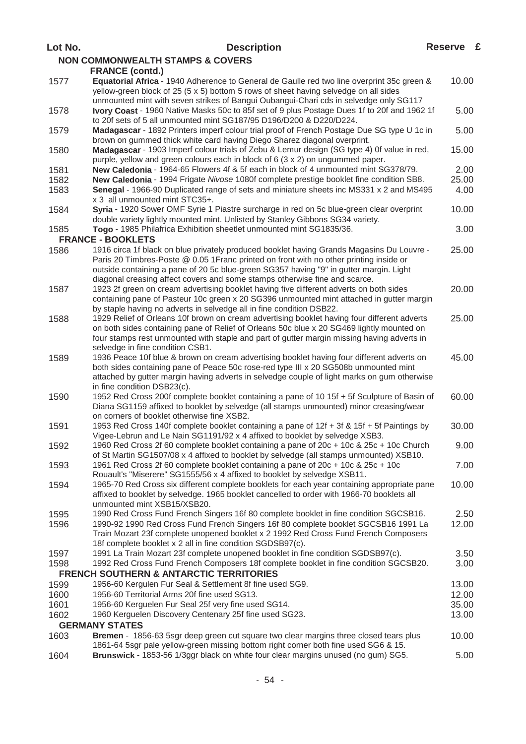| Lot No.      | <b>Description</b>                                                                                                                                                                                                                                                                                                                                          | Reserve £     |  |
|--------------|-------------------------------------------------------------------------------------------------------------------------------------------------------------------------------------------------------------------------------------------------------------------------------------------------------------------------------------------------------------|---------------|--|
|              | <b>NON COMMONWEALTH STAMPS &amp; COVERS</b>                                                                                                                                                                                                                                                                                                                 |               |  |
|              | <b>FRANCE (contd.)</b>                                                                                                                                                                                                                                                                                                                                      |               |  |
| 1577         | Equatorial Africa - 1940 Adherence to General de Gaulle red two line overprint 35c green &<br>yellow-green block of $25$ ( $5 \times 5$ ) bottom 5 rows of sheet having selvedge on all sides<br>unmounted mint with seven strikes of Bangui Oubangui-Chari cds in selvedge only SG117                                                                      | 10.00         |  |
| 1578         | Ivory Coast - 1960 Native Masks 50c to 85f set of 9 plus Postage Dues 1f to 20f and 1962 1f<br>to 20f sets of 5 all unmounted mint SG187/95 D196/D200 & D220/D224.                                                                                                                                                                                          | 5.00          |  |
| 1579         | Madagascar - 1892 Printers imperf colour trial proof of French Postage Due SG type U 1c in<br>brown on gummed thick white card having Diego Sharez diagonal overprint.                                                                                                                                                                                      | 5.00          |  |
| 1580         | Madagascar - 1903 Imperf colour trials of Zebu & Lemur design (SG type 4) 0f value in red,<br>purple, yellow and green colours each in block of 6 (3 x 2) on ungummed paper.                                                                                                                                                                                | 15.00         |  |
| 1581         | New Caledonia - 1964-65 Flowers 4f & 5f each in block of 4 unmounted mint SG378/79.                                                                                                                                                                                                                                                                         | 2.00          |  |
| 1582         | New Caledonia - 1994 Frigate Nivose 1080f complete prestige booklet fine condition SB8.                                                                                                                                                                                                                                                                     | 25.00         |  |
| 1583         | Senegal - 1966-90 Duplicated range of sets and miniature sheets inc MS331 x 2 and MS495<br>x 3 all unmounted mint STC35+.                                                                                                                                                                                                                                   | 4.00          |  |
| 1584         | Syria - 1920 Sower OMF Syrie 1 Piastre surcharge in red on 5c blue-green clear overprint<br>double variety lightly mounted mint. Unlisted by Stanley Gibbons SG34 variety.                                                                                                                                                                                  | 10.00         |  |
| 1585         | Togo - 1985 Philafrica Exhibition sheetlet unmounted mint SG1835/36.                                                                                                                                                                                                                                                                                        | 3.00          |  |
|              | <b>FRANCE - BOOKLETS</b>                                                                                                                                                                                                                                                                                                                                    |               |  |
| 1586         | 1916 circa 1f black on blue privately produced booklet having Grands Magasins Du Louvre -<br>Paris 20 Timbres-Poste @ 0.05 1Franc printed on front with no other printing inside or<br>outside containing a pane of 20 5c blue-green SG357 having "9" in gutter margin. Light<br>diagonal creasing affect covers and some stamps otherwise fine and scarce. | 25.00         |  |
| 1587         | 1923 2f green on cream advertising booklet having five different adverts on both sides<br>containing pane of Pasteur 10c green x 20 SG396 unmounted mint attached in gutter margin<br>by staple having no adverts in selvedge all in fine condition DSB22.                                                                                                  | 20.00         |  |
| 1588         | 1929 Relief of Orleans 10f brown on cream advertising booklet having four different adverts<br>on both sides containing pane of Relief of Orleans 50c blue x 20 SG469 lightly mounted on<br>four stamps rest unmounted with staple and part of gutter margin missing having adverts in<br>selvedge in fine condition CSB1.                                  | 25.00         |  |
| 1589         | 1936 Peace 10f blue & brown on cream advertising booklet having four different adverts on<br>both sides containing pane of Peace 50c rose-red type III x 20 SG508b unmounted mint<br>attached by gutter margin having adverts in selvedge couple of light marks on gum otherwise<br>in fine condition DSB23(c).                                             | 45.00         |  |
| 1590         | 1952 Red Cross 200f complete booklet containing a pane of 10 15f + 5f Sculpture of Basin of<br>Diana SG1159 affixed to booklet by selvedge (all stamps unmounted) minor creasing/wear<br>on corners of booklet otherwise fine XSB2.                                                                                                                         | 60.00         |  |
| 1591         | 1953 Red Cross 140f complete booklet containing a pane of 12f + 3f & 15f + 5f Paintings by<br>Vigee-Lebrun and Le Nain SG1191/92 x 4 affixed to booklet by selvedge XSB3.                                                                                                                                                                                   | 30.00         |  |
| 1592         | 1960 Red Cross 2f 60 complete booklet containing a pane of 20c + 10c & 25c + 10c Church<br>of St Martin SG1507/08 x 4 affixed to booklet by selvedge (all stamps unmounted) XSB10.                                                                                                                                                                          | 9.00          |  |
| 1593         | 1961 Red Cross 2f 60 complete booklet containing a pane of 20c + 10c & 25c + 10c<br>Rouault's "Miserere" SG1555/56 x 4 affixed to booklet by selvedge XSB11.                                                                                                                                                                                                | 7.00          |  |
| 1594         | 1965-70 Red Cross six different complete booklets for each year containing appropriate pane<br>affixed to booklet by selvedge. 1965 booklet cancelled to order with 1966-70 booklets all<br>unmounted mint XSB15/XSB20.                                                                                                                                     | 10.00         |  |
| 1595<br>1596 | 1990 Red Cross Fund French Singers 16f 80 complete booklet in fine condition SGCSB16.<br>1990-92 1990 Red Cross Fund French Singers 16f 80 complete booklet SGCSB16 1991 La<br>Train Mozart 23f complete unopened booklet x 2 1992 Red Cross Fund French Composers<br>18f complete booklet x 2 all in fine condition SGDSB97(c).                            | 2.50<br>12.00 |  |
| 1597         | 1991 La Train Mozart 23f complete unopened booklet in fine condition SGDSB97(c).                                                                                                                                                                                                                                                                            | 3.50          |  |
| 1598         | 1992 Red Cross Fund French Composers 18f complete booklet in fine condition SGCSB20.<br><b>FRENCH SOUTHERN &amp; ANTARCTIC TERRITORIES</b>                                                                                                                                                                                                                  | 3.00          |  |
| 1599         | 1956-60 Kergulen Fur Seal & Settlement 8f fine used SG9.                                                                                                                                                                                                                                                                                                    | 13.00         |  |
| 1600         | 1956-60 Territorial Arms 20f fine used SG13.                                                                                                                                                                                                                                                                                                                | 12.00         |  |
| 1601         | 1956-60 Kerguelen Fur Seal 25f very fine used SG14.                                                                                                                                                                                                                                                                                                         | 35.00         |  |
| 1602         | 1960 Kerguelen Discovery Centenary 25f fine used SG23.<br><b>GERMANY STATES</b>                                                                                                                                                                                                                                                                             | 13.00         |  |
| 1603         | Bremen - 1856-63 5sgr deep green cut square two clear margins three closed tears plus<br>1861-64 5sgr pale yellow-green missing bottom right corner both fine used SG6 & 15.                                                                                                                                                                                | 10.00         |  |
| 1604         | Brunswick - 1853-56 1/3ggr black on white four clear margins unused (no gum) SG5.                                                                                                                                                                                                                                                                           | 5.00          |  |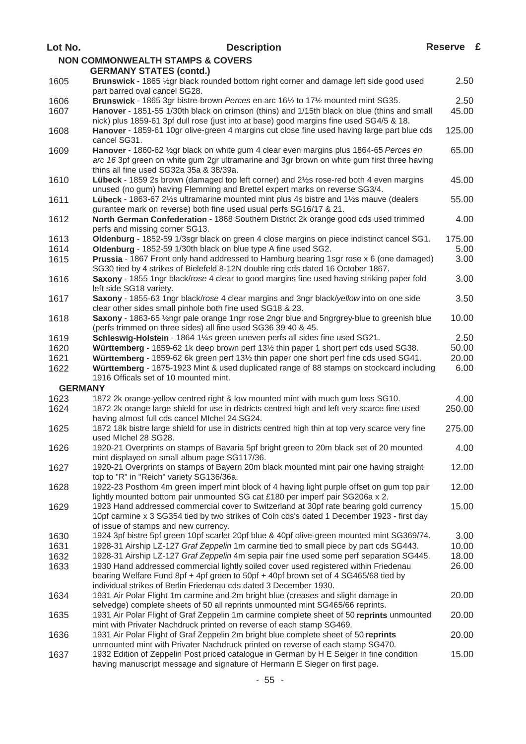| Lot No.        | <b>Description</b>                                                                                                                                                                                                                            | Reserve £     |  |
|----------------|-----------------------------------------------------------------------------------------------------------------------------------------------------------------------------------------------------------------------------------------------|---------------|--|
|                | <b>NON COMMONWEALTH STAMPS &amp; COVERS</b>                                                                                                                                                                                                   |               |  |
|                | <b>GERMANY STATES (contd.)</b>                                                                                                                                                                                                                |               |  |
| 1605           | Brunswick - 1865 1/2gr black rounded bottom right corner and damage left side good used<br>part barred oval cancel SG28.                                                                                                                      | 2.50          |  |
| 1606           | Brunswick - 1865 3gr bistre-brown Perces en arc 161/2 to 171/2 mounted mint SG35.                                                                                                                                                             | 2.50          |  |
| 1607           | Hanover - 1851-55 1/30th black on crimson (thins) and 1/15th black on blue (thins and small<br>nick) plus 1859-61 3pf dull rose (just into at base) good margins fine used SG4/5 & 18.                                                        | 45.00         |  |
| 1608           | Hanover - 1859-61 10gr olive-green 4 margins cut close fine used having large part blue cds<br>cancel SG31.                                                                                                                                   | 125.00        |  |
| 1609           | Hanover - 1860-62 1/ <sub>2</sub> gr black on white gum 4 clear even margins plus 1864-65 Perces en<br>arc 16 3pf green on white gum 2gr ultramarine and 3gr brown on white gum first three having<br>thins all fine used SG32a 35a & 38/39a. | 65.00         |  |
| 1610           | Lübeck - 1859 2s brown (damaged top left corner) and 2½s rose-red both 4 even margins<br>unused (no gum) having Flemming and Brettel expert marks on reverse SG3/4.                                                                           | 45.00         |  |
| 1611           | Lübeck - 1863-67 21/2 sultramarine mounted mint plus 4s bistre and 11/2 smauve (dealers<br>gurantee mark on reverse) both fine used usual perfs SG16/17 & 21.                                                                                 | 55.00         |  |
| 1612           | North German Confederation - 1868 Southern District 2k orange good cds used trimmed<br>perfs and missing corner SG13.                                                                                                                         | 4.00          |  |
| 1613           | Oldenburg - 1852-59 1/3sgr black on green 4 close margins on piece indistinct cancel SG1.                                                                                                                                                     | 175.00        |  |
| 1614           | Oldenburg - 1852-59 1/30th black on blue type A fine used SG2.                                                                                                                                                                                | 5.00          |  |
| 1615           | Prussia - 1867 Front only hand addressed to Hamburg bearing 1sgr rose x 6 (one damaged)<br>SG30 tied by 4 strikes of Bielefeld 8-12N double ring cds dated 16 October 1867.                                                                   | 3.00          |  |
| 1616           | Saxony - 1855 1ngr black/rose 4 clear to good margins fine used having striking paper fold<br>left side SG18 variety.                                                                                                                         | 3.00          |  |
| 1617           | Saxony - 1855-63 1ngr black/rose 4 clear margins and 3ngr black/yellow into on one side<br>clear other sides small pinhole both fine used SG18 & 23.                                                                                          | 3.50          |  |
| 1618           | Saxony - 1863-65 1/2 ngr pale orange 1 ngr rose 2 ngr blue and 5 ngrgrey-blue to greenish blue<br>(perfs trimmed on three sides) all fine used SG36 39 40 & 45.                                                                               | 10.00         |  |
| 1619           | Schleswig-Holstein - 1864 1¼s green uneven perfs all sides fine used SG21.                                                                                                                                                                    | 2.50          |  |
| 1620           | Württemberg - 1859-62 1k deep brown perf 13½ thin paper 1 short perf cds used SG38.                                                                                                                                                           | 50.00         |  |
| 1621<br>1622   | Württemberg - 1859-62 6k green perf 131/2 thin paper one short perf fine cds used SG41.<br>Württemberg - 1875-1923 Mint & used duplicated range of 88 stamps on stockcard including<br>1916 Officals set of 10 mounted mint.                  | 20.00<br>6.00 |  |
| <b>GERMANY</b> |                                                                                                                                                                                                                                               |               |  |
| 1623           | 1872 2k orange-yellow centred right & low mounted mint with much gum loss SG10.                                                                                                                                                               | 4.00          |  |
| 1624           | 1872 2k orange large shield for use in districts centred high and left very scarce fine used<br>having almost full cds cancel MIchel 24 SG24.                                                                                                 | 250.00        |  |
| 1625           | 1872 18k bistre large shield for use in districts centred high thin at top very scarce very fine<br>used Michel 28 SG28.                                                                                                                      | 275.00        |  |
| 1626           | 1920-21 Overprints on stamps of Bavaria 5pf bright green to 20m black set of 20 mounted<br>mint displayed on small album page SG117/36.                                                                                                       | 4.00          |  |
| 1627           | 1920-21 Overprints on stamps of Bayern 20m black mounted mint pair one having straight<br>top to "R" in "Reich" variety SG136/36a.                                                                                                            | 12.00         |  |
| 1628           | 1922-23 Posthorn 4m green imperf mint block of 4 having light purple offset on gum top pair<br>lightly mounted bottom pair unmounted SG cat £180 per imperf pair SG206a x 2.                                                                  | 12.00         |  |
| 1629           | 1923 Hand addressed commercial cover to Switzerland at 30pf rate bearing gold currency<br>10pf carmine x 3 SG354 tied by two strikes of Coln cds's dated 1 December 1923 - first day<br>of issue of stamps and new currency.                  | 15.00         |  |
| 1630           | 1924 3pf bistre 5pf green 10pf scarlet 20pf blue & 40pf olive-green mounted mint SG369/74.                                                                                                                                                    | 3.00          |  |
| 1631           | 1928-31 Airship LZ-127 Graf Zeppelin 1m carmine tied to small piece by part cds SG443.                                                                                                                                                        | 10.00         |  |
| 1632           | 1928-31 Airship LZ-127 Graf Zeppelin 4m sepia pair fine used some perf separation SG445.                                                                                                                                                      | 18.00         |  |
| 1633           | 1930 Hand addressed commercial lightly soiled cover used registered within Friedenau                                                                                                                                                          | 26.00         |  |
|                | bearing Welfare Fund 8pf + 4pf green to 50pf + 40pf brown set of 4 SG465/68 tied by<br>individual strikes of Berlin Friedenau cds dated 3 December 1930.                                                                                      |               |  |
| 1634           | 1931 Air Polar Flight 1m carmine and 2m bright blue (creases and slight damage in<br>selvedge) complete sheets of 50 all reprints unmounted mint SG465/66 reprints.                                                                           | 20.00         |  |
| 1635           | 1931 Air Polar Flight of Graf Zeppelin 1m carmine complete sheet of 50 reprints unmounted<br>mint with Privater Nachdruck printed on reverse of each stamp SG469.                                                                             | 20.00         |  |
| 1636           | 1931 Air Polar Flight of Graf Zeppelin 2m bright blue complete sheet of 50 reprints<br>unmounted mint with Privater Nachdruck printed on reverse of each stamp SG470.                                                                         | 20.00         |  |
| 1637           | 1932 Edition of Zeppelin Post priced catalogue in German by H E Seiger in fine condition<br>having manuscript message and signature of Hermann E Sieger on first page.                                                                        | 15.00         |  |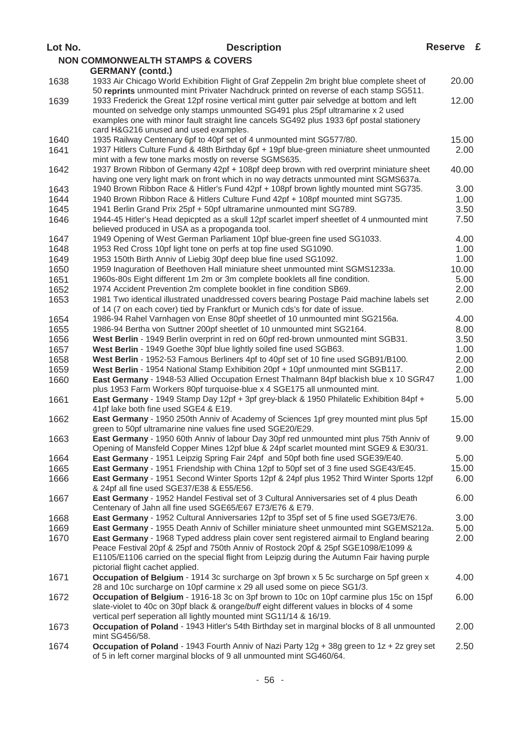| Lot No. | <b>Description</b>                                                                                                                                                                    | Reserve £ |  |
|---------|---------------------------------------------------------------------------------------------------------------------------------------------------------------------------------------|-----------|--|
|         | <b>NON COMMONWEALTH STAMPS &amp; COVERS</b>                                                                                                                                           |           |  |
|         | <b>GERMANY</b> (contd.)                                                                                                                                                               |           |  |
| 1638    | 1933 Air Chicago World Exhibition Flight of Graf Zeppelin 2m bright blue complete sheet of<br>50 reprints unmounted mint Privater Nachdruck printed on reverse of each stamp SG511.   | 20.00     |  |
| 1639    | 1933 Frederick the Great 12pf rosine vertical mint gutter pair selvedge at bottom and left<br>mounted on selvedge only stamps unmounted SG491 plus 25pf ultramarine x 2 used          | 12.00     |  |
|         | examples one with minor fault straight line cancels SG492 plus 1933 6pf postal stationery<br>card H&G216 unused and used examples.                                                    |           |  |
| 1640    | 1935 Railway Centenary 6pf to 40pf set of 4 unmounted mint SG577/80.                                                                                                                  | 15.00     |  |
| 1641    | 1937 Hitlers Culture Fund & 48th Birthday 6pf + 19pf blue-green miniature sheet unmounted<br>mint with a few tone marks mostly on reverse SGMS635.                                    | 2.00      |  |
| 1642    | 1937 Brown Ribbon of Germany 42pf + 108pf deep brown with red overprint miniature sheet<br>having one very light mark on front which in no way detracts unmounted mint SGMS637a.      | 40.00     |  |
| 1643    | 1940 Brown Ribbon Race & Hitler's Fund 42pf + 108pf brown lightly mounted mint SG735.                                                                                                 | 3.00      |  |
| 1644    | 1940 Brown Ribbon Race & Hitlers Culture Fund 42pf + 108pf mounted mint SG735.                                                                                                        | 1.00      |  |
|         |                                                                                                                                                                                       |           |  |
| 1645    | 1941 Berlin Grand Prix 25pf + 50pf ultramarine unmounted mint SG789.                                                                                                                  | 3.50      |  |
| 1646    | 1944-45 Hitler's Head depicpted as a skull 12pf scarlet imperf sheetlet of 4 unmounted mint<br>believed produced in USA as a propoganda tool.                                         | 7.50      |  |
| 1647    | 1949 Opening of West German Parliament 10pf blue-green fine used SG1033.                                                                                                              | 4.00      |  |
| 1648    | 1953 Red Cross 10pf light tone on perfs at top fine used SG1090.                                                                                                                      | 1.00      |  |
| 1649    | 1953 150th Birth Anniv of Liebig 30pf deep blue fine used SG1092.                                                                                                                     | 1.00      |  |
| 1650    | 1959 Inaguration of Beethoven Hall miniature sheet unmounted mint SGMS1233a.                                                                                                          | 10.00     |  |
| 1651    | 1960s-80s Eight different 1m 2m or 3m complete booklets all fine condition.                                                                                                           | 5.00      |  |
| 1652    | 1974 Accident Prevention 2m complete booklet in fine condition SB69.                                                                                                                  | 2.00      |  |
| 1653    | 1981 Two identical illustrated unaddressed covers bearing Postage Paid machine labels set                                                                                             | 2.00      |  |
|         | of 14 (7 on each cover) tied by Frankfurt or Munich cds's for date of issue.                                                                                                          |           |  |
| 1654    | 1986-94 Rahel Varnhagen von Ense 80pf sheetlet of 10 unmounted mint SG2156a.                                                                                                          | 4.00      |  |
| 1655    | 1986-94 Bertha von Suttner 200pf sheetlet of 10 unmounted mint SG2164.                                                                                                                | 8.00      |  |
| 1656    | West Berlin - 1949 Berlin overprint in red on 60pf red-brown unmounted mint SGB31.                                                                                                    | 3.50      |  |
| 1657    | West Berlin - 1949 Goethe 30pf blue lightly soiled fine used SGB63.                                                                                                                   | 1.00      |  |
| 1658    | West Berlin - 1952-53 Famous Berliners 4pf to 40pf set of 10 fine used SGB91/B100.                                                                                                    | 2.00      |  |
| 1659    | West Berlin - 1954 National Stamp Exhibition 20pf + 10pf unmounted mint SGB117.                                                                                                       | 2.00      |  |
| 1660    | East Germany - 1948-53 Allied Occupation Ernest Thalmann 84pf blackish blue x 10 SGR47<br>plus 1953 Farm Workers 80pf turquoise-blue x 4 SGE175 all unmounted mint.                   | 1.00      |  |
| 1661    | East Germany - 1949 Stamp Day 12pf + 3pf grey-black & 1950 Philatelic Exhibition 84pf +<br>41pf lake both fine used SGE4 & E19.                                                       | 5.00      |  |
| 1662    | East Germany - 1950 250th Anniv of Academy of Sciences 1pf grey mounted mint plus 5pf<br>green to 50pf ultramarine nine values fine used SGE20/E29.                                   | 15.00     |  |
| 1663    | East Germany - 1950 60th Anniv of labour Day 30pf red unmounted mint plus 75th Anniv of<br>Opening of Mansfeld Copper Mines 12pf blue & 24pf scarlet mounted mint SGE9 & E30/31.      | 9.00      |  |
| 1664    | East Germany - 1951 Leipzig Spring Fair 24pf and 50pf both fine used SGE39/E40.                                                                                                       | 5.00      |  |
| 1665    | East Germany - 1951 Friendship with China 12pf to 50pf set of 3 fine used SGE43/E45.                                                                                                  | 15.00     |  |
| 1666    | East Germany - 1951 Second Winter Sports 12pf & 24pf plus 1952 Third Winter Sports 12pf<br>& 24pf all fine used SGE37/E38 & E55/E56.                                                  | 6.00      |  |
| 1667    | East Germany - 1952 Handel Festival set of 3 Cultural Anniversaries set of 4 plus Death                                                                                               | 6.00      |  |
|         | Centenary of Jahn all fine used SGE65/E67 E73/E76 & E79.                                                                                                                              |           |  |
| 1668    | East Germany - 1952 Cultural Anniversaries 12pf to 35pf set of 5 fine used SGE73/E76.                                                                                                 | 3.00      |  |
| 1669    | East Germany - 1955 Death Anniv of Schiller miniature sheet unmounted mint SGEMS212a.                                                                                                 | 5.00      |  |
| 1670    | East Germany - 1968 Typed address plain cover sent registered airmail to England bearing<br>Peace Festival 20pf & 25pf and 750th Anniv of Rostock 20pf & 25pf SGE1098/E1099 &         | 2.00      |  |
|         | E1105/E1106 carried on the special flight from Leipzig during the Autumn Fair having purple                                                                                           |           |  |
| 1671    | pictorial flight cachet applied.<br>Occupation of Belgium - 1914 3c surcharge on 3pf brown x 5 5c surcharge on 5pf green x                                                            | 4.00      |  |
|         | 28 and 10c surcharge on 10pf carmine x 29 all used some on piece SG1/3.                                                                                                               |           |  |
| 1672    | Occupation of Belgium - 1916-18 3c on 3pf brown to 10c on 10pf carmine plus 15c on 15pf<br>slate-violet to 40c on 30pf black & orange/buff eight different values in blocks of 4 some | 6.00      |  |
|         | vertical perf seperation all lightly mounted mint SG11/14 & 16/19.                                                                                                                    |           |  |
| 1673    | Occupation of Poland - 1943 Hitler's 54th Birthday set in marginal blocks of 8 all unmounted<br>mint SG456/58.                                                                        | 2.00      |  |
| 1674    | Occupation of Poland - 1943 Fourth Anniv of Nazi Party 12g + 38g green to 1z + 2z grey set<br>of 5 in left corner marginal blocks of 9 all unmounted mint SG460/64.                   | 2.50      |  |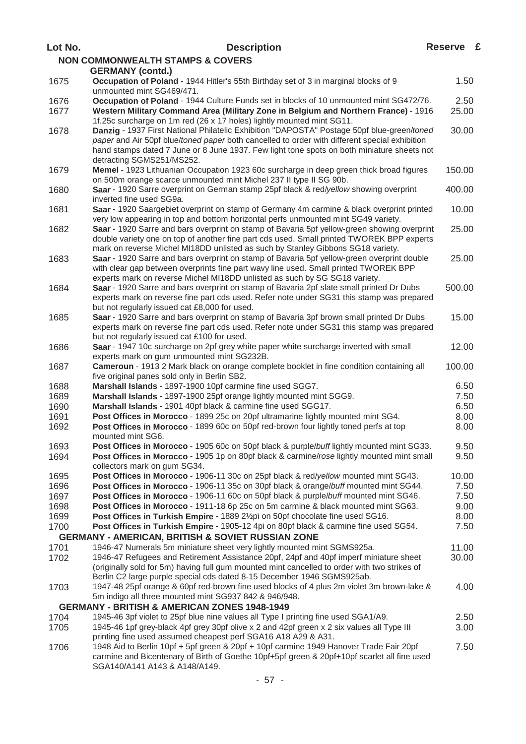| Lot No. | <b>Description</b>                                                                                                                                                                                                                                                                        | Reserve £ |  |
|---------|-------------------------------------------------------------------------------------------------------------------------------------------------------------------------------------------------------------------------------------------------------------------------------------------|-----------|--|
|         | <b>NON COMMONWEALTH STAMPS &amp; COVERS</b>                                                                                                                                                                                                                                               |           |  |
|         | <b>GERMANY</b> (contd.)                                                                                                                                                                                                                                                                   |           |  |
| 1675    | Occupation of Poland - 1944 Hitler's 55th Birthday set of 3 in marginal blocks of 9<br>unmounted mint SG469/471.                                                                                                                                                                          | 1.50      |  |
| 1676    | Occupation of Poland - 1944 Culture Funds set in blocks of 10 unmounted mint SG472/76.                                                                                                                                                                                                    | 2.50      |  |
| 1677    | Western Military Command Area (Military Zone in Belgium and Northern France) - 1916<br>1f.25c surcharge on 1m red (26 x 17 holes) lightly mounted mint SG11.                                                                                                                              | 25.00     |  |
| 1678    | Danzig - 1937 First National Philatelic Exhibition "DAPOSTA" Postage 50pf blue-green/toned<br>paper and Air 50pf blue/toned paper both cancelled to order with different special exhibition<br>hand stamps dated 7 June or 8 June 1937. Few light tone spots on both miniature sheets not | 30.00     |  |
| 1679    | detracting SGMS251/MS252.<br>Memel - 1923 Lithuanian Occupation 1923 60c surcharge in deep green thick broad figures<br>on 500m orange scarce unmounted mint Michel 237 II type II SG 90b.                                                                                                | 150.00    |  |
| 1680    | Saar - 1920 Sarre overprint on German stamp 25pf black & red/yellow showing overprint<br>inverted fine used SG9a.                                                                                                                                                                         | 400.00    |  |
| 1681    | Saar - 1920 Saargebiet overprint on stamp of Germany 4m carmine & black overprint printed<br>very low appearing in top and bottom horizontal perfs unmounted mint SG49 variety.                                                                                                           | 10.00     |  |
| 1682    | Saar - 1920 Sarre and bars overprint on stamp of Bavaria 5pf yellow-green showing overprint<br>double variety one on top of another fine part cds used. Small printed TWOREK BPP experts<br>mark on reverse Michel MI18DD unlisted as such by Stanley Gibbons SG18 variety.               | 25.00     |  |
| 1683    | Saar - 1920 Sarre and bars overprint on stamp of Bavaria 5pf yellow-green overprint double<br>with clear gap between overprints fine part wavy line used. Small printed TWOREK BPP<br>experts mark on reverse Michel MI18DD unlisted as such by SG SG18 variety.                          | 25.00     |  |
| 1684    | Saar - 1920 Sarre and bars overprint on stamp of Bavaria 2pf slate small printed Dr Dubs<br>experts mark on reverse fine part cds used. Refer note under SG31 this stamp was prepared<br>but not regularly issued cat £8,000 for used.                                                    | 500.00    |  |
| 1685    | Saar - 1920 Sarre and bars overprint on stamp of Bavaria 3pf brown small printed Dr Dubs<br>experts mark on reverse fine part cds used. Refer note under SG31 this stamp was prepared<br>but not regularly issued cat £100 for used.                                                      | 15.00     |  |
| 1686    | Saar - 1947 10c surcharge on 2pf grey white paper white surcharge inverted with small<br>experts mark on gum unmounted mint SG232B.                                                                                                                                                       | 12.00     |  |
| 1687    | Cameroun - 1913 2 Mark black on orange complete booklet in fine condition containing all<br>five original panes sold only in Berlin SB2.                                                                                                                                                  | 100.00    |  |
| 1688    | Marshall Islands - 1897-1900 10pf carmine fine used SGG7.                                                                                                                                                                                                                                 | 6.50      |  |
| 1689    | Marshall Islands - 1897-1900 25pf orange lightly mounted mint SGG9.                                                                                                                                                                                                                       | 7.50      |  |
| 1690    | Marshall Islands - 1901 40pf black & carmine fine used SGG17.                                                                                                                                                                                                                             | 6.50      |  |
| 1691    | Post Offices in Morocco - 1899 25c on 20pf ultramarine lightly mounted mint SG4.                                                                                                                                                                                                          | 8.00      |  |
| 1692    | Post Offices in Morocco - 1899 60c on 50pf red-brown four lightly toned perfs at top<br>mounted mint SG6.                                                                                                                                                                                 | 8.00      |  |
| 1693    | Post Offices in Morocco - 1905 60c on 50pf black & purple/buff lightly mounted mint SG33.                                                                                                                                                                                                 | 9.50      |  |
| 1694    | Post Offices in Morocco - 1905 1p on 80pf black & carmine/rose lightly mounted mint small<br>collectors mark on gum SG34.                                                                                                                                                                 | 9.50      |  |
| 1695    | Post Offices in Morocco - 1906-11 30c on 25pf black & red/yellow mounted mint SG43.                                                                                                                                                                                                       | 10.00     |  |
| 1696    | Post Offices in Morocco - 1906-11 35c on 30pf black & orange/buff mounted mint SG44.                                                                                                                                                                                                      | 7.50      |  |
| 1697    | Post Offices in Morocco - 1906-11 60c on 50pf black & purple/buff mounted mint SG46.                                                                                                                                                                                                      | 7.50      |  |
| 1698    | Post Offices in Morocco - 1911-18 6p 25c on 5m carmine & black mounted mint SG63.                                                                                                                                                                                                         | 9.00      |  |
| 1699    | Post Offices in Turkish Empire - 1889 2½pi on 50pf chocolate fine used SG16.                                                                                                                                                                                                              | 8.00      |  |
| 1700    | Post Offices in Turkish Empire - 1905-12 4pi on 80pf black & carmine fine used SG54.<br><b>GERMANY - AMERICAN, BRITISH &amp; SOVIET RUSSIAN ZONE</b>                                                                                                                                      | 7.50      |  |
| 1701    | 1946-47 Numerals 5m miniature sheet very lightly mounted mint SGMS925a.                                                                                                                                                                                                                   | 11.00     |  |
| 1702    | 1946-47 Refugees and Retirement Assistance 20pf, 24pf and 40pf imperf miniature sheet<br>(originally sold for 5m) having full gum mounted mint cancelled to order with two strikes of<br>Berlin C2 large purple special cds dated 8-15 December 1946 SGMS925ab.                           | 30.00     |  |
| 1703    | 1947-48 25pf orange & 60pf red-brown fine used blocks of 4 plus 2m violet 3m brown-lake &<br>5m indigo all three mounted mint SG937 842 & 946/948.                                                                                                                                        | 4.00      |  |
|         | <b>GERMANY - BRITISH &amp; AMERICAN ZONES 1948-1949</b>                                                                                                                                                                                                                                   |           |  |
| 1704    | 1945-46 3pf violet to 25pf blue nine values all Type I printing fine used SGA1/A9.                                                                                                                                                                                                        | 2.50      |  |
| 1705    | 1945-46 1pf grey-black 4pf grey 30pf olive x 2 and 42pf green x 2 six values all Type III<br>printing fine used assumed cheapest perf SGA16 A18 A29 & A31.                                                                                                                                | 3.00      |  |
| 1706    | 1948 Aid to Berlin 10pf + 5pf green & 20pf + 10pf carmine 1949 Hanover Trade Fair 20pf<br>carmine and Bicentenary of Birth of Goethe 10pf+5pf green & 20pf+10pf scarlet all fine used<br>SGA140/A141 A143 & A148/A149.                                                                    | 7.50      |  |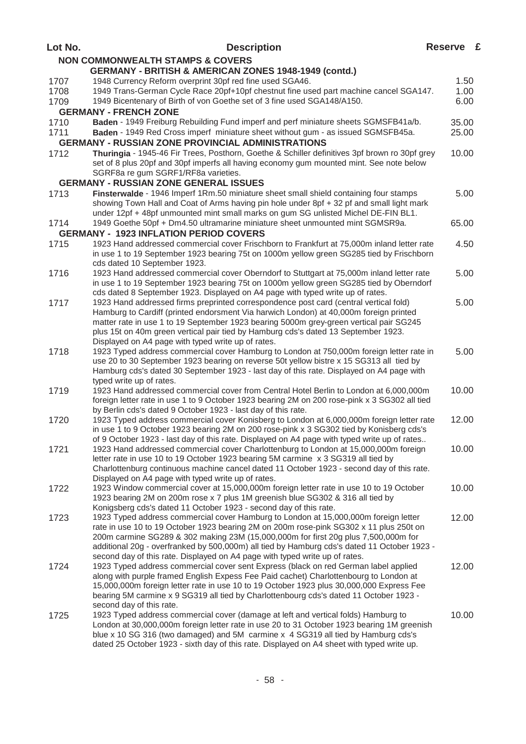| Lot No. | <b>Description</b>                                                                                                                                                                    | Reserve £ |  |
|---------|---------------------------------------------------------------------------------------------------------------------------------------------------------------------------------------|-----------|--|
|         | <b>NON COMMONWEALTH STAMPS &amp; COVERS</b>                                                                                                                                           |           |  |
|         | <b>GERMANY - BRITISH &amp; AMERICAN ZONES 1948-1949 (contd.)</b>                                                                                                                      |           |  |
| 1707    | 1948 Currency Reform overprint 30pf red fine used SGA46.                                                                                                                              | 1.50      |  |
| 1708    | 1949 Trans-German Cycle Race 20pf+10pf chestnut fine used part machine cancel SGA147.                                                                                                 | 1.00      |  |
| 1709    | 1949 Bicentenary of Birth of von Goethe set of 3 fine used SGA148/A150.                                                                                                               | 6.00      |  |
|         | <b>GERMANY - FRENCH ZONE</b>                                                                                                                                                          |           |  |
| 1710    | Baden - 1949 Freiburg Rebuilding Fund imperf and perf miniature sheets SGMSFB41a/b.                                                                                                   | 35.00     |  |
| 1711    | Baden - 1949 Red Cross imperf miniature sheet without gum - as issued SGMSFB45a.                                                                                                      | 25.00     |  |
|         | <b>GERMANY - RUSSIAN ZONE PROVINCIAL ADMINISTRATIONS</b>                                                                                                                              |           |  |
| 1712    | Thuringia - 1945-46 Fir Trees, Posthorn, Goethe & Schiller definitives 3pf brown ro 30pf grey                                                                                         | 10.00     |  |
|         | set of 8 plus 20pf and 30pf imperfs all having economy gum mounted mint. See note below<br>SGRF8a re gum SGRF1/RF8a varieties.                                                        |           |  |
|         | <b>GERMANY - RUSSIAN ZONE GENERAL ISSUES</b>                                                                                                                                          |           |  |
| 1713    | Finsterwalde - 1946 Imperf 1Rm.50 miniature sheet small shield containing four stamps                                                                                                 | 5.00      |  |
|         | showing Town Hall and Coat of Arms having pin hole under 8pf + 32 pf and small light mark                                                                                             |           |  |
|         | under 12pf + 48pf unmounted mint small marks on gum SG unlisted Michel DE-FIN BL1.                                                                                                    |           |  |
| 1714    | 1949 Goethe 50pf + Dm4.50 ultramarine miniature sheet unmounted mint SGMSR9a.                                                                                                         | 65.00     |  |
|         | <b>GERMANY - 1923 INFLATION PERIOD COVERS</b>                                                                                                                                         |           |  |
| 1715    | 1923 Hand addressed commercial cover Frischborn to Frankfurt at 75,000m inland letter rate                                                                                            | 4.50      |  |
|         | in use 1 to 19 September 1923 bearing 75t on 1000m yellow green SG285 tied by Frischborn                                                                                              |           |  |
|         | cds dated 10 September 1923.                                                                                                                                                          |           |  |
| 1716    | 1923 Hand addressed commercial cover Oberndorf to Stuttgart at 75,000m inland letter rate                                                                                             | 5.00      |  |
|         | in use 1 to 19 September 1923 bearing 75t on 1000m yellow green SG285 tied by Oberndorf                                                                                               |           |  |
|         | cds dated 8 September 1923. Displayed on A4 page with typed write up of rates.                                                                                                        |           |  |
| 1717    | 1923 Hand addressed firms preprinted correspondence post card (central vertical fold)<br>Hamburg to Cardiff (printed endorsment Via harwich London) at 40,000m foreign printed        | 5.00      |  |
|         | matter rate in use 1 to 19 September 1923 bearing 5000m grey-green vertical pair SG245                                                                                                |           |  |
|         | plus 15t on 40m green vertical pair tied by Hamburg cds's dated 13 September 1923.                                                                                                    |           |  |
|         | Displayed on A4 page with typed write up of rates.                                                                                                                                    |           |  |
| 1718    | 1923 Typed address commercial cover Hamburg to London at 750,000m foreign letter rate in                                                                                              | 5.00      |  |
|         | use 20 to 30 September 1923 bearing on reverse 50t yellow bistre x 15 SG313 all tied by                                                                                               |           |  |
|         | Hamburg cds's dated 30 September 1923 - last day of this rate. Displayed on A4 page with                                                                                              |           |  |
|         | typed write up of rates.                                                                                                                                                              |           |  |
| 1719    | 1923 Hand addressed commercial cover from Central Hotel Berlin to London at 6,000,000m                                                                                                | 10.00     |  |
|         | foreign letter rate in use 1 to 9 October 1923 bearing 2M on 200 rose-pink x 3 SG302 all tied                                                                                         |           |  |
|         | by Berlin cds's dated 9 October 1923 - last day of this rate.                                                                                                                         |           |  |
| 1720    | 1923 Typed address commercial cover Konisberg to London at 6,000,000m foreign letter rate<br>in use 1 to 9 October 1923 bearing 2M on 200 rose-pink x 3 SG302 tied by Konisberg cds's | 12.00     |  |
|         | of 9 October 1923 - last day of this rate. Displayed on A4 page with typed write up of rates                                                                                          |           |  |
| 1721    | 1923 Hand addressed commercial cover Charlottenburg to London at 15,000,000m foreign                                                                                                  | 10.00     |  |
|         | letter rate in use 10 to 19 October 1923 bearing 5M carmine x 3 SG319 all tied by                                                                                                     |           |  |
|         | Charlottenburg continuous machine cancel dated 11 October 1923 - second day of this rate.                                                                                             |           |  |
|         | Displayed on A4 page with typed write up of rates.                                                                                                                                    |           |  |
| 1722    | 1923 Window commercial cover at 15,000,000m foreign letter rate in use 10 to 19 October                                                                                               | 10.00     |  |
|         | 1923 bearing 2M on 200m rose x 7 plus 1M greenish blue SG302 & 316 all tied by                                                                                                        |           |  |
|         | Konigsberg cds's dated 11 October 1923 - second day of this rate.                                                                                                                     |           |  |
| 1723    | 1923 Typed address commercial cover Hamburg to London at 15,000,000m foreign letter                                                                                                   | 12.00     |  |
|         | rate in use 10 to 19 October 1923 bearing 2M on 200m rose-pink SG302 x 11 plus 250t on<br>200m carmine SG289 & 302 making 23M (15,000,000m for first 20g plus 7,500,000m for          |           |  |
|         | additional 20g - overfranked by 500,000m) all tied by Hamburg cds's dated 11 October 1923 -                                                                                           |           |  |
|         | second day of this rate. Displayed on A4 page with typed write up of rates.                                                                                                           |           |  |
| 1724    | 1923 Typed address commercial cover sent Express (black on red German label applied                                                                                                   | 12.00     |  |
|         | along with purple framed English Expess Fee Paid cachet) Charlottenbourg to London at                                                                                                 |           |  |
|         | 15,000,000m foreign letter rate in use 10 to 19 October 1923 plus 30,000,000 Express Fee                                                                                              |           |  |
|         | bearing 5M carmine x 9 SG319 all tied by Charlottenbourg cds's dated 11 October 1923 -                                                                                                |           |  |
|         | second day of this rate.                                                                                                                                                              |           |  |
| 1725    | 1923 Typed address commercial cover (damage at left and vertical folds) Hamburg to                                                                                                    | 10.00     |  |
|         | London at 30,000,000m foreign letter rate in use 20 to 31 October 1923 bearing 1M greenish                                                                                            |           |  |
|         | blue x 10 SG 316 (two damaged) and 5M carmine x 4 SG319 all tied by Hamburg cds's                                                                                                     |           |  |
|         | dated 25 October 1923 - sixth day of this rate. Displayed on A4 sheet with typed write up.                                                                                            |           |  |
|         |                                                                                                                                                                                       |           |  |

- 58 -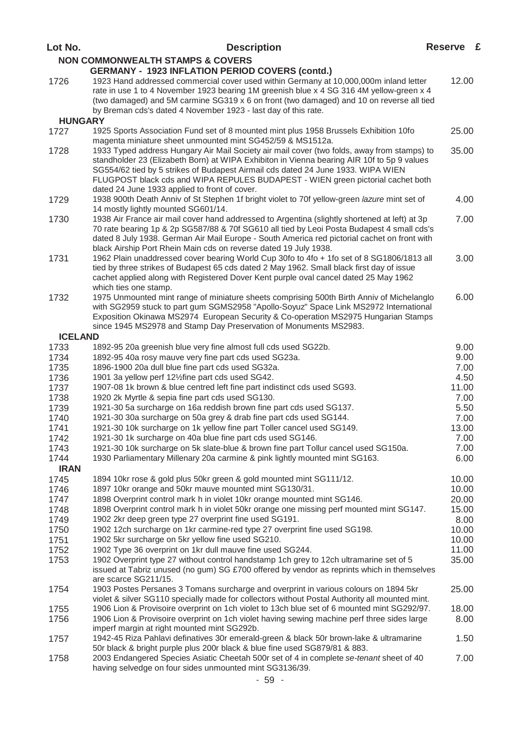| Lot No.        | <b>Description</b>                                                                                                                                                                            | Reserve £      |  |
|----------------|-----------------------------------------------------------------------------------------------------------------------------------------------------------------------------------------------|----------------|--|
|                | <b>NON COMMONWEALTH STAMPS &amp; COVERS</b>                                                                                                                                                   |                |  |
|                | <b>GERMANY - 1923 INFLATION PERIOD COVERS (contd.)</b>                                                                                                                                        |                |  |
| 1726           | 1923 Hand addressed commercial cover used within Germany at 10,000,000m inland letter                                                                                                         | 12.00          |  |
|                | rate in use 1 to 4 November 1923 bearing 1M greenish blue x 4 SG 316 4M yellow-green x 4                                                                                                      |                |  |
|                | (two damaged) and 5M carmine SG319 x 6 on front (two damaged) and 10 on reverse all tied                                                                                                      |                |  |
|                | by Breman cds's dated 4 November 1923 - last day of this rate.                                                                                                                                |                |  |
| <b>HUNGARY</b> |                                                                                                                                                                                               | 25.00          |  |
| 1727           | 1925 Sports Association Fund set of 8 mounted mint plus 1958 Brussels Exhibition 10fo<br>magenta miniature sheet unmounted mint SG452/59 & MS1512a.                                           |                |  |
| 1728           | 1933 Typed address Hungary Air Mail Society air mail cover (two folds, away from stamps) to                                                                                                   | 35.00          |  |
|                | standholder 23 (Elizabeth Born) at WIPA Exhibiton in Vienna bearing AIR 10f to 5p 9 values                                                                                                    |                |  |
|                | SG554/62 tied by 5 strikes of Budapest Airmail cds dated 24 June 1933. WIPA WIEN                                                                                                              |                |  |
|                | FLUGPOST black cds and WIPA REPULES BUDAPEST - WIEN green pictorial cachet both                                                                                                               |                |  |
|                | dated 24 June 1933 applied to front of cover.                                                                                                                                                 |                |  |
| 1729           | 1938 900th Death Anniv of St Stephen 1f bright violet to 70f yellow-green /azure mint set of                                                                                                  | 4.00           |  |
|                | 14 mostly lightly mounted SG601/14.                                                                                                                                                           |                |  |
| 1730           | 1938 Air France air mail cover hand addressed to Argentina (slightly shortened at left) at 3p                                                                                                 | 7.00           |  |
|                | 70 rate bearing 1p & 2p SG587/88 & 70f SG610 all tied by Leoi Posta Budapest 4 small cds's<br>dated 8 July 1938. German Air Mail Europe - South America red pictorial cachet on front with    |                |  |
|                | black Airship Port Rhein Main cds on reverse dated 19 July 1938.                                                                                                                              |                |  |
| 1731           | 1962 Plain unaddressed cover bearing World Cup 30fo to 4fo + 1fo set of 8 SG1806/1813 all                                                                                                     | 3.00           |  |
|                | tied by three strikes of Budapest 65 cds dated 2 May 1962. Small black first day of issue                                                                                                     |                |  |
|                | cachet applied along with Registered Dover Kent purple oval cancel dated 25 May 1962                                                                                                          |                |  |
|                | which ties one stamp.                                                                                                                                                                         |                |  |
| 1732           | 1975 Unmounted mint range of miniature sheets comprising 500th Birth Anniv of Michelanglo                                                                                                     | 6.00           |  |
|                | with SG2959 stuck to part gum SGMS2958 "Apollo-Soyuz" Space Link MS2972 International                                                                                                         |                |  |
|                | Exposition Okinawa MS2974 European Security & Co-operation MS2975 Hungarian Stamps                                                                                                            |                |  |
| <b>ICELAND</b> | since 1945 MS2978 and Stamp Day Preservation of Monuments MS2983.                                                                                                                             |                |  |
| 1733           | 1892-95 20a greenish blue very fine almost full cds used SG22b.                                                                                                                               | 9.00           |  |
| 1734           | 1892-95 40a rosy mauve very fine part cds used SG23a.                                                                                                                                         | 9.00           |  |
| 1735           | 1896-1900 20a dull blue fine part cds used SG32a.                                                                                                                                             | 7.00           |  |
| 1736           | 1901 3a yellow perf 121/2 fine part cds used SG42.                                                                                                                                            | 4.50           |  |
| 1737           | 1907-08 1k brown & blue centred left fine part indistinct cds used SG93.                                                                                                                      | 11.00          |  |
| 1738           | 1920 2k Myrtle & sepia fine part cds used SG130.                                                                                                                                              | 7.00           |  |
| 1739           | 1921-30 5a surcharge on 16a reddish brown fine part cds used SG137.                                                                                                                           | 5.50           |  |
| 1740           | 1921-30 30a surcharge on 50a grey & drab fine part cds used SG144.                                                                                                                            | 7.00           |  |
| 1741           | 1921-30 10k surcharge on 1k yellow fine part Toller cancel used SG149.                                                                                                                        | 13.00          |  |
| 1742           | 1921-30 1k surcharge on 40a blue fine part cds used SG146.                                                                                                                                    | 7.00           |  |
| 1743           | 1921-30 10k surcharge on 5k slate-blue & brown fine part Tollur cancel used SG150a.                                                                                                           | 7.00           |  |
| 1744           | 1930 Parliamentary Millenary 20a carmine & pink lightly mounted mint SG163.                                                                                                                   | 6.00           |  |
| <b>IRAN</b>    |                                                                                                                                                                                               |                |  |
| 1745<br>1746   | 1894 10kr rose & gold plus 50kr green & gold mounted mint SG111/12.<br>1897 10kr orange and 50kr mauve mounted mint SG130/31.                                                                 | 10.00<br>10.00 |  |
| 1747           | 1898 Overprint control mark h in violet 10kr orange mounted mint SG146.                                                                                                                       | 20.00          |  |
| 1748           | 1898 Overprint control mark h in violet 50kr orange one missing perf mounted mint SG147.                                                                                                      | 15.00          |  |
| 1749           | 1902 2kr deep green type 27 overprint fine used SG191.                                                                                                                                        | 8.00           |  |
| 1750           | 1902 12ch surcharge on 1kr carmine-red type 27 overprint fine used SG198.                                                                                                                     | 10.00          |  |
| 1751           | 1902 5kr surcharge on 5kr yellow fine used SG210.                                                                                                                                             | 10.00          |  |
| 1752           | 1902 Type 36 overprint on 1kr dull mauve fine used SG244.                                                                                                                                     | 11.00          |  |
| 1753           | 1902 Overprint type 27 without control handstamp 1ch grey to 12ch ultramarine set of 5                                                                                                        | 35.00          |  |
|                | issued at Tabriz unused (no gum) SG £700 offered by vendor as reprints which in themselves                                                                                                    |                |  |
|                | are scarce SG211/15.                                                                                                                                                                          |                |  |
| 1754           | 1903 Postes Persanes 3 Tomans surcharge and overprint in various colours on 1894 5kr                                                                                                          | 25.00          |  |
|                | violet & silver SG110 specially made for collectors without Postal Authority all mounted mint.<br>1906 Lion & Provisoire overprint on 1ch violet to 13ch blue set of 6 mounted mint SG292/97. | 18.00          |  |
| 1755<br>1756   | 1906 Lion & Provisoire overprint on 1ch violet having sewing machine perf three sides large                                                                                                   | 8.00           |  |
|                | imperf margin at right mounted mint SG292b.                                                                                                                                                   |                |  |
| 1757           | 1942-45 Riza Pahlavi definatives 30r emerald-green & black 50r brown-lake & ultramarine                                                                                                       | 1.50           |  |
|                | 50r black & bright purple plus 200r black & blue fine used SG879/81 & 883.                                                                                                                    |                |  |
| 1758           | 2003 Endangered Species Asiatic Cheetah 500r set of 4 in complete se-tenant sheet of 40                                                                                                       | 7.00           |  |
|                | having selvedge on four sides unmounted mint SG3136/39.                                                                                                                                       |                |  |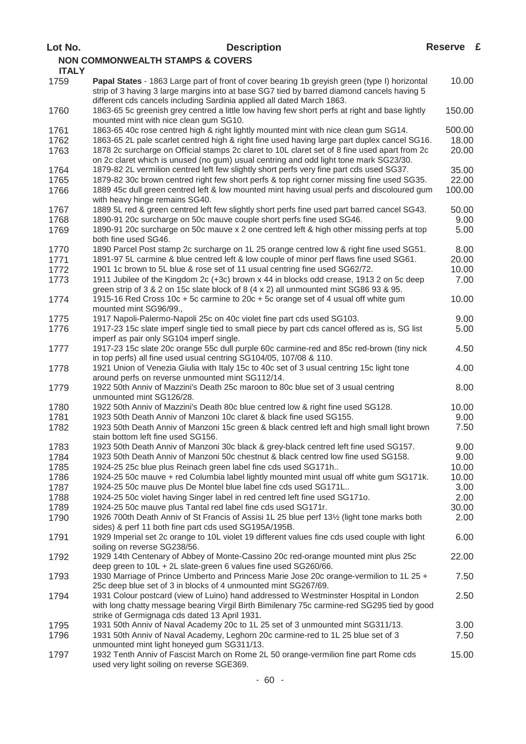| Lot No.      | <b>Description</b>                                                                                                                                                                                                                                     | Reserve £    |  |
|--------------|--------------------------------------------------------------------------------------------------------------------------------------------------------------------------------------------------------------------------------------------------------|--------------|--|
|              | <b>NON COMMONWEALTH STAMPS &amp; COVERS</b>                                                                                                                                                                                                            |              |  |
| <b>ITALY</b> |                                                                                                                                                                                                                                                        |              |  |
| 1759         | Papal States - 1863 Large part of front of cover bearing 1b greyish green (type I) horizontal<br>strip of 3 having 3 large margins into at base SG7 tied by barred diamond cancels having 5                                                            | 10.00        |  |
| 1760         | different cds cancels including Sardinia applied all dated March 1863.<br>1863-65 5c greenish grey centred a little low having few short perfs at right and base lightly                                                                               | 150.00       |  |
|              | mounted mint with nice clean gum SG10.<br>1863-65 40c rose centred high & right lightly mounted mint with nice clean gum SG14.                                                                                                                         | 500.00       |  |
| 1761<br>1762 | 1863-65 2L pale scarlet centred high & right fine used having large part duplex cancel SG16.                                                                                                                                                           | 18.00        |  |
| 1763         | 1878 2c surcharge on Official stamps 2c claret to 10L claret set of 8 fine used apart from 2c                                                                                                                                                          | 20.00        |  |
| 1764         | on 2c claret which is unused (no gum) usual centring and odd light tone mark SG23/30.<br>1879-82 2L vermilion centred left few slightly short perfs very fine part cds used SG37.                                                                      | 35.00        |  |
| 1765         | 1879-82 30c brown centred right few short perfs & top right corner missing fine used SG35.                                                                                                                                                             | 22.00        |  |
| 1766         | 1889 45c dull green centred left & low mounted mint having usual perfs and discoloured gum                                                                                                                                                             | 100.00       |  |
|              | with heavy hinge remains SG40.                                                                                                                                                                                                                         |              |  |
| 1767         | 1889 5L red & green centred left few slightly short perfs fine used part barred cancel SG43.                                                                                                                                                           | 50.00        |  |
| 1768         | 1890-91 20c surcharge on 50c mauve couple short perfs fine used SG46.                                                                                                                                                                                  | 9.00         |  |
| 1769         | 1890-91 20c surcharge on 50c mauve x 2 one centred left & high other missing perfs at top<br>both fine used SG46.                                                                                                                                      | 5.00         |  |
| 1770         | 1890 Parcel Post stamp 2c surcharge on 1L 25 orange centred low & right fine used SG51.                                                                                                                                                                | 8.00         |  |
| 1771         | 1891-97 5L carmine & blue centred left & low couple of minor perf flaws fine used SG61.                                                                                                                                                                | 20.00        |  |
| 1772         | 1901 1c brown to 5L blue & rose set of 11 usual centring fine used SG62/72.                                                                                                                                                                            | 10.00        |  |
| 1773         | 1911 Jubilee of the Kingdom 2c (+3c) brown x 44 in blocks odd crease, 1913 2 on 5c deep<br>green strip of 3 & 2 on 15c slate block of 8 (4 x 2) all unmounted mint SG86 93 & 95.                                                                       | 7.00         |  |
| 1774         | 1915-16 Red Cross 10c + 5c carmine to 20c + 5c orange set of 4 usual off white gum<br>mounted mint SG96/99.,                                                                                                                                           | 10.00        |  |
| 1775         | 1917 Napoli-Palermo-Napoli 25c on 40c violet fine part cds used SG103.                                                                                                                                                                                 | 9.00         |  |
| 1776         | 1917-23 15c slate imperf single tied to small piece by part cds cancel offered as is, SG list                                                                                                                                                          | 5.00         |  |
|              | imperf as pair only SG104 imperf single.                                                                                                                                                                                                               |              |  |
| 1777         | 1917-23 15c slate 20c orange 55c dull purple 60c carmine-red and 85c red-brown (tiny nick<br>in top perfs) all fine used usual centring SG104/05, 107/08 & 110.                                                                                        | 4.50         |  |
| 1778         | 1921 Union of Venezia Giulia with Italy 15c to 40c set of 3 usual centring 15c light tone<br>around perfs on reverse unmounted mint SG112/14.                                                                                                          | 4.00         |  |
| 1779         | 1922 50th Anniv of Mazzini's Death 25c maroon to 80c blue set of 3 usual centring                                                                                                                                                                      | 8.00         |  |
|              | unmounted mint SG126/28.                                                                                                                                                                                                                               |              |  |
| 1780         | 1922 50th Anniv of Mazzini's Death 80c blue centred low & right fine used SG128.                                                                                                                                                                       | 10.00        |  |
| 1781         | 1923 50th Death Anniv of Manzoni 10c claret & black fine used SG155.                                                                                                                                                                                   | 9.00         |  |
| 1782         | 1923 50th Death Anniv of Manzoni 15c green & black centred left and high small light brown<br>stain bottom left fine used SG156.                                                                                                                       | 7.50         |  |
| 1783         | 1923 50th Death Anniv of Manzoni 30c black & grey-black centred left fine used SG157.                                                                                                                                                                  | 9.00         |  |
| 1784         | 1923 50th Death Anniv of Manzoni 50c chestnut & black centred low fine used SG158.                                                                                                                                                                     | 9.00         |  |
| 1785         | 1924-25 25c blue plus Reinach green label fine cds used SG171h                                                                                                                                                                                         | 10.00        |  |
| 1786         | 1924-25 50c mauve + red Columbia label lightly mounted mint usual off white gum SG171k.                                                                                                                                                                | 10.00        |  |
| 1787         | 1924-25 50c mauve plus De Montel blue label fine cds used SG171L                                                                                                                                                                                       | 3.00         |  |
| 1788         | 1924-25 50c violet having Singer label in red centred left fine used SG1710.                                                                                                                                                                           | 2.00         |  |
| 1789         | 1924-25 50c mauve plus Tantal red label fine cds used SG171r.                                                                                                                                                                                          | 30.00        |  |
| 1790         | 1926 700th Death Anniv of St Francis of Assisi 1L 25 blue perf 13½ (light tone marks both<br>sides) & perf 11 both fine part cds used SG195A/195B.                                                                                                     | 2.00         |  |
| 1791         | 1929 Imperial set 2c orange to 10L violet 19 different values fine cds used couple with light<br>soiling on reverse SG238/56.                                                                                                                          | 6.00         |  |
| 1792         | 1929 14th Centenary of Abbey of Monte-Cassino 20c red-orange mounted mint plus 25c<br>deep green to 10L + 2L slate-green 6 values fine used SG260/66.                                                                                                  | 22.00        |  |
| 1793         | 1930 Marriage of Prince Umberto and Princess Marie Jose 20c orange-vermilion to 1L 25 +                                                                                                                                                                | 7.50         |  |
| 1794         | 25c deep blue set of 3 in blocks of 4 unmounted mint SG267/69.<br>1931 Colour postcard (view of Luino) hand addressed to Westminster Hospital in London<br>with long chatty message bearing Virgil Birth Bimilenary 75c carmine-red SG295 tied by good | 2.50         |  |
|              | strike of Germignaga cds dated 13 April 1931.                                                                                                                                                                                                          |              |  |
| 1795<br>1796 | 1931 50th Anniv of Naval Academy 20c to 1L 25 set of 3 unmounted mint SG311/13.<br>1931 50th Anniv of Naval Academy, Leghorn 20c carmine-red to 1L 25 blue set of 3                                                                                    | 3.00<br>7.50 |  |
|              | unmounted mint light honeyed gum SG311/13.                                                                                                                                                                                                             |              |  |
| 1797         | 1932 Tenth Anniv of Fascist March on Rome 2L 50 orange-vermilion fine part Rome cds<br>used very light soiling on reverse SGE369.                                                                                                                      | 15.00        |  |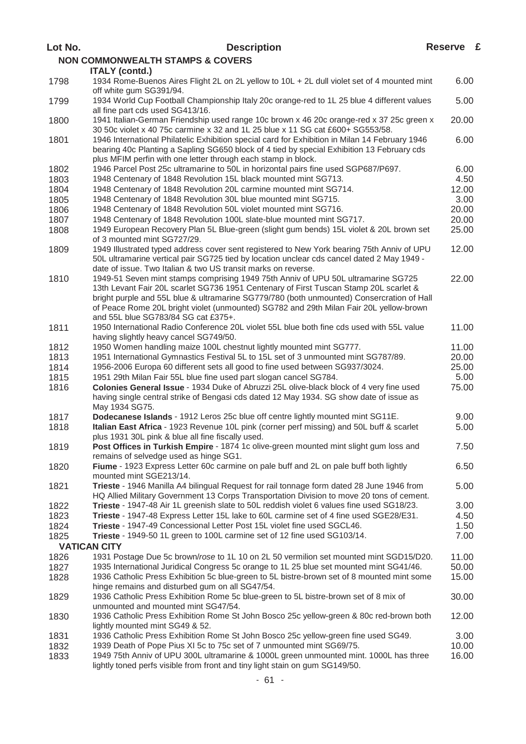| Lot No. | <b>Description</b>                                                                                                                                                                                                                                                                                                                                                                                       | Reserve £ |  |
|---------|----------------------------------------------------------------------------------------------------------------------------------------------------------------------------------------------------------------------------------------------------------------------------------------------------------------------------------------------------------------------------------------------------------|-----------|--|
|         | <b>NON COMMONWEALTH STAMPS &amp; COVERS</b>                                                                                                                                                                                                                                                                                                                                                              |           |  |
|         | <b>ITALY (contd.)</b>                                                                                                                                                                                                                                                                                                                                                                                    |           |  |
| 1798    | 1934 Rome-Buenos Aires Flight 2L on 2L yellow to 10L + 2L dull violet set of 4 mounted mint<br>off white gum SG391/94.                                                                                                                                                                                                                                                                                   | 6.00      |  |
| 1799    | 1934 World Cup Football Championship Italy 20c orange-red to 1L 25 blue 4 different values<br>all fine part cds used SG413/16.                                                                                                                                                                                                                                                                           | 5.00      |  |
| 1800    | 1941 Italian-German Friendship used range 10c brown x 46 20c orange-red x 37 25c green x<br>30 50c violet x 40 75c carmine x 32 and 1L 25 blue x 11 SG cat £600+ SG553/58.                                                                                                                                                                                                                               | 20.00     |  |
| 1801    | 1946 International Philatelic Exhibition special card for Exhibition in Milan 14 February 1946<br>bearing 40c Planting a Sapling SG650 block of 4 tied by special Exhibition 13 February cds<br>plus MFIM perfin with one letter through each stamp in block.                                                                                                                                            | 6.00      |  |
| 1802    | 1946 Parcel Post 25c ultramarine to 50L in horizontal pairs fine used SGP687/P697.                                                                                                                                                                                                                                                                                                                       | 6.00      |  |
| 1803    | 1948 Centenary of 1848 Revolution 15L black mounted mint SG713.                                                                                                                                                                                                                                                                                                                                          | 4.50      |  |
| 1804    | 1948 Centenary of 1848 Revolution 20L carmine mounted mint SG714.                                                                                                                                                                                                                                                                                                                                        | 12.00     |  |
| 1805    | 1948 Centenary of 1848 Revolution 30L blue mounted mint SG715.                                                                                                                                                                                                                                                                                                                                           | 3.00      |  |
| 1806    | 1948 Centenary of 1848 Revolution 50L violet mounted mint SG716.                                                                                                                                                                                                                                                                                                                                         | 20.00     |  |
| 1807    | 1948 Centenary of 1848 Revolution 100L slate-blue mounted mint SG717.                                                                                                                                                                                                                                                                                                                                    | 20.00     |  |
| 1808    | 1949 European Recovery Plan 5L Blue-green (slight gum bends) 15L violet & 20L brown set<br>of 3 mounted mint SG727/29.                                                                                                                                                                                                                                                                                   | 25.00     |  |
| 1809    | 1949 Illustrated typed address cover sent registered to New York bearing 75th Anniv of UPU<br>50L ultramarine vertical pair SG725 tied by location unclear cds cancel dated 2 May 1949 -<br>date of issue. Two Italian & two US transit marks on reverse.                                                                                                                                                | 12.00     |  |
| 1810    | 1949-51 Seven mint stamps comprising 1949 75th Anniv of UPU 50L ultramarine SG725<br>13th Levant Fair 20L scarlet SG736 1951 Centenary of First Tuscan Stamp 20L scarlet &<br>bright purple and 55L blue & ultramarine SG779/780 (both unmounted) Consercration of Hall<br>of Peace Rome 20L bright violet (unmounted) SG782 and 29th Milan Fair 20L yellow-brown<br>and 55L blue SG783/84 SG cat £375+. | 22.00     |  |
| 1811    | 1950 International Radio Conference 20L violet 55L blue both fine cds used with 55L value<br>having slightly heavy cancel SG749/50.                                                                                                                                                                                                                                                                      | 11.00     |  |
| 1812    | 1950 Women handling maize 100L chestnut lightly mounted mint SG777.                                                                                                                                                                                                                                                                                                                                      | 11.00     |  |
| 1813    | 1951 International Gymnastics Festival 5L to 15L set of 3 unmounted mint SG787/89.                                                                                                                                                                                                                                                                                                                       | 20.00     |  |
| 1814    | 1956-2006 Europa 60 different sets all good to fine used between SG937/3024.                                                                                                                                                                                                                                                                                                                             | 25.00     |  |
| 1815    | 1951 29th Milan Fair 55L blue fine used part slogan cancel SG784.                                                                                                                                                                                                                                                                                                                                        | 5.00      |  |
| 1816    | Colonies General Issue - 1934 Duke of Abruzzi 25L olive-black block of 4 very fine used                                                                                                                                                                                                                                                                                                                  | 75.00     |  |
|         | having single central strike of Bengasi cds dated 12 May 1934. SG show date of issue as<br>May 1934 SG75.                                                                                                                                                                                                                                                                                                |           |  |
| 1817    | Dodecanese Islands - 1912 Leros 25c blue off centre lightly mounted mint SG11E.                                                                                                                                                                                                                                                                                                                          | 9.00      |  |
| 1818    | Italian East Africa - 1923 Revenue 10L pink (corner perf missing) and 50L buff & scarlet<br>plus 1931 30L pink & blue all fine fiscally used.                                                                                                                                                                                                                                                            | 5.00      |  |
| 1819    | Post Offices in Turkish Empire - 1874 1c olive-green mounted mint slight gum loss and<br>remains of selvedge used as hinge SG1.                                                                                                                                                                                                                                                                          | 7.50      |  |
| 1820    | Fiume - 1923 Express Letter 60c carmine on pale buff and 2L on pale buff both lightly<br>mounted mint SGE213/14.                                                                                                                                                                                                                                                                                         | 6.50      |  |
| 1821    | Trieste - 1946 Manilla A4 bilingual Request for rail tonnage form dated 28 June 1946 from<br>HQ Allied Military Government 13 Corps Transportation Division to move 20 tons of cement.                                                                                                                                                                                                                   | 5.00      |  |
| 1822    | Trieste - 1947-48 Air 1L greenish slate to 50L reddish violet 6 values fine used SG18/23.                                                                                                                                                                                                                                                                                                                | 3.00      |  |
| 1823    | Trieste - 1947-48 Express Letter 15L lake to 60L carmine set of 4 fine used SGE28/E31.                                                                                                                                                                                                                                                                                                                   | 4.50      |  |
| 1824    | Trieste - 1947-49 Concessional Letter Post 15L violet fine used SGCL46.                                                                                                                                                                                                                                                                                                                                  | 1.50      |  |
| 1825    | Trieste - 1949-50 1L green to 100L carmine set of 12 fine used SG103/14.                                                                                                                                                                                                                                                                                                                                 | 7.00      |  |
|         | <b>VATICAN CITY</b>                                                                                                                                                                                                                                                                                                                                                                                      |           |  |
| 1826    | 1931 Postage Due 5c brown/rose to 1L 10 on 2L 50 vermilion set mounted mint SGD15/D20.                                                                                                                                                                                                                                                                                                                   | 11.00     |  |
| 1827    | 1935 International Juridical Congress 5c orange to 1L 25 blue set mounted mint SG41/46.                                                                                                                                                                                                                                                                                                                  | 50.00     |  |
| 1828    | 1936 Catholic Press Exhibition 5c blue-green to 5L bistre-brown set of 8 mounted mint some<br>hinge remains and disturbed gum on all SG47/54.                                                                                                                                                                                                                                                            | 15.00     |  |
| 1829    | 1936 Catholic Press Exhibition Rome 5c blue-green to 5L bistre-brown set of 8 mix of<br>unmounted and mounted mint SG47/54.                                                                                                                                                                                                                                                                              | 30.00     |  |
| 1830    | 1936 Catholic Press Exhibition Rome St John Bosco 25c yellow-green & 80c red-brown both<br>lightly mounted mint SG49 & 52.                                                                                                                                                                                                                                                                               | 12.00     |  |
| 1831    | 1936 Catholic Press Exhibition Rome St John Bosco 25c yellow-green fine used SG49.                                                                                                                                                                                                                                                                                                                       | 3.00      |  |
| 1832    | 1939 Death of Pope Pius XI 5c to 75c set of 7 unmounted mint SG69/75.                                                                                                                                                                                                                                                                                                                                    | 10.00     |  |
| 1833    | 1949 75th Anniv of UPU 300L ultramarine & 1000L green unmounted mint. 1000L has three<br>lightly toned perfs visible from front and tiny light stain on gum SG149/50.                                                                                                                                                                                                                                    | 16.00     |  |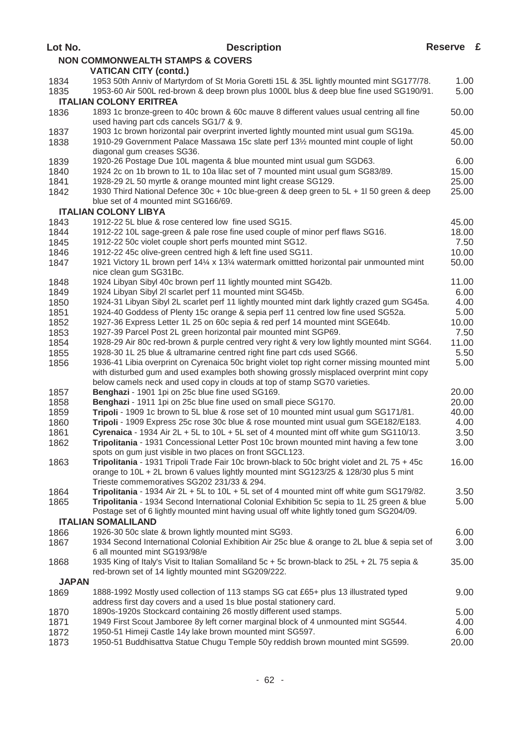| Lot No.      | <b>Description</b>                                                                                                                                         | Reserve £      |  |
|--------------|------------------------------------------------------------------------------------------------------------------------------------------------------------|----------------|--|
|              | <b>NON COMMONWEALTH STAMPS &amp; COVERS</b>                                                                                                                |                |  |
|              | <b>VATICAN CITY (contd.)</b>                                                                                                                               |                |  |
| 1834         | 1953 50th Anniv of Martyrdom of St Moria Goretti 15L & 35L lightly mounted mint SG177/78.                                                                  | 1.00           |  |
| 1835         | 1953-60 Air 500L red-brown & deep brown plus 1000L blus & deep blue fine used SG190/91.                                                                    | 5.00           |  |
|              | <b>ITALIAN COLONY ERITREA</b>                                                                                                                              |                |  |
| 1836         | 1893 1c bronze-green to 40c brown & 60c mauve 8 different values usual centring all fine                                                                   | 50.00          |  |
|              | used having part cds cancels SG1/7 & 9.                                                                                                                    |                |  |
| 1837         | 1903 1c brown horizontal pair overprint inverted lightly mounted mint usual gum SG19a.                                                                     | 45.00          |  |
| 1838         | 1910-29 Government Palace Massawa 15c slate perf 131/2 mounted mint couple of light                                                                        | 50.00          |  |
|              | diagonal gum creases SG36.                                                                                                                                 |                |  |
| 1839         | 1920-26 Postage Due 10L magenta & blue mounted mint usual gum SGD63.                                                                                       | 6.00           |  |
| 1840         | 1924 2c on 1b brown to 1L to 10a lilac set of 7 mounted mint usual gum SG83/89.                                                                            | 15.00          |  |
| 1841         | 1928-29 2L 50 myrtle & orange mounted mint light crease SG129.<br>1930 Third National Defence 30c + 10c blue-green & deep green to 5L + 1l 50 green & deep | 25.00<br>25.00 |  |
| 1842         | blue set of 4 mounted mint SG166/69.                                                                                                                       |                |  |
|              | <b>ITALIAN COLONY LIBYA</b>                                                                                                                                |                |  |
| 1843         | 1912-22 5L blue & rose centered low fine used SG15.                                                                                                        | 45.00          |  |
| 1844         | 1912-22 10L sage-green & pale rose fine used couple of minor perf flaws SG16.                                                                              | 18.00          |  |
| 1845         | 1912-22 50c violet couple short perfs mounted mint SG12.                                                                                                   | 7.50           |  |
| 1846         | 1912-22 45c olive-green centred high & left fine used SG11.                                                                                                | 10.00          |  |
| 1847         | 1921 Victory 1L brown perf 141⁄4 x 131⁄4 watermark omittted horizontal pair unmounted mint                                                                 | 50.00          |  |
|              | nice clean gum SG31Bc.                                                                                                                                     |                |  |
| 1848         | 1924 Libyan Sibyl 40c brown perf 11 lightly mounted mint SG42b.                                                                                            | 11.00          |  |
| 1849         | 1924 Libyan Sibyl 2I scarlet perf 11 mounted mint SG45b.                                                                                                   | 6.00           |  |
| 1850         | 1924-31 Libyan Sibyl 2L scarlet perf 11 lightly mounted mint dark lightly crazed gum SG45a.                                                                | 4.00           |  |
| 1851         | 1924-40 Goddess of Plenty 15c orange & sepia perf 11 centred low fine used SG52a.                                                                          | 5.00           |  |
| 1852         | 1927-36 Express Letter 1L 25 on 60c sepia & red perf 14 mounted mint SGE64b.                                                                               | 10.00          |  |
| 1853         | 1927-39 Parcel Post 2L green horizontal pair mounted mint SGP69.                                                                                           | 7.50           |  |
| 1854         | 1928-29 Air 80c red-brown & purple centred very right & very low lightly mounted mint SG64.                                                                | 11.00          |  |
| 1855         | 1928-30 1L 25 blue & ultramarine centred right fine part cds used SG66.                                                                                    | 5.50           |  |
| 1856         | 1936-41 Libia overprint on Cyrenaica 50c bright violet top right corner missing mounted mint                                                               | 5.00           |  |
|              | with disturbed gum and used examples both showing grossly misplaced overprint mint copy                                                                    |                |  |
|              | below camels neck and used copy in clouds at top of stamp SG70 varieties.                                                                                  | 20.00          |  |
| 1857         | Benghazi - 1901 1pi on 25c blue fine used SG169.<br>Benghazi - 1911 1pi on 25c blue fine used on small piece SG170.                                        | 20.00          |  |
| 1858<br>1859 | Tripoli - 1909 1c brown to 5L blue & rose set of 10 mounted mint usual gum SG171/81.                                                                       | 40.00          |  |
| 1860         | Tripoli - 1909 Express 25c rose 30c blue & rose mounted mint usual gum SGE182/E183.                                                                        | 4.00           |  |
| 1861         | Cyrenaica - 1934 Air 2L + 5L to 10L + 5L set of 4 mounted mint off white gum SG110/13.                                                                     | 3.50           |  |
| 1862         | Tripolitania - 1931 Concessional Letter Post 10c brown mounted mint having a few tone                                                                      | 3.00           |  |
|              | spots on gum just visible in two places on front SGCL123.                                                                                                  |                |  |
| 1863         | Tripolitania - 1931 Tripoli Trade Fair 10c brown-black to 50c bright violet and 2L 75 + 45c                                                                | 16.00          |  |
|              | orange to 10L + 2L brown 6 values lightly mounted mint SG123/25 & 128/30 plus 5 mint                                                                       |                |  |
|              | Trieste commemoratives SG202 231/33 & 294.                                                                                                                 |                |  |
| 1864         | Tripolitania - 1934 Air 2L + 5L to 10L + 5L set of 4 mounted mint off white gum SG179/82.                                                                  | 3.50           |  |
| 1865         | Tripolitania - 1934 Second International Colonial Exhibition 5c sepia to 1L 25 green & blue                                                                | 5.00           |  |
|              | Postage set of 6 lightly mounted mint having usual off white lightly toned gum SG204/09.                                                                   |                |  |
|              | <b>ITALIAN SOMALILAND</b>                                                                                                                                  |                |  |
| 1866         | 1926-30 50c slate & brown lightly mounted mint SG93.                                                                                                       | 6.00           |  |
| 1867         | 1934 Second International Colonial Exhibition Air 25c blue & orange to 2L blue & sepia set of                                                              | 3.00           |  |
|              | 6 all mounted mint SG193/98/e                                                                                                                              |                |  |
| 1868         | 1935 King of Italy's Visit to Italian Somaliland 5c + 5c brown-black to 25L + 2L 75 sepia &                                                                | 35.00          |  |
| <b>JAPAN</b> | red-brown set of 14 lightly mounted mint SG209/222.                                                                                                        |                |  |
|              | 1888-1992 Mostly used collection of 113 stamps SG cat £65+ plus 13 illustrated typed                                                                       |                |  |
| 1869         | address first day covers and a used 1s blue postal stationery card.                                                                                        | 9.00           |  |
| 1870         | 1890s-1920s Stockcard containing 26 mostly different used stamps.                                                                                          | 5.00           |  |
| 1871         | 1949 First Scout Jamboree 8y left corner marginal block of 4 unmounted mint SG544.                                                                         | 4.00           |  |
| 1872         | 1950-51 Himeji Castle 14y lake brown mounted mint SG597.                                                                                                   | 6.00           |  |
| 1873         | 1950-51 Buddhisattva Statue Chugu Temple 50y reddish brown mounted mint SG599.                                                                             | 20.00          |  |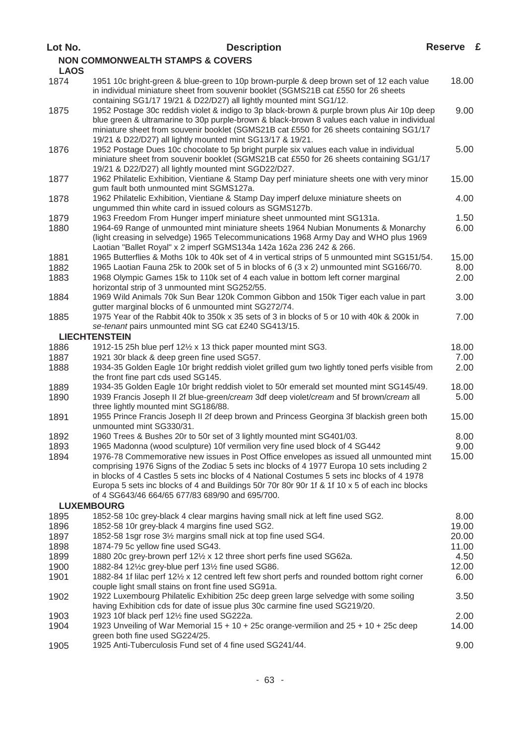| Lot No.     | <b>Description</b>                                                                                                                                                                                                                                                                                                                                                                                                                                           | Reserve £ |  |
|-------------|--------------------------------------------------------------------------------------------------------------------------------------------------------------------------------------------------------------------------------------------------------------------------------------------------------------------------------------------------------------------------------------------------------------------------------------------------------------|-----------|--|
|             | <b>NON COMMONWEALTH STAMPS &amp; COVERS</b>                                                                                                                                                                                                                                                                                                                                                                                                                  |           |  |
| <b>LAOS</b> |                                                                                                                                                                                                                                                                                                                                                                                                                                                              |           |  |
| 1874        | 1951 10c bright-green & blue-green to 10p brown-purple & deep brown set of 12 each value<br>in individual miniature sheet from souvenir booklet (SGMS21B cat £550 for 26 sheets<br>containing SG1/17 19/21 & D22/D27) all lightly mounted mint SG1/12.                                                                                                                                                                                                       | 18.00     |  |
| 1875        | 1952 Postage 30c reddish violet & indigo to 3p black-brown & purple brown plus Air 10p deep<br>blue green & ultramarine to 30p purple-brown & black-brown 8 values each value in individual<br>miniature sheet from souvenir booklet (SGMS21B cat £550 for 26 sheets containing SG1/17<br>19/21 & D22/D27) all lightly mounted mint SG13/17 & 19/21.                                                                                                         | 9.00      |  |
| 1876        | 1952 Postage Dues 10c chocolate to 5p bright purple six values each value in individual<br>miniature sheet from souvenir booklet (SGMS21B cat £550 for 26 sheets containing SG1/17<br>19/21 & D22/D27) all lightly mounted mint SGD22/D27.                                                                                                                                                                                                                   | 5.00      |  |
| 1877        | 1962 Philatelic Exhibition, Vientiane & Stamp Day perf miniature sheets one with very minor<br>gum fault both unmounted mint SGMS127a.                                                                                                                                                                                                                                                                                                                       | 15.00     |  |
| 1878        | 1962 Philatelic Exhibition, Vientiane & Stamp Day imperf deluxe miniature sheets on<br>ungummed thin white card in issued colours as SGMS127b.                                                                                                                                                                                                                                                                                                               | 4.00      |  |
| 1879        | 1963 Freedom From Hunger imperf miniature sheet unmounted mint SG131a.                                                                                                                                                                                                                                                                                                                                                                                       | 1.50      |  |
| 1880        | 1964-69 Range of unmounted mint miniature sheets 1964 Nubian Monuments & Monarchy<br>(light creasing in selvedge) 1965 Telecommunications 1968 Army Day and WHO plus 1969<br>Laotian "Ballet Royal" x 2 imperf SGMS134a 142a 162a 236 242 & 266.                                                                                                                                                                                                             | 6.00      |  |
| 1881        | 1965 Butterflies & Moths 10k to 40k set of 4 in vertical strips of 5 unmounted mint SG151/54.                                                                                                                                                                                                                                                                                                                                                                | 15.00     |  |
| 1882        | 1965 Laotian Fauna 25k to 200k set of 5 in blocks of 6 (3 x 2) unmounted mint SG166/70.                                                                                                                                                                                                                                                                                                                                                                      | 8.00      |  |
| 1883        | 1968 Olympic Games 15k to 110k set of 4 each value in bottom left corner marginal<br>horizontal strip of 3 unmounted mint SG252/55.                                                                                                                                                                                                                                                                                                                          | 2.00      |  |
| 1884        | 1969 Wild Animals 70k Sun Bear 120k Common Gibbon and 150k Tiger each value in part<br>gutter marginal blocks of 6 unmounted mint SG272/74.                                                                                                                                                                                                                                                                                                                  | 3.00      |  |
| 1885        | 1975 Year of the Rabbit 40k to 350k x 35 sets of 3 in blocks of 5 or 10 with 40k & 200k in<br>se-tenant pairs unmounted mint SG cat £240 SG413/15.                                                                                                                                                                                                                                                                                                           | 7.00      |  |
|             | <b>LIECHTENSTEIN</b>                                                                                                                                                                                                                                                                                                                                                                                                                                         |           |  |
| 1886        | 1912-15 25h blue perf 121/2 x 13 thick paper mounted mint SG3.                                                                                                                                                                                                                                                                                                                                                                                               | 18.00     |  |
| 1887        | 1921 30r black & deep green fine used SG57.<br>1934-35 Golden Eagle 10r bright reddish violet grilled gum two lightly toned perfs visible from                                                                                                                                                                                                                                                                                                               | 7.00      |  |
| 1888        | the front fine part cds used SG145.                                                                                                                                                                                                                                                                                                                                                                                                                          | 2.00      |  |
| 1889        | 1934-35 Golden Eagle 10r bright reddish violet to 50r emerald set mounted mint SG145/49.                                                                                                                                                                                                                                                                                                                                                                     | 18.00     |  |
| 1890        | 1939 Francis Joseph II 2f blue-green/cream 3df deep violet/cream and 5f brown/cream all<br>three lightly mounted mint SG186/88.                                                                                                                                                                                                                                                                                                                              | 5.00      |  |
| 1891        | 1955 Prince Francis Joseph II 2f deep brown and Princess Georgina 3f blackish green both<br>unmounted mint SG330/31.                                                                                                                                                                                                                                                                                                                                         | 15.00     |  |
| 1892        | 1960 Trees & Bushes 20r to 50r set of 3 lightly mounted mint SG401/03.                                                                                                                                                                                                                                                                                                                                                                                       | 8.00      |  |
| 1893        | 1965 Madonna (wood sculpture) 10f vermilion very fine used block of 4 SG442                                                                                                                                                                                                                                                                                                                                                                                  | 9.00      |  |
| 1894        | 1976-78 Commemorative new issues in Post Office envelopes as issued all unmounted mint<br>comprising 1976 Signs of the Zodiac 5 sets inc blocks of 4 1977 Europa 10 sets including 2<br>in blocks of 4 Castles 5 sets inc blocks of 4 National Costumes 5 sets inc blocks of 4 1978<br>Europa 5 sets inc blocks of 4 and Buildings 50r 70r 80r 90r 1f & 1f 10 x 5 of each inc blocks<br>of 4 SG643/46 664/65 677/83 689/90 and 695/700.<br><b>LUXEMBOURG</b> | 15.00     |  |
| 1895        | 1852-58 10c grey-black 4 clear margins having small nick at left fine used SG2.                                                                                                                                                                                                                                                                                                                                                                              | 8.00      |  |
| 1896        | 1852-58 10r grey-black 4 margins fine used SG2.                                                                                                                                                                                                                                                                                                                                                                                                              | 19.00     |  |
| 1897        | 1852-58 1sgr rose 3 <sup>1/2</sup> margins small nick at top fine used SG4.                                                                                                                                                                                                                                                                                                                                                                                  | 20.00     |  |
| 1898        | 1874-79 5c yellow fine used SG43.                                                                                                                                                                                                                                                                                                                                                                                                                            | 11.00     |  |
| 1899        | 1880 20c grey-brown perf 121/2 x 12 three short perfs fine used SG62a.                                                                                                                                                                                                                                                                                                                                                                                       | 4.50      |  |
| 1900        | 1882-84 121/2c grey-blue perf 131/2 fine used SG86.                                                                                                                                                                                                                                                                                                                                                                                                          | 12.00     |  |
| 1901        | 1882-84 1f lilac perf 121/2 x 12 centred left few short perfs and rounded bottom right corner                                                                                                                                                                                                                                                                                                                                                                | 6.00      |  |
| 1902        | couple light small stains on front fine used SG91a.<br>1922 Luxembourg Philatelic Exhibition 25c deep green large selvedge with some soiling<br>having Exhibition cds for date of issue plus 30c carmine fine used SG219/20.                                                                                                                                                                                                                                 | 3.50      |  |
| 1903        | 1923 10f black perf 121/2 fine used SG222a.                                                                                                                                                                                                                                                                                                                                                                                                                  | 2.00      |  |
| 1904        | 1923 Unveiling of War Memorial 15 + 10 + 25c orange-vermilion and 25 + 10 + 25c deep<br>green both fine used SG224/25.                                                                                                                                                                                                                                                                                                                                       | 14.00     |  |
| 1905        | 1925 Anti-Tuberculosis Fund set of 4 fine used SG241/44.                                                                                                                                                                                                                                                                                                                                                                                                     | 9.00      |  |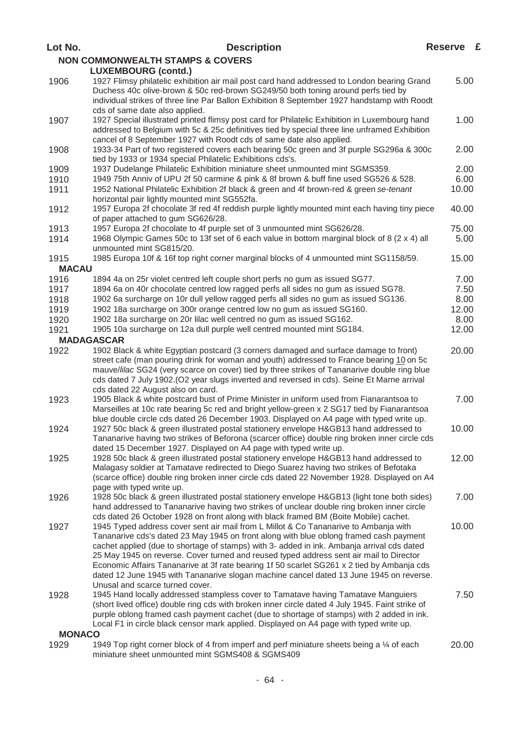| Lot No.       | <b>Description</b>                                                                                                                                                                                                                                                                                                                                                                                                                                                                                                                                               | Reserve £ |  |
|---------------|------------------------------------------------------------------------------------------------------------------------------------------------------------------------------------------------------------------------------------------------------------------------------------------------------------------------------------------------------------------------------------------------------------------------------------------------------------------------------------------------------------------------------------------------------------------|-----------|--|
|               | <b>NON COMMONWEALTH STAMPS &amp; COVERS</b>                                                                                                                                                                                                                                                                                                                                                                                                                                                                                                                      |           |  |
|               | <b>LUXEMBOURG (contd.)</b>                                                                                                                                                                                                                                                                                                                                                                                                                                                                                                                                       |           |  |
| 1906          | 1927 Flimsy philatelic exhibition air mail post card hand addressed to London bearing Grand<br>Duchess 40c olive-brown & 50c red-brown SG249/50 both toning around perfs tied by<br>individual strikes of three line Par Ballon Exhibition 8 September 1927 handstamp with Roodt<br>cds of same date also applied.                                                                                                                                                                                                                                               | 5.00      |  |
| 1907          | 1927 Special illustrated printed flimsy post card for Philatelic Exhibition in Luxembourg hand<br>addressed to Belgium with 5c & 25c definitives tied by special three line unframed Exhibition<br>cancel of 8 September 1927 with Roodt cds of same date also applied.                                                                                                                                                                                                                                                                                          | 1.00      |  |
| 1908          | 1933-34 Part of two registered covers each bearing 50c green and 3f purple SG296a & 300c<br>tied by 1933 or 1934 special Philatelic Exhibitions cds's.                                                                                                                                                                                                                                                                                                                                                                                                           | 2.00      |  |
| 1909          | 1937 Dudelange Philatelic Exhibition miniature sheet unmounted mint SGMS359.                                                                                                                                                                                                                                                                                                                                                                                                                                                                                     | 2.00      |  |
| 1910          | 1949 75th Anniv of UPU 2f 50 carmine & pink & 8f brown & buff fine used SG526 & 528.                                                                                                                                                                                                                                                                                                                                                                                                                                                                             | 6.00      |  |
| 1911          | 1952 National Philatelic Exhibition 2f black & green and 4f brown-red & green se-tenant<br>horizontal pair lightly mounted mint SG552fa.                                                                                                                                                                                                                                                                                                                                                                                                                         | 10.00     |  |
| 1912          | 1957 Europa 2f chocolate 3f red 4f reddish purple lightly mounted mint each having tiny piece<br>of paper attached to gum SG626/28.                                                                                                                                                                                                                                                                                                                                                                                                                              | 40.00     |  |
| 1913          | 1957 Europa 2f chocolate to 4f purple set of 3 unmounted mint SG626/28.                                                                                                                                                                                                                                                                                                                                                                                                                                                                                          | 75.00     |  |
| 1914          | 1968 Olympic Games 50c to 13f set of 6 each value in bottom marginal block of 8 (2 x 4) all<br>unmounted mint SG815/20.                                                                                                                                                                                                                                                                                                                                                                                                                                          | 5.00      |  |
| 1915          | 1985 Europa 10f & 16f top right corner marginal blocks of 4 unmounted mint SG1158/59.                                                                                                                                                                                                                                                                                                                                                                                                                                                                            | 15.00     |  |
| <b>MACAU</b>  |                                                                                                                                                                                                                                                                                                                                                                                                                                                                                                                                                                  |           |  |
| 1916          | 1894 4a on 25r violet centred left couple short perfs no gum as issued SG77.                                                                                                                                                                                                                                                                                                                                                                                                                                                                                     | 7.00      |  |
| 1917          | 1894 6a on 40r chocolate centred low ragged perfs all sides no gum as issued SG78.                                                                                                                                                                                                                                                                                                                                                                                                                                                                               | 7.50      |  |
| 1918          | 1902 6a surcharge on 10r dull yellow ragged perfs all sides no gum as issued SG136.                                                                                                                                                                                                                                                                                                                                                                                                                                                                              | 8.00      |  |
| 1919          | 1902 18a surcharge on 300r orange centred low no gum as issued SG160.                                                                                                                                                                                                                                                                                                                                                                                                                                                                                            | 12.00     |  |
| 1920          | 1902 18a surcharge on 20r lilac well centred no gum as issued SG162.                                                                                                                                                                                                                                                                                                                                                                                                                                                                                             | 8.00      |  |
| 1921          | 1905 10a surcharge on 12a dull purple well centred mounted mint SG184.                                                                                                                                                                                                                                                                                                                                                                                                                                                                                           | 12.00     |  |
|               | <b>MADAGASCAR</b>                                                                                                                                                                                                                                                                                                                                                                                                                                                                                                                                                |           |  |
| 1922          | 1902 Black & white Egyptian postcard (3 corners damaged and surface damage to front)                                                                                                                                                                                                                                                                                                                                                                                                                                                                             | 20.00     |  |
|               | street cafe (man pouring drink for woman and youth) addressed to France bearing 10 on 5c<br>mauve/lilac SG24 (very scarce on cover) tied by three strikes of Tananarive double ring blue<br>cds dated 7 July 1902.(O2 year slugs inverted and reversed in cds). Seine Et Marne arrival<br>cds dated 22 August also on card.                                                                                                                                                                                                                                      |           |  |
| 1923          | 1905 Black & white postcard bust of Prime Minister in uniform used from Fianarantsoa to<br>Marseilles at 10c rate bearing 5c red and bright yellow-green x 2 SG17 tied by Fianarantsoa<br>blue double circle cds dated 26 December 1903. Displayed on A4 page with typed write up.                                                                                                                                                                                                                                                                               | 7.00      |  |
| 1924          | 1927 50c black & green illustrated postal stationery envelope H&GB13 hand addressed to<br>Tananarive having two strikes of Beforona (scarcer office) double ring broken inner circle cds<br>dated 15 December 1927. Displayed on A4 page with typed write up.                                                                                                                                                                                                                                                                                                    | 10.00     |  |
| 1925          | 1928 50c black & green illustrated postal stationery envelope H&GB13 hand addressed to<br>Malagasy soldier at Tamatave redirected to Diego Suarez having two strikes of Befotaka<br>(scarce office) double ring broken inner circle cds dated 22 November 1928. Displayed on A4<br>page with typed write up.                                                                                                                                                                                                                                                     | 12.00     |  |
| 1926          | 1928 50c black & green illustrated postal stationery envelope H&GB13 (light tone both sides)<br>hand addressed to Tananarive having two strikes of unclear double ring broken inner circle<br>cds dated 26 October 1928 on front along with black framed BM (Boite Mobile) cachet.                                                                                                                                                                                                                                                                               | 7.00      |  |
| 1927          | 1945 Typed address cover sent air mail from L Millot & Co Tananarive to Ambanja with<br>Tananarive cds's dated 23 May 1945 on front along with blue oblong framed cash payment<br>cachet applied (due to shortage of stamps) with 3- added in ink. Ambanja arrival cds dated<br>25 May 1945 on reverse. Cover turned and reused typed address sent air mail to Director<br>Economic Affairs Tananarive at 3f rate bearing 1f 50 scarlet SG261 x 2 tied by Ambanja cds<br>dated 12 June 1945 with Tananarive slogan machine cancel dated 13 June 1945 on reverse. | 10.00     |  |
| 1928          | Unusal and scarce turned cover.<br>1945 Hand locally addressed stampless cover to Tamatave having Tamatave Manguiers<br>(short lived office) double ring cds with broken inner circle dated 4 July 1945. Faint strike of<br>purple oblong framed cash payment cachet (due to shortage of stamps) with 2 added in ink.<br>Local F1 in circle black censor mark applied. Displayed on A4 page with typed write up.                                                                                                                                                 | 7.50      |  |
| <b>MONACO</b> |                                                                                                                                                                                                                                                                                                                                                                                                                                                                                                                                                                  |           |  |
| 1929          | 1949 Top right corner block of 4 from imperf and perf miniature sheets being a 1/4 of each<br>miniature sheet unmounted mint SGMS408 & SGMS409                                                                                                                                                                                                                                                                                                                                                                                                                   | 20.00     |  |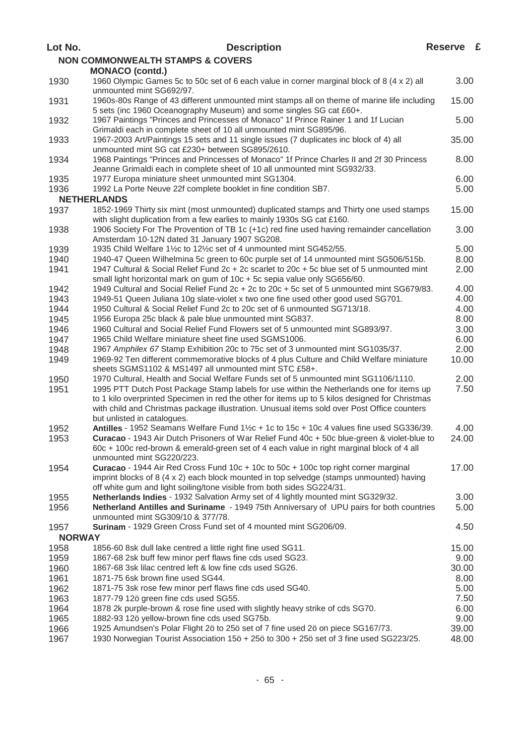| Lot No.               | <b>Description</b>                                                                                                                                                                                                           | Reserve £    |  |
|-----------------------|------------------------------------------------------------------------------------------------------------------------------------------------------------------------------------------------------------------------------|--------------|--|
|                       | <b>NON COMMONWEALTH STAMPS &amp; COVERS</b>                                                                                                                                                                                  |              |  |
|                       | <b>MONACO</b> (contd.)                                                                                                                                                                                                       |              |  |
| 1930                  | 1960 Olympic Games 5c to 50c set of 6 each value in corner marginal block of 8 (4 x 2) all<br>unmounted mint SG692/97.                                                                                                       | 3.00         |  |
| 1931                  | 1960s-80s Range of 43 different unmounted mint stamps all on theme of marine life including<br>5 sets (inc 1960 Oceanography Museum) and some singles SG cat £60+.                                                           | 15.00        |  |
| 1932                  | 1967 Paintings "Princes and Princesses of Monaco" 1f Prince Rainer 1 and 1f Lucian<br>Grimaldi each in complete sheet of 10 all unmounted mint SG895/96.                                                                     | 5.00         |  |
| 1933                  | 1967-2003 Art/Paintings 15 sets and 11 single issues (7 duplicates inc block of 4) all<br>unmounted mint SG cat £230+ between SG895/2610.                                                                                    | 35.00        |  |
| 1934                  | 1968 Paintings "Princes and Princesses of Monaco" 1f Prince Charles II and 2f 30 Princess<br>Jeanne Grimaldi each in complete sheet of 10 all unmounted mint SG932/33.                                                       | 8.00         |  |
| 1935                  | 1977 Europa miniature sheet unmounted mint SG1304.                                                                                                                                                                           | 6.00         |  |
| 1936                  | 1992 La Porte Neuve 22f complete booklet in fine condition SB7.                                                                                                                                                              | 5.00         |  |
|                       | <b>NETHERLANDS</b>                                                                                                                                                                                                           |              |  |
| 1937                  | 1852-1969 Thirty six mint (most unmounted) duplicated stamps and Thirty one used stamps<br>with slight duplication from a few earlies to mainly 1930s SG cat £160.                                                           | 15.00        |  |
| 1938                  | 1906 Society For The Provention of TB 1c (+1c) red fine used having remainder cancellation<br>Amsterdam 10-12N dated 31 January 1907 SG208.                                                                                  | 3.00         |  |
| 1939                  | 1935 Child Welfare 1½c to 12½c set of 4 unmounted mint SG452/55.                                                                                                                                                             | 5.00         |  |
| 1940                  | 1940-47 Queen Wilhelmina 5c green to 60c purple set of 14 unmounted mint SG506/515b.                                                                                                                                         | 8.00         |  |
| 1941                  | 1947 Cultural & Social Relief Fund 2c + 2c scarlet to 20c + 5c blue set of 5 unmounted mint<br>small light horizontal mark on gum of 10c + 5c sepia value only SG656/60.                                                     | 2.00         |  |
| 1942                  | 1949 Cultural and Social Relief Fund 2c + 2c to 20c + 5c set of 5 unmounted mint SG679/83.                                                                                                                                   | 4.00         |  |
| 1943                  | 1949-51 Queen Juliana 10g slate-violet x two one fine used other good used SG701.                                                                                                                                            | 4.00         |  |
| 1944                  | 1950 Cultural & Social Relief Fund 2c to 20c set of 6 unmounted SG713/18.                                                                                                                                                    | 4.00         |  |
| 1945                  | 1956 Europa 25c black & pale blue unmounted mint SG837.                                                                                                                                                                      | 8.00         |  |
| 1946<br>1947          | 1960 Cultural and Social Relief Fund Flowers set of 5 unmounted mint SG893/97.<br>1965 Child Welfare miniature sheet fine used SGMS1006.                                                                                     | 3.00<br>6.00 |  |
| 1948                  | 1967 Amphilex 67 Stamp Exhibition 20c to 75c set of 3 unmounted mint SG1035/37.                                                                                                                                              | 2.00         |  |
| 1949                  | 1969-92 Ten different commemorative blocks of 4 plus Culture and Child Welfare miniature<br>sheets SGMS1102 & MS1497 all unmounted mint STC £58+.                                                                            | 10.00        |  |
| 1950                  | 1970 Cultural, Health and Social Welfare Funds set of 5 unmounted mint SG1106/1110.                                                                                                                                          | 2.00         |  |
| 1951                  | 1995 PTT Dutch Post Package Stamp labels for use within the Netherlands one for items up                                                                                                                                     | 7.50         |  |
|                       | to 1 kilo overprinted Specimen in red the other for items up to 5 kilos designed for Christmas<br>with child and Christmas package illustration. Unusual items sold over Post Office counters<br>but unlisted in catalogues. |              |  |
| 1952                  | Antilles - 1952 Seamans Welfare Fund 1½c + 1c to 15c + 10c 4 values fine used SG336/39.                                                                                                                                      | 4.00         |  |
| 1953                  | Curacao - 1943 Air Dutch Prisoners of War Relief Fund 40c + 50c blue-green & violet-blue to<br>60c + 100c red-brown & emerald-green set of 4 each value in right marginal block of 4 all                                     | 24.00        |  |
|                       | unmounted mint SG220/223.<br>Curacao - 1944 Air Red Cross Fund 10c + 10c to 50c + 100c top right corner marginal                                                                                                             |              |  |
| 1954                  | imprint blocks of 8 (4 x 2) each block mounted in top selvedge (stamps unmounted) having<br>off white gum and light soiling/tone visible from both sides SG224/31.                                                           | 17.00        |  |
| 1955                  | Netherlands Indies - 1932 Salvation Army set of 4 lightly mounted mint SG329/32.                                                                                                                                             | 3.00         |  |
| 1956                  | Netherland Antilles and Suriname - 1949 75th Anniversary of UPU pairs for both countries<br>unmounted mint SG309/10 & 377/78.                                                                                                | 5.00         |  |
| 1957<br><b>NORWAY</b> | Surinam - 1929 Green Cross Fund set of 4 mounted mint SG206/09.                                                                                                                                                              | 4.50         |  |
| 1958                  | 1856-60 8sk dull lake centred a little right fine used SG11.                                                                                                                                                                 | 15.00        |  |
| 1959                  | 1867-68 2sk buff few minor perf flaws fine cds used SG23.                                                                                                                                                                    | 9.00         |  |
| 1960                  | 1867-68 3sk lilac centred left & low fine cds used SG26.                                                                                                                                                                     | 30.00        |  |
| 1961                  | 1871-75 6sk brown fine used SG44.                                                                                                                                                                                            | 8.00         |  |
| 1962                  | 1871-75 3sk rose few minor perf flaws fine cds used SG40.                                                                                                                                                                    | 5.00         |  |
| 1963                  | 1877-79 12ö green fine cds used SG55.                                                                                                                                                                                        | 7.50         |  |
| 1964                  | 1878 2k purple-brown & rose fine used with slightly heavy strike of cds SG70.                                                                                                                                                | 6.00         |  |
| 1965                  | 1882-93 12ö yellow-brown fine cds used SG75b.                                                                                                                                                                                | 9.00         |  |
| 1966                  | 1925 Amundsen's Polar Flight 2ö to 25ö set of 7 fine used 2ö on piece SG167/73.                                                                                                                                              | 39.00        |  |
| 1967                  | 1930 Norwegian Tourist Association 15ö + 25ö to 30ö + 25ö set of 3 fine used SG223/25.                                                                                                                                       | 48.00        |  |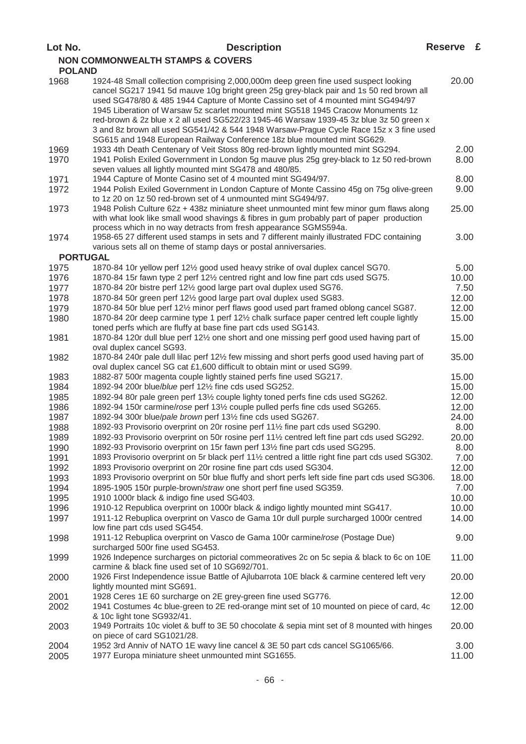## **NON COMMONWEALTH STAMPS & COVERS**

| <b>POLAND</b>   |                                                                                                                                                                                                                                                                                                                                                                                                                                                                                                                                                                                                                       |               |
|-----------------|-----------------------------------------------------------------------------------------------------------------------------------------------------------------------------------------------------------------------------------------------------------------------------------------------------------------------------------------------------------------------------------------------------------------------------------------------------------------------------------------------------------------------------------------------------------------------------------------------------------------------|---------------|
| 1968            | 1924-48 Small collection comprising 2,000,000m deep green fine used suspect looking<br>cancel SG217 1941 5d mauve 10g bright green 25g grey-black pair and 1s 50 red brown all<br>used SG478/80 & 485 1944 Capture of Monte Cassino set of 4 mounted mint SG494/97<br>1945 Liberation of Warsaw 5z scarlet mounted mint SG518 1945 Cracow Monuments 1z<br>red-brown & 2z blue x 2 all used SG522/23 1945-46 Warsaw 1939-45 3z blue 3z 50 green x<br>3 and 8z brown all used SG541/42 & 544 1948 Warsaw-Prague Cycle Race 15z x 3 fine used<br>SG615 and 1948 European Railway Conference 18z blue mounted mint SG629. | 20.00         |
| 1969            | 1933 4th Death Centenary of Veit Stoss 80g red-brown lightly mounted mint SG294.                                                                                                                                                                                                                                                                                                                                                                                                                                                                                                                                      | 2.00          |
| 1970            | 1941 Polish Exiled Government in London 5g mauve plus 25g grey-black to 1z 50 red-brown<br>seven values all lightly mounted mint SG478 and 480/85.                                                                                                                                                                                                                                                                                                                                                                                                                                                                    | 8.00          |
| 1971            | 1944 Capture of Monte Casino set of 4 mounted mint SG494/97.                                                                                                                                                                                                                                                                                                                                                                                                                                                                                                                                                          | 8.00          |
| 1972            | 1944 Polish Exiled Government in London Capture of Monte Cassino 45g on 75g olive-green<br>to 1z 20 on 1z 50 red-brown set of 4 unmounted mint SG494/97.                                                                                                                                                                                                                                                                                                                                                                                                                                                              | 9.00          |
| 1973            | 1948 Polish Culture 62z + 438z miniature sheet unmounted mint few minor gum flaws along<br>with what look like small wood shavings & fibres in gum probably part of paper production<br>process which in no way detracts from fresh appearance SGMS594a.                                                                                                                                                                                                                                                                                                                                                              | 25.00         |
| 1974            | 1958-65 27 different used stamps in sets and 7 different mainly illustrated FDC containing<br>various sets all on theme of stamp days or postal anniversaries.                                                                                                                                                                                                                                                                                                                                                                                                                                                        | 3.00          |
| <b>PORTUGAL</b> |                                                                                                                                                                                                                                                                                                                                                                                                                                                                                                                                                                                                                       |               |
| 1975            | 1870-84 10r yellow perf 121/2 good used heavy strike of oval duplex cancel SG70.                                                                                                                                                                                                                                                                                                                                                                                                                                                                                                                                      | 5.00          |
| 1976            | 1870-84 15r fawn type 2 perf 121/2 centred right and low fine part cds used SG75.                                                                                                                                                                                                                                                                                                                                                                                                                                                                                                                                     | 10.00         |
| 1977            | 1870-84 20r bistre perf 121/2 good large part oval duplex used SG76.                                                                                                                                                                                                                                                                                                                                                                                                                                                                                                                                                  | 7.50          |
|                 |                                                                                                                                                                                                                                                                                                                                                                                                                                                                                                                                                                                                                       | 12.00         |
| 1978            | 1870-84 50r green perf 121/2 good large part oval duplex used SG83.                                                                                                                                                                                                                                                                                                                                                                                                                                                                                                                                                   |               |
| 1979            | 1870-84 50r blue perf 121/2 minor perf flaws good used part framed oblong cancel SG87.                                                                                                                                                                                                                                                                                                                                                                                                                                                                                                                                | 12.00         |
| 1980            | 1870-84 20r deep carmine type 1 perf 12½ chalk surface paper centred left couple lightly<br>toned perfs which are fluffy at base fine part cds used SG143.                                                                                                                                                                                                                                                                                                                                                                                                                                                            | 15.00         |
| 1981            | 1870-84 120r dull blue perf 121/2 one short and one missing perf good used having part of<br>oval duplex cancel SG93.                                                                                                                                                                                                                                                                                                                                                                                                                                                                                                 | 15.00         |
| 1982            | 1870-84 240r pale dull lilac perf 121/2 few missing and short perfs good used having part of<br>oval duplex cancel SG cat £1,600 difficult to obtain mint or used SG99.                                                                                                                                                                                                                                                                                                                                                                                                                                               | 35.00         |
| 1983            | 1882-87 500r magenta couple lightly stained perfs fine used SG217.                                                                                                                                                                                                                                                                                                                                                                                                                                                                                                                                                    | 15.00         |
| 1984            | 1892-94 200r blue/blue perf 121/2 fine cds used SG252.                                                                                                                                                                                                                                                                                                                                                                                                                                                                                                                                                                | 15.00         |
| 1985            | 1892-94 80r pale green perf 131/2 couple lighty toned perfs fine cds used SG262.                                                                                                                                                                                                                                                                                                                                                                                                                                                                                                                                      | 12.00         |
| 1986            | 1892-94 150r carmine/rose perf 131/2 couple pulled perfs fine cds used SG265.                                                                                                                                                                                                                                                                                                                                                                                                                                                                                                                                         | 12.00         |
| 1987            | 1892-94 300r blue/pale brown perf 131/2 fine cds used SG267.                                                                                                                                                                                                                                                                                                                                                                                                                                                                                                                                                          | 24.00         |
| 1988            | 1892-93 Provisorio overprint on 20r rosine perf 111/2 fine part cds used SG290.                                                                                                                                                                                                                                                                                                                                                                                                                                                                                                                                       | 8.00          |
| 1989            | 1892-93 Provisorio overprint on 50r rosine perf 11½ centred left fine part cds used SG292.                                                                                                                                                                                                                                                                                                                                                                                                                                                                                                                            | 20.00         |
| 1990            | 1892-93 Provisorio overprint on 15r fawn perf 131/2 fine part cds used SG295.                                                                                                                                                                                                                                                                                                                                                                                                                                                                                                                                         | 8.00          |
|                 | 1893 Provisorio overprint on 5r black perf 11½ centred a little right fine part cds used SG302.                                                                                                                                                                                                                                                                                                                                                                                                                                                                                                                       | 7.00          |
| 1991            |                                                                                                                                                                                                                                                                                                                                                                                                                                                                                                                                                                                                                       |               |
| 1992            | 1893 Provisorio overprint on 20r rosine fine part cds used SG304.                                                                                                                                                                                                                                                                                                                                                                                                                                                                                                                                                     | 12.00         |
| 1993            | 1893 Provisorio overprint on 50r blue fluffy and short perfs left side fine part cds used SG306.                                                                                                                                                                                                                                                                                                                                                                                                                                                                                                                      | 18.00         |
| 1994            | 1895-1905 150r purple-brown/straw one short perf fine used SG359.                                                                                                                                                                                                                                                                                                                                                                                                                                                                                                                                                     | 7.00          |
| 1995            | 1910 1000r black & indigo fine used SG403.                                                                                                                                                                                                                                                                                                                                                                                                                                                                                                                                                                            | 10.00         |
| 1996            | 1910-12 Republica overprint on 1000r black & indigo lightly mounted mint SG417.                                                                                                                                                                                                                                                                                                                                                                                                                                                                                                                                       | 10.00         |
| 1997            | 1911-12 Rebuplica overprint on Vasco de Gama 10r dull purple surcharged 1000r centred<br>low fine part cds used SG454.                                                                                                                                                                                                                                                                                                                                                                                                                                                                                                | 14.00         |
| 1998            | 1911-12 Rebuplica overprint on Vasco de Gama 100r carmine/rose (Postage Due)<br>surcharged 500r fine used SG453.                                                                                                                                                                                                                                                                                                                                                                                                                                                                                                      | 9.00          |
| 1999            | 1926 Indepence surcharges on pictorial commeoratives 2c on 5c sepia & black to 6c on 10E<br>carmine & black fine used set of 10 SG692/701.                                                                                                                                                                                                                                                                                                                                                                                                                                                                            | 11.00         |
| 2000            | 1926 First Independence issue Battle of Ajlubarrota 10E black & carmine centered left very<br>lightly mounted mint SG691.                                                                                                                                                                                                                                                                                                                                                                                                                                                                                             | 20.00         |
| 2001            | 1928 Ceres 1E 60 surcharge on 2E grey-green fine used SG776.                                                                                                                                                                                                                                                                                                                                                                                                                                                                                                                                                          | 12.00         |
| 2002            | 1941 Costumes 4c blue-green to 2E red-orange mint set of 10 mounted on piece of card, 4c<br>& 10c light tone SG932/41.                                                                                                                                                                                                                                                                                                                                                                                                                                                                                                | 12.00         |
| 2003            | 1949 Portraits 10c violet & buff to 3E 50 chocolate & sepia mint set of 8 mounted with hinges<br>on piece of card SG1021/28.                                                                                                                                                                                                                                                                                                                                                                                                                                                                                          | 20.00         |
| 2004<br>2005    | 1952 3rd Anniv of NATO 1E wavy line cancel & 3E 50 part cds cancel SG1065/66.<br>1977 Europa miniature sheet unmounted mint SG1655.                                                                                                                                                                                                                                                                                                                                                                                                                                                                                   | 3.00<br>11.00 |
|                 |                                                                                                                                                                                                                                                                                                                                                                                                                                                                                                                                                                                                                       |               |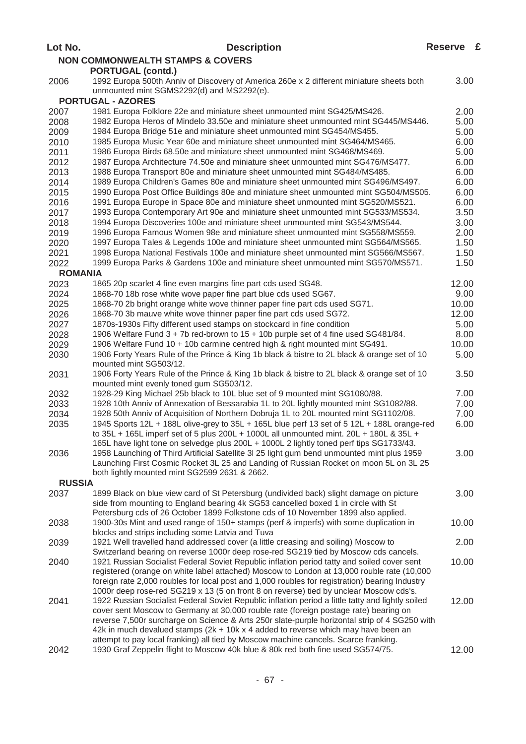| Lot No.        | <b>Description</b>                                                                                                                                                                           | Reserve £    |  |
|----------------|----------------------------------------------------------------------------------------------------------------------------------------------------------------------------------------------|--------------|--|
|                | <b>NON COMMONWEALTH STAMPS &amp; COVERS</b>                                                                                                                                                  |              |  |
|                | <b>PORTUGAL (contd.)</b>                                                                                                                                                                     |              |  |
| 2006           | 1992 Europa 500th Anniv of Discovery of America 260e x 2 different miniature sheets both                                                                                                     | 3.00         |  |
|                | unmounted mint SGMS2292(d) and MS2292(e).                                                                                                                                                    |              |  |
|                | <b>PORTUGAL - AZORES</b>                                                                                                                                                                     |              |  |
| 2007<br>2008   | 1981 Europa Folklore 22e and miniature sheet unmounted mint SG425/MS426.<br>1982 Europa Heros of Mindelo 33.50e and miniature sheet unmounted mint SG445/MS446.                              | 2.00<br>5.00 |  |
| 2009           | 1984 Europa Bridge 51e and miniature sheet unmounted mint SG454/MS455.                                                                                                                       | 5.00         |  |
| 2010           | 1985 Europa Music Year 60e and miniature sheet unmounted mint SG464/MS465.                                                                                                                   | 6.00         |  |
| 2011           | 1986 Europa Birds 68.50e and miniature sheet unmounted mint SG468/MS469.                                                                                                                     | 5.00         |  |
| 2012           | 1987 Europa Architecture 74.50e and miniature sheet unmounted mint SG476/MS477.                                                                                                              | 6.00         |  |
| 2013           | 1988 Europa Transport 80e and miniature sheet unmounted mint SG484/MS485.                                                                                                                    | 6.00         |  |
| 2014           | 1989 Europa Children's Games 80e and miniature sheet unmounted mint SG496/MS497.                                                                                                             | 6.00         |  |
| 2015           | 1990 Europa Post Office Buildings 80e and miniature sheet unmounted mint SG504/MS505.                                                                                                        | 6.00         |  |
| 2016           | 1991 Europa Europe in Space 80e and miniature sheet unmounted mint SG520/MS521.                                                                                                              | 6.00         |  |
| 2017           | 1993 Europa Contemporary Art 90e and miniature sheet unmounted mint SG533/MS534.                                                                                                             | 3.50         |  |
| 2018           | 1994 Europa Discoveries 100e and miniature sheet unmounted mint SG543/MS544.                                                                                                                 | 3.00         |  |
| 2019           | 1996 Europa Famous Women 98e and miniature sheet unmounted mint SG558/MS559.                                                                                                                 | 2.00         |  |
| 2020<br>2021   | 1997 Europa Tales & Legends 100e and miniature sheet unmounted mint SG564/MS565.<br>1998 Europa National Festivals 100e and miniature sheet unmounted mint SG566/MS567.                      | 1.50<br>1.50 |  |
| 2022           | 1999 Europa Parks & Gardens 100e and miniature sheet unmounted mint SG570/MS571.                                                                                                             | 1.50         |  |
| <b>ROMANIA</b> |                                                                                                                                                                                              |              |  |
| 2023           | 1865 20p scarlet 4 fine even margins fine part cds used SG48.                                                                                                                                | 12.00        |  |
| 2024           | 1868-70 18b rose white wove paper fine part blue cds used SG67.                                                                                                                              | 9.00         |  |
| 2025           | 1868-70 2b bright orange white wove thinner paper fine part cds used SG71.                                                                                                                   | 10.00        |  |
| 2026           | 1868-70 3b mauve white wove thinner paper fine part cds used SG72.                                                                                                                           | 12.00        |  |
| 2027           | 1870s-1930s Fifty different used stamps on stockcard in fine condition                                                                                                                       | 5.00         |  |
| 2028           | 1906 Welfare Fund 3 + 7b red-brown to 15 + 10b purple set of 4 fine used SG481/84.                                                                                                           | 8.00         |  |
| 2029           | 1906 Welfare Fund 10 + 10b carmine centred high & right mounted mint SG491.                                                                                                                  | 10.00        |  |
| 2030           | 1906 Forty Years Rule of the Prince & King 1b black & bistre to 2L black & orange set of 10                                                                                                  | 5.00         |  |
|                | mounted mint SG503/12.                                                                                                                                                                       |              |  |
| 2031           | 1906 Forty Years Rule of the Prince & King 1b black & bistre to 2L black & orange set of 10<br>mounted mint evenly toned gum SG503/12.                                                       | 3.50         |  |
| 2032           | 1928-29 King Michael 25b black to 10L blue set of 9 mounted mint SG1080/88.                                                                                                                  | 7.00         |  |
| 2033           | 1928 10th Anniv of Annexation of Bessarabia 1L to 20L lightly mounted mint SG1082/88.                                                                                                        | 7.00         |  |
| 2034           | 1928 50th Anniv of Acquisition of Northern Dobruja 1L to 20L mounted mint SG1102/08.                                                                                                         | 7.00         |  |
| 2035           | 1945 Sports 12L + 188L olive-grey to 35L + 165L blue perf 13 set of 5 12L + 188L orange-red                                                                                                  | 6.00         |  |
|                | to $35L + 165L$ imperf set of 5 plus $200L + 1000L$ all unmounted mint. $20L + 180L$ & $35L +$                                                                                               |              |  |
|                | 165L have light tone on selvedge plus 200L + 1000L 2 lightly toned perf tips SG1733/43.                                                                                                      |              |  |
| 2036           | 1958 Launching of Third Artificial Satellite 3l 25 light gum bend unmounted mint plus 1959                                                                                                   | 3.00         |  |
|                | Launching First Cosmic Rocket 3L 25 and Landing of Russian Rocket on moon 5L on 3L 25                                                                                                        |              |  |
| <b>RUSSIA</b>  | both lightly mounted mint SG2599 2631 & 2662.                                                                                                                                                |              |  |
| 2037           | 1899 Black on blue view card of St Petersburg (undivided back) slight damage on picture                                                                                                      | 3.00         |  |
|                | side from mounting to England bearing 4k SG53 cancelled boxed 1 in circle with St                                                                                                            |              |  |
|                | Petersburg cds of 26 October 1899 Folkstone cds of 10 November 1899 also applied.                                                                                                            |              |  |
| 2038           | 1900-30s Mint and used range of 150+ stamps (perf & imperfs) with some duplication in                                                                                                        | 10.00        |  |
|                | blocks and strips including some Latvia and Tuva                                                                                                                                             |              |  |
| 2039           | 1921 Well travelled hand addressed cover (a little creasing and soiling) Moscow to                                                                                                           | 2.00         |  |
|                | Switzerland bearing on reverse 1000r deep rose-red SG219 tied by Moscow cds cancels.                                                                                                         |              |  |
| 2040           | 1921 Russian Socialist Federal Soviet Republic inflation period tatty and soiled cover sent                                                                                                  | 10.00        |  |
|                | registered (orange on white label attached) Moscow to London at 13,000 rouble rate (10,000<br>foreign rate 2,000 roubles for local post and 1,000 roubles for registration) bearing Industry |              |  |
|                | 1000r deep rose-red SG219 x 13 (5 on front 8 on reverse) tied by unclear Moscow cds's.                                                                                                       |              |  |
| 2041           | 1922 Russian Socialist Federal Soviet Republic inflation period a little tatty and lightly soiled                                                                                            | 12.00        |  |
|                | cover sent Moscow to Germany at 30,000 rouble rate (foreign postage rate) bearing on                                                                                                         |              |  |
|                | reverse 7,500r surcharge on Science & Arts 250r slate-purple horizontal strip of 4 SG250 with                                                                                                |              |  |
|                | 42k in much devalued stamps (2k + 10k x 4 added to reverse which may have been an                                                                                                            |              |  |
|                | attempt to pay local franking) all tied by Moscow machine cancels. Scarce franking.                                                                                                          |              |  |
| 2042           | 1930 Graf Zeppelin flight to Moscow 40k blue & 80k red both fine used SG574/75.                                                                                                              | 12.00        |  |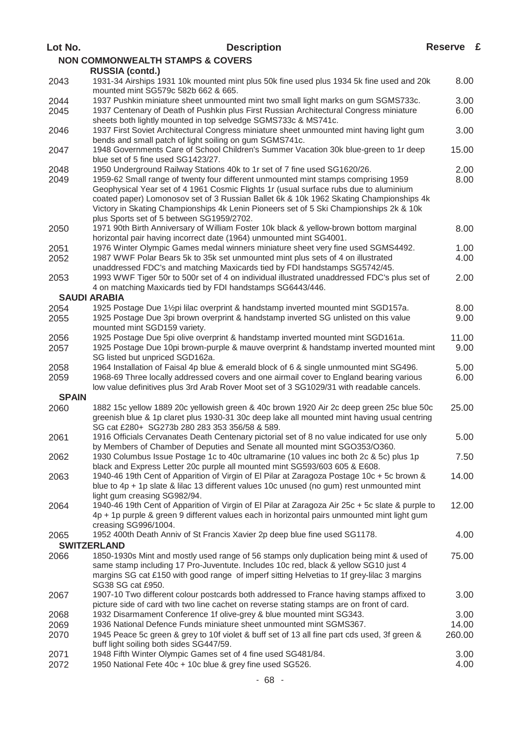| Lot No.              | <b>Description</b>                                                                                                                                                                                                                                                                                                                                                                                           | Reserve £ |  |
|----------------------|--------------------------------------------------------------------------------------------------------------------------------------------------------------------------------------------------------------------------------------------------------------------------------------------------------------------------------------------------------------------------------------------------------------|-----------|--|
|                      | <b>NON COMMONWEALTH STAMPS &amp; COVERS</b>                                                                                                                                                                                                                                                                                                                                                                  |           |  |
|                      | <b>RUSSIA (contd.)</b>                                                                                                                                                                                                                                                                                                                                                                                       |           |  |
| 2043                 | 1931-34 Airships 1931 10k mounted mint plus 50k fine used plus 1934 5k fine used and 20k<br>mounted mint SG579c 582b 662 & 665.                                                                                                                                                                                                                                                                              | 8.00      |  |
| 2044                 | 1937 Pushkin miniature sheet unmounted mint two small light marks on gum SGMS733c.                                                                                                                                                                                                                                                                                                                           | 3.00      |  |
| 2045                 | 1937 Centenary of Death of Pushkin plus First Russian Architectural Congress miniature<br>sheets both lightly mounted in top selvedge SGMS733c & MS741c.                                                                                                                                                                                                                                                     | 6.00      |  |
| 2046                 | 1937 First Soviet Architectural Congress miniature sheet unmounted mint having light gum<br>bends and small patch of light soiling on gum SGMS741c.                                                                                                                                                                                                                                                          | 3.00      |  |
| 2047                 | 1948 Governments Care of School Children's Summer Vacation 30k blue-green to 1r deep<br>blue set of 5 fine used SG1423/27.                                                                                                                                                                                                                                                                                   | 15.00     |  |
| 2048                 | 1950 Underground Railway Stations 40k to 1r set of 7 fine used SG1620/26.                                                                                                                                                                                                                                                                                                                                    | 2.00      |  |
| 2049                 | 1959-62 Small range of twenty four different unmounted mint stamps comprising 1959<br>Geophysical Year set of 4 1961 Cosmic Flights 1r (usual surface rubs due to aluminium<br>coated paper) Lomonosov set of 3 Russian Ballet 6k & 10k 1962 Skating Championships 4k<br>Victory in Skating Championships 4k Lenin Pioneers set of 5 Ski Championships 2k & 10k<br>plus Sports set of 5 between SG1959/2702. | 8.00      |  |
| 2050                 | 1971 90th Birth Anniversary of William Foster 10k black & yellow-brown bottom marginal<br>horizontal pair having incorrect date (1964) unmounted mint SG4001.                                                                                                                                                                                                                                                | 8.00      |  |
| 2051                 | 1976 Winter Olympic Games medal winners miniature sheet very fine used SGMS4492.                                                                                                                                                                                                                                                                                                                             | 1.00      |  |
| 2052                 | 1987 WWF Polar Bears 5k to 35k set unmounted mint plus sets of 4 on illustrated<br>unaddressed FDC's and matching Maxicards tied by FDI handstamps SG5742/45.                                                                                                                                                                                                                                                | 4.00      |  |
| 2053                 | 1993 WWF Tiger 50r to 500r set of 4 on individual illustrated unaddressed FDC's plus set of                                                                                                                                                                                                                                                                                                                  | 2.00      |  |
|                      | 4 on matching Maxicards tied by FDI handstamps SG6443/446.<br><b>SAUDI ARABIA</b>                                                                                                                                                                                                                                                                                                                            |           |  |
| 2054                 | 1925 Postage Due 11/2pi lilac overprint & handstamp inverted mounted mint SGD157a.                                                                                                                                                                                                                                                                                                                           | 8.00      |  |
| 2055                 | 1925 Postage Due 3pi brown overprint & handstamp inverted SG unlisted on this value<br>mounted mint SGD159 variety.                                                                                                                                                                                                                                                                                          | 9.00      |  |
| 2056                 | 1925 Postage Due 5pi olive overprint & handstamp inverted mounted mint SGD161a.                                                                                                                                                                                                                                                                                                                              | 11.00     |  |
| 2057                 | 1925 Postage Due 10pi brown-purple & mauve overprint & handstamp inverted mounted mint<br>SG listed but unpriced SGD162a.                                                                                                                                                                                                                                                                                    | 9.00      |  |
| 2058                 | 1964 Installation of Faisal 4p blue & emerald block of 6 & single unmounted mint SG496.                                                                                                                                                                                                                                                                                                                      | 5.00      |  |
| 2059                 | 1968-69 Three locally addressed covers and one airmail cover to England bearing various                                                                                                                                                                                                                                                                                                                      | 6.00      |  |
|                      | low value definitives plus 3rd Arab Rover Moot set of 3 SG1029/31 with readable cancels.                                                                                                                                                                                                                                                                                                                     |           |  |
| <b>SPAIN</b><br>2060 | 1882 15c yellow 1889 20c yellowish green & 40c brown 1920 Air 2c deep green 25c blue 50c                                                                                                                                                                                                                                                                                                                     | 25.00     |  |
|                      | greenish blue & 1p claret plus 1930-31 30c deep lake all mounted mint having usual centring<br>SG cat £280+ SG273b 280 283 353 356/58 & 589.                                                                                                                                                                                                                                                                 |           |  |
| 2061                 | 1916 Officials Cervanates Death Centenary pictorial set of 8 no value indicated for use only<br>by Members of Chamber of Deputies and Senate all mounted mint SGO353/O360.                                                                                                                                                                                                                                   | 5.00      |  |
| 2062                 | 1930 Columbus Issue Postage 1c to 40c ultramarine (10 values inc both 2c & 5c) plus 1p<br>black and Express Letter 20c purple all mounted mint SG593/603 605 & E608.                                                                                                                                                                                                                                         | 7.50      |  |
| 2063                 | 1940-46 19th Cent of Apparition of Virgin of El Pilar at Zaragoza Postage 10c + 5c brown &<br>blue to $4p + 1p$ slate & lilac 13 different values 10c unused (no gum) rest unmounted mint<br>light gum creasing SG982/94.                                                                                                                                                                                    | 14.00     |  |
| 2064                 | 1940-46 19th Cent of Apparition of Virgin of El Pilar at Zaragoza Air 25c + 5c slate & purple to<br>4p + 1p purple & green 9 different values each in horizontal pairs unmounted mint light gum<br>creasing SG996/1004.                                                                                                                                                                                      | 12.00     |  |
| 2065                 | 1952 400th Death Anniv of St Francis Xavier 2p deep blue fine used SG1178.<br><b>SWITZERLAND</b>                                                                                                                                                                                                                                                                                                             | 4.00      |  |
| 2066                 | 1850-1930s Mint and mostly used range of 56 stamps only duplication being mint & used of                                                                                                                                                                                                                                                                                                                     | 75.00     |  |
|                      | same stamp including 17 Pro-Juventute. Includes 10c red, black & yellow SG10 just 4<br>margins SG cat £150 with good range of imperf sitting Helvetias to 1f grey-lilac 3 margins<br>SG38 SG cat £950.                                                                                                                                                                                                       |           |  |
| 2067                 | 1907-10 Two different colour postcards both addressed to France having stamps affixed to<br>picture side of card with two line cachet on reverse stating stamps are on front of card.                                                                                                                                                                                                                        | 3.00      |  |
| 2068                 | 1932 Disarmament Conference 1f olive-grey & blue mounted mint SG343.                                                                                                                                                                                                                                                                                                                                         | 3.00      |  |
| 2069                 | 1936 National Defence Funds miniature sheet unmounted mint SGMS367.                                                                                                                                                                                                                                                                                                                                          | 14.00     |  |
| 2070                 | 1945 Peace 5c green & grey to 10f violet & buff set of 13 all fine part cds used, 3f green &<br>buff light soiling both sides SG447/59.                                                                                                                                                                                                                                                                      | 260.00    |  |
| 2071                 | 1948 Fifth Winter Olympic Games set of 4 fine used SG481/84.                                                                                                                                                                                                                                                                                                                                                 | 3.00      |  |
| 2072                 | 1950 National Fete 40c + 10c blue & grey fine used SG526.                                                                                                                                                                                                                                                                                                                                                    | 4.00      |  |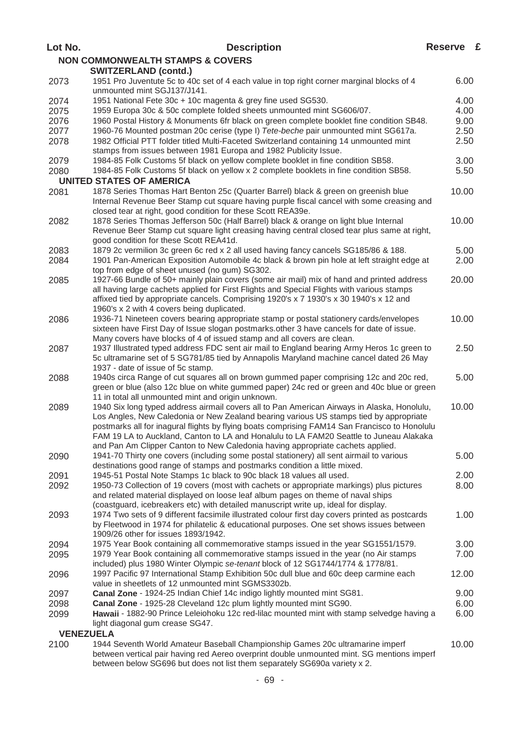| Lot No. | <b>Description</b>                                                                                                                                                                    | Reserve £ |  |
|---------|---------------------------------------------------------------------------------------------------------------------------------------------------------------------------------------|-----------|--|
|         | <b>NON COMMONWEALTH STAMPS &amp; COVERS</b>                                                                                                                                           |           |  |
|         | <b>SWITZERLAND (contd.)</b>                                                                                                                                                           |           |  |
| 2073    | 1951 Pro Juventute 5c to 40c set of 4 each value in top right corner marginal blocks of 4                                                                                             | 6.00      |  |
|         | unmounted mint SGJ137/J141.                                                                                                                                                           |           |  |
| 2074    | 1951 National Fete 30c + 10c magenta & grey fine used SG530.                                                                                                                          | 4.00      |  |
| 2075    | 1959 Europa 30c & 50c complete folded sheets unmounted mint SG606/07.                                                                                                                 | 4.00      |  |
| 2076    | 1960 Postal History & Monuments 6fr black on green complete booklet fine condition SB48.                                                                                              | 9.00      |  |
| 2077    | 1960-76 Mounted postman 20c cerise (type I) Tete-beche pair unmounted mint SG617a.                                                                                                    | 2.50      |  |
| 2078    | 1982 Official PTT folder titled Multi-Faceted Switzerland containing 14 unmounted mint                                                                                                | 2.50      |  |
|         | stamps from issues between 1981 Europa and 1982 Publicity Issue.                                                                                                                      |           |  |
| 2079    | 1984-85 Folk Customs 5f black on yellow complete booklet in fine condition SB58.                                                                                                      | 3.00      |  |
| 2080    | 1984-85 Folk Customs 5f black on yellow x 2 complete booklets in fine condition SB58.                                                                                                 | 5.50      |  |
|         | <b>UNITED STATES OF AMERICA</b>                                                                                                                                                       |           |  |
| 2081    | 1878 Series Thomas Hart Benton 25c (Quarter Barrel) black & green on greenish blue                                                                                                    | 10.00     |  |
|         | Internal Revenue Beer Stamp cut square having purple fiscal cancel with some creasing and                                                                                             |           |  |
|         | closed tear at right, good condition for these Scott REA39e.                                                                                                                          |           |  |
| 2082    | 1878 Series Thomas Jefferson 50c (Half Barrel) black & orange on light blue Internal                                                                                                  | 10.00     |  |
|         | Revenue Beer Stamp cut square light creasing having central closed tear plus same at right,<br>good condition for these Scott REA41d.                                                 |           |  |
| 2083    | 1879 2c vermilion 3c green 6c red x 2 all used having fancy cancels SG185/86 & 188.                                                                                                   | 5.00      |  |
| 2084    | 1901 Pan-American Exposition Automobile 4c black & brown pin hole at left straight edge at                                                                                            | 2.00      |  |
|         | top from edge of sheet unused (no gum) SG302.                                                                                                                                         |           |  |
| 2085    | 1927-66 Bundle of 50+ mainly plain covers (some air mail) mix of hand and printed address                                                                                             | 20.00     |  |
|         | all having large cachets applied for First Flights and Special Flights with various stamps                                                                                            |           |  |
|         | affixed tied by appropriate cancels. Comprising 1920's x 7 1930's x 30 1940's x 12 and                                                                                                |           |  |
|         | 1960's x 2 with 4 covers being duplicated.                                                                                                                                            |           |  |
| 2086    | 1936-71 Nineteen covers bearing appropriate stamp or postal stationery cards/envelopes                                                                                                | 10.00     |  |
|         | sixteen have First Day of Issue slogan postmarks.other 3 have cancels for date of issue.                                                                                              |           |  |
|         | Many covers have blocks of 4 of issued stamp and all covers are clean.                                                                                                                |           |  |
| 2087    | 1937 Illustrated typed address FDC sent air mail to England bearing Army Heros 1c green to                                                                                            | 2.50      |  |
|         | 5c ultramarine set of 5 SG781/85 tied by Annapolis Maryland machine cancel dated 26 May                                                                                               |           |  |
|         | 1937 - date of issue of 5c stamp.                                                                                                                                                     |           |  |
| 2088    | 1940s circa Range of cut squares all on brown gummed paper comprising 12c and 20c red,                                                                                                | 5.00      |  |
|         | green or blue (also 12c blue on white gummed paper) 24c red or green and 40c blue or green                                                                                            |           |  |
|         | 11 in total all unmounted mint and origin unknown.                                                                                                                                    | 10.00     |  |
| 2089    | 1940 Six long typed address airmail covers all to Pan American Airways in Alaska, Honolulu,<br>Los Angles, New Caledonia or New Zealand bearing various US stamps tied by appropriate |           |  |
|         | postmarks all for inagural flights by flying boats comprising FAM14 San Francisco to Honolulu                                                                                         |           |  |
|         | FAM 19 LA to Auckland, Canton to LA and Honalulu to LA FAM20 Seattle to Juneau Alakaka                                                                                                |           |  |
|         | and Pan Am Clipper Canton to New Caledonia having appropriate cachets applied.                                                                                                        |           |  |
| 2090    | 1941-70 Thirty one covers (including some postal stationery) all sent airmail to various                                                                                              | 5.00      |  |
|         | destinations good range of stamps and postmarks condition a little mixed.                                                                                                             |           |  |
| 2091    | 1945-51 Postal Note Stamps 1c black to 90c black 18 values all used.                                                                                                                  | 2.00      |  |
| 2092    | 1950-73 Collection of 19 covers (most with cachets or appropriate markings) plus pictures                                                                                             | 8.00      |  |
|         | and related material displayed on loose leaf album pages on theme of naval ships                                                                                                      |           |  |
|         | (coastguard, icebreakers etc) with detailed manuscript write up, ideal for display.                                                                                                   |           |  |
| 2093    | 1974 Two sets of 9 different facsimile illustrated colour first day covers printed as postcards                                                                                       | 1.00      |  |
|         | by Fleetwood in 1974 for philatelic & educational purposes. One set shows issues between                                                                                              |           |  |
|         | 1909/26 other for issues 1893/1942.                                                                                                                                                   |           |  |
| 2094    | 1975 Year Book containing all commemorative stamps issued in the year SG1551/1579.                                                                                                    | 3.00      |  |
| 2095    | 1979 Year Book containing all commemorative stamps issued in the year (no Air stamps<br>included) plus 1980 Winter Olympic se-tenant block of 12 SG1744/1774 & 1778/81.               | 7.00      |  |
| 2096    | 1997 Pacific 97 International Stamp Exhibition 50c dull blue and 60c deep carmine each                                                                                                | 12.00     |  |
|         | value in sheetlets of 12 unmounted mint SGMS3302b.                                                                                                                                    |           |  |
| 2097    | Canal Zone - 1924-25 Indian Chief 14c indigo lightly mounted mint SG81.                                                                                                               | 9.00      |  |
| 2098    | Canal Zone - 1925-28 Cleveland 12c plum lightly mounted mint SG90.                                                                                                                    | 6.00      |  |
| 2099    | Hawaii - 1882-90 Prince Leleiohoku 12c red-lilac mounted mint with stamp selvedge having a                                                                                            | 6.00      |  |
|         | light diagonal gum crease SG47.                                                                                                                                                       |           |  |
|         | <b>VENEZUELA</b>                                                                                                                                                                      |           |  |
| 2100    | 1944 Seventh World Amateur Baseball Championship Games 20c ultramarine imperf                                                                                                         | 10.00     |  |
|         | between vertical pair having red Aereo overprint double unmounted mint. SG mentions imperf                                                                                            |           |  |
|         | between below SG696 but does not list them separately SG690a variety x 2.                                                                                                             |           |  |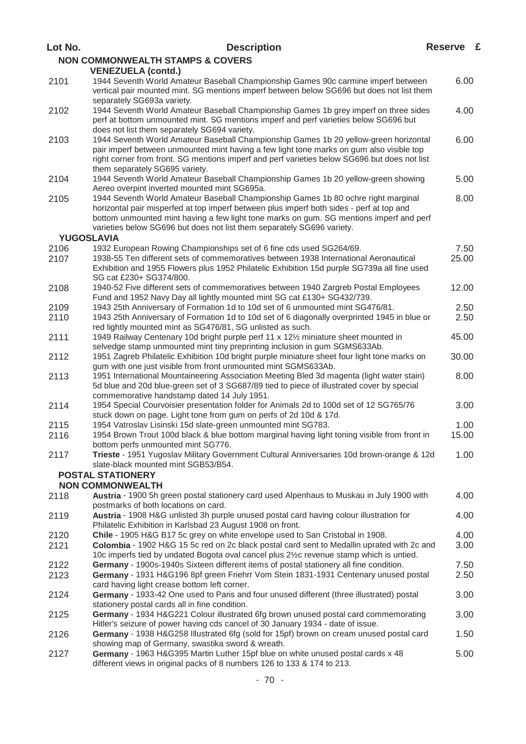| Lot No.                   | <b>Description</b>                                                                                                                                                                                                                                                                                                                                 | Reserve £ |  |
|---------------------------|----------------------------------------------------------------------------------------------------------------------------------------------------------------------------------------------------------------------------------------------------------------------------------------------------------------------------------------------------|-----------|--|
|                           | <b>NON COMMONWEALTH STAMPS &amp; COVERS</b>                                                                                                                                                                                                                                                                                                        |           |  |
| <b>VENEZUELA (contd.)</b> |                                                                                                                                                                                                                                                                                                                                                    |           |  |
| 2101                      | 1944 Seventh World Amateur Baseball Championship Games 90c carmine imperf between<br>vertical pair mounted mint. SG mentions imperf between below SG696 but does not list them                                                                                                                                                                     | 6.00      |  |
| 2102                      | separately SG693a variety.<br>1944 Seventh World Amateur Baseball Championship Games 1b grey imperf on three sides<br>perf at bottom unmounted mint. SG mentions imperf and perf varieties below SG696 but<br>does not list them separately SG694 variety.                                                                                         | 4.00      |  |
| 2103                      | 1944 Seventh World Amateur Baseball Championship Games 1b 20 yellow-green horizontal<br>pair imperf between unmounted mint having a few light tone marks on gum also visible top<br>right corner from front. SG mentions imperf and perf varieties below SG696 but does not list                                                                   | 6.00      |  |
| 2104                      | them separately SG695 variety.<br>1944 Seventh World Amateur Baseball Championship Games 1b 20 yellow-green showing<br>Aereo overpint inverted mounted mint SG695a.                                                                                                                                                                                | 5.00      |  |
| 2105                      | 1944 Seventh World Amateur Baseball Championship Games 1b 80 ochre right marginal<br>horizontal pair misperfed at top imperf between plus imperf both sides - perf at top and<br>bottom unmounted mint having a few light tone marks on gum. SG mentions imperf and perf<br>varieties below SG696 but does not list them separately SG696 variety. | 8.00      |  |
| <b>YUGOSLAVIA</b>         |                                                                                                                                                                                                                                                                                                                                                    |           |  |
| 2106                      | 1932 European Rowing Championships set of 6 fine cds used SG264/69.                                                                                                                                                                                                                                                                                | 7.50      |  |
| 2107                      | 1938-55 Ten different sets of commemoratives between 1938 International Aeronautical<br>Exhibition and 1955 Flowers plus 1952 Philatelic Exhibition 15d purple SG739a all fine used<br>SG cat £230+ SG374/800.                                                                                                                                     | 25.00     |  |
| 2108                      | 1940-52 Five different sets of commemoratives between 1940 Zargreb Postal Employees<br>Fund and 1952 Navy Day all lightly mounted mint SG cat £130+ SG432/739.                                                                                                                                                                                     | 12.00     |  |
| 2109                      | 1943 25th Anniversary of Formation 1d to 10d set of 6 unmounted mint SG476/81.                                                                                                                                                                                                                                                                     | 2.50      |  |
| 2110                      | 1943 25th Anniversary of Formation 1d to 10d set of 6 diagonally overprinted 1945 in blue or<br>red lightly mounted mint as SG476/81, SG unlisted as such.                                                                                                                                                                                         | 2.50      |  |
| 2111                      | 1949 Railway Centenary 10d bright purple perf 11 x 121/2 miniature sheet mounted in<br>selvedge stamp unmounted mint tiny preprinting inclusion in gum SGMS633Ab.                                                                                                                                                                                  | 45.00     |  |
| 2112                      | 1951 Zagreb Philatelic Exhibition 10d bright purple miniature sheet four light tone marks on<br>gum with one just visible from front unmounted mint SGMS633Ab.                                                                                                                                                                                     | 30.00     |  |
| 2113                      | 1951 International Mountaineering Association Meeting Bled 3d magenta (light water stain)<br>5d blue and 20d blue-green set of 3 SG687/89 tied to piece of illustrated cover by special<br>commemorative handstamp dated 14 July 1951.                                                                                                             | 8.00      |  |
| 2114                      | 1954 Special Courvoisier presentation folder for Animals 2d to 100d set of 12 SG765/76<br>stuck down on page. Light tone from gum on perfs of 2d 10d & 17d.                                                                                                                                                                                        | 3.00      |  |
| 2115                      | 1954 Vatroslav Lisinski 15d slate-green unmounted mint SG783.                                                                                                                                                                                                                                                                                      | 1.00      |  |
| 2116                      | 1954 Brown Trout 100d black & blue bottom marginal having light toning visible from front in<br>bottom perfs unmounted mint SG776.                                                                                                                                                                                                                 | 15.00     |  |
| 2117                      | Trieste - 1951 Yugoslav Military Government Cultural Anniversaries 10d brown-orange & 12d<br>slate-black mounted mint SGB53/B54.                                                                                                                                                                                                                   | 1.00      |  |
|                           | <b>POSTAL STATIONERY</b>                                                                                                                                                                                                                                                                                                                           |           |  |
|                           | <b>NON COMMONWEALTH</b>                                                                                                                                                                                                                                                                                                                            |           |  |
| 2118                      | Austria - 1900 5h green postal stationery card used Alpenhaus to Muskau in July 1900 with<br>postmarks of both locations on card.                                                                                                                                                                                                                  | 4.00      |  |
| 2119                      | Austria - 1908 H&G unlisted 3h purple unused postal card having colour illustration for<br>Philatelic Exhibition in Karlsbad 23 August 1908 on front.                                                                                                                                                                                              | 4.00      |  |
| 2120                      | Chile - 1905 H&G B17 5c grey on white envelope used to San Cristobal in 1908.                                                                                                                                                                                                                                                                      | 4.00      |  |
| 2121                      | Colombia - 1902 H&G 15 5c red on 2c black postal card sent to Medallin uprated with 2c and<br>10c imperfs tied by undated Bogota oval cancel plus 21/2c revenue stamp which is untied.                                                                                                                                                             | 3.00      |  |
| 2122                      | Germany - 1900s-1940s Sixteen different items of postal stationery all fine condition.                                                                                                                                                                                                                                                             | 7.50      |  |
| 2123                      | Germany - 1931 H&G196 8pf green Friehrr Vom Stein 1831-1931 Centenary unused postal<br>card having light crease bottom left corner.                                                                                                                                                                                                                | 2.50      |  |
| 2124                      | Germany - 1933-42 One used to Paris and four unused different (three illustrated) postal<br>stationery postal cards all in fine condition.                                                                                                                                                                                                         | 3.00      |  |
| 2125                      | Germany - 1934 H&G221 Colour illustrated 6fg brown unused postal card commemorating<br>Hitler's seizure of power having cds cancel of 30 January 1934 - date of issue.                                                                                                                                                                             | 3.00      |  |
| 2126                      | Germany - 1938 H&G258 Illustrated 6fg (sold for 15pf) brown on cream unused postal card<br>showing map of Germany, swastika sword & wreath.                                                                                                                                                                                                        | 1.50      |  |
| 2127                      | Germany - 1963 H&G395 Martin Luther 15pf blue on white unused postal cards x 48<br>different views in original packs of 8 numbers 126 to 133 & 174 to 213.                                                                                                                                                                                         | 5.00      |  |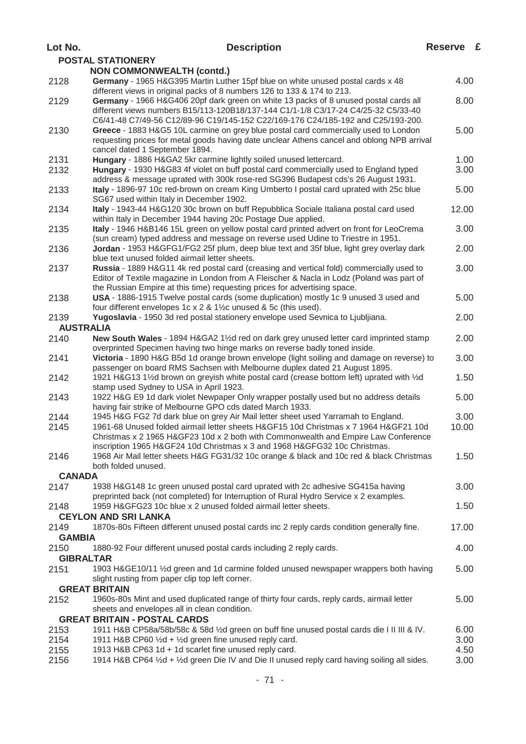| Lot No.                  | <b>Description</b>                                                                                                                                                                                                                                                 | Reserve £    |  |
|--------------------------|--------------------------------------------------------------------------------------------------------------------------------------------------------------------------------------------------------------------------------------------------------------------|--------------|--|
|                          | <b>POSTAL STATIONERY</b>                                                                                                                                                                                                                                           |              |  |
|                          | <b>NON COMMONWEALTH (contd.)</b>                                                                                                                                                                                                                                   |              |  |
| 2128                     | Germany - 1965 H&G395 Martin Luther 15pf blue on white unused postal cards x 48<br>different views in original packs of 8 numbers 126 to 133 & 174 to 213.                                                                                                         | 4.00         |  |
| 2129                     | Germany - 1966 H&G406 20pf dark green on white 13 packs of 8 unused postal cards all<br>different views numbers B15/113-120B18/137-144 C1/1-1/8 C3/17-24 C4/25-32 C5/33-40<br>C6/41-48 C7/49-56 C12/89-96 C19/145-152 C22/169-176 C24/185-192 and C25/193-200.     | 8.00         |  |
| 2130                     | Greece - 1883 H&G5 10L carmine on grey blue postal card commercially used to London<br>requesting prices for metal goods having date unclear Athens cancel and oblong NPB arrival<br>cancel dated 1 September 1894.                                                | 5.00         |  |
| 2131                     | Hungary - 1886 H&GA2 5kr carmine lightly soiled unused lettercard.                                                                                                                                                                                                 | 1.00         |  |
| 2132                     | Hungary - 1930 H&G83 4f violet on buff postal card commercially used to England typed<br>address & message uprated with 300k rose-red SG396 Budapest cds's 26 August 1931.                                                                                         | 3.00         |  |
| 2133                     | Italy - 1896-97 10c red-brown on cream King Umberto I postal card uprated with 25c blue<br>SG67 used within Italy in December 1902.                                                                                                                                | 5.00         |  |
| 2134                     | Italy - 1943-44 H&G120 30c brown on buff Repubblica Sociale Italiana postal card used<br>within Italy in December 1944 having 20c Postage Due applied.                                                                                                             | 12.00        |  |
| 2135                     | Italy - 1946 H&B146 15L green on yellow postal card printed advert on front for LeoCrema<br>(sun cream) typed address and message on reverse used Udine to Triestre in 1951.                                                                                       | 3.00         |  |
| 2136                     | Jordan - 1953 H&GFG1/FG2 25f plum, deep blue text and 35f blue, light grey overlay dark<br>blue text unused folded airmail letter sheets.                                                                                                                          | 2.00         |  |
| 2137                     | Russia - 1889 H&G11 4k red postal card (creasing and vertical fold) commercially used to<br>Editor of Textile magazine in London from A Fleischer & Nacla in Lodz (Poland was part of<br>the Russian Empire at this time) requesting prices for advertising space. | 3.00         |  |
| 2138                     | USA - 1886-1915 Twelve postal cards (some duplication) mostly 1c 9 unused 3 used and<br>four different envelopes 1c x 2 & 1½c unused & 5c (this used).                                                                                                             | 5.00         |  |
| 2139<br><b>AUSTRALIA</b> | Yugoslavia - 1950 3d red postal stationery envelope used Sevnica to Ljubljiana.                                                                                                                                                                                    | 2.00         |  |
| 2140                     | New South Wales - 1894 H&GA2 11/2d red on dark grey unused letter card imprinted stamp<br>overprinted Specimen having two hinge marks on reverse badly toned inside.                                                                                               | 2.00         |  |
| 2141                     | Victoria - 1890 H&G B5d 1d orange brown envelope (light soiling and damage on reverse) to<br>passenger on board RMS Sachsen with Melbourne duplex dated 21 August 1895.                                                                                            | 3.00         |  |
| 2142                     | 1921 H&G13 1½d brown on greyish white postal card (crease bottom left) uprated with 1⁄2d<br>stamp used Sydney to USA in April 1923.                                                                                                                                | 1.50         |  |
| 2143                     | 1922 H&G E9 1d dark violet Newpaper Only wrapper postally used but no address details<br>having fair strike of Melbourne GPO cds dated March 1933.                                                                                                                 | 5.00         |  |
| 2144                     | 1945 H&G FG2 7d dark blue on grey Air Mail letter sheet used Yarramah to England.                                                                                                                                                                                  | 3.00         |  |
| 2145                     | 1961-68 Unused folded airmail letter sheets H&GF15 10d Christmas x 7 1964 H&GF21 10d<br>Christmas x 2 1965 H&GF23 10d x 2 both with Commonwealth and Empire Law Conference<br>inscription 1965 H&GF24 10d Christmas x 3 and 1968 H&GFG32 10c Christmas.            | 10.00        |  |
| 2146                     | 1968 Air Mail letter sheets H&G FG31/32 10c orange & black and 10c red & black Christmas<br>both folded unused.                                                                                                                                                    | 1.50         |  |
| <b>CANADA</b>            |                                                                                                                                                                                                                                                                    |              |  |
| 2147                     | 1938 H&G148 1c green unused postal card uprated with 2c adhesive SG415a having<br>preprinted back (not completed) for Interruption of Rural Hydro Service x 2 examples.                                                                                            | 3.00         |  |
| 2148                     | 1959 H&GFG23 10c blue x 2 unused folded airmail letter sheets.<br><b>CEYLON AND SRI LANKA</b>                                                                                                                                                                      | 1.50         |  |
| 2149<br><b>GAMBIA</b>    | 1870s-80s Fifteen different unused postal cards inc 2 reply cards condition generally fine.                                                                                                                                                                        | 17.00        |  |
| 2150<br><b>GIBRALTAR</b> | 1880-92 Four different unused postal cards including 2 reply cards.                                                                                                                                                                                                | 4.00         |  |
| 2151                     | 1903 H&GE10/11 1/2d green and 1d carmine folded unused newspaper wrappers both having<br>slight rusting from paper clip top left corner.                                                                                                                           | 5.00         |  |
|                          | <b>GREAT BRITAIN</b>                                                                                                                                                                                                                                               |              |  |
| 2152                     | 1960s-80s Mint and used duplicated range of thirty four cards, reply cards, airmail letter<br>sheets and envelopes all in clean condition.                                                                                                                         | 5.00         |  |
|                          | <b>GREAT BRITAIN - POSTAL CARDS</b>                                                                                                                                                                                                                                |              |  |
| 2153                     | 1911 H&B CP58a/58b/58c & 58d 1/2d green on buff fine unused postal cards die I II III & IV.                                                                                                                                                                        | 6.00         |  |
| 2154<br>2155             | 1911 H&B CP60 1/2d + 1/2d green fine unused reply card.<br>1913 H&B CP63 1d + 1d scarlet fine unused reply card.                                                                                                                                                   | 3.00<br>4.50 |  |
| 2156                     | 1914 H&B CP64 1/2d + 1/2d green Die IV and Die II unused reply card having soiling all sides.                                                                                                                                                                      | 3.00         |  |
|                          |                                                                                                                                                                                                                                                                    |              |  |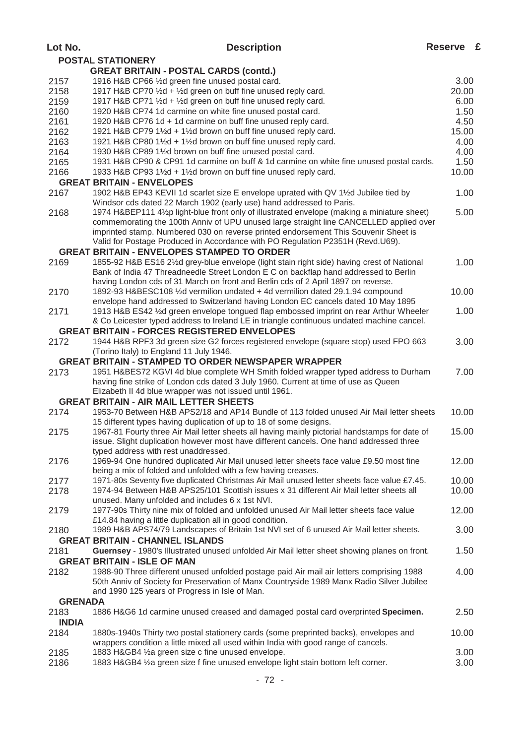| Lot No.        | <b>Description</b>                                                                                                                                                                     | Reserve £ |  |
|----------------|----------------------------------------------------------------------------------------------------------------------------------------------------------------------------------------|-----------|--|
|                | <b>POSTAL STATIONERY</b>                                                                                                                                                               |           |  |
|                | <b>GREAT BRITAIN - POSTAL CARDS (contd.)</b>                                                                                                                                           |           |  |
| 2157           | 1916 H&B CP66 1/2d green fine unused postal card.                                                                                                                                      | 3.00      |  |
| 2158           | 1917 H&B CP70 1/2d + 1/2d green on buff fine unused reply card.                                                                                                                        | 20.00     |  |
| 2159           | 1917 H&B CP71 1/2d + 1/2d green on buff fine unused reply card.                                                                                                                        | 6.00      |  |
| 2160           | 1920 H&B CP74 1d carmine on white fine unused postal card.                                                                                                                             | 1.50      |  |
| 2161           | 1920 H&B CP76 1d + 1d carmine on buff fine unused reply card.                                                                                                                          | 4.50      |  |
| 2162           | 1921 H&B CP79 11⁄2d + 11⁄2d brown on buff fine unused reply card.                                                                                                                      | 15.00     |  |
| 2163           | 1921 H&B CP80 1½d + 1½d brown on buff fine unused reply card.                                                                                                                          | 4.00      |  |
| 2164           | 1930 H&B CP89 11⁄2d brown on buff fine unused postal card.                                                                                                                             | 4.00      |  |
| 2165           | 1931 H&B CP90 & CP91 1d carmine on buff & 1d carmine on white fine unused postal cards.                                                                                                | 1.50      |  |
| 2166           | 1933 H&B CP93 1½d + 1½d brown on buff fine unused reply card.<br><b>GREAT BRITAIN - ENVELOPES</b>                                                                                      | 10.00     |  |
| 2167           | 1902 H&B EP43 KEVII 1d scarlet size E envelope uprated with QV 11/2d Jubilee tied by                                                                                                   | 1.00      |  |
|                | Windsor cds dated 22 March 1902 (early use) hand addressed to Paris.                                                                                                                   |           |  |
| 2168           | 1974 H&BEP111 41/ <sub>2</sub> p light-blue front only of illustrated envelope (making a miniature sheet)                                                                              | 5.00      |  |
|                | commemorating the 100th Anniv of UPU unused large straight line CANCELLED applied over                                                                                                 |           |  |
|                | imprinted stamp. Numbered 030 on reverse printed endorsement This Souvenir Sheet is                                                                                                    |           |  |
|                | Valid for Postage Produced in Accordance with PO Regulation P2351H (Revd.U69).                                                                                                         |           |  |
|                | <b>GREAT BRITAIN - ENVELOPES STAMPED TO ORDER</b>                                                                                                                                      |           |  |
| 2169           | 1855-92 H&B ES16 21/2d grey-blue envelope (light stain right side) having crest of National                                                                                            | 1.00      |  |
|                | Bank of India 47 Threadneedle Street London E C on backflap hand addressed to Berlin                                                                                                   |           |  |
|                | having London cds of 31 March on front and Berlin cds of 2 April 1897 on reverse.                                                                                                      |           |  |
| 2170           | 1892-93 H&BESC108 1/2d vermilion undated + 4d vermilion dated 29.1.94 compound                                                                                                         | 10.00     |  |
|                | envelope hand addressed to Switzerland having London EC cancels dated 10 May 1895                                                                                                      |           |  |
| 2171           | 1913 H&B ES42 1/2d green envelope tongued flap embossed imprint on rear Arthur Wheeler                                                                                                 | 1.00      |  |
|                | & Co Leicester typed address to Ireland LE in triangle continuous undated machine cancel.<br><b>GREAT BRITAIN - FORCES REGISTERED ENVELOPES</b>                                        |           |  |
| 2172           | 1944 H&B RPF3 3d green size G2 forces registered envelope (square stop) used FPO 663                                                                                                   | 3.00      |  |
|                | (Torino Italy) to England 11 July 1946.                                                                                                                                                |           |  |
|                | <b>GREAT BRITAIN - STAMPED TO ORDER NEWSPAPER WRAPPER</b>                                                                                                                              |           |  |
| 2173           | 1951 H&BES72 KGVI 4d blue complete WH Smith folded wrapper typed address to Durham                                                                                                     | 7.00      |  |
|                | having fine strike of London cds dated 3 July 1960. Current at time of use as Queen                                                                                                    |           |  |
|                | Elizabeth II 4d blue wrapper was not issued until 1961.                                                                                                                                |           |  |
|                | <b>GREAT BRITAIN - AIR MAIL LETTER SHEETS</b>                                                                                                                                          |           |  |
| 2174           | 1953-70 Between H&B APS2/18 and AP14 Bundle of 113 folded unused Air Mail letter sheets                                                                                                | 10.00     |  |
|                | 15 different types having duplication of up to 18 of some designs.                                                                                                                     |           |  |
| 2175           | 1967-81 Fourty three Air Mail letter sheets all having mainly pictorial handstamps for date of                                                                                         | 15.00     |  |
|                | issue. Slight duplication however most have different cancels. One hand addressed three<br>typed address with rest unaddressed.                                                        |           |  |
| 2176           | 1969-94 One hundred duplicated Air Mail unused letter sheets face value £9.50 most fine                                                                                                | 12.00     |  |
|                | being a mix of folded and unfolded with a few having creases.                                                                                                                          |           |  |
| 2177           | 1971-80s Seventy five duplicated Christmas Air Mail unused letter sheets face value £7.45.                                                                                             | 10.00     |  |
| 2178           | 1974-94 Between H&B APS25/101 Scottish issues x 31 different Air Mail letter sheets all                                                                                                | 10.00     |  |
|                | unused. Many unfolded and includes 6 x 1st NVI.                                                                                                                                        |           |  |
| 2179           | 1977-90s Thirty nine mix of folded and unfolded unused Air Mail letter sheets face value                                                                                               | 12.00     |  |
|                | £14.84 having a little duplication all in good condition.                                                                                                                              |           |  |
| 2180           | 1989 H&B APS74/79 Landscapes of Britain 1st NVI set of 6 unused Air Mail letter sheets.                                                                                                | 3.00      |  |
|                | <b>GREAT BRITAIN - CHANNEL ISLANDS</b>                                                                                                                                                 |           |  |
| 2181           | Guernsey - 1980's Illustrated unused unfolded Air Mail letter sheet showing planes on front.                                                                                           | 1.50      |  |
|                | <b>GREAT BRITAIN - ISLE OF MAN</b>                                                                                                                                                     |           |  |
| 2182           | 1988-90 Three different unused unfolded postage paid Air mail air letters comprising 1988<br>50th Anniv of Society for Preservation of Manx Countryside 1989 Manx Radio Silver Jubilee | 4.00      |  |
|                | and 1990 125 years of Progress in Isle of Man.                                                                                                                                         |           |  |
| <b>GRENADA</b> |                                                                                                                                                                                        |           |  |
| 2183           | 1886 H&G6 1d carmine unused creased and damaged postal card overprinted Specimen.                                                                                                      | 2.50      |  |
| <b>INDIA</b>   |                                                                                                                                                                                        |           |  |
| 2184           | 1880s-1940s Thirty two postal stationery cards (some preprinted backs), envelopes and                                                                                                  | 10.00     |  |
|                | wrappers condition a little mixed all used within India with good range of cancels.                                                                                                    |           |  |
| 2185           | 1883 H&GB4 1⁄2a green size c fine unused envelope.                                                                                                                                     | 3.00      |  |
| 2186           | 1883 H&GB4 1/2a green size f fine unused envelope light stain bottom left corner.                                                                                                      | 3.00      |  |
|                |                                                                                                                                                                                        |           |  |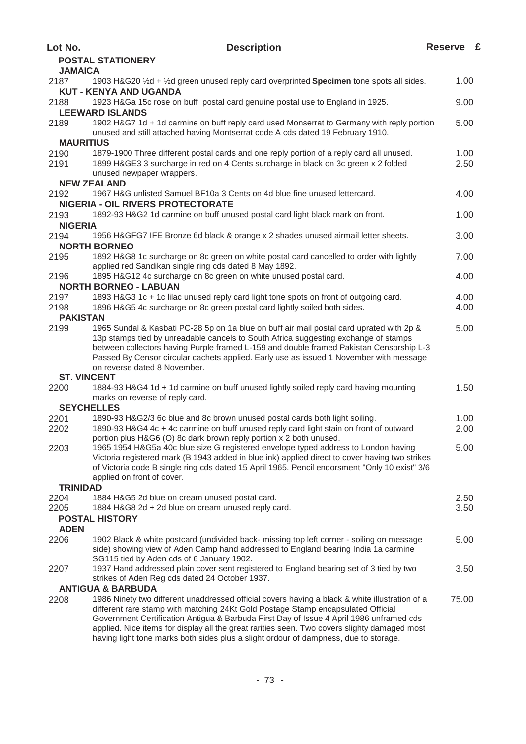| Lot No.            | <b>Description</b>                                                                                                                                                              | Reserve £ |
|--------------------|---------------------------------------------------------------------------------------------------------------------------------------------------------------------------------|-----------|
|                    | <b>POSTAL STATIONERY</b>                                                                                                                                                        |           |
| <b>JAMAICA</b>     |                                                                                                                                                                                 |           |
| 2187               | 1903 H&G20 1/2d + 1/2d green unused reply card overprinted Specimen tone spots all sides.                                                                                       | 1.00      |
|                    | <b>KUT - KENYA AND UGANDA</b>                                                                                                                                                   |           |
| 2188               | 1923 H&Ga 15c rose on buff postal card genuine postal use to England in 1925.                                                                                                   | 9.00      |
|                    | <b>LEEWARD ISLANDS</b>                                                                                                                                                          |           |
| 2189               | 1902 H&G7 1d + 1d carmine on buff reply card used Monserrat to Germany with reply portion                                                                                       | 5.00      |
|                    | unused and still attached having Montserrat code A cds dated 19 February 1910.                                                                                                  |           |
| <b>MAURITIUS</b>   |                                                                                                                                                                                 |           |
| 2190               | 1879-1900 Three different postal cards and one reply portion of a reply card all unused.                                                                                        | 1.00      |
| 2191               | 1899 H&GE3 3 surcharge in red on 4 Cents surcharge in black on 3c green x 2 folded<br>unused newpaper wrappers.                                                                 | 2.50      |
|                    | <b>NEW ZEALAND</b>                                                                                                                                                              |           |
| 2192               | 1967 H&G unlisted Samuel BF10a 3 Cents on 4d blue fine unused lettercard.                                                                                                       | 4.00      |
|                    | <b>NIGERIA - OIL RIVERS PROTECTORATE</b>                                                                                                                                        |           |
| 2193               | 1892-93 H&G2 1d carmine on buff unused postal card light black mark on front.                                                                                                   | 1.00      |
| <b>NIGERIA</b>     |                                                                                                                                                                                 |           |
| 2194               | 1956 H&GFG7 IFE Bronze 6d black & orange x 2 shades unused airmail letter sheets.                                                                                               | 3.00      |
|                    | <b>NORTH BORNEO</b>                                                                                                                                                             |           |
| 2195               | 1892 H&G8 1c surcharge on 8c green on white postal card cancelled to order with lightly                                                                                         | 7.00      |
|                    | applied red Sandikan single ring cds dated 8 May 1892.                                                                                                                          |           |
| 2196               | 1895 H&G12 4c surcharge on 8c green on white unused postal card.                                                                                                                | 4.00      |
|                    | <b>NORTH BORNEO - LABUAN</b>                                                                                                                                                    |           |
| 2197               | 1893 H&G3 1c + 1c lilac unused reply card light tone spots on front of outgoing card.                                                                                           | 4.00      |
| 2198               | 1896 H&G5 4c surcharge on 8c green postal card lightly soiled both sides.                                                                                                       | 4.00      |
| <b>PAKISTAN</b>    |                                                                                                                                                                                 |           |
| 2199               | 1965 Sundal & Kasbati PC-28 5p on 1a blue on buff air mail postal card uprated with 2p &<br>13p stamps tied by unreadable cancels to South Africa suggesting exchange of stamps | 5.00      |
|                    | between collectors having Purple framed L-159 and double framed Pakistan Censorship L-3                                                                                         |           |
|                    | Passed By Censor circular cachets applied. Early use as issued 1 November with message                                                                                          |           |
|                    | on reverse dated 8 November.                                                                                                                                                    |           |
| <b>ST. VINCENT</b> |                                                                                                                                                                                 |           |
| 2200               | 1884-93 H&G4 1d + 1d carmine on buff unused lightly soiled reply card having mounting                                                                                           | 1.50      |
|                    | marks on reverse of reply card.                                                                                                                                                 |           |
| <b>SEYCHELLES</b>  |                                                                                                                                                                                 |           |
| 2201               | 1890-93 H&G2/3 6c blue and 8c brown unused postal cards both light soiling.                                                                                                     | 1.00      |
| 2202               | 1890-93 H&G4 4c + 4c carmine on buff unused reply card light stain on front of outward<br>portion plus H&G6 (O) 8c dark brown reply portion x 2 both unused.                    | 2.00      |
| 2203               | 1965 1954 H&G5a 40c blue size G registered envelope typed address to London having                                                                                              | 5.00      |
|                    | Victoria registered mark (B 1943 added in blue ink) applied direct to cover having two strikes                                                                                  |           |
|                    | of Victoria code B single ring cds dated 15 April 1965. Pencil endorsment "Only 10 exist" 3/6                                                                                   |           |
|                    | applied on front of cover.                                                                                                                                                      |           |
| <b>TRINIDAD</b>    |                                                                                                                                                                                 |           |
| 2204               | 1884 H&G5 2d blue on cream unused postal card.                                                                                                                                  | 2.50      |
| 2205               | 1884 H&G8 2d + 2d blue on cream unused reply card.                                                                                                                              | 3.50      |
|                    | <b>POSTAL HISTORY</b>                                                                                                                                                           |           |
| <b>ADEN</b>        |                                                                                                                                                                                 |           |
| 2206               | 1902 Black & white postcard (undivided back- missing top left corner - soiling on message                                                                                       | 5.00      |
|                    | side) showing view of Aden Camp hand addressed to England bearing India 1a carmine<br>SG115 tied by Aden cds of 6 January 1902.                                                 |           |
| 2207               | 1937 Hand addressed plain cover sent registered to England bearing set of 3 tied by two                                                                                         | 3.50      |
|                    | strikes of Aden Reg cds dated 24 October 1937.                                                                                                                                  |           |
|                    | <b>ANTIGUA &amp; BARBUDA</b>                                                                                                                                                    |           |
| 2208               | 1986 Ninety two different unaddressed official covers having a black & white illustration of a                                                                                  | 75.00     |
|                    | different rare stamp with matching 24Kt Gold Postage Stamp encapsulated Official                                                                                                |           |
|                    | Government Certification Antigua & Barbuda First Day of Issue 4 April 1986 unframed cds                                                                                         |           |
|                    | applied. Nice items for display all the great rarities seen. Two covers slighty damaged most                                                                                    |           |
|                    | having light tone marks both sides plus a slight ordour of dampness, due to storage.                                                                                            |           |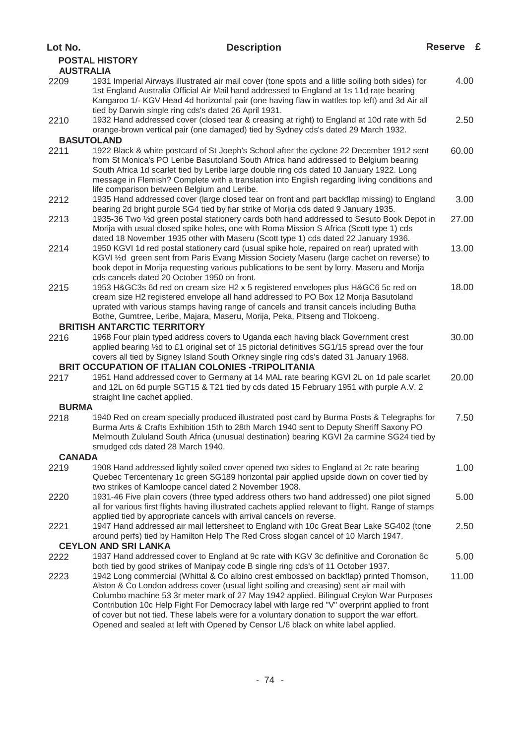| Lot No.          | <b>Description</b>                                                                                                                                                                                                                                                                                                                                                                                                                                                                                                                                                                                                                                    | Reserve £ |
|------------------|-------------------------------------------------------------------------------------------------------------------------------------------------------------------------------------------------------------------------------------------------------------------------------------------------------------------------------------------------------------------------------------------------------------------------------------------------------------------------------------------------------------------------------------------------------------------------------------------------------------------------------------------------------|-----------|
|                  | <b>POSTAL HISTORY</b>                                                                                                                                                                                                                                                                                                                                                                                                                                                                                                                                                                                                                                 |           |
| <b>AUSTRALIA</b> |                                                                                                                                                                                                                                                                                                                                                                                                                                                                                                                                                                                                                                                       |           |
| 2209             | 1931 Imperial Airways illustrated air mail cover (tone spots and a liitle soiling both sides) for<br>1st England Australia Official Air Mail hand addressed to England at 1s 11d rate bearing<br>Kangaroo 1/- KGV Head 4d horizontal pair (one having flaw in wattles top left) and 3d Air all<br>tied by Darwin single ring cds's dated 26 April 1931.                                                                                                                                                                                                                                                                                               | 4.00      |
| 2210             | 1932 Hand addressed cover (closed tear & creasing at right) to England at 10d rate with 5d<br>orange-brown vertical pair (one damaged) tied by Sydney cds's dated 29 March 1932.                                                                                                                                                                                                                                                                                                                                                                                                                                                                      | 2.50      |
|                  | <b>BASUTOLAND</b>                                                                                                                                                                                                                                                                                                                                                                                                                                                                                                                                                                                                                                     |           |
| 2211             | 1922 Black & white postcard of St Joeph's School after the cyclone 22 December 1912 sent<br>from St Monica's PO Leribe Basutoland South Africa hand addressed to Belgium bearing<br>South Africa 1d scarlet tied by Leribe large double ring cds dated 10 January 1922. Long<br>message in Flemish? Complete with a translation into English regarding living conditions and<br>life comparison between Belgium and Leribe.                                                                                                                                                                                                                           | 60.00     |
| 2212             | 1935 Hand addressed cover (large closed tear on front and part backflap missing) to England<br>bearing 2d bright purple SG4 tied by fiar strike of Morija cds dated 9 January 1935.                                                                                                                                                                                                                                                                                                                                                                                                                                                                   | 3.00      |
| 2213             | 1935-36 Two 1⁄2d green postal stationery cards both hand addressed to Sesuto Book Depot in<br>Morija with usual closed spike holes, one with Roma Mission S Africa (Scott type 1) cds<br>dated 18 November 1935 other with Maseru (Scott type 1) cds dated 22 January 1936.                                                                                                                                                                                                                                                                                                                                                                           | 27.00     |
| 2214             | 1950 KGVI 1d red postal stationery card (usual spike hole, repaired on rear) uprated with<br>KGVI 1/2d green sent from Paris Evang Mission Society Maseru (large cachet on reverse) to<br>book depot in Morija requesting various publications to be sent by lorry. Maseru and Morija<br>cds cancels dated 20 October 1950 on front.                                                                                                                                                                                                                                                                                                                  | 13.00     |
| 2215             | 1953 H&GC3s 6d red on cream size H2 x 5 registered envelopes plus H&GC6 5c red on<br>cream size H2 registered envelope all hand addressed to PO Box 12 Morija Basutoland<br>uprated with various stamps having range of cancels and transit cancels including Butha<br>Bothe, Gumtree, Leribe, Majara, Maseru, Morija, Peka, Pitseng and Tlokoeng.                                                                                                                                                                                                                                                                                                    | 18.00     |
|                  | <b>BRITISH ANTARCTIC TERRITORY</b>                                                                                                                                                                                                                                                                                                                                                                                                                                                                                                                                                                                                                    |           |
| 2216             | 1968 Four plain typed address covers to Uganda each having black Government crest<br>applied bearing 1/2d to £1 original set of 15 pictorial definitives SG1/15 spread over the four<br>covers all tied by Signey Island South Orkney single ring cds's dated 31 January 1968.<br><b>BRIT OCCUPATION OF ITALIAN COLONIES -TRIPOLITANIA</b>                                                                                                                                                                                                                                                                                                            | 30.00     |
| 2217             | 1951 Hand addressed cover to Germany at 14 MAL rate bearing KGVI 2L on 1d pale scarlet<br>and 12L on 6d purple SGT15 & T21 tied by cds dated 15 February 1951 with purple A.V. 2<br>straight line cachet applied.                                                                                                                                                                                                                                                                                                                                                                                                                                     | 20.00     |
| <b>BURMA</b>     |                                                                                                                                                                                                                                                                                                                                                                                                                                                                                                                                                                                                                                                       |           |
| 2218             | 1940 Red on cream specially produced illustrated post card by Burma Posts & Telegraphs for<br>Burma Arts & Crafts Exhibition 15th to 28th March 1940 sent to Deputy Sheriff Saxony PO<br>Melmouth Zululand South Africa (unusual destination) bearing KGVI 2a carmine SG24 tied by<br>smudged cds dated 28 March 1940.                                                                                                                                                                                                                                                                                                                                | 7.50      |
| <b>CANADA</b>    |                                                                                                                                                                                                                                                                                                                                                                                                                                                                                                                                                                                                                                                       |           |
| 2219             | 1908 Hand addressed lightly soiled cover opened two sides to England at 2c rate bearing<br>Quebec Tercentenary 1c green SG189 horizontal pair applied upside down on cover tied by<br>two strikes of Kamloope cancel dated 2 November 1908.                                                                                                                                                                                                                                                                                                                                                                                                           | 1.00      |
| 2220             | 1931-46 Five plain covers (three typed address others two hand addressed) one pilot signed<br>all for various first flights having illustrated cachets applied relevant to flight. Range of stamps<br>applied tied by appropriate cancels with arrival cancels on reverse.                                                                                                                                                                                                                                                                                                                                                                            | 5.00      |
| 2221             | 1947 Hand addressed air mail lettersheet to England with 10c Great Bear Lake SG402 (tone<br>around perfs) tied by Hamilton Help The Red Cross slogan cancel of 10 March 1947.                                                                                                                                                                                                                                                                                                                                                                                                                                                                         | 2.50      |
|                  | <b>CEYLON AND SRI LANKA</b>                                                                                                                                                                                                                                                                                                                                                                                                                                                                                                                                                                                                                           |           |
| 2222             | 1937 Hand addressed cover to England at 9c rate with KGV 3c definitive and Coronation 6c                                                                                                                                                                                                                                                                                                                                                                                                                                                                                                                                                              | 5.00      |
| 2223             | both tied by good strikes of Manipay code B single ring cds's of 11 October 1937.<br>1942 Long commercial (Whittal & Co albino crest embossed on backflap) printed Thomson,<br>Alston & Co London address cover (usual light soiling and creasing) sent air mail with<br>Columbo machine 53 3r meter mark of 27 May 1942 applied. Bilingual Ceylon War Purposes<br>Contribution 10c Help Fight For Democracy label with large red "V" overprint applied to front<br>of cover but not tied. These labels were for a voluntary donation to support the war effort.<br>Opened and sealed at left with Opened by Censor L/6 black on white label applied. | 11.00     |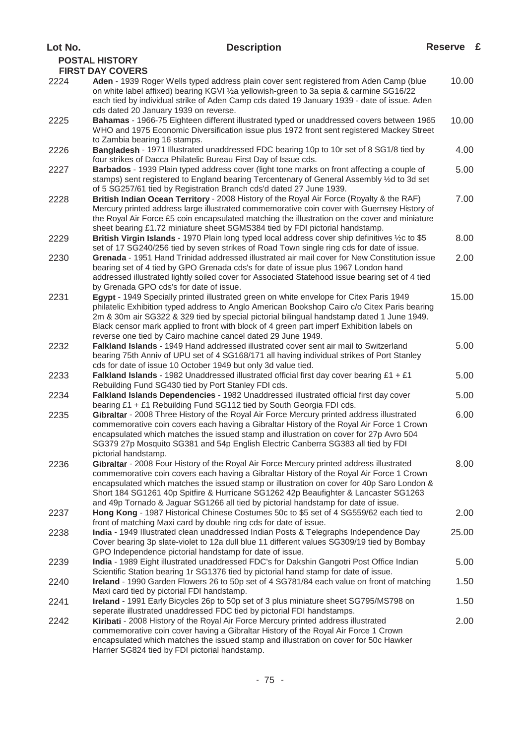| Lot No. | <b>Description</b>                                                                                                                                                                                                                                                                                                                                                                                                                                              | Reserve £ |  |
|---------|-----------------------------------------------------------------------------------------------------------------------------------------------------------------------------------------------------------------------------------------------------------------------------------------------------------------------------------------------------------------------------------------------------------------------------------------------------------------|-----------|--|
|         | <b>POSTAL HISTORY</b><br><b>FIRST DAY COVERS</b>                                                                                                                                                                                                                                                                                                                                                                                                                |           |  |
| 2224    | Aden - 1939 Roger Wells typed address plain cover sent registered from Aden Camp (blue<br>on white label affixed) bearing KGVI 1/2 ayellowish-green to 3a sepia & carmine SG16/22<br>each tied by individual strike of Aden Camp cds dated 19 January 1939 - date of issue. Aden<br>cds dated 20 January 1939 on reverse.                                                                                                                                       | 10.00     |  |
| 2225    | Bahamas - 1966-75 Eighteen different illustrated typed or unaddressed covers between 1965<br>WHO and 1975 Economic Diversification issue plus 1972 front sent registered Mackey Street<br>to Zambia bearing 16 stamps.                                                                                                                                                                                                                                          | 10.00     |  |
| 2226    | Bangladesh - 1971 Illustrated unaddressed FDC bearing 10p to 10r set of 8 SG1/8 tied by<br>four strikes of Dacca Philatelic Bureau First Day of Issue cds.                                                                                                                                                                                                                                                                                                      | 4.00      |  |
| 2227    | Barbados - 1939 Plain typed address cover (light tone marks on front affecting a couple of<br>stamps) sent registered to England bearing Tercentenary of General Assembly 1/2d to 3d set<br>of 5 SG257/61 tied by Registration Branch cds'd dated 27 June 1939.                                                                                                                                                                                                 | 5.00      |  |
| 2228    | British Indian Ocean Territory - 2008 History of the Royal Air Force (Royalty & the RAF)<br>Mercury printed address large illustrated commemorative coin cover with Guernsey History of<br>the Royal Air Force £5 coin encapsulated matching the illustration on the cover and miniature<br>sheet bearing £1.72 miniature sheet SGMS384 tied by FDI pictorial handstamp.                                                                                        | 7.00      |  |
| 2229    | British Virgin Islands - 1970 Plain long typed local address cover ship definitives 1/2c to \$5<br>set of 17 SG240/256 tied by seven strikes of Road Town single ring cds for date of issue.                                                                                                                                                                                                                                                                    | 8.00      |  |
| 2230    | Grenada - 1951 Hand Trinidad addressed illustrated air mail cover for New Constitution issue<br>bearing set of 4 tied by GPO Grenada cds's for date of issue plus 1967 London hand<br>addressed illustrated lightly soiled cover for Associated Statehood issue bearing set of 4 tied<br>by Grenada GPO cds's for date of issue.                                                                                                                                | 2.00      |  |
| 2231    | Egypt - 1949 Specially printed illustrated green on white envelope for Citex Paris 1949<br>philatelic Exhibition typed address to Anglo American Bookshop Cairo c/o Citex Paris bearing<br>2m & 30m air SG322 & 329 tied by special pictorial bilingual handstamp dated 1 June 1949.<br>Black censor mark applied to front with block of 4 green part imperf Exhibition labels on<br>reverse one tied by Cairo machine cancel dated 29 June 1949.               | 15.00     |  |
| 2232    | Falkland Islands - 1949 Hand addressed illustrated cover sent air mail to Switzerland<br>bearing 75th Anniv of UPU set of 4 SG168/171 all having individual strikes of Port Stanley<br>cds for date of issue 10 October 1949 but only 3d value tied.                                                                                                                                                                                                            | 5.00      |  |
| 2233    | Falkland Islands - 1982 Unaddressed illustrated official first day cover bearing £1 + £1<br>Rebuilding Fund SG430 tied by Port Stanley FDI cds.                                                                                                                                                                                                                                                                                                                 | 5.00      |  |
| 2234    | Falkland Islands Dependencies - 1982 Unaddressed illustrated official first day cover<br>bearing £1 + £1 Rebuilding Fund SG112 tied by South Georgia FDI cds.                                                                                                                                                                                                                                                                                                   | 5.00      |  |
| 2235    | Gibraltar - 2008 Three History of the Royal Air Force Mercury printed address illustrated<br>commemorative coin covers each having a Gibraltar History of the Royal Air Force 1 Crown<br>encapsulated which matches the issued stamp and illustration on cover for 27p Avro 504<br>SG379 27p Mosquito SG381 and 54p English Electric Canberra SG383 all tied by FDI<br>pictorial handstamp.                                                                     | 6.00      |  |
| 2236    | Gibraltar - 2008 Four History of the Royal Air Force Mercury printed address illustrated<br>commemorative coin covers each having a Gibraltar History of the Royal Air Force 1 Crown<br>encapsulated which matches the issued stamp or illustration on cover for 40p Saro London &<br>Short 184 SG1261 40p Spitfire & Hurricane SG1262 42p Beaufighter & Lancaster SG1263<br>and 49p Tornado & Jaguar SG1266 all tied by pictorial handstamp for date of issue. | 8.00      |  |
| 2237    | Hong Kong - 1987 Historical Chinese Costumes 50c to \$5 set of 4 SG559/62 each tied to<br>front of matching Maxi card by double ring cds for date of issue.                                                                                                                                                                                                                                                                                                     | 2.00      |  |
| 2238    | India - 1949 Illustrated clean unaddressed Indian Posts & Telegraphs Independence Day<br>Cover bearing 3p slate-violet to 12a dull blue 11 different values SG309/19 tied by Bombay<br>GPO Independence pictorial handstamp for date of issue.                                                                                                                                                                                                                  | 25.00     |  |
| 2239    | India - 1989 Eight illustrated unaddressed FDC's for Dakshin Gangotri Post Office Indian<br>Scientific Station bearing 1r SG1376 tied by pictorial hand stamp for date of issue.                                                                                                                                                                                                                                                                                | 5.00      |  |
| 2240    | Ireland - 1990 Garden Flowers 26 to 50p set of 4 SG781/84 each value on front of matching<br>Maxi card tied by pictorial FDI handstamp.                                                                                                                                                                                                                                                                                                                         | 1.50      |  |
| 2241    | Ireland - 1991 Early Bicycles 26p to 50p set of 3 plus miniature sheet SG795/MS798 on<br>seperate illustrated unaddressed FDC tied by pictorial FDI handstamps.                                                                                                                                                                                                                                                                                                 | 1.50      |  |
| 2242    | Kiribati - 2008 History of the Royal Air Force Mercury printed address illustrated<br>commemorative coin cover having a Gibraltar History of the Royal Air Force 1 Crown<br>encapsulated which matches the issued stamp and illustration on cover for 50c Hawker<br>Harrier SG824 tied by FDI pictorial handstamp.                                                                                                                                              | 2.00      |  |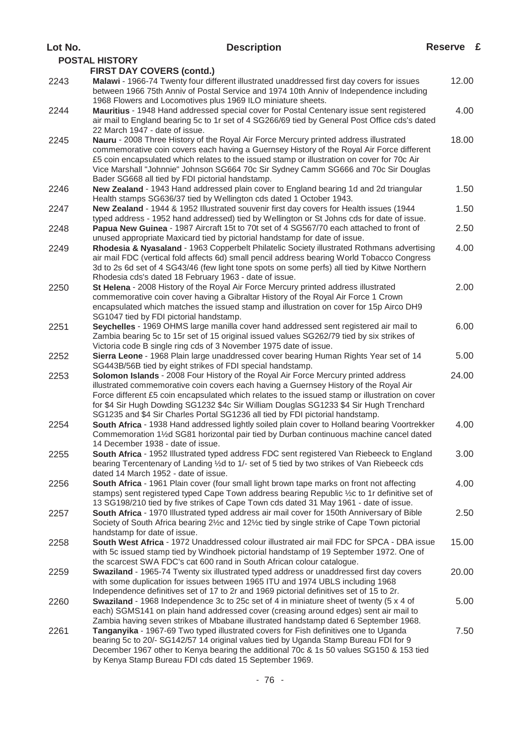| Lot No. | <b>Description</b>                                                                                                                                                                                                                                                                                                                                                                                                                                        | Reserve £ |  |
|---------|-----------------------------------------------------------------------------------------------------------------------------------------------------------------------------------------------------------------------------------------------------------------------------------------------------------------------------------------------------------------------------------------------------------------------------------------------------------|-----------|--|
|         | <b>POSTAL HISTORY</b>                                                                                                                                                                                                                                                                                                                                                                                                                                     |           |  |
|         | <b>FIRST DAY COVERS (contd.)</b>                                                                                                                                                                                                                                                                                                                                                                                                                          |           |  |
| 2243    | Malawi - 1966-74 Twenty four different illustrated unaddressed first day covers for issues<br>between 1966 75th Anniv of Postal Service and 1974 10th Anniv of Independence including<br>1968 Flowers and Locomotives plus 1969 ILO miniature sheets.                                                                                                                                                                                                     | 12.00     |  |
| 2244    | Mauritius - 1948 Hand addressed special cover for Postal Centenary issue sent registered<br>air mail to England bearing 5c to 1r set of 4 SG266/69 tied by General Post Office cds's dated<br>22 March 1947 - date of issue.                                                                                                                                                                                                                              | 4.00      |  |
| 2245    | Nauru - 2008 Three History of the Royal Air Force Mercury printed address illustrated<br>commemorative coin covers each having a Guernsey History of the Royal Air Force different<br>£5 coin encapsulated which relates to the issued stamp or illustration on cover for 70c Air<br>Vice Marshall "Johnnie" Johnson SG664 70c Sir Sydney Camm SG666 and 70c Sir Douglas<br>Bader SG668 all tied by FDI pictorial handstamp.                              | 18.00     |  |
| 2246    | New Zealand - 1943 Hand addressed plain cover to England bearing 1d and 2d triangular<br>Health stamps SG636/37 tied by Wellington cds dated 1 October 1943.                                                                                                                                                                                                                                                                                              | 1.50      |  |
| 2247    | New Zealand - 1944 & 1952 Illustrated souvenir first day covers for Health issues (1944<br>typed address - 1952 hand addressed) tied by Wellington or St Johns cds for date of issue.                                                                                                                                                                                                                                                                     | 1.50      |  |
| 2248    | Papua New Guinea - 1987 Aircraft 15t to 70t set of 4 SG567/70 each attached to front of<br>unused appropriate Maxicard tied by pictorial handstamp for date of issue.                                                                                                                                                                                                                                                                                     | 2.50      |  |
| 2249    | Rhodesia & Nyasaland - 1963 Copperbelt Philatelic Society illustrated Rothmans advertising<br>air mail FDC (vertical fold affects 6d) small pencil address bearing World Tobacco Congress<br>3d to 2s 6d set of 4 SG43/46 (few light tone spots on some perfs) all tied by Kitwe Northern<br>Rhodesia cds's dated 18 February 1963 - date of issue.                                                                                                       | 4.00      |  |
| 2250    | St Helena - 2008 History of the Royal Air Force Mercury printed address illustrated<br>commemorative coin cover having a Gibraltar History of the Royal Air Force 1 Crown<br>encapsulated which matches the issued stamp and illustration on cover for 15p Airco DH9<br>SG1047 tied by FDI pictorial handstamp.                                                                                                                                           | 2.00      |  |
| 2251    | Seychelles - 1969 OHMS large manilla cover hand addressed sent registered air mail to<br>Zambia bearing 5c to 15r set of 15 original issued values SG262/79 tied by six strikes of<br>Victoria code B single ring cds of 3 November 1975 date of issue.                                                                                                                                                                                                   | 6.00      |  |
| 2252    | Sierra Leone - 1968 Plain large unaddressed cover bearing Human Rights Year set of 14<br>SG443B/56B tied by eight strikes of FDI special handstamp.                                                                                                                                                                                                                                                                                                       | 5.00      |  |
| 2253    | Solomon Islands - 2008 Four History of the Royal Air Force Mercury printed address<br>illustrated commemorative coin covers each having a Guernsey History of the Royal Air<br>Force different £5 coin encapsulated which relates to the issued stamp or illustration on cover<br>for \$4 Sir Hugh Dowding SG1232 \$4c Sir William Douglas SG1233 \$4 Sir Hugh Trenchard<br>SG1235 and \$4 Sir Charles Portal SG1236 all tied by FDI pictorial handstamp. | 24.00     |  |
| 2254    | South Africa - 1938 Hand addressed lightly soiled plain cover to Holland bearing Voortrekker<br>Commemoration 1½d SG81 horizontal pair tied by Durban continuous machine cancel dated<br>14 December 1938 - date of issue.                                                                                                                                                                                                                                | 4.00      |  |
| 2255    | South Africa - 1952 Illustrated typed address FDC sent registered Van Riebeeck to England<br>bearing Tercentenary of Landing 1/2d to 1/- set of 5 tied by two strikes of Van Riebeeck cds<br>dated 14 March 1952 - date of issue.                                                                                                                                                                                                                         | 3.00      |  |
| 2256    | South Africa - 1961 Plain cover (four small light brown tape marks on front not affecting<br>stamps) sent registered typed Cape Town address bearing Republic 1/2c to 1r definitive set of<br>13 SG198/210 tied by five strikes of Cape Town cds dated 31 May 1961 - date of issue.                                                                                                                                                                       | 4.00      |  |
| 2257    | South Africa - 1970 Illustrated typed address air mail cover for 150th Anniversary of Bible<br>Society of South Africa bearing 21/2c and 121/2c tied by single strike of Cape Town pictorial<br>handstamp for date of issue.                                                                                                                                                                                                                              | 2.50      |  |
| 2258    | <b>South West Africa - 1972 Unaddressed colour illustrated air mail FDC for SPCA - DBA issue</b><br>with 5c issued stamp tied by Windhoek pictorial handstamp of 19 September 1972. One of<br>the scarcest SWA FDC's cat 600 rand in South African colour catalogue.                                                                                                                                                                                      | 15.00     |  |
| 2259    | Swaziland - 1965-74 Twenty six illustrated typed address or unaddressed first day covers<br>with some duplication for issues between 1965 ITU and 1974 UBLS including 1968<br>Independence definitives set of 17 to 2r and 1969 pictorial definitives set of 15 to 2r.                                                                                                                                                                                    | 20.00     |  |
| 2260    | Swaziland - 1968 Independence 3c to 25c set of 4 in miniature sheet of twenty (5 x 4 of<br>each) SGMS141 on plain hand addressed cover (creasing around edges) sent air mail to<br>Zambia having seven strikes of Mbabane illustrated handstamp dated 6 September 1968.                                                                                                                                                                                   | 5.00      |  |
| 2261    | Tanganyika - 1967-69 Two typed illustrated covers for Fish definitives one to Uganda<br>bearing 5c to 20/- SG142/57 14 original values tied by Uganda Stamp Bureau FDI for 9<br>December 1967 other to Kenya bearing the additional 70c & 1s 50 values SG150 & 153 tied<br>by Kenya Stamp Bureau FDI cds dated 15 September 1969.                                                                                                                         | 7.50      |  |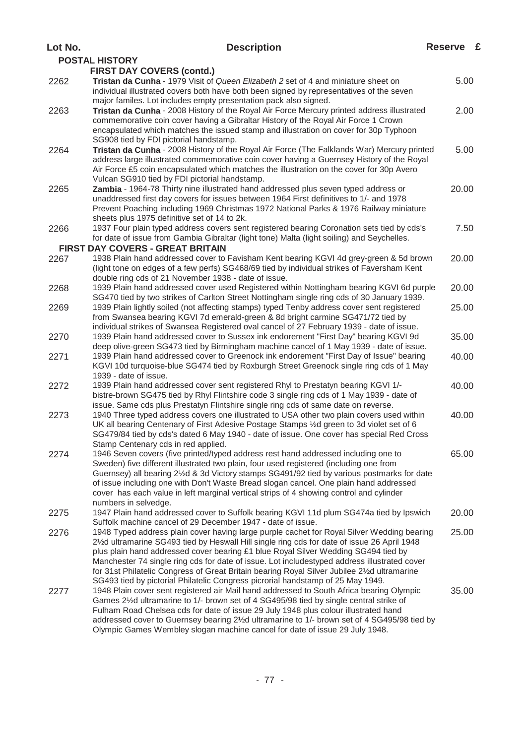| Lot No. | <b>Description</b>                                                                                                                                                                                                                                                                                                                                                                                                                                                                                                                                               | Reserve £ |  |
|---------|------------------------------------------------------------------------------------------------------------------------------------------------------------------------------------------------------------------------------------------------------------------------------------------------------------------------------------------------------------------------------------------------------------------------------------------------------------------------------------------------------------------------------------------------------------------|-----------|--|
|         | <b>POSTAL HISTORY</b>                                                                                                                                                                                                                                                                                                                                                                                                                                                                                                                                            |           |  |
|         | <b>FIRST DAY COVERS (contd.)</b>                                                                                                                                                                                                                                                                                                                                                                                                                                                                                                                                 |           |  |
| 2262    | Tristan da Cunha - 1979 Visit of Queen Elizabeth 2 set of 4 and miniature sheet on<br>individual illustrated covers both have both been signed by representatives of the seven<br>major familes. Lot includes empty presentation pack also signed.                                                                                                                                                                                                                                                                                                               | 5.00      |  |
| 2263    | Tristan da Cunha - 2008 History of the Royal Air Force Mercury printed address illustrated<br>commemorative coin cover having a Gibraltar History of the Royal Air Force 1 Crown<br>encapsulated which matches the issued stamp and illustration on cover for 30p Typhoon<br>SG908 tied by FDI pictorial handstamp.                                                                                                                                                                                                                                              | 2.00      |  |
| 2264    | Tristan da Cunha - 2008 History of the Royal Air Force (The Falklands War) Mercury printed<br>address large illustrated commemorative coin cover having a Guernsey History of the Royal<br>Air Force £5 coin encapsulated which matches the illustration on the cover for 30p Avero<br>Vulcan SG910 tied by FDI pictorial handstamp.                                                                                                                                                                                                                             | 5.00      |  |
| 2265    | Zambia - 1964-78 Thirty nine illustrated hand addressed plus seven typed address or<br>unaddressed first day covers for issues between 1964 First definitives to 1/- and 1978<br>Prevent Poaching including 1969 Christmas 1972 National Parks & 1976 Railway miniature<br>sheets plus 1975 definitive set of 14 to 2k.                                                                                                                                                                                                                                          | 20.00     |  |
| 2266    | 1937 Four plain typed address covers sent registered bearing Coronation sets tied by cds's<br>for date of issue from Gambia Gibraltar (light tone) Malta (light soiling) and Seychelles.                                                                                                                                                                                                                                                                                                                                                                         | 7.50      |  |
|         | <b>FIRST DAY COVERS - GREAT BRITAIN</b>                                                                                                                                                                                                                                                                                                                                                                                                                                                                                                                          |           |  |
| 2267    | 1938 Plain hand addressed cover to Favisham Kent bearing KGVI 4d grey-green & 5d brown<br>(light tone on edges of a few perfs) SG468/69 tied by individual strikes of Faversham Kent<br>double ring cds of 21 November 1938 - date of issue.                                                                                                                                                                                                                                                                                                                     | 20.00     |  |
| 2268    | 1939 Plain hand addressed cover used Registered within Nottingham bearing KGVI 6d purple<br>SG470 tied by two strikes of Carlton Street Nottingham single ring cds of 30 January 1939.                                                                                                                                                                                                                                                                                                                                                                           | 20.00     |  |
| 2269    | 1939 Plain lightly soiled (not affecting stamps) typed Tenby address cover sent registered<br>from Swansea bearing KGVI 7d emerald-green & 8d bright carmine SG471/72 tied by<br>individual strikes of Swansea Registered oval cancel of 27 February 1939 - date of issue.                                                                                                                                                                                                                                                                                       | 25.00     |  |
| 2270    | 1939 Plain hand addressed cover to Sussex ink endorement "First Day" bearing KGVI 9d<br>deep olive-green SG473 tied by Birmingham machine cancel of 1 May 1939 - date of issue.                                                                                                                                                                                                                                                                                                                                                                                  | 35.00     |  |
| 2271    | 1939 Plain hand addressed cover to Greenock ink endorement "First Day of Issue" bearing<br>KGVI 10d turquoise-blue SG474 tied by Roxburgh Street Greenock single ring cds of 1 May<br>1939 - date of issue.                                                                                                                                                                                                                                                                                                                                                      | 40.00     |  |
| 2272    | 1939 Plain hand addressed cover sent registered Rhyl to Prestatyn bearing KGVI 1/-<br>bistre-brown SG475 tied by Rhyl Flintshire code 3 single ring cds of 1 May 1939 - date of<br>issue. Same cds plus Prestatyn Flintshire single ring cds of same date on reverse.                                                                                                                                                                                                                                                                                            | 40.00     |  |
| 2273    | 1940 Three typed address covers one illustrated to USA other two plain covers used within<br>UK all bearing Centenary of First Adesive Postage Stamps 1/2d green to 3d violet set of 6<br>SG479/84 tied by cds's dated 6 May 1940 - date of issue. One cover has special Red Cross<br>Stamp Centenary cds in red applied.                                                                                                                                                                                                                                        | 40.00     |  |
| 2274    | 1946 Seven covers (five printed/typed address rest hand addressed including one to<br>Sweden) five different illustrated two plain, four used registered (including one from<br>Guernsey) all bearing 2½d & 3d Victory stamps SG491/92 tied by various postmarks for date<br>of issue including one with Don't Waste Bread slogan cancel. One plain hand addressed<br>cover has each value in left marginal vertical strips of 4 showing control and cylinder<br>numbers in selvedge.                                                                            | 65.00     |  |
| 2275    | 1947 Plain hand addressed cover to Suffolk bearing KGVI 11d plum SG474a tied by Ipswich<br>Suffolk machine cancel of 29 December 1947 - date of issue.                                                                                                                                                                                                                                                                                                                                                                                                           | 20.00     |  |
| 2276    | 1948 Typed address plain cover having large purple cachet for Royal Silver Wedding bearing<br>2½d ultramarine SG493 tied by Heswall Hill single ring cds for date of issue 26 April 1948<br>plus plain hand addressed cover bearing £1 blue Royal Silver Wedding SG494 tied by<br>Manchester 74 single ring cds for date of issue. Lot includestyped address illustrated cover<br>for 31st Philatelic Congress of Great Britain bearing Royal Silver Jubilee 21% dultramarine<br>SG493 tied by pictorial Philatelic Congress picrorial handstamp of 25 May 1949. | 25.00     |  |
| 2277    | 1948 Plain cover sent registered air Mail hand addressed to South Africa bearing Olympic<br>Games 21/2d ultramarine to 1/- brown set of 4 SG495/98 tied by single central strike of<br>Fulham Road Chelsea cds for date of issue 29 July 1948 plus colour illustrated hand<br>addressed cover to Guernsey bearing 2½d ultramarine to 1/- brown set of 4 SG495/98 tied by<br>Olympic Games Wembley slogan machine cancel for date of issue 29 July 1948.                                                                                                          | 35.00     |  |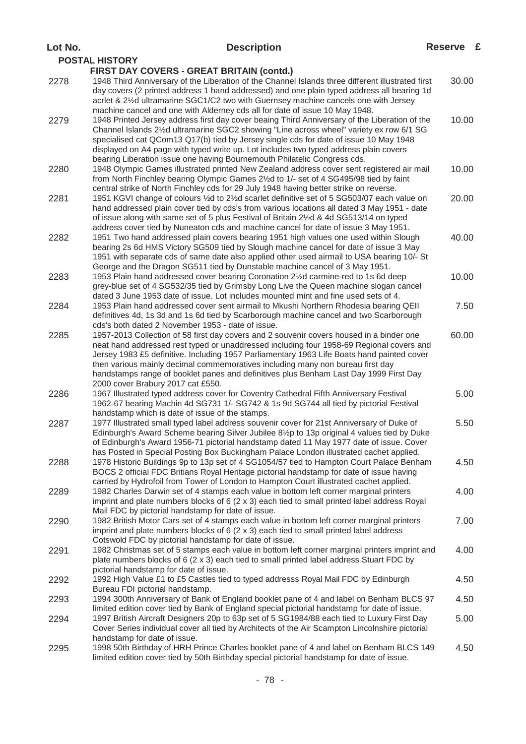| Lot No. | <b>Description</b>                                                                                                                                                                                                                                                                                                                                                                                                                                                                                                                     | Reserve £ |  |
|---------|----------------------------------------------------------------------------------------------------------------------------------------------------------------------------------------------------------------------------------------------------------------------------------------------------------------------------------------------------------------------------------------------------------------------------------------------------------------------------------------------------------------------------------------|-----------|--|
|         | <b>POSTAL HISTORY</b>                                                                                                                                                                                                                                                                                                                                                                                                                                                                                                                  |           |  |
|         | FIRST DAY COVERS - GREAT BRITAIN (contd.)                                                                                                                                                                                                                                                                                                                                                                                                                                                                                              |           |  |
| 2278    | 1948 Third Anniversary of the Liberation of the Channel Islands three different illustrated first<br>day covers (2 printed address 1 hand addressed) and one plain typed address all bearing 1d<br>acrlet & 21/2d ultramarine SGC1/C2 two with Guernsey machine cancels one with Jersey                                                                                                                                                                                                                                                | 30.00     |  |
| 2279    | machine cancel and one with Alderney cds all for date of issue 10 May 1948.<br>1948 Printed Jersey address first day cover beaing Third Anniversary of the Liberation of the<br>Channel Islands 21/2d ultramarine SGC2 showing "Line across wheel" variety ex row 6/1 SG<br>specialised cat QCom13 Q17(b) tied by Jersey single cds for date of issue 10 May 1948<br>displayed on A4 page with typed write up. Lot includes two typed address plain covers<br>bearing Liberation issue one having Bournemouth Philatelic Congress cds. | 10.00     |  |
| 2280    | 1948 Olympic Games illustrated printed New Zealand address cover sent registered air mail<br>from North Finchley bearing Olympic Games 21/2d to 1/- set of 4 SG495/98 tied by faint<br>central strike of North Finchley cds for 29 July 1948 having better strike on reverse.                                                                                                                                                                                                                                                          | 10.00     |  |
| 2281    | 1951 KGVI change of colours 1/2d to 21/2d scarlet definitive set of 5 SG503/07 each value on<br>hand addressed plain cover tied by cds's from various locations all dated 3 May 1951 - date<br>of issue along with same set of 5 plus Festival of Britain 21/2d & 4d SG513/14 on typed<br>address cover tied by Nuneaton cds and machine cancel for date of issue 3 May 1951.                                                                                                                                                          | 20.00     |  |
| 2282    | 1951 Two hand addressed plain covers bearing 1951 high values one used within Slough<br>bearing 2s 6d HMS Victory SG509 tied by Slough machine cancel for date of issue 3 May<br>1951 with separate cds of same date also applied other used airmail to USA bearing 10/- St<br>George and the Dragon SG511 tied by Dunstable machine cancel of 3 May 1951.                                                                                                                                                                             | 40.00     |  |
| 2283    | 1953 Plain hand addressed cover bearing Coronation 21/2d carmine-red to 1s 6d deep<br>grey-blue set of 4 SG532/35 tied by Grimsby Long Live the Queen machine slogan cancel<br>dated 3 June 1953 date of issue. Lot includes mounted mint and fine used sets of 4.                                                                                                                                                                                                                                                                     | 10.00     |  |
| 2284    | 1953 Plain hand addressed cover sent airmail to Mkushi Northern Rhodesia bearing QEII<br>definitives 4d, 1s 3d and 1s 6d tied by Scarborough machine cancel and two Scarborough<br>cds's both dated 2 November 1953 - date of issue.                                                                                                                                                                                                                                                                                                   | 7.50      |  |
| 2285    | 1957-2013 Collection of 58 first day covers and 2 souvenir covers housed in a binder one<br>neat hand addressed rest typed or unaddressed including four 1958-69 Regional covers and<br>Jersey 1983 £5 definitive. Including 1957 Parliamentary 1963 Life Boats hand painted cover<br>then various mainly decimal commemoratives including many non bureau first day<br>handstamps range of booklet panes and definitives plus Benham Last Day 1999 First Day<br>2000 cover Brabury 2017 cat £550.                                     | 60.00     |  |
| 2286    | 1967 Illustrated typed address cover for Coventry Cathedral Fifth Anniversary Festival<br>1962-67 bearing Machin 4d SG731 1/- SG742 & 1s 9d SG744 all tied by pictorial Festival<br>handstamp which is date of issue of the stamps.                                                                                                                                                                                                                                                                                                    | 5.00      |  |
| 2287    | 1977 Illustrated small typed label address souvenir cover for 21st Anniversary of Duke of<br>Edinburgh's Award Scheme bearing Silver Jubilee 81/2p to 13p original 4 values tied by Duke<br>of Edinburgh's Award 1956-71 pictorial handstamp dated 11 May 1977 date of issue. Cover<br>has Posted in Special Posting Box Buckingham Palace London illustrated cachet applied.                                                                                                                                                          | 5.50      |  |
| 2288    | 1978 Historic Buildings 9p to 13p set of 4 SG1054/57 tied to Hampton Court Palace Benham<br>BOCS 2 official FDC Britians Royal Heritage pictorial handstamp for date of issue having<br>carried by Hydrofoil from Tower of London to Hampton Court illustrated cachet applied.                                                                                                                                                                                                                                                         | 4.50      |  |
| 2289    | 1982 Charles Darwin set of 4 stamps each value in bottom left corner marginal printers<br>imprint and plate numbers blocks of $6(2 \times 3)$ each tied to small printed label address Royal<br>Mail FDC by pictorial handstamp for date of issue.                                                                                                                                                                                                                                                                                     | 4.00      |  |
| 2290    | 1982 British Motor Cars set of 4 stamps each value in bottom left corner marginal printers<br>imprint and plate numbers blocks of $6(2 \times 3)$ each tied to small printed label address<br>Cotswold FDC by pictorial handstamp for date of issue.                                                                                                                                                                                                                                                                                   | 7.00      |  |
| 2291    | 1982 Christmas set of 5 stamps each value in bottom left corner marginal printers imprint and<br>plate numbers blocks of 6 (2 x 3) each tied to small printed label address Stuart FDC by<br>pictorial handstamp for date of issue.                                                                                                                                                                                                                                                                                                    | 4.00      |  |
| 2292    | 1992 High Value £1 to £5 Castles tied to typed addresss Royal Mail FDC by Edinburgh<br>Bureau FDI pictorial handstamp.                                                                                                                                                                                                                                                                                                                                                                                                                 | 4.50      |  |
| 2293    | 1994 300th Anniversary of Bank of England booklet pane of 4 and label on Benham BLCS 97<br>limited edition cover tied by Bank of England special pictorial handstamp for date of issue.                                                                                                                                                                                                                                                                                                                                                | 4.50      |  |
| 2294    | 1997 British Aircraft Designers 20p to 63p set of 5 SG1984/88 each tied to Luxury First Day<br>Cover Series individual cover all tied by Architects of the Air Scampton Lincolnshire pictorial<br>handstamp for date of issue.                                                                                                                                                                                                                                                                                                         | 5.00      |  |
| 2295    | 1998 50th Birthday of HRH Prince Charles booklet pane of 4 and label on Benham BLCS 149<br>limited edition cover tied by 50th Birthday special pictorial handstamp for date of issue.                                                                                                                                                                                                                                                                                                                                                  | 4.50      |  |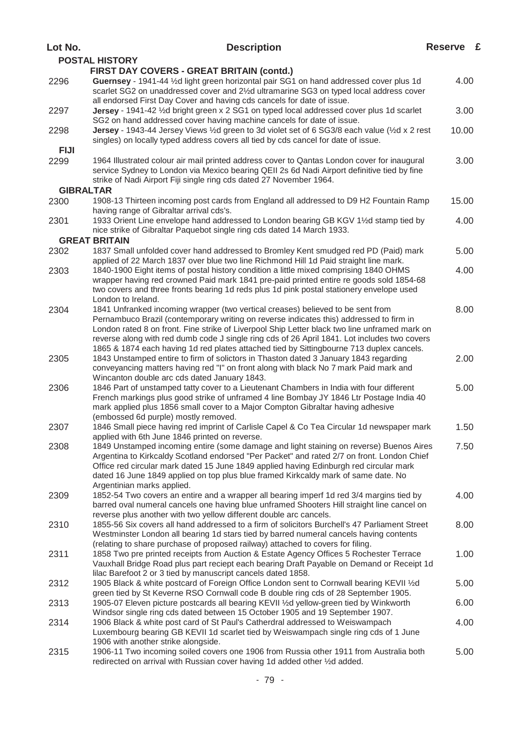| Lot No.          | <b>Description</b>                                                                                                                                                                                                                                                          | Reserve £ |  |
|------------------|-----------------------------------------------------------------------------------------------------------------------------------------------------------------------------------------------------------------------------------------------------------------------------|-----------|--|
|                  | <b>POSTAL HISTORY</b>                                                                                                                                                                                                                                                       |           |  |
|                  | FIRST DAY COVERS - GREAT BRITAIN (contd.)                                                                                                                                                                                                                                   |           |  |
| 2296             | Guernsey - 1941-44 1/2d light green horizontal pair SG1 on hand addressed cover plus 1d<br>scarlet SG2 on unaddressed cover and 21/2d ultramarine SG3 on typed local address cover<br>all endorsed First Day Cover and having cds cancels for date of issue.                | 4.00      |  |
| 2297             | Jersey - 1941-42 1/2d bright green x 2 SG1 on typed local addressed cover plus 1d scarlet<br>SG2 on hand addressed cover having machine cancels for date of issue.                                                                                                          | 3.00      |  |
| 2298             | Jersey - 1943-44 Jersey Views 1/2d green to 3d violet set of 6 SG3/8 each value (1/2d x 2 rest<br>singles) on locally typed address covers all tied by cds cancel for date of issue.                                                                                        | 10.00     |  |
| <b>FIJI</b>      |                                                                                                                                                                                                                                                                             |           |  |
| 2299             | 1964 Illustrated colour air mail printed address cover to Qantas London cover for inaugural<br>service Sydney to London via Mexico bearing QEII 2s 6d Nadi Airport definitive tied by fine<br>strike of Nadi Airport Fiji single ring cds dated 27 November 1964.           | 3.00      |  |
| <b>GIBRALTAR</b> |                                                                                                                                                                                                                                                                             |           |  |
| 2300             | 1908-13 Thirteen incoming post cards from England all addressed to D9 H2 Fountain Ramp<br>having range of Gibraltar arrival cds's.                                                                                                                                          | 15.00     |  |
| 2301             | 1933 Orient Line envelope hand addressed to London bearing GB KGV 11/2d stamp tied by<br>nice strike of Gibraltar Paquebot single ring cds dated 14 March 1933.<br><b>GREAT BRITAIN</b>                                                                                     | 4.00      |  |
| 2302             | 1837 Small unfolded cover hand addressed to Bromley Kent smudged red PD (Paid) mark                                                                                                                                                                                         | 5.00      |  |
| 2303             | applied of 22 March 1837 over blue two line Richmond Hill 1d Paid straight line mark.<br>1840-1900 Eight items of postal history condition a little mixed comprising 1840 OHMS                                                                                              | 4.00      |  |
|                  | wrapper having red crowned Paid mark 1841 pre-paid printed entire re goods sold 1854-68<br>two covers and three fronts bearing 1d reds plus 1d pink postal stationery envelope used<br>London to Ireland.                                                                   |           |  |
| 2304             | 1841 Unfranked incoming wrapper (two vertical creases) believed to be sent from<br>Pernambuco Brazil (contemporary writing on reverse indicates this) addressed to firm in<br>London rated 8 on front. Fine strike of Liverpool Ship Letter black two line unframed mark on | 8.00      |  |
|                  | reverse along with red dumb code J single ring cds of 26 April 1841. Lot includes two covers<br>1865 & 1874 each having 1d red plates attached tied by Sittingbourne 713 duplex cancels.                                                                                    |           |  |
| 2305             | 1843 Unstamped entire to firm of solictors in Thaston dated 3 January 1843 regarding<br>conveyancing matters having red "I" on front along with black No 7 mark Paid mark and<br>Wincanton double arc cds dated January 1843.                                               | 2.00      |  |
| 2306             | 1846 Part of unstamped tatty cover to a Lieutenant Chambers in India with four different<br>French markings plus good strike of unframed 4 line Bombay JY 1846 Ltr Postage India 40<br>mark applied plus 1856 small cover to a Major Compton Gibraltar having adhesive      | 5.00      |  |
| 2307             | (embossed 6d purple) mostly removed.<br>1846 Small piece having red imprint of Carlisle Capel & Co Tea Circular 1d newspaper mark<br>applied with 6th June 1846 printed on reverse.                                                                                         | 1.50      |  |
| 2308             | 1849 Unstamped incoming entire (some damage and light staining on reverse) Buenos Aires<br>Argentina to Kirkcaldy Scotland endorsed "Per Packet" and rated 2/7 on front. London Chief                                                                                       | 7.50      |  |
|                  | Office red circular mark dated 15 June 1849 applied having Edinburgh red circular mark<br>dated 16 June 1849 applied on top plus blue framed Kirkcaldy mark of same date. No<br>Argentinian marks applied.                                                                  |           |  |
| 2309             | 1852-54 Two covers an entire and a wrapper all bearing imperf 1d red 3/4 margins tied by<br>barred oval numeral cancels one having blue unframed Shooters Hill straight line cancel on<br>reverse plus another with two yellow different double arc cancels.                | 4.00      |  |
| 2310             | 1855-56 Six covers all hand addressed to a firm of solicitors Burchell's 47 Parliament Street<br>Westminster London all bearing 1d stars tied by barred numeral cancels having contents                                                                                     | 8.00      |  |
| 2311             | (relating to share purchase of proposed railway) attached to covers for filing.<br>1858 Two pre printed receipts from Auction & Estate Agency Offices 5 Rochester Terrace<br>Vauxhall Bridge Road plus part reciept each bearing Draft Payable on Demand or Receipt 1d      | 1.00      |  |
| 2312             | lilac Barefoot 2 or 3 tied by manuscript cancels dated 1858.<br>1905 Black & white postcard of Foreign Office London sent to Cornwall bearing KEVII 1/2d                                                                                                                    | 5.00      |  |
| 2313             | green tied by St Keverne RSO Cornwall code B double ring cds of 28 September 1905.<br>1905-07 Eleven picture postcards all bearing KEVII 1/2d yellow-green tied by Winkworth<br>Windsor single ring cds dated between 15 October 1905 and 19 September 1907.                | 6.00      |  |
| 2314             | 1906 Black & white post card of St Paul's Catherdral addressed to Weiswampach<br>Luxembourg bearing GB KEVII 1d scarlet tied by Weiswampach single ring cds of 1 June                                                                                                       | 4.00      |  |
| 2315             | 1906 with another strike alongside.<br>1906-11 Two incoming soiled covers one 1906 from Russia other 1911 from Australia both<br>redirected on arrival with Russian cover having 1d added other 1/2d added.                                                                 | 5.00      |  |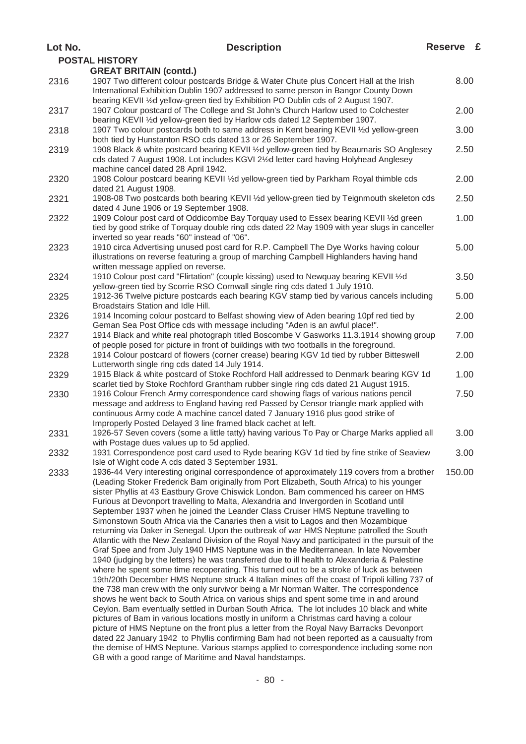| Lot No. | <b>Description</b>                                                                                                                                                                                                                                                                                                                                                                                                                                                                                                                                                                                                                                                                                                                                                                                                                                                                                                                                                                                                                                                                                                                                                                                                                                                                                                                                                                                                                                                                                                                                                                                                                                                                                                                                                                                                                                                | Reserve £ |      |
|---------|-------------------------------------------------------------------------------------------------------------------------------------------------------------------------------------------------------------------------------------------------------------------------------------------------------------------------------------------------------------------------------------------------------------------------------------------------------------------------------------------------------------------------------------------------------------------------------------------------------------------------------------------------------------------------------------------------------------------------------------------------------------------------------------------------------------------------------------------------------------------------------------------------------------------------------------------------------------------------------------------------------------------------------------------------------------------------------------------------------------------------------------------------------------------------------------------------------------------------------------------------------------------------------------------------------------------------------------------------------------------------------------------------------------------------------------------------------------------------------------------------------------------------------------------------------------------------------------------------------------------------------------------------------------------------------------------------------------------------------------------------------------------------------------------------------------------------------------------------------------------|-----------|------|
|         | <b>POSTAL HISTORY</b>                                                                                                                                                                                                                                                                                                                                                                                                                                                                                                                                                                                                                                                                                                                                                                                                                                                                                                                                                                                                                                                                                                                                                                                                                                                                                                                                                                                                                                                                                                                                                                                                                                                                                                                                                                                                                                             |           |      |
|         | <b>GREAT BRITAIN (contd.)</b>                                                                                                                                                                                                                                                                                                                                                                                                                                                                                                                                                                                                                                                                                                                                                                                                                                                                                                                                                                                                                                                                                                                                                                                                                                                                                                                                                                                                                                                                                                                                                                                                                                                                                                                                                                                                                                     |           |      |
| 2316    | 1907 Two different colour postcards Bridge & Water Chute plus Concert Hall at the Irish<br>International Exhibition Dublin 1907 addressed to same person in Bangor County Down<br>bearing KEVII 1/2d yellow-green tied by Exhibition PO Dublin cds of 2 August 1907.                                                                                                                                                                                                                                                                                                                                                                                                                                                                                                                                                                                                                                                                                                                                                                                                                                                                                                                                                                                                                                                                                                                                                                                                                                                                                                                                                                                                                                                                                                                                                                                              |           | 8.00 |
| 2317    | 1907 Colour postcard of The College and St John's Church Harlow used to Colchester<br>bearing KEVII 1/2d yellow-green tied by Harlow cds dated 12 September 1907.                                                                                                                                                                                                                                                                                                                                                                                                                                                                                                                                                                                                                                                                                                                                                                                                                                                                                                                                                                                                                                                                                                                                                                                                                                                                                                                                                                                                                                                                                                                                                                                                                                                                                                 |           | 2.00 |
| 2318    | 1907 Two colour postcards both to same address in Kent bearing KEVII 1/2d yellow-green<br>both tied by Hunstanton RSO cds dated 13 or 26 September 1907.                                                                                                                                                                                                                                                                                                                                                                                                                                                                                                                                                                                                                                                                                                                                                                                                                                                                                                                                                                                                                                                                                                                                                                                                                                                                                                                                                                                                                                                                                                                                                                                                                                                                                                          |           | 3.00 |
| 2319    | 1908 Black & white postcard bearing KEVII 1/2d yellow-green tied by Beaumaris SO Anglesey<br>cds dated 7 August 1908. Lot includes KGVI 21/2d letter card having Holyhead Anglesey<br>machine cancel dated 28 April 1942.                                                                                                                                                                                                                                                                                                                                                                                                                                                                                                                                                                                                                                                                                                                                                                                                                                                                                                                                                                                                                                                                                                                                                                                                                                                                                                                                                                                                                                                                                                                                                                                                                                         |           | 2.50 |
| 2320    | 1908 Colour postcard bearing KEVII 1/2d yellow-green tied by Parkham Royal thimble cds<br>dated 21 August 1908.                                                                                                                                                                                                                                                                                                                                                                                                                                                                                                                                                                                                                                                                                                                                                                                                                                                                                                                                                                                                                                                                                                                                                                                                                                                                                                                                                                                                                                                                                                                                                                                                                                                                                                                                                   |           | 2.00 |
| 2321    | 1908-08 Two postcards both bearing KEVII 1⁄2d yellow-green tied by Teignmouth skeleton cds<br>dated 4 June 1906 or 19 September 1908.                                                                                                                                                                                                                                                                                                                                                                                                                                                                                                                                                                                                                                                                                                                                                                                                                                                                                                                                                                                                                                                                                                                                                                                                                                                                                                                                                                                                                                                                                                                                                                                                                                                                                                                             |           | 2.50 |
| 2322    | 1909 Colour post card of Oddicombe Bay Torquay used to Essex bearing KEVII 1/2d green<br>tied by good strike of Torquay double ring cds dated 22 May 1909 with year slugs in canceller<br>inverted so year reads "60" instead of "06".                                                                                                                                                                                                                                                                                                                                                                                                                                                                                                                                                                                                                                                                                                                                                                                                                                                                                                                                                                                                                                                                                                                                                                                                                                                                                                                                                                                                                                                                                                                                                                                                                            |           | 1.00 |
| 2323    | 1910 circa Advertising unused post card for R.P. Campbell The Dye Works having colour<br>illustrations on reverse featuring a group of marching Campbell Highlanders having hand<br>written message applied on reverse.                                                                                                                                                                                                                                                                                                                                                                                                                                                                                                                                                                                                                                                                                                                                                                                                                                                                                                                                                                                                                                                                                                                                                                                                                                                                                                                                                                                                                                                                                                                                                                                                                                           |           | 5.00 |
| 2324    | 1910 Colour post card "Flirtation" (couple kissing) used to Newquay bearing KEVII 1/2d<br>yellow-green tied by Scorrie RSO Cornwall single ring cds dated 1 July 1910.                                                                                                                                                                                                                                                                                                                                                                                                                                                                                                                                                                                                                                                                                                                                                                                                                                                                                                                                                                                                                                                                                                                                                                                                                                                                                                                                                                                                                                                                                                                                                                                                                                                                                            |           | 3.50 |
| 2325    | 1912-36 Twelve picture postcards each bearing KGV stamp tied by various cancels including<br>Broadstairs Station and Idle Hill.                                                                                                                                                                                                                                                                                                                                                                                                                                                                                                                                                                                                                                                                                                                                                                                                                                                                                                                                                                                                                                                                                                                                                                                                                                                                                                                                                                                                                                                                                                                                                                                                                                                                                                                                   |           | 5.00 |
| 2326    | 1914 Incoming colour postcard to Belfast showing view of Aden bearing 10pf red tied by<br>Geman Sea Post Office cds with message including "Aden is an awful place!".                                                                                                                                                                                                                                                                                                                                                                                                                                                                                                                                                                                                                                                                                                                                                                                                                                                                                                                                                                                                                                                                                                                                                                                                                                                                                                                                                                                                                                                                                                                                                                                                                                                                                             |           | 2.00 |
| 2327    | 1914 Black and white real photograph titled Boscombe V Gasworks 11.3.1914 showing group<br>of people posed for picture in front of buildings with two footballs in the foreground.                                                                                                                                                                                                                                                                                                                                                                                                                                                                                                                                                                                                                                                                                                                                                                                                                                                                                                                                                                                                                                                                                                                                                                                                                                                                                                                                                                                                                                                                                                                                                                                                                                                                                |           | 7.00 |
| 2328    | 1914 Colour postcard of flowers (corner crease) bearing KGV 1d tied by rubber Bitteswell<br>Lutterworth single ring cds dated 14 July 1914.                                                                                                                                                                                                                                                                                                                                                                                                                                                                                                                                                                                                                                                                                                                                                                                                                                                                                                                                                                                                                                                                                                                                                                                                                                                                                                                                                                                                                                                                                                                                                                                                                                                                                                                       |           | 2.00 |
| 2329    | 1915 Black & white postcard of Stoke Rochford Hall addressed to Denmark bearing KGV 1d<br>scarlet tied by Stoke Rochford Grantham rubber single ring cds dated 21 August 1915.                                                                                                                                                                                                                                                                                                                                                                                                                                                                                                                                                                                                                                                                                                                                                                                                                                                                                                                                                                                                                                                                                                                                                                                                                                                                                                                                                                                                                                                                                                                                                                                                                                                                                    |           | 1.00 |
| 2330    | 1916 Colour French Army correspondence card showing flags of various nations pencil<br>message and address to England having red Passed by Censor triangle mark applied with<br>continuous Army code A machine cancel dated 7 January 1916 plus good strike of<br>Improperly Posted Delayed 3 line framed black cachet at left.                                                                                                                                                                                                                                                                                                                                                                                                                                                                                                                                                                                                                                                                                                                                                                                                                                                                                                                                                                                                                                                                                                                                                                                                                                                                                                                                                                                                                                                                                                                                   |           | 7.50 |
| 2331    | 1926-57 Seven covers (some a little tatty) having various To Pay or Charge Marks applied all<br>with Postage dues values up to 5d applied.                                                                                                                                                                                                                                                                                                                                                                                                                                                                                                                                                                                                                                                                                                                                                                                                                                                                                                                                                                                                                                                                                                                                                                                                                                                                                                                                                                                                                                                                                                                                                                                                                                                                                                                        |           | 3.00 |
| 2332    | 1931 Correspondence post card used to Ryde bearing KGV 1d tied by fine strike of Seaview<br>Isle of Wight code A cds dated 3 September 1931.                                                                                                                                                                                                                                                                                                                                                                                                                                                                                                                                                                                                                                                                                                                                                                                                                                                                                                                                                                                                                                                                                                                                                                                                                                                                                                                                                                                                                                                                                                                                                                                                                                                                                                                      |           | 3.00 |
| 2333    | 1936-44 Very interesting original correspondence of approximately 119 covers from a brother<br>(Leading Stoker Frederick Bam originally from Port Elizabeth, South Africa) to his younger<br>sister Phyllis at 43 Eastbury Grove Chiswick London. Bam commenced his career on HMS<br>Furious at Devonport travelling to Malta, Alexandria and Invergorden in Scotland until<br>September 1937 when he joined the Leander Class Cruiser HMS Neptune travelling to<br>Simonstown South Africa via the Canaries then a visit to Lagos and then Mozambique<br>returning via Daker in Senegal. Upon the outbreak of war HMS Neptune patrolled the South<br>Atlantic with the New Zealand Division of the Royal Navy and participated in the pursuit of the<br>Graf Spee and from July 1940 HMS Neptune was in the Mediterranean. In late November<br>1940 (judging by the letters) he was transferred due to ill health to Alexanderia & Palestine<br>where he spent some time recoperating. This turned out to be a stroke of luck as between<br>19th/20th December HMS Neptune struck 4 Italian mines off the coast of Tripoli killing 737 of<br>the 738 man crew with the only survivor being a Mr Norman Walter. The correspondence<br>shows he went back to South Africa on various ships and spent some time in and around<br>Ceylon. Bam eventually settled in Durban South Africa. The lot includes 10 black and white<br>pictures of Bam in various locations mostly in uniform a Christmas card having a colour<br>picture of HMS Neptune on the front plus a letter from the Royal Navy Barracks Devonport<br>dated 22 January 1942 to Phyllis confirming Bam had not been reported as a causualty from<br>the demise of HMS Neptune. Various stamps applied to correspondence including some non<br>GB with a good range of Maritime and Naval handstamps. | 150.00    |      |

- 80 -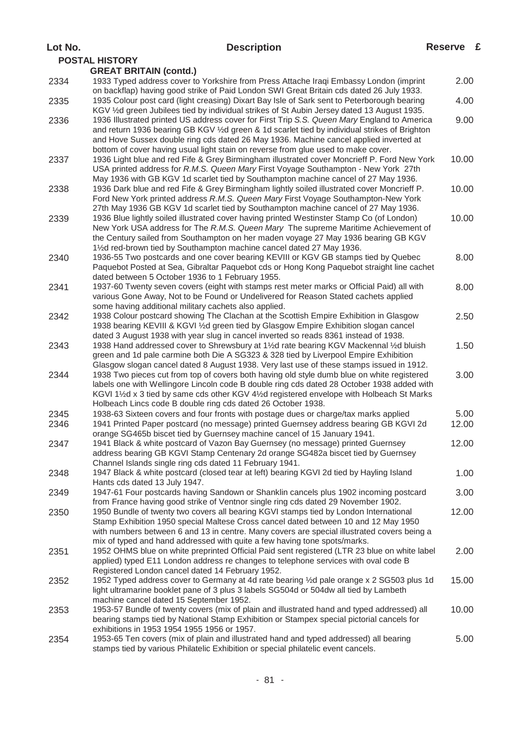| Lot No. | <b>Description</b>                                                                                                                                                                                                                                                                                                                                                         | Reserve £ |  |
|---------|----------------------------------------------------------------------------------------------------------------------------------------------------------------------------------------------------------------------------------------------------------------------------------------------------------------------------------------------------------------------------|-----------|--|
|         | <b>POSTAL HISTORY</b>                                                                                                                                                                                                                                                                                                                                                      |           |  |
|         | <b>GREAT BRITAIN (contd.)</b>                                                                                                                                                                                                                                                                                                                                              |           |  |
| 2334    | 1933 Typed address cover to Yorkshire from Press Attache Iraqi Embassy London (imprint<br>on backflap) having good strike of Paid London SWI Great Britain cds dated 26 July 1933.                                                                                                                                                                                         | 2.00      |  |
| 2335    | 1935 Colour post card (light creasing) Dixart Bay Isle of Sark sent to Peterborough bearing<br>KGV 1/2d green Jubilees tied by individual strikes of St Aubin Jersey dated 13 August 1935.                                                                                                                                                                                 | 4.00      |  |
| 2336    | 1936 Illustrated printed US address cover for First Trip S.S. Queen Mary England to America<br>and return 1936 bearing GB KGV 1/2d green & 1d scarlet tied by individual strikes of Brighton<br>and Hove Sussex double ring cds dated 26 May 1936. Machine cancel applied inverted at<br>bottom of cover having usual light stain on reverse from glue used to make cover. | 9.00      |  |
| 2337    | 1936 Light blue and red Fife & Grey Birmingham illustrated cover Moncrieff P. Ford New York<br>USA printed address for R.M.S. Queen Mary First Voyage Southampton - New York 27th<br>May 1936 with GB KGV 1d scarlet tied by Southampton machine cancel of 27 May 1936.                                                                                                    | 10.00     |  |
| 2338    | 1936 Dark blue and red Fife & Grey Birmingham lightly soiled illustrated cover Moncrieff P.<br>Ford New York printed address R.M.S. Queen Mary First Voyage Southampton-New York<br>27th May 1936 GB KGV 1d scarlet tied by Southampton machine cancel of 27 May 1936.                                                                                                     | 10.00     |  |
| 2339    | 1936 Blue lightly soiled illustrated cover having printed Westinster Stamp Co (of London)<br>New York USA address for The R.M.S. Queen Mary The supreme Maritime Achievement of<br>the Century sailed from Southampton on her maden voyage 27 May 1936 bearing GB KGV<br>11/2d red-brown tied by Southampton machine cancel dated 27 May 1936.                             | 10.00     |  |
| 2340    | 1936-55 Two postcards and one cover bearing KEVIII or KGV GB stamps tied by Quebec<br>Paquebot Posted at Sea, Gibraltar Paquebot cds or Hong Kong Paquebot straight line cachet<br>dated between 5 October 1936 to 1 February 1955.                                                                                                                                        | 8.00      |  |
| 2341    | 1937-60 Twenty seven covers (eight with stamps rest meter marks or Official Paid) all with<br>various Gone Away, Not to be Found or Undelivered for Reason Stated cachets applied<br>some having additional military cachets also applied.                                                                                                                                 | 8.00      |  |
| 2342    | 1938 Colour postcard showing The Clachan at the Scottish Empire Exhibition in Glasgow<br>1938 bearing KEVIII & KGVI 1/2d green tied by Glasgow Empire Exhibition slogan cancel<br>dated 3 August 1938 with year slug in cancel inverted so reads 8361 instead of 1938.                                                                                                     | 2.50      |  |
| 2343    | 1938 Hand addressed cover to Shrewsbury at 1½d rate bearing KGV Mackennal ½d bluish<br>green and 1d pale carmine both Die A SG323 & 328 tied by Liverpool Empire Exhibition<br>Glasgow slogan cancel dated 8 August 1938. Very last use of these stamps issued in 1912.                                                                                                    | 1.50      |  |
| 2344    | 1938 Two pieces cut from top of covers both having old style dumb blue on white registered<br>labels one with Wellingore Lincoln code B double ring cds dated 28 October 1938 added with<br>KGVI 11/2d x 3 tied by same cds other KGV 41/2d registered envelope with Holbeach St Marks<br>Holbeach Lincs code B double ring cds dated 26 October 1938.                     | 3.00      |  |
| 2345    | 1938-63 Sixteen covers and four fronts with postage dues or charge/tax marks applied                                                                                                                                                                                                                                                                                       | 5.00      |  |
| 2346    | 1941 Printed Paper postcard (no message) printed Guernsey address bearing GB KGVI 2d<br>orange SG465b biscet tied by Guernsey machine cancel of 15 January 1941.                                                                                                                                                                                                           | 12.00     |  |
| 2347    | 1941 Black & white postcard of Vazon Bay Guernsey (no message) printed Guernsey<br>address bearing GB KGVI Stamp Centenary 2d orange SG482a biscet tied by Guernsey<br>Channel Islands single ring cds dated 11 February 1941.                                                                                                                                             | 12.00     |  |
| 2348    | 1947 Black & white postcard (closed tear at left) bearing KGVI 2d tied by Hayling Island<br>Hants cds dated 13 July 1947.                                                                                                                                                                                                                                                  | 1.00      |  |
| 2349    | 1947-61 Four postcards having Sandown or Shanklin cancels plus 1902 incoming postcard<br>from France having good strike of Ventnor single ring cds dated 29 November 1902.                                                                                                                                                                                                 | 3.00      |  |
| 2350    | 1950 Bundle of twenty two covers all bearing KGVI stamps tied by London International<br>Stamp Exhibition 1950 special Maltese Cross cancel dated between 10 and 12 May 1950<br>with numbers between 6 and 13 in centre. Many covers are special illustrated covers being a<br>mix of typed and hand addressed with quite a few having tone spots/marks.                   | 12.00     |  |
| 2351    | 1952 OHMS blue on white preprinted Official Paid sent registered (LTR 23 blue on white label<br>applied) typed E11 London address re changes to telephone services with oval code B<br>Registered London cancel dated 14 February 1952.                                                                                                                                    | 2.00      |  |
| 2352    | 1952 Typed address cover to Germany at 4d rate bearing 1/2d pale orange x 2 SG503 plus 1d<br>light ultramarine booklet pane of 3 plus 3 labels SG504d or 504dw all tied by Lambeth<br>machine cancel dated 15 September 1952.                                                                                                                                              | 15.00     |  |
| 2353    | 1953-57 Bundle of twenty covers (mix of plain and illustrated hand and typed addressed) all<br>bearing stamps tied by National Stamp Exhibition or Stampex special pictorial cancels for<br>exhibitions in 1953 1954 1955 1956 or 1957.                                                                                                                                    | 10.00     |  |
| 2354    | 1953-65 Ten covers (mix of plain and illustrated hand and typed addressed) all bearing<br>stamps tied by various Philatelic Exhibition or special philatelic event cancels.                                                                                                                                                                                                | 5.00      |  |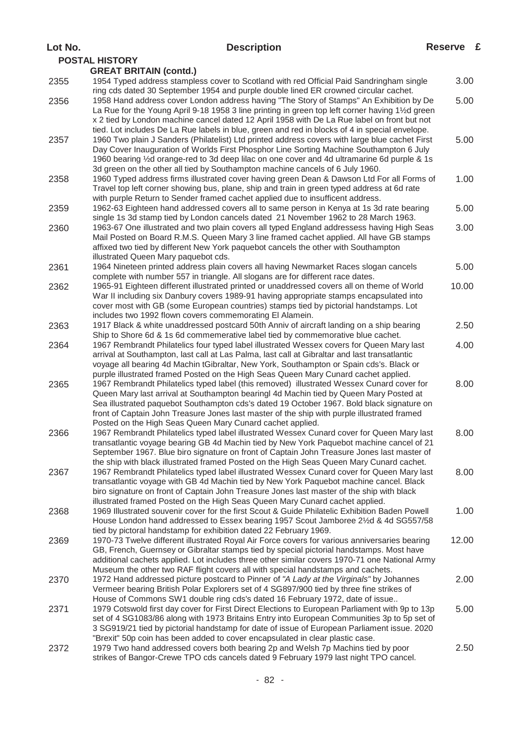| Lot No. | <b>Description</b>                                                                                                                                                                                                                                                                                                                                                                                                                                                                                                                  | Reserve £ |  |
|---------|-------------------------------------------------------------------------------------------------------------------------------------------------------------------------------------------------------------------------------------------------------------------------------------------------------------------------------------------------------------------------------------------------------------------------------------------------------------------------------------------------------------------------------------|-----------|--|
|         | <b>POSTAL HISTORY</b>                                                                                                                                                                                                                                                                                                                                                                                                                                                                                                               |           |  |
|         | <b>GREAT BRITAIN (contd.)</b>                                                                                                                                                                                                                                                                                                                                                                                                                                                                                                       |           |  |
| 2355    | 1954 Typed address stampless cover to Scotland with red Official Paid Sandringham single                                                                                                                                                                                                                                                                                                                                                                                                                                            | 3.00      |  |
| 2356    | ring cds dated 30 September 1954 and purple double lined ER crowned circular cachet.<br>1958 Hand address cover London address having "The Story of Stamps" An Exhibition by De<br>La Rue for the Young April 9-18 1958 3 line printing in green top left corner having 1½d green<br>x 2 tied by London machine cancel dated 12 April 1958 with De La Rue label on front but not                                                                                                                                                    | 5.00      |  |
| 2357    | tied. Lot includes De La Rue labels in blue, green and red in blocks of 4 in special envelope.<br>1960 Two plain J Sanders (Philatelist) Ltd printed address covers with large blue cachet First<br>Day Cover Inauguration of Worlds First Phosphor Line Sorting Machine Southampton 6 July<br>1960 bearing 1/2d orange-red to 3d deep lilac on one cover and 4d ultramarine 6d purple & 1s<br>3d green on the other all tied by Southampton machine cancels of 6 July 1960.                                                        | 5.00      |  |
| 2358    | 1960 Typed address firms illustrated cover having green Dean & Dawson Ltd For all Forms of<br>Travel top left corner showing bus, plane, ship and train in green typed address at 6d rate<br>with purple Return to Sender framed cachet applied due to insufficent address.                                                                                                                                                                                                                                                         | 1.00      |  |
| 2359    | 1962-63 Eighteen hand addressed covers all to same person in Kenya at 1s 3d rate bearing<br>single 1s 3d stamp tied by London cancels dated 21 November 1962 to 28 March 1963.                                                                                                                                                                                                                                                                                                                                                      | 5.00      |  |
| 2360    | 1963-67 One illustrated and two plain covers all typed England addressess having High Seas<br>Mail Posted on Board R.M.S. Queen Mary 3 line framed cachet applied. All have GB stamps<br>affixed two tied by different New York paquebot cancels the other with Southampton<br>illustrated Queen Mary paquebot cds.                                                                                                                                                                                                                 | 3.00      |  |
| 2361    | 1964 Nineteen printed address plain covers all having Newmarket Races slogan cancels<br>complete with number 557 in triangle. All slogans are for different race dates.                                                                                                                                                                                                                                                                                                                                                             | 5.00      |  |
| 2362    | 1965-91 Eighteen different illustrated printed or unaddressed covers all on theme of World<br>War II including six Danbury covers 1989-91 having appropriate stamps encapsulated into<br>cover most with GB (some European countries) stamps tied by pictorial handstamps. Lot<br>includes two 1992 flown covers commemorating El Alamein.                                                                                                                                                                                          | 10.00     |  |
| 2363    | 1917 Black & white unaddressed postcard 50th Anniv of aircraft landing on a ship bearing<br>Ship to Shore 6d & 1s 6d commemerative label tied by commemorative blue cachet.                                                                                                                                                                                                                                                                                                                                                         | 2.50      |  |
| 2364    | 1967 Rembrandt Philatelics four typed label illustrated Wessex covers for Queen Mary last<br>arrival at Southampton, last call at Las Palma, last call at Gibraltar and last transatlantic<br>voyage all bearing 4d Machin tGibraltar, New York, Southampton or Spain cds's. Black or                                                                                                                                                                                                                                               | 4.00      |  |
| 2365    | purple illustrated framed Posted on the High Seas Queen Mary Cunard cachet applied.<br>1967 Rembrandt Philatelics typed label (this removed) illustrated Wessex Cunard cover for<br>Queen Mary last arrival at Southampton bearingl 4d Machin tied by Queen Mary Posted at<br>Sea illustrated paquebot Southampton cds's dated 19 October 1967. Bold black signature on<br>front of Captain John Treasure Jones last master of the ship with purple illustrated framed<br>Posted on the High Seas Queen Mary Cunard cachet applied. | 8.00      |  |
| 2366    | 1967 Rembrandt Philatelics typed label illustrated Wessex Cunard cover for Queen Mary last<br>transatlantic voyage bearing GB 4d Machin tied by New York Paquebot machine cancel of 21<br>September 1967. Blue biro signature on front of Captain John Treasure Jones last master of<br>the ship with black illustrated framed Posted on the High Seas Queen Mary Cunard cachet.                                                                                                                                                    | 8.00      |  |
| 2367    | 1967 Rembrandt Philatelics typed label illustrated Wessex Cunard cover for Queen Mary last<br>transatlantic voyage with GB 4d Machin tied by New York Paquebot machine cancel. Black<br>biro signature on front of Captain John Treasure Jones last master of the ship with black<br>illustrated framed Posted on the High Seas Queen Mary Cunard cachet applied.                                                                                                                                                                   | 8.00      |  |
| 2368    | 1969 Illustrated souvenir cover for the first Scout & Guide Philatelic Exhibition Baden Powell<br>House London hand addressed to Essex bearing 1957 Scout Jamboree 21/2d & 4d SG557/58<br>tied by pictoral handstamp for exhibition dated 22 February 1969.                                                                                                                                                                                                                                                                         | 1.00      |  |
| 2369    | 1970-73 Twelve different illustrated Royal Air Force covers for various anniversaries bearing<br>GB, French, Guernsey or Gibraltar stamps tied by special pictorial handstamps. Most have<br>additional cachets applied. Lot includes three other similar covers 1970-71 one National Army<br>Museum the other two RAF flight covers all with special handstamps and cachets.                                                                                                                                                       | 12.00     |  |
| 2370    | 1972 Hand addressed picture postcard to Pinner of "A Lady at the Virginals" by Johannes<br>Vermeer bearing British Polar Explorers set of 4 SG897/900 tied by three fine strikes of<br>House of Commons SW1 double ring cds's dated 16 February 1972, date of issue                                                                                                                                                                                                                                                                 | 2.00      |  |
| 2371    | 1979 Cotswold first day cover for First Direct Elections to European Parliament with 9p to 13p<br>set of 4 SG1083/86 along with 1973 Britains Entry into European Communities 3p to 5p set of<br>3 SG919/21 tied by pictorial handstamp for date of issue of European Parliament issue. 2020<br>"Brexit" 50p coin has been added to cover encapsulated in clear plastic case.                                                                                                                                                       | 5.00      |  |
| 2372    | 1979 Two hand addressed covers both bearing 2p and Welsh 7p Machins tied by poor<br>strikes of Bangor-Crewe TPO cds cancels dated 9 February 1979 last night TPO cancel.                                                                                                                                                                                                                                                                                                                                                            | 2.50      |  |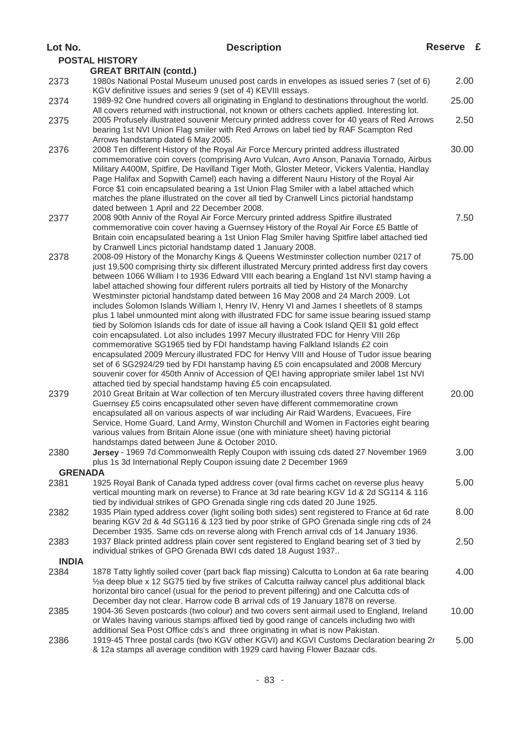| Lot No.        | <b>Description</b>                                                                                                                                                                                                                                                                                                                                                                                                                                                                                                                                                                                                                                                                                                                                                                                                                                                                                                                                                                                                                                                                                                                                                                                                                                                                         | Reserve £ |  |
|----------------|--------------------------------------------------------------------------------------------------------------------------------------------------------------------------------------------------------------------------------------------------------------------------------------------------------------------------------------------------------------------------------------------------------------------------------------------------------------------------------------------------------------------------------------------------------------------------------------------------------------------------------------------------------------------------------------------------------------------------------------------------------------------------------------------------------------------------------------------------------------------------------------------------------------------------------------------------------------------------------------------------------------------------------------------------------------------------------------------------------------------------------------------------------------------------------------------------------------------------------------------------------------------------------------------|-----------|--|
|                | <b>POSTAL HISTORY</b>                                                                                                                                                                                                                                                                                                                                                                                                                                                                                                                                                                                                                                                                                                                                                                                                                                                                                                                                                                                                                                                                                                                                                                                                                                                                      |           |  |
|                | <b>GREAT BRITAIN (contd.)</b>                                                                                                                                                                                                                                                                                                                                                                                                                                                                                                                                                                                                                                                                                                                                                                                                                                                                                                                                                                                                                                                                                                                                                                                                                                                              |           |  |
| 2373           | 1980s National Postal Museum unused post cards in envelopes as issued series 7 (set of 6)<br>KGV definitive issues and series 9 (set of 4) KEVIII essays.                                                                                                                                                                                                                                                                                                                                                                                                                                                                                                                                                                                                                                                                                                                                                                                                                                                                                                                                                                                                                                                                                                                                  | 2.00      |  |
| 2374           | 1989-92 One hundred covers all originating in England to destinations throughout the world.<br>All covers returned with instructional, not known or others cachets applied. Interesting lot.                                                                                                                                                                                                                                                                                                                                                                                                                                                                                                                                                                                                                                                                                                                                                                                                                                                                                                                                                                                                                                                                                               | 25.00     |  |
| 2375           | 2005 Profusely illustrated souvenir Mercury printed address cover for 40 years of Red Arrows<br>bearing 1st NVI Union Flag smiler with Red Arrows on label tied by RAF Scampton Red<br>Arrows handstamp dated 6 May 2005.                                                                                                                                                                                                                                                                                                                                                                                                                                                                                                                                                                                                                                                                                                                                                                                                                                                                                                                                                                                                                                                                  | 2.50      |  |
| 2376           | 2008 Ten different History of the Royal Air Force Mercury printed address illustrated<br>commemorative coin covers (comprising Avro Vulcan, Avro Anson, Panavia Tornado, Airbus<br>Military A400M, Spitfire, De Havilland Tiger Moth, Gloster Meteor, Vickers Valentia, Handlay<br>Page Halifax and Sopwith Camel) each having a different Nauru History of the Royal Air<br>Force \$1 coin encapsulated bearing a 1st Union Flag Smiler with a label attached which<br>matches the plane illustrated on the cover all tied by Cranwell Lincs pictorial handstamp<br>dated between 1 April and 22 December 2008.                                                                                                                                                                                                                                                                                                                                                                                                                                                                                                                                                                                                                                                                           | 30.00     |  |
| 2377           | 2008 90th Anniv of the Royal Air Force Mercury printed address Spitfire illustrated<br>commemorative coin cover having a Guernsey History of the Royal Air Force £5 Battle of<br>Britain coin encapsulated bearing a 1st Union Flag Smiler having Spitfire label attached tied<br>by Cranwell Lincs pictorial handstamp dated 1 January 2008.                                                                                                                                                                                                                                                                                                                                                                                                                                                                                                                                                                                                                                                                                                                                                                                                                                                                                                                                              | 7.50      |  |
| 2378           | 2008-09 History of the Monarchy Kings & Queens Westminster collection number 0217 of<br>just 19,500 comprising thirty six different illustrated Mercury printed address first day covers<br>between 1066 William I to 1936 Edward VIII each bearing a England 1st NVI stamp having a<br>label attached showing four different rulers portraits all tied by History of the Monarchy<br>Westminster pictorial handstamp dated between 16 May 2008 and 24 March 2009. Lot<br>includes Solomon Islands William I, Henry IV, Henry VI and James I sheetlets of 8 stamps<br>plus 1 label unmounted mint along with illustrated FDC for same issue bearing issued stamp<br>tied by Solomon Islands cds for date of issue all having a Cook Island QEII \$1 gold effect<br>coin encapsulated. Lot also includes 1997 Mecury illustrated FDC for Henry VIII 26p<br>commemorative SG1965 tied by FDI handstamp having Falkland Islands £2 coin<br>encapsulated 2009 Mercury illustrated FDC for Henvy VIII and House of Tudor issue bearing<br>set of 6 SG2924/29 tied by FDI hanstamp having £5 coin encapsulated and 2008 Mercury<br>souvenir cover for 450th Anniv of Accession of QEI having appropriate smiler label 1st NVI<br>attached tied by special handstamp having £5 coin encapsulated. | 75.00     |  |
| 2379           | 2010 Great Britain at War collection of ten Mercury illustrated covers three having different<br>Guernsey £5 coins encapsulated other seven have different commemoratine crown<br>encapsulated all on various aspects of war including Air Raid Wardens, Evacuees, Fire<br>Service, Home Guard, Land Army, Winston Churchill and Women in Factories eight bearing<br>various values from Britain Alone issue (one with miniature sheet) having pictorial<br>handstamps dated between June & October 2010.                                                                                                                                                                                                                                                                                                                                                                                                                                                                                                                                                                                                                                                                                                                                                                                  | 20.00     |  |
| 2380           | Jersey - 1969 7d Commonwealth Reply Coupon with issuing cds dated 27 November 1969<br>plus 1s 3d International Reply Coupon issuing date 2 December 1969                                                                                                                                                                                                                                                                                                                                                                                                                                                                                                                                                                                                                                                                                                                                                                                                                                                                                                                                                                                                                                                                                                                                   | 3.00      |  |
| <b>GRENADA</b> |                                                                                                                                                                                                                                                                                                                                                                                                                                                                                                                                                                                                                                                                                                                                                                                                                                                                                                                                                                                                                                                                                                                                                                                                                                                                                            |           |  |
| 2381           | 1925 Royal Bank of Canada typed address cover (oval firms cachet on reverse plus heavy<br>vertical mounting mark on reverse) to France at 3d rate bearing KGV 1d & 2d SG114 & 116<br>tied by individual strikes of GPO Grenada single ring cds dated 20 June 1925.                                                                                                                                                                                                                                                                                                                                                                                                                                                                                                                                                                                                                                                                                                                                                                                                                                                                                                                                                                                                                         | 5.00      |  |
| 2382           | 1935 Plain typed address cover (light soiling both sides) sent registered to France at 6d rate<br>bearing KGV 2d & 4d SG116 & 123 tied by poor strike of GPO Grenada single ring cds of 24<br>December 1935. Same cds on reverse along with French arrival cds of 14 January 1936.                                                                                                                                                                                                                                                                                                                                                                                                                                                                                                                                                                                                                                                                                                                                                                                                                                                                                                                                                                                                         | 8.00      |  |
| 2383           | 1937 Black printed address plain cover sent registered to England bearing set of 3 tied by<br>individual strikes of GPO Grenada BWI cds dated 18 August 1937                                                                                                                                                                                                                                                                                                                                                                                                                                                                                                                                                                                                                                                                                                                                                                                                                                                                                                                                                                                                                                                                                                                               | 2.50      |  |
| <b>INDIA</b>   |                                                                                                                                                                                                                                                                                                                                                                                                                                                                                                                                                                                                                                                                                                                                                                                                                                                                                                                                                                                                                                                                                                                                                                                                                                                                                            |           |  |
| 2384           | 1878 Tatty lightly soiled cover (part back flap missing) Calcutta to London at 6a rate bearing<br>1/2 a deep blue x 12 SG75 tied by five strikes of Calcutta railway cancel plus additional black<br>horizontal biro cancel (usual for the period to prevent pilfering) and one Calcutta cds of<br>December day not clear. Harrow code B arrival cds of 19 January 1878 on reverse.                                                                                                                                                                                                                                                                                                                                                                                                                                                                                                                                                                                                                                                                                                                                                                                                                                                                                                        | 4.00      |  |
| 2385           | 1904-36 Seven postcards (two colour) and two covers sent airmail used to England, Ireland<br>or Wales having various stamps affixed tied by good range of cancels including two with<br>additional Sea Post Office cds's and three originating in what is now Pakistan.                                                                                                                                                                                                                                                                                                                                                                                                                                                                                                                                                                                                                                                                                                                                                                                                                                                                                                                                                                                                                    | 10.00     |  |
| 2386           | 1919-45 Three postal cards (two KGV other KGVI) and KGVI Customs Declaration bearing 2r<br>& 12a stamps all average condition with 1929 card having Flower Bazaar cds.                                                                                                                                                                                                                                                                                                                                                                                                                                                                                                                                                                                                                                                                                                                                                                                                                                                                                                                                                                                                                                                                                                                     | 5.00      |  |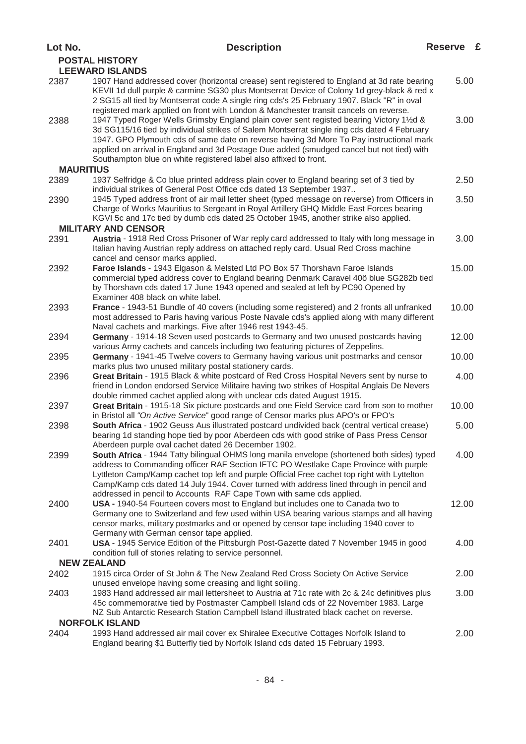|                       | <b>POSTAL HISTORY</b><br><b>LEEWARD ISLANDS</b>                                                                                                                                                                                                                                                                                                                                                                                                                                                                                             |       |
|-----------------------|---------------------------------------------------------------------------------------------------------------------------------------------------------------------------------------------------------------------------------------------------------------------------------------------------------------------------------------------------------------------------------------------------------------------------------------------------------------------------------------------------------------------------------------------|-------|
| 2387                  | 1907 Hand addressed cover (horizontal crease) sent registered to England at 3d rate bearing<br>KEVII 1d dull purple & carmine SG30 plus Montserrat Device of Colony 1d grey-black & red x<br>2 SG15 all tied by Montserrat code A single ring cds's 25 February 1907. Black "R" in oval                                                                                                                                                                                                                                                     | 5.00  |
| 2388                  | registered mark applied on front with London & Manchester transit cancels on reverse.<br>1947 Typed Roger Wells Grimsby England plain cover sent registed bearing Victory 1½d &<br>3d SG115/16 tied by individual strikes of Salem Montserrat single ring cds dated 4 February<br>1947. GPO Plymouth cds of same date on reverse having 3d More To Pay instructional mark<br>applied on arrival in England and 3d Postage Due added (smudged cancel but not tied) with<br>Southampton blue on white registered label also affixed to front. | 3.00  |
| <b>MAURITIUS</b>      |                                                                                                                                                                                                                                                                                                                                                                                                                                                                                                                                             |       |
| 2389                  | 1937 Selfridge & Co blue printed address plain cover to England bearing set of 3 tied by<br>individual strikes of General Post Office cds dated 13 September 1937                                                                                                                                                                                                                                                                                                                                                                           | 2.50  |
| 2390                  | 1945 Typed address front of air mail letter sheet (typed message on reverse) from Officers in<br>Charge of Works Mauritius to Sergeant in Royal Artillery GHQ Middle East Forces bearing<br>KGVI 5c and 17c tied by dumb cds dated 25 October 1945, another strike also applied.                                                                                                                                                                                                                                                            | 3.50  |
|                       | <b>MILITARY AND CENSOR</b>                                                                                                                                                                                                                                                                                                                                                                                                                                                                                                                  |       |
| 2391                  | Austria - 1918 Red Cross Prisoner of War reply card addressed to Italy with long message in<br>Italian having Austrian reply address on attached reply card. Usual Red Cross machine<br>cancel and censor marks applied.                                                                                                                                                                                                                                                                                                                    | 3.00  |
| 2392                  | Faroe Islands - 1943 Elgason & Melsted Ltd PO Box 57 Thorshavn Faroe Islands<br>commercial typed address cover to England bearing Denmark Caravel 40ö blue SG282b tied<br>by Thorshavn cds dated 17 June 1943 opened and sealed at left by PC90 Opened by<br>Examiner 408 black on white label.                                                                                                                                                                                                                                             | 15.00 |
| 2393                  | France - 1943-51 Bundle of 40 covers (including some registered) and 2 fronts all unfranked<br>most addressed to Paris having various Poste Navale cds's applied along with many different<br>Naval cachets and markings. Five after 1946 rest 1943-45.                                                                                                                                                                                                                                                                                     | 10.00 |
| 2394                  | Germany - 1914-18 Seven used postcards to Germany and two unused postcards having<br>various Army cachets and cancels including two featuring pictures of Zeppelins.                                                                                                                                                                                                                                                                                                                                                                        | 12.00 |
| 2395                  | Germany - 1941-45 Twelve covers to Germany having various unit postmarks and censor<br>marks plus two unused military postal stationery cards.                                                                                                                                                                                                                                                                                                                                                                                              | 10.00 |
| 2396                  | Great Britain - 1915 Black & white postcard of Red Cross Hospital Nevers sent by nurse to<br>friend in London endorsed Service Militaire having two strikes of Hospital Anglais De Nevers<br>double rimmed cachet applied along with unclear cds dated August 1915.                                                                                                                                                                                                                                                                         | 4.00  |
| 2397                  | Great Britain - 1915-18 Six picture postcards and one Field Service card from son to mother<br>in Bristol all "On Active Service" good range of Censor marks plus APO's or FPO's                                                                                                                                                                                                                                                                                                                                                            | 10.00 |
| 2398                  | South Africa - 1902 Geuss Aus illustrated postcard undivided back (central vertical crease)<br>bearing 1d standing hope tied by poor Aberdeen cds with good strike of Pass Press Censor<br>Aberdeen purple oval cachet dated 26 December 1902.                                                                                                                                                                                                                                                                                              | 5.00  |
| 2399                  | South Africa - 1944 Tatty bilingual OHMS long manila envelope (shortened both sides) typed<br>address to Commanding officer RAF Section IFTC PO Westlake Cape Province with purple<br>Lyttleton Camp/Kamp cachet top left and purple Official Free cachet top right with Lyttelton<br>Camp/Kamp cds dated 14 July 1944. Cover turned with address lined through in pencil and<br>addressed in pencil to Accounts RAF Cape Town with same cds applied.                                                                                       | 4.00  |
| 2400                  | USA - 1940-54 Fourteen covers most to England but includes one to Canada two to<br>Germany one to Switzerland and few used within USA bearing various stamps and all having<br>censor marks, military postmarks and or opened by censor tape including 1940 cover to<br>Germany with German censor tape applied.                                                                                                                                                                                                                            | 12.00 |
| 2401                  | USA - 1945 Service Edition of the Pittsburgh Post-Gazette dated 7 November 1945 in good<br>condition full of stories relating to service personnel.                                                                                                                                                                                                                                                                                                                                                                                         | 4.00  |
|                       | <b>NEW ZEALAND</b>                                                                                                                                                                                                                                                                                                                                                                                                                                                                                                                          |       |
| 2402                  | 1915 circa Order of St John & The New Zealand Red Cross Society On Active Service                                                                                                                                                                                                                                                                                                                                                                                                                                                           | 2.00  |
| 2403                  | unused envelope having some creasing and light soiling.<br>1983 Hand addressed air mail lettersheet to Austria at 71c rate with 2c & 24c definitives plus<br>45c commemorative tied by Postmaster Campbell Island cds of 22 November 1983. Large<br>NZ Sub Antarctic Research Station Campbell Island illustrated black cachet on reverse.                                                                                                                                                                                                  | 3.00  |
| <b>NORFOLK ISLAND</b> |                                                                                                                                                                                                                                                                                                                                                                                                                                                                                                                                             |       |
| 2404                  | 1993 Hand addressed air mail cover ex Shiralee Executive Cottages Norfolk Island to<br>England bearing \$1 Butterfly tied by Norfolk Island cds dated 15 February 1993.                                                                                                                                                                                                                                                                                                                                                                     | 2.00  |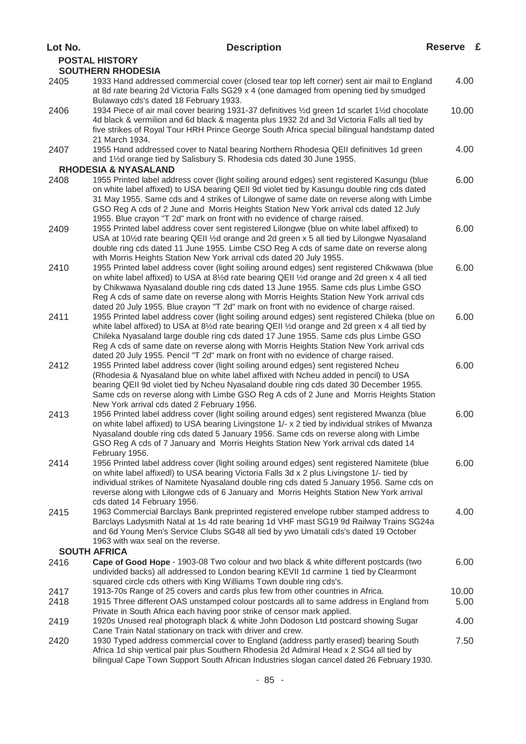| ×<br>۰.<br>۹ | ۹ |
|--------------|---|
|--------------|---|

|      | <b>POSTAL HISTORY</b>                                                                                                                                                               |       |
|------|-------------------------------------------------------------------------------------------------------------------------------------------------------------------------------------|-------|
|      | <b>SOUTHERN RHODESIA</b>                                                                                                                                                            |       |
| 2405 | 1933 Hand addressed commercial cover (closed tear top left corner) sent air mail to England                                                                                         | 4.00  |
|      | at 8d rate bearing 2d Victoria Falls SG29 x 4 (one damaged from opening tied by smudged                                                                                             |       |
|      | Bulawayo cds's dated 18 February 1933.                                                                                                                                              |       |
| 2406 | 1934 Piece of air mail cover bearing 1931-37 definitives 1/2d green 1d scarlet 11/2d chocolate                                                                                      | 10.00 |
|      | 4d black & vermilion and 6d black & magenta plus 1932 2d and 3d Victoria Falls all tied by                                                                                          |       |
|      | five strikes of Royal Tour HRH Prince George South Africa special bilingual handstamp dated                                                                                         |       |
|      | 21 March 1934.                                                                                                                                                                      |       |
| 2407 | 1955 Hand addressed cover to Natal bearing Northern Rhodesia QEII definitives 1d green                                                                                              | 4.00  |
|      | and 11/2d orange tied by Salisbury S. Rhodesia cds dated 30 June 1955.                                                                                                              |       |
|      | <b>RHODESIA &amp; NYASALAND</b>                                                                                                                                                     |       |
| 2408 | 1955 Printed label address cover (light soiling around edges) sent registered Kasungu (blue                                                                                         | 6.00  |
|      | on white label affixed) to USA bearing QEII 9d violet tied by Kasungu double ring cds dated                                                                                         |       |
|      | 31 May 1955. Same cds and 4 strikes of Lilongwe of same date on reverse along with Limbe                                                                                            |       |
|      | GSO Reg A cds of 2 June and Morris Heights Station New York arrival cds dated 12 July                                                                                               |       |
|      | 1955. Blue crayon "T 2d" mark on front with no evidence of charge raised.                                                                                                           |       |
| 2409 | 1955 Printed label address cover sent registered Lilongwe (blue on white label affixed) to                                                                                          | 6.00  |
|      | USA at 10½d rate bearing QEII ½d orange and 2d green x 5 all tied by Lilongwe Nyasaland                                                                                             |       |
|      | double ring cds dated 11 June 1955. Limbe CSO Reg A cds of same date on reverse along                                                                                               |       |
|      | with Morris Heights Station New York arrival cds dated 20 July 1955.                                                                                                                |       |
| 2410 | 1955 Printed label address cover (light soiling around edges) sent registered Chikwawa (blue                                                                                        | 6.00  |
|      | on white label affixed) to USA at 8½d rate bearing QEII ½d orange and 2d green x 4 all tied                                                                                         |       |
|      | by Chikwawa Nyasaland double ring cds dated 13 June 1955. Same cds plus Limbe GSO                                                                                                   |       |
|      | Reg A cds of same date on reverse along with Morris Heights Station New York arrival cds<br>dated 20 July 1955. Blue crayon "T 2d" mark on front with no evidence of charge raised. |       |
| 2411 | 1955 Printed label address cover (light soiling around edges) sent registered Chileka (blue on                                                                                      | 6.00  |
|      | white label affixed) to USA at 8½d rate bearing QEII ½d orange and 2d green x 4 all tied by                                                                                         |       |
|      | Chileka Nyasaland large double ring cds dated 17 June 1955. Same cds plus Limbe GSO                                                                                                 |       |
|      | Reg A cds of same date on reverse along with Morris Heights Station New York arrival cds                                                                                            |       |
|      | dated 20 July 1955. Pencil "T 2d" mark on front with no evidence of charge raised.                                                                                                  |       |
| 2412 | 1955 Printed label address cover (light soiling around edges) sent registered Ncheu                                                                                                 | 6.00  |
|      | (Rhodesia & Nyasaland blue on white label affixed with Ncheu added in pencil) to USA                                                                                                |       |
|      | bearing QEII 9d violet tied by Ncheu Nyasaland double ring cds dated 30 December 1955.                                                                                              |       |
|      | Same cds on reverse along with Limbe GSO Reg A cds of 2 June and Morris Heights Station                                                                                             |       |
|      | New York arrival cds dated 2 February 1956.                                                                                                                                         |       |
| 2413 | 1956 Printed label address cover (light soiling around edges) sent registered Mwanza (blue                                                                                          | 6.00  |
|      | on white label affixed) to USA bearing Livingstone 1/- x 2 tied by individual strikes of Mwanza                                                                                     |       |
|      | Nyasaland double ring cds dated 5 January 1956. Same cds on reverse along with Limbe                                                                                                |       |
|      | GSO Reg A cds of 7 January and Morris Heights Station New York arrival cds dated 14                                                                                                 |       |
|      | February 1956.                                                                                                                                                                      |       |
| 2414 | 1956 Printed label address cover (light soiling around edges) sent registered Namitete (blue                                                                                        | 6.00  |
|      | on white label affixedl) to USA bearing Victoria Falls 3d x 2 plus Livingstone 1/- tied by                                                                                          |       |
|      | individual strikes of Namitete Nyasaland double ring cds dated 5 January 1956. Same cds on                                                                                          |       |
|      | reverse along with Lilongwe cds of 6 January and Morris Heights Station New York arrival                                                                                            |       |
|      | cds dated 14 February 1956.                                                                                                                                                         |       |
| 2415 | 1963 Commercial Barclays Bank preprinted registered envelope rubber stamped address to                                                                                              | 4.00  |
|      | Barclays Ladysmith Natal at 1s 4d rate bearing 1d VHF mast SG19 9d Railway Trains SG24a                                                                                             |       |
|      | and 6d Young Men's Service Clubs SG48 all tied by ywo Umatali cds's dated 19 October<br>1963 with wax seal on the reverse.                                                          |       |
|      | <b>SOUTH AFRICA</b>                                                                                                                                                                 |       |
|      |                                                                                                                                                                                     |       |
| 2416 | Cape of Good Hope - 1903-08 Two colour and two black & white different postcards (two<br>undivided backs) all addressed to London bearing KEVII 1d carmine 1 tied by Clearmont      | 6.00  |
|      | squared circle cds others with King Williams Town double ring cds's.                                                                                                                |       |
| 2417 | 1913-70s Range of 25 covers and cards plus few from other countries in Africa.                                                                                                      | 10.00 |
| 2418 | 1915 Three different OAS unstamped colour postcards all to same address in England from                                                                                             | 5.00  |
|      | Private in South Africa each having poor strike of censor mark applied.                                                                                                             |       |
| 2419 | 1920s Unused real photograph black & white John Dodoson Ltd postcard showing Sugar                                                                                                  | 4.00  |
|      | Cane Train Natal stationary on track with driver and crew.                                                                                                                          |       |
| 2420 | 1930 Typed address commercial cover to England (address partly erased) bearing South                                                                                                | 7.50  |
|      | Africa 1d ship vertical pair plus Southern Rhodesia 2d Admiral Head x 2 SG4 all tied by                                                                                             |       |
|      | bilingual Cape Town Support South African Industries slogan cancel dated 26 February 1930.                                                                                          |       |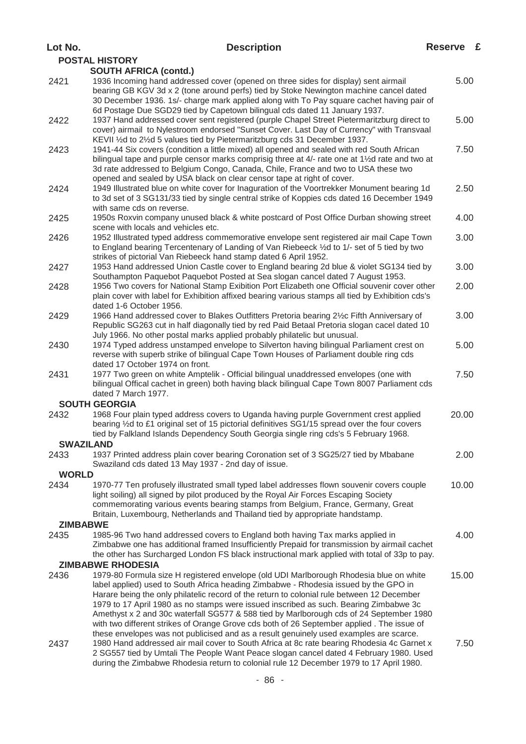| Lot No.              | <b>Description</b>                                                                                                                                                                                                                                                                                                                                                                                                                                                                                                                                                                                                                                       | Reserve £ |  |
|----------------------|----------------------------------------------------------------------------------------------------------------------------------------------------------------------------------------------------------------------------------------------------------------------------------------------------------------------------------------------------------------------------------------------------------------------------------------------------------------------------------------------------------------------------------------------------------------------------------------------------------------------------------------------------------|-----------|--|
|                      | <b>POSTAL HISTORY</b>                                                                                                                                                                                                                                                                                                                                                                                                                                                                                                                                                                                                                                    |           |  |
|                      | <b>SOUTH AFRICA (contd.)</b>                                                                                                                                                                                                                                                                                                                                                                                                                                                                                                                                                                                                                             |           |  |
| 2421                 | 1936 Incoming hand addressed cover (opened on three sides for display) sent airmail<br>bearing GB KGV 3d x 2 (tone around perfs) tied by Stoke Newington machine cancel dated<br>30 December 1936. 1s/- charge mark applied along with To Pay square cachet having pair of                                                                                                                                                                                                                                                                                                                                                                               | 5.00      |  |
| 2422                 | 6d Postage Due SGD29 tied by Capetown bilingual cds dated 11 January 1937.<br>1937 Hand addressed cover sent registered (purple Chapel Street Pietermaritzburg direct to<br>cover) airmail to Nylestroom endorsed "Sunset Cover. Last Day of Currency" with Transvaal<br>KEVII 1/2d to 21/2d 5 values tied by Pietermaritzburg cds 31 December 1937.                                                                                                                                                                                                                                                                                                     | 5.00      |  |
| 2423                 | 1941-44 Six covers (condition a little mixed) all opened and sealed with red South African<br>bilingual tape and purple censor marks comprisig three at 4/- rate one at 1½ drate and two at<br>3d rate addressed to Belgium Congo, Canada, Chile, France and two to USA these two<br>opened and sealed by USA black on clear censor tape at right of cover.                                                                                                                                                                                                                                                                                              | 7.50      |  |
| 2424                 | 1949 Illustrated blue on white cover for Inaguration of the Voortrekker Monument bearing 1d<br>to 3d set of 3 SG131/33 tied by single central strike of Koppies cds dated 16 December 1949<br>with same cds on reverse.                                                                                                                                                                                                                                                                                                                                                                                                                                  | 2.50      |  |
| 2425                 | 1950s Roxvin company unused black & white postcard of Post Office Durban showing street<br>scene with locals and vehicles etc.                                                                                                                                                                                                                                                                                                                                                                                                                                                                                                                           | 4.00      |  |
| 2426                 | 1952 Illustrated typed address commemorative envelope sent registered air mail Cape Town<br>to England bearing Tercentenary of Landing of Van Riebeeck 1/2d to 1/- set of 5 tied by two<br>strikes of pictorial Van Riebeeck hand stamp dated 6 April 1952.                                                                                                                                                                                                                                                                                                                                                                                              | 3.00      |  |
| 2427                 | 1953 Hand addressed Union Castle cover to England bearing 2d blue & violet SG134 tied by<br>Southampton Paquebot Paquebot Posted at Sea slogan cancel dated 7 August 1953.                                                                                                                                                                                                                                                                                                                                                                                                                                                                               | 3.00      |  |
| 2428                 | 1956 Two covers for National Stamp Exibition Port Elizabeth one Official souvenir cover other<br>plain cover with label for Exhibition affixed bearing various stamps all tied by Exhibition cds's<br>dated 1-6 October 1956.                                                                                                                                                                                                                                                                                                                                                                                                                            | 2.00      |  |
| 2429                 | 1966 Hand addressed cover to Blakes Outfitters Pretoria bearing 21/2c Fifth Anniversary of<br>Republic SG263 cut in half diagonally tied by red Paid Betaal Pretoria slogan cacel dated 10<br>July 1966. No other postal marks applied probably philatelic but unusual.                                                                                                                                                                                                                                                                                                                                                                                  | 3.00      |  |
| 2430                 | 1974 Typed address unstamped envelope to Silverton having bilingual Parliament crest on<br>reverse with superb strike of bilingual Cape Town Houses of Parliament double ring cds<br>dated 17 October 1974 on front.                                                                                                                                                                                                                                                                                                                                                                                                                                     | 5.00      |  |
| 2431                 | 1977 Two green on white Amptelik - Official bilingual unaddressed envelopes (one with<br>bilingual Offical cachet in green) both having black bilingual Cape Town 8007 Parliament cds<br>dated 7 March 1977.                                                                                                                                                                                                                                                                                                                                                                                                                                             | 7.50      |  |
|                      | <b>SOUTH GEORGIA</b>                                                                                                                                                                                                                                                                                                                                                                                                                                                                                                                                                                                                                                     |           |  |
| 2432                 | 1968 Four plain typed address covers to Uganda having purple Government crest applied<br>bearing 1/2d to £1 original set of 15 pictorial definitives SG1/15 spread over the four covers<br>tied by Falkland Islands Dependency South Georgia single ring cds's 5 February 1968.                                                                                                                                                                                                                                                                                                                                                                          | 20.00     |  |
| <b>SWAZILAND</b>     |                                                                                                                                                                                                                                                                                                                                                                                                                                                                                                                                                                                                                                                          |           |  |
| 2433<br><b>WORLD</b> | 1937 Printed address plain cover bearing Coronation set of 3 SG25/27 tied by Mbabane<br>Swaziland cds dated 13 May 1937 - 2nd day of issue.                                                                                                                                                                                                                                                                                                                                                                                                                                                                                                              | 2.00      |  |
| 2434                 | 1970-77 Ten profusely illustrated small typed label addresses flown souvenir covers couple                                                                                                                                                                                                                                                                                                                                                                                                                                                                                                                                                               | 10.00     |  |
|                      | light soiling) all signed by pilot produced by the Royal Air Forces Escaping Society<br>commemorating various events bearing stamps from Belgium, France, Germany, Great<br>Britain, Luxembourg, Netherlands and Thailand tied by appropriate handstamp.                                                                                                                                                                                                                                                                                                                                                                                                 |           |  |
| <b>ZIMBABWE</b>      |                                                                                                                                                                                                                                                                                                                                                                                                                                                                                                                                                                                                                                                          |           |  |
| 2435                 | 1985-96 Two hand addressed covers to England both having Tax marks applied in<br>Zimbabwe one has additional framed Insufficiently Prepaid for transmission by airmail cachet<br>the other has Surcharged London FS black instructional mark applied with total of 33p to pay.                                                                                                                                                                                                                                                                                                                                                                           | 4.00      |  |
|                      | <b>ZIMBABWE RHODESIA</b>                                                                                                                                                                                                                                                                                                                                                                                                                                                                                                                                                                                                                                 |           |  |
| 2436                 | 1979-80 Formula size H registered envelope (old UDI Marlborough Rhodesia blue on white<br>label applied) used to South Africa heading Zimbabwe - Rhodesia issued by the GPO in<br>Harare being the only philatelic record of the return to colonial rule between 12 December<br>1979 to 17 April 1980 as no stamps were issued inscribed as such. Bearing Zimbabwe 3c<br>Amethyst x 2 and 30c waterfall SG577 & 588 tied by Marlborough cds of 24 September 1980<br>with two different strikes of Orange Grove cds both of 26 September applied . The issue of<br>these envelopes was not publicised and as a result genuinely used examples are scarce. | 15.00     |  |
| 2437                 | 1980 Hand addressed air mail cover to South Africa at 8c rate bearing Rhodesia 4c Garnet x<br>2 SG557 tied by Umtali The People Want Peace slogan cancel dated 4 February 1980. Used<br>during the Zimbabwe Rhodesia return to colonial rule 12 December 1979 to 17 April 1980.                                                                                                                                                                                                                                                                                                                                                                          | 7.50      |  |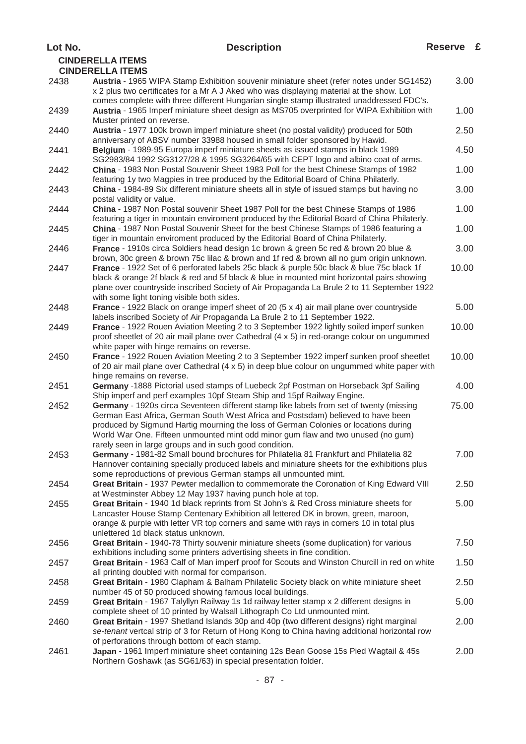| Lot No.                                            | <b>Description</b>                                                                                                                                                                                                                                                                                                                                                                                                | Reserve £ |  |
|----------------------------------------------------|-------------------------------------------------------------------------------------------------------------------------------------------------------------------------------------------------------------------------------------------------------------------------------------------------------------------------------------------------------------------------------------------------------------------|-----------|--|
| <b>CINDERELLA ITEMS</b><br><b>CINDERELLA ITEMS</b> |                                                                                                                                                                                                                                                                                                                                                                                                                   |           |  |
| 2438                                               | Austria - 1965 WIPA Stamp Exhibition souvenir miniature sheet (refer notes under SG1452)<br>x 2 plus two certificates for a Mr A J Aked who was displaying material at the show. Lot                                                                                                                                                                                                                              | 3.00      |  |
| 2439                                               | comes complete with three different Hungarian single stamp illustrated unaddressed FDC's.<br>Austria - 1965 Imperf miniature sheet design as MS705 overprinted for WIPA Exhibition with<br>Muster printed on reverse.                                                                                                                                                                                             | 1.00      |  |
| 2440                                               | Austria - 1977 100k brown imperf miniature sheet (no postal validity) produced for 50th<br>anniversary of ABSV number 33988 housed in small folder sponsored by Hawid.                                                                                                                                                                                                                                            | 2.50      |  |
| 2441                                               | Belgium - 1989-95 Europa imperf miniature sheets as issued stamps in black 1989<br>SG2983/84 1992 SG3127/28 & 1995 SG3264/65 with CEPT logo and albino coat of arms.                                                                                                                                                                                                                                              | 4.50      |  |
| 2442                                               | China - 1983 Non Postal Souvenir Sheet 1983 Poll for the best Chinese Stamps of 1982<br>featuring 1y two Magpies in tree produced by the Editorial Board of China Philaterly.                                                                                                                                                                                                                                     | 1.00      |  |
| 2443                                               | China - 1984-89 Six different miniature sheets all in style of issued stamps but having no<br>postal validity or value.                                                                                                                                                                                                                                                                                           | 3.00      |  |
| 2444                                               | China - 1987 Non Postal souvenir Sheet 1987 Poll for the best Chinese Stamps of 1986<br>featuring a tiger in mountain enviroment produced by the Editorial Board of China Philaterly.                                                                                                                                                                                                                             | 1.00      |  |
| 2445                                               | China - 1987 Non Postal Souvenir Sheet for the best Chinese Stamps of 1986 featuring a<br>tiger in mountain enviroment produced by the Editorial Board of China Philaterly.                                                                                                                                                                                                                                       | 1.00      |  |
| 2446                                               | France - 1910s circa Soldiers head design 1c brown & green 5c red & brown 20 blue &<br>brown, 30c green & brown 75c lilac & brown and 1f red & brown all no gum origin unknown.                                                                                                                                                                                                                                   | 3.00      |  |
| 2447                                               | France - 1922 Set of 6 perforated labels 25c black & purple 50c black & blue 75c black 1f<br>black & orange 2f black & red and 5f black & blue in mounted mint horizontal pairs showing<br>plane over countryside inscribed Society of Air Propaganda La Brule 2 to 11 September 1922<br>with some light toning visible both sides.                                                                               | 10.00     |  |
| 2448                                               | France - 1922 Black on orange imperf sheet of 20 (5 x 4) air mail plane over countryside<br>labels inscribed Society of Air Propaganda La Brule 2 to 11 September 1922.                                                                                                                                                                                                                                           | 5.00      |  |
| 2449                                               | France - 1922 Rouen Aviation Meeting 2 to 3 September 1922 lightly soiled imperf sunken<br>proof sheetlet of 20 air mail plane over Cathedral (4 x 5) in red-orange colour on ungummed<br>white paper with hinge remains on reverse.                                                                                                                                                                              | 10.00     |  |
| 2450                                               | France - 1922 Rouen Aviation Meeting 2 to 3 September 1922 imperf sunken proof sheetlet<br>of 20 air mail plane over Cathedral (4 x 5) in deep blue colour on ungummed white paper with<br>hinge remains on reverse.                                                                                                                                                                                              | 10.00     |  |
| 2451                                               | Germany -1888 Pictorial used stamps of Luebeck 2pf Postman on Horseback 3pf Sailing<br>Ship imperf and perf examples 10pf Steam Ship and 15pf Railway Engine.                                                                                                                                                                                                                                                     | 4.00      |  |
| 2452                                               | Germany - 1920s circa Seventeen different stamp like labels from set of twenty (missing<br>German East Africa, German South West Africa and Postsdam) believed to have been<br>produced by Sigmund Hartig mourning the loss of German Colonies or locations during<br>World War One. Fifteen unmounted mint odd minor gum flaw and two unused (no gum)<br>rarely seen in large groups and in such good condition. | 75.00     |  |
| 2453                                               | Germany - 1981-82 Small bound brochures for Philatelia 81 Frankfurt and Philatelia 82<br>Hannover containing specially produced labels and miniature sheets for the exhibitions plus<br>some reproductions of previous German stamps all unmounted mint.                                                                                                                                                          | 7.00      |  |
| 2454                                               | Great Britain - 1937 Pewter medallion to commemorate the Coronation of King Edward VIII<br>at Westminster Abbey 12 May 1937 having punch hole at top.                                                                                                                                                                                                                                                             | 2.50      |  |
| 2455                                               | Great Britain - 1940 1d black reprints from St John's & Red Cross miniature sheets for<br>Lancaster House Stamp Centenary Exhibition all lettered DK in brown, green, maroon,<br>orange & purple with letter VR top corners and same with rays in corners 10 in total plus<br>unlettered 1d black status unknown.                                                                                                 | 5.00      |  |
| 2456                                               | Great Britain - 1940-78 Thirty souvenir miniature sheets (some duplication) for various<br>exhibitions including some printers advertising sheets in fine condition.                                                                                                                                                                                                                                              | 7.50      |  |
| 2457                                               | Great Britain - 1963 Calf of Man imperf proof for Scouts and Winston Churcill in red on white<br>all printing doubled with normal for comparison.                                                                                                                                                                                                                                                                 | 1.50      |  |
| 2458                                               | Great Britain - 1980 Clapham & Balham Philatelic Society black on white miniature sheet<br>number 45 of 50 produced showing famous local buildings.                                                                                                                                                                                                                                                               | 2.50      |  |
| 2459                                               | Great Britain - 1967 Talyllyn Railway 1s 1d railway letter stamp x 2 different designs in<br>complete sheet of 10 printed by Walsall Lithograph Co Ltd unmounted mint.                                                                                                                                                                                                                                            | 5.00      |  |
| 2460                                               | Great Britain - 1997 Shetland Islands 30p and 40p (two different designs) right marginal<br>se-tenant vertcal strip of 3 for Return of Hong Kong to China having additional horizontal row<br>of perforations through bottom of each stamp.                                                                                                                                                                       | 2.00      |  |
| 2461                                               | Japan - 1961 Imperf miniature sheet containing 12s Bean Goose 15s Pied Wagtail & 45s<br>Northern Goshawk (as SG61/63) in special presentation folder.                                                                                                                                                                                                                                                             | 2.00      |  |